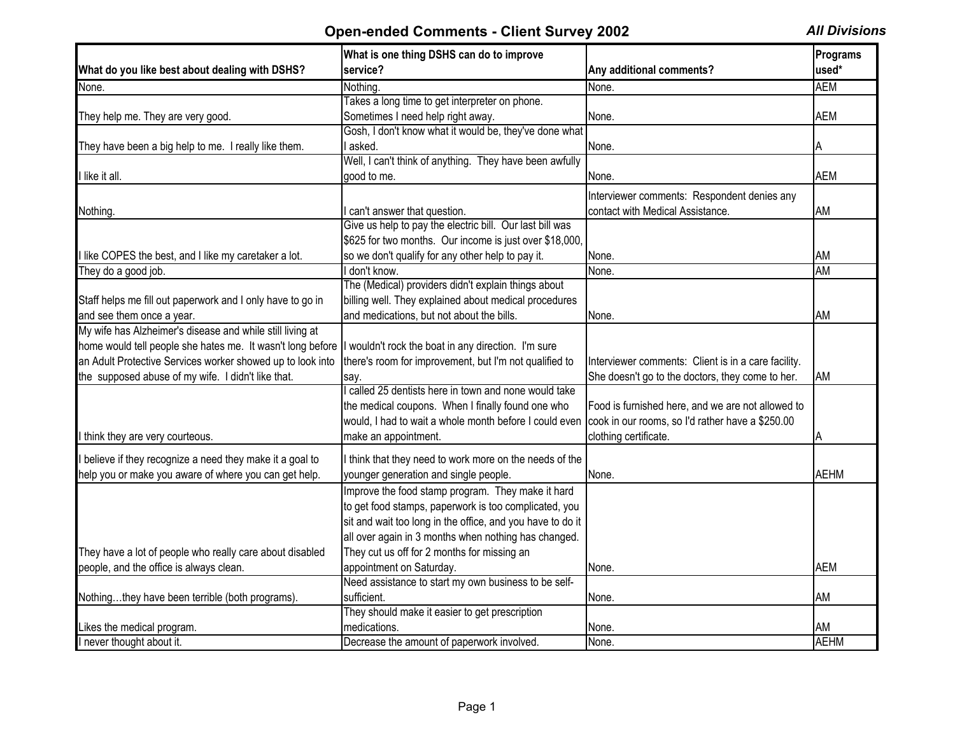|                                                            | What is one thing DSHS can do to improve                   |                                                     | Programs    |
|------------------------------------------------------------|------------------------------------------------------------|-----------------------------------------------------|-------------|
| What do you like best about dealing with DSHS?             | service?                                                   | Any additional comments?                            | used*       |
| None.                                                      | Nothing.                                                   | None.                                               | <b>AEM</b>  |
|                                                            | Takes a long time to get interpreter on phone.             |                                                     |             |
| They help me. They are very good.                          | Sometimes I need help right away.                          | None.                                               | <b>AEM</b>  |
|                                                            | Gosh, I don't know what it would be, they've done what     |                                                     |             |
| They have been a big help to me. I really like them.       | l asked.                                                   | None.                                               | A           |
|                                                            | Well, I can't think of anything. They have been awfully    |                                                     |             |
| I like it all.                                             | good to me.                                                | None.                                               | <b>AEM</b>  |
|                                                            |                                                            | Interviewer comments: Respondent denies any         |             |
| Nothing.                                                   | I can't answer that question.                              | contact with Medical Assistance.                    | AM          |
|                                                            | Give us help to pay the electric bill. Our last bill was   |                                                     |             |
|                                                            | \$625 for two months. Our income is just over \$18,000,    |                                                     |             |
| I like COPES the best, and I like my caretaker a lot.      | so we don't qualify for any other help to pay it.          | None.                                               | AM          |
| They do a good job.                                        | I don't know.                                              | None.                                               | <b>AM</b>   |
|                                                            | The (Medical) providers didn't explain things about        |                                                     |             |
| Staff helps me fill out paperwork and I only have to go in | billing well. They explained about medical procedures      |                                                     |             |
|                                                            |                                                            |                                                     |             |
| and see them once a year.                                  | and medications, but not about the bills.                  | None.                                               | AM          |
| My wife has Alzheimer's disease and while still living at  |                                                            |                                                     |             |
| home would tell people she hates me. It wasn't long before | I wouldn't rock the boat in any direction. I'm sure        |                                                     |             |
| an Adult Protective Services worker showed up to look into | there's room for improvement, but I'm not qualified to     | Interviewer comments: Client is in a care facility. |             |
| the supposed abuse of my wife. I didn't like that.         | say.                                                       | She doesn't go to the doctors, they come to her.    | AM          |
|                                                            | I called 25 dentists here in town and none would take      |                                                     |             |
|                                                            | the medical coupons. When I finally found one who          | Food is furnished here, and we are not allowed to   |             |
|                                                            | would, I had to wait a whole month before I could even     | cook in our rooms, so I'd rather have a \$250.00    |             |
| I think they are very courteous.                           | make an appointment.                                       | clothing certificate.                               |             |
| I believe if they recognize a need they make it a goal to  | I think that they need to work more on the needs of the    |                                                     |             |
| help you or make you aware of where you can get help.      | younger generation and single people.                      | None.                                               | <b>AEHM</b> |
|                                                            | Improve the food stamp program. They make it hard          |                                                     |             |
|                                                            | to get food stamps, paperwork is too complicated, you      |                                                     |             |
|                                                            | sit and wait too long in the office, and you have to do it |                                                     |             |
|                                                            |                                                            |                                                     |             |
|                                                            | all over again in 3 months when nothing has changed.       |                                                     |             |
| They have a lot of people who really care about disabled   | They cut us off for 2 months for missing an                |                                                     |             |
| people, and the office is always clean.                    | appointment on Saturday.                                   | None.                                               | <b>AEM</b>  |
|                                                            | Need assistance to start my own business to be self-       |                                                     |             |
| Nothingthey have been terrible (both programs).            | sufficient.                                                | None.                                               | AM          |
|                                                            | They should make it easier to get prescription             |                                                     |             |
| Likes the medical program.                                 | medications.                                               | None.                                               | AM          |
| I never thought about it.                                  | Decrease the amount of paperwork involved.                 | None.                                               | <b>AEHM</b> |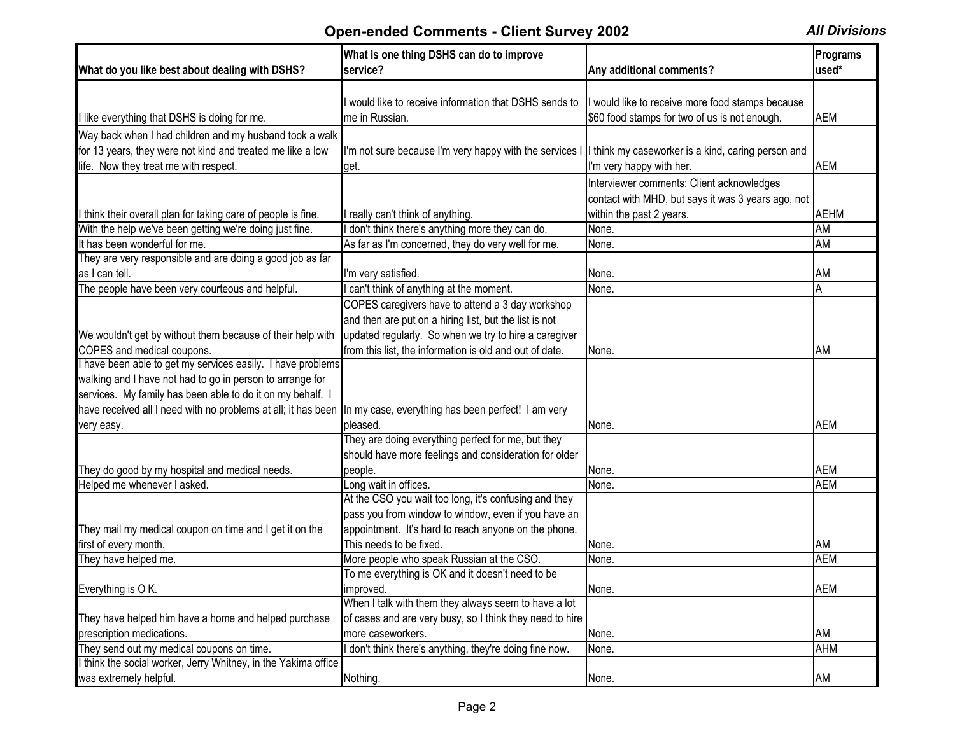| What do you like best about dealing with DSHS?                                                                    | What is one thing DSHS can do to improve<br>service?                                                        | Any additional comments?                           | Programs<br>used* |
|-------------------------------------------------------------------------------------------------------------------|-------------------------------------------------------------------------------------------------------------|----------------------------------------------------|-------------------|
|                                                                                                                   |                                                                                                             |                                                    |                   |
|                                                                                                                   | I would like to receive information that DSHS sends to                                                      | I would like to receive more food stamps because   |                   |
| I like everything that DSHS is doing for me.                                                                      | me in Russian.                                                                                              | \$60 food stamps for two of us is not enough.      | <b>AEM</b>        |
| Way back when I had children and my husband took a walk                                                           |                                                                                                             |                                                    |                   |
| for 13 years, they were not kind and treated me like a low                                                        | I'm not sure because I'm very happy with the services I  I think my caseworker is a kind, caring person and |                                                    |                   |
| life. Now they treat me with respect.                                                                             | get.                                                                                                        | I'm very happy with her.                           | <b>AEM</b>        |
|                                                                                                                   |                                                                                                             | Interviewer comments: Client acknowledges          |                   |
|                                                                                                                   |                                                                                                             | contact with MHD, but says it was 3 years ago, not |                   |
| I think their overall plan for taking care of people is fine.                                                     | I really can't think of anything.                                                                           | within the past 2 years.                           | <b>AEHM</b>       |
| With the help we've been getting we're doing just fine.                                                           | don't think there's anything more they can do.                                                              | None.                                              | AM                |
| It has been wonderful for me.                                                                                     | As far as I'm concerned, they do very well for me.                                                          | None.                                              | AM                |
| They are very responsible and are doing a good job as far                                                         |                                                                                                             |                                                    |                   |
| as I can tell.                                                                                                    | I'm very satisfied.                                                                                         | None.                                              | AM                |
| The people have been very courteous and helpful.                                                                  | can't think of anything at the moment.                                                                      | None.                                              | A                 |
|                                                                                                                   | COPES caregivers have to attend a 3 day workshop                                                            |                                                    |                   |
|                                                                                                                   | and then are put on a hiring list, but the list is not                                                      |                                                    |                   |
| We wouldn't get by without them because of their help with                                                        | updated regularly. So when we try to hire a caregiver                                                       |                                                    |                   |
| COPES and medical coupons.                                                                                        | from this list, the information is old and out of date.                                                     | None.                                              | AM                |
| I have been able to get my services easily. I have problems                                                       |                                                                                                             |                                                    |                   |
| walking and I have not had to go in person to arrange for                                                         |                                                                                                             |                                                    |                   |
| services. My family has been able to do it on my behalf. I                                                        |                                                                                                             |                                                    |                   |
| have received all I need with no problems at all; it has been  In my case, everything has been perfect! I am very |                                                                                                             |                                                    |                   |
| very easy.                                                                                                        | pleased.                                                                                                    | None.                                              | <b>AEM</b>        |
|                                                                                                                   | They are doing everything perfect for me, but they                                                          |                                                    |                   |
|                                                                                                                   | should have more feelings and consideration for older                                                       |                                                    |                   |
| They do good by my hospital and medical needs.                                                                    | people.                                                                                                     | None.                                              | <b>AEM</b>        |
| Helped me whenever I asked.                                                                                       | Long wait in offices.                                                                                       | None.                                              | <b>AEM</b>        |
|                                                                                                                   | At the CSO you wait too long, it's confusing and they                                                       |                                                    |                   |
|                                                                                                                   | pass you from window to window, even if you have an                                                         |                                                    |                   |
| They mail my medical coupon on time and I get it on the                                                           | appointment. It's hard to reach anyone on the phone.                                                        |                                                    |                   |
| first of every month.                                                                                             | This needs to be fixed.                                                                                     | None.                                              | AM                |
| They have helped me.                                                                                              | More people who speak Russian at the CSO.                                                                   | None.                                              | <b>AEM</b>        |
|                                                                                                                   | To me everything is OK and it doesn't need to be                                                            |                                                    |                   |
| Everything is O K.                                                                                                | improved.<br>When I talk with them they always seem to have a lot                                           | None.                                              | <b>AEM</b>        |
| They have helped him have a home and helped purchase                                                              | of cases and are very busy, so I think they need to hire                                                    |                                                    |                   |
| prescription medications.                                                                                         | more caseworkers.                                                                                           | None.                                              | AM                |
| They send out my medical coupons on time.                                                                         | don't think there's anything, they're doing fine now.                                                       |                                                    | <b>AHM</b>        |
| I think the social worker, Jerry Whitney, in the Yakima office                                                    |                                                                                                             | None.                                              |                   |
| was extremely helpful.                                                                                            | Nothing.                                                                                                    | None.                                              | AM                |
|                                                                                                                   |                                                                                                             |                                                    |                   |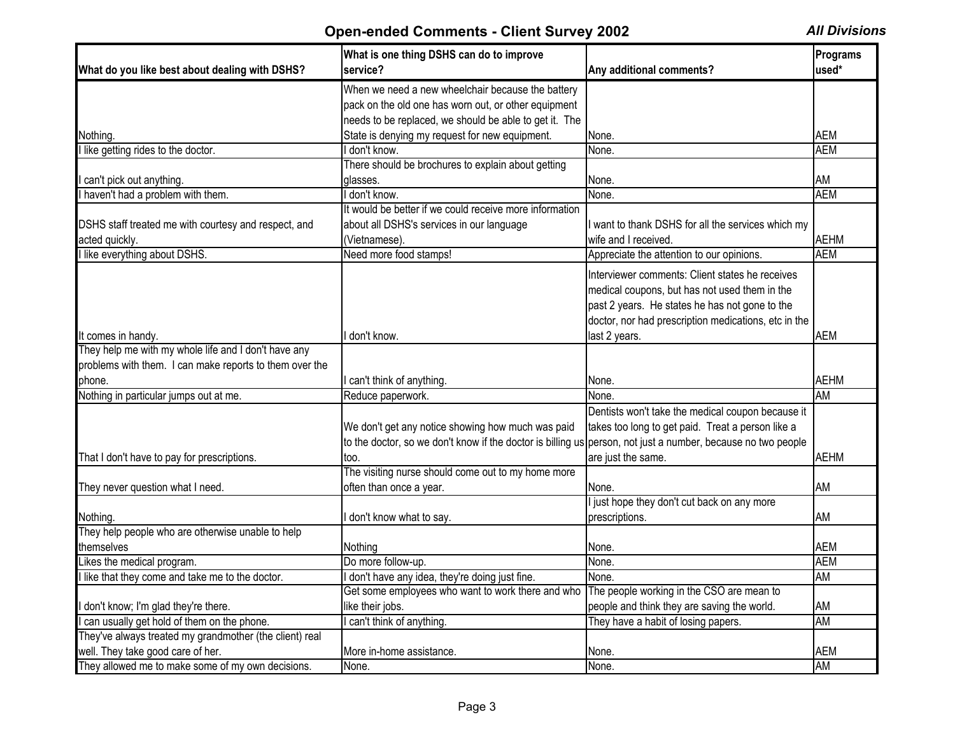|                                                         | What is one thing DSHS can do to improve                                                                     |                                                      | Programs    |
|---------------------------------------------------------|--------------------------------------------------------------------------------------------------------------|------------------------------------------------------|-------------|
| What do you like best about dealing with DSHS?          | service?                                                                                                     | Any additional comments?                             | used*       |
|                                                         | When we need a new wheelchair because the battery                                                            |                                                      |             |
|                                                         | pack on the old one has worn out, or other equipment                                                         |                                                      |             |
|                                                         | needs to be replaced, we should be able to get it. The                                                       |                                                      |             |
| Nothing.                                                | State is denying my request for new equipment.                                                               | None.                                                | <b>AEM</b>  |
| I like getting rides to the doctor.                     | don't know.                                                                                                  | None.                                                | <b>AEM</b>  |
|                                                         | There should be brochures to explain about getting                                                           |                                                      |             |
| can't pick out anything.                                | qlasses.                                                                                                     | None.                                                | AM          |
| I haven't had a problem with them.                      | don't know.                                                                                                  | None.                                                | <b>AEM</b>  |
|                                                         | It would be better if we could receive more information                                                      |                                                      |             |
| DSHS staff treated me with courtesy and respect, and    | about all DSHS's services in our language                                                                    | want to thank DSHS for all the services which my     |             |
| acted quickly.                                          | (Vietnamese).                                                                                                | wife and I received.                                 | <b>AEHM</b> |
| I like everything about DSHS.                           | Need more food stamps!                                                                                       | Appreciate the attention to our opinions.            | <b>AEM</b>  |
|                                                         |                                                                                                              | Interviewer comments: Client states he receives      |             |
|                                                         |                                                                                                              | medical coupons, but has not used them in the        |             |
|                                                         |                                                                                                              | past 2 years. He states he has not gone to the       |             |
|                                                         |                                                                                                              |                                                      |             |
|                                                         |                                                                                                              | doctor, nor had prescription medications, etc in the |             |
| It comes in handy.                                      | don't know.                                                                                                  | last 2 years.                                        | <b>AEM</b>  |
| They help me with my whole life and I don't have any    |                                                                                                              |                                                      |             |
| problems with them. I can make reports to them over the |                                                                                                              |                                                      |             |
| phone.                                                  | can't think of anything.                                                                                     | None.                                                | <b>AEHM</b> |
| Nothing in particular jumps out at me.                  | Reduce paperwork.                                                                                            | None.                                                | <b>AM</b>   |
|                                                         |                                                                                                              | Dentists won't take the medical coupon because it    |             |
|                                                         | We don't get any notice showing how much was paid                                                            | takes too long to get paid. Treat a person like a    |             |
|                                                         | to the doctor, so we don't know if the doctor is billing us person, not just a number, because no two people |                                                      |             |
| That I don't have to pay for prescriptions.             | too.                                                                                                         | are just the same.                                   | <b>AEHM</b> |
|                                                         | The visiting nurse should come out to my home more                                                           |                                                      |             |
| They never question what I need.                        | often than once a year.                                                                                      | None.                                                | AM          |
|                                                         |                                                                                                              | just hope they don't cut back on any more            |             |
| Nothing.                                                | don't know what to say.                                                                                      | prescriptions.                                       | AM          |
| They help people who are otherwise unable to help       |                                                                                                              |                                                      |             |
| themselves                                              | Nothing                                                                                                      | None.                                                | <b>AEM</b>  |
| Likes the medical program.                              | Do more follow-up.                                                                                           | None.                                                | <b>AEM</b>  |
| I like that they come and take me to the doctor.        | I don't have any idea, they're doing just fine.                                                              | None.                                                | AM          |
|                                                         | Get some employees who want to work there and who                                                            | The people working in the CSO are mean to            |             |
| don't know; I'm glad they're there.                     | like their jobs.                                                                                             | people and think they are saving the world.          | AM          |
| can usually get hold of them on the phone.              | can't think of anything.                                                                                     | They have a habit of losing papers.                  | AM          |
| They've always treated my grandmother (the client) real |                                                                                                              |                                                      |             |
| well. They take good care of her.                       | More in-home assistance.                                                                                     | None.                                                | <b>AEM</b>  |
| They allowed me to make some of my own decisions.       | None.                                                                                                        | None.                                                | AM          |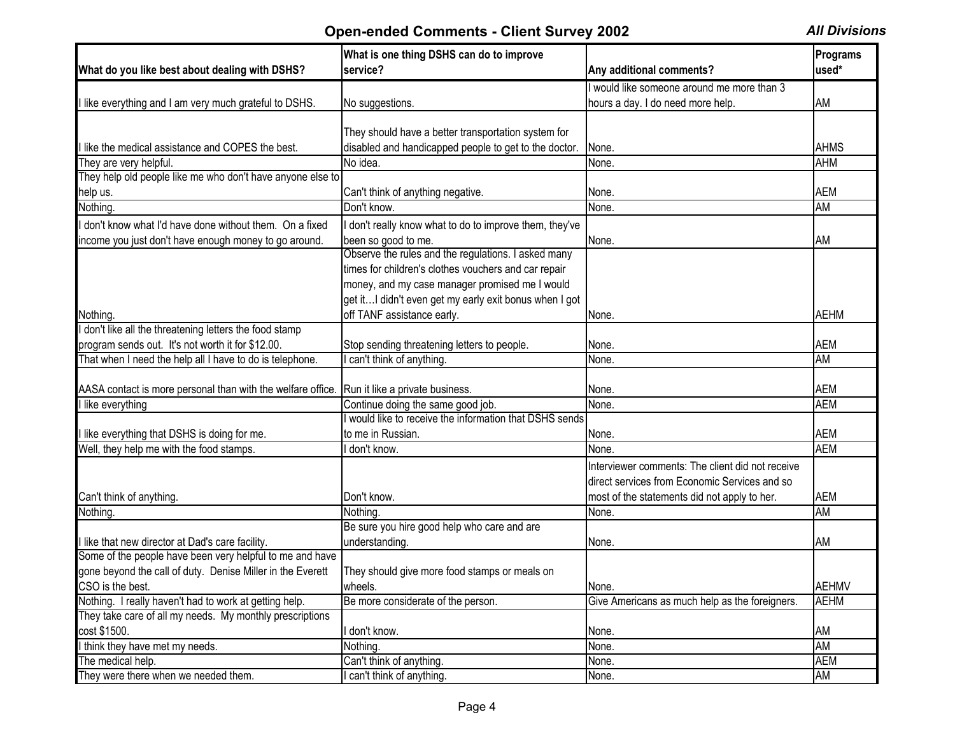|                                                             | What is one thing DSHS can do to improve                                                   |                                                  | Programs                 |
|-------------------------------------------------------------|--------------------------------------------------------------------------------------------|--------------------------------------------------|--------------------------|
| What do you like best about dealing with DSHS?              | service?                                                                                   | Any additional comments?                         | used*                    |
|                                                             |                                                                                            | I would like someone around me more than 3       |                          |
| I like everything and I am very much grateful to DSHS.      | No suggestions.                                                                            | hours a day. I do need more help.                | AM                       |
|                                                             |                                                                                            |                                                  |                          |
|                                                             | They should have a better transportation system for                                        |                                                  |                          |
| I like the medical assistance and COPES the best.           | disabled and handicapped people to get to the doctor.                                      | None.                                            | <b>AHMS</b>              |
| They are very helpful.                                      | No idea.                                                                                   | None.                                            | <b>AHM</b>               |
| They help old people like me who don't have anyone else to  |                                                                                            |                                                  |                          |
| help us.                                                    | Can't think of anything negative.                                                          | None.                                            | <b>AEM</b>               |
| Nothing.                                                    | Don't know.                                                                                | None.                                            | AM                       |
| I don't know what I'd have done without them. On a fixed    | I don't really know what to do to improve them, they've                                    |                                                  |                          |
| income you just don't have enough money to go around.       | been so good to me.                                                                        | None.                                            | AM                       |
|                                                             | Observe the rules and the regulations. I asked many                                        |                                                  |                          |
|                                                             | times for children's clothes vouchers and car repair                                       |                                                  |                          |
|                                                             | money, and my case manager promised me I would                                             |                                                  |                          |
|                                                             | get it I didn't even get my early exit bonus when I got                                    |                                                  |                          |
| Nothing.                                                    | off TANF assistance early.                                                                 | None.                                            | <b>AEHM</b>              |
| I don't like all the threatening letters the food stamp     |                                                                                            |                                                  |                          |
| program sends out. It's not worth it for \$12.00.           | Stop sending threatening letters to people.                                                | None.                                            | <b>AEM</b>               |
| That when I need the help all I have to do is telephone.    | can't think of anything.                                                                   | None.                                            | <b>AM</b>                |
|                                                             |                                                                                            |                                                  |                          |
| AASA contact is more personal than with the welfare office. | Run it like a private business.                                                            | None.                                            | <b>AEM</b><br><b>AEM</b> |
| I like everything                                           | Continue doing the same good job.<br>would like to receive the information that DSHS sends | $\overline{\mathsf{None}}$ .                     |                          |
|                                                             | to me in Russian.                                                                          |                                                  | <b>AEM</b>               |
| I like everything that DSHS is doing for me.                | I don't know.                                                                              | None.                                            | <b>AEM</b>               |
| Well, they help me with the food stamps.                    |                                                                                            | None.                                            |                          |
|                                                             |                                                                                            | Interviewer comments: The client did not receive |                          |
|                                                             |                                                                                            | direct services from Economic Services and so    |                          |
| Can't think of anything.                                    | Don't know.                                                                                | most of the statements did not apply to her.     | <b>AEM</b>               |
| Nothing.                                                    | Nothing.                                                                                   | None.                                            | AM                       |
|                                                             | Be sure you hire good help who care and are                                                |                                                  |                          |
| I like that new director at Dad's care facility.            | understanding.                                                                             | None.                                            | AM                       |
| Some of the people have been very helpful to me and have    |                                                                                            |                                                  |                          |
| gone beyond the call of duty. Denise Miller in the Everett  | They should give more food stamps or meals on                                              |                                                  |                          |
| CSO is the best.                                            | wheels.                                                                                    | None.                                            | <b>AEHMV</b>             |
| Nothing. I really haven't had to work at getting help.      | Be more considerate of the person.                                                         | Give Americans as much help as the foreigners.   | <b>AEHM</b>              |
| They take care of all my needs. My monthly prescriptions    |                                                                                            |                                                  |                          |
| cost \$1500.                                                | I don't know.                                                                              | None.                                            | AM                       |
| I think they have met my needs.                             | Nothing.                                                                                   | None.                                            | AM                       |
| The medical help.                                           | Can't think of anything.                                                                   | None.                                            | <b>AEM</b>               |
| They were there when we needed them.                        | I can't think of anything.                                                                 | None.                                            | AM                       |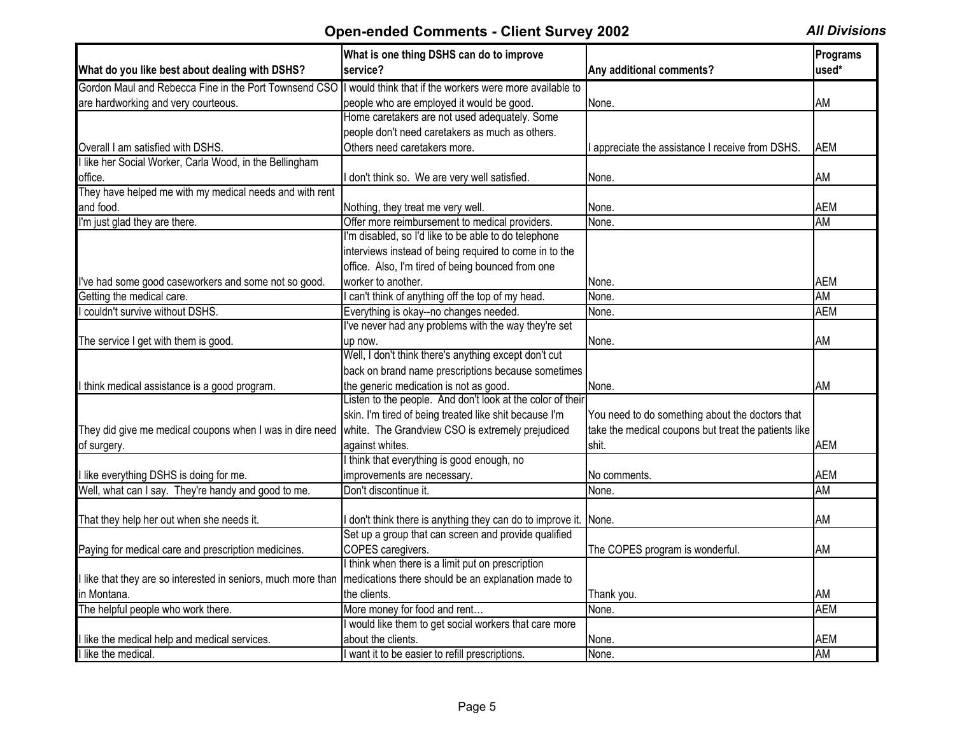| What do you like best about dealing with DSHS?                                                                  | What is one thing DSHS can do to improve<br>service?                                                   | Any additional comments?                             | Programs<br>used* |
|-----------------------------------------------------------------------------------------------------------------|--------------------------------------------------------------------------------------------------------|------------------------------------------------------|-------------------|
| Gordon Maul and Rebecca Fine in the Port Townsend CSO  I would think that if the workers were more available to |                                                                                                        |                                                      |                   |
| are hardworking and very courteous.                                                                             | people who are employed it would be good.                                                              | None.                                                | AM                |
|                                                                                                                 | Home caretakers are not used adequately. Some                                                          |                                                      |                   |
|                                                                                                                 | people don't need caretakers as much as others.                                                        |                                                      |                   |
| Overall I am satisfied with DSHS.                                                                               | Others need caretakers more.                                                                           |                                                      | <b>AEM</b>        |
| I like her Social Worker, Carla Wood, in the Bellingham                                                         |                                                                                                        | appreciate the assistance I receive from DSHS.       |                   |
|                                                                                                                 |                                                                                                        |                                                      |                   |
| office.<br>They have helped me with my medical needs and with rent                                              | don't think so. We are very well satisfied.                                                            | None.                                                | AM                |
|                                                                                                                 |                                                                                                        |                                                      | <b>AEM</b>        |
| and food.                                                                                                       | Nothing, they treat me very well.                                                                      | None.                                                | <b>AM</b>         |
| I'm just glad they are there.                                                                                   | Offer more reimbursement to medical providers.<br>I'm disabled, so I'd like to be able to do telephone | None.                                                |                   |
|                                                                                                                 |                                                                                                        |                                                      |                   |
|                                                                                                                 | interviews instead of being required to come in to the                                                 |                                                      |                   |
|                                                                                                                 | office. Also, I'm tired of being bounced from one                                                      |                                                      |                   |
| I've had some good caseworkers and some not so good.                                                            | worker to another.                                                                                     | None.                                                | <b>AEM</b>        |
| Getting the medical care.                                                                                       | can't think of anything off the top of my head.                                                        | None.                                                | <b>AM</b>         |
| couldn't survive without DSHS.                                                                                  | Everything is okay--no changes needed.                                                                 | None.                                                | <b>AEM</b>        |
|                                                                                                                 | I've never had any problems with the way they're set                                                   |                                                      |                   |
| The service I get with them is good.                                                                            | up now.                                                                                                | None.                                                | AM                |
|                                                                                                                 | Well, I don't think there's anything except don't cut                                                  |                                                      |                   |
|                                                                                                                 | back on brand name prescriptions because sometimes                                                     |                                                      |                   |
| I think medical assistance is a good program.                                                                   | the generic medication is not as good.                                                                 | None.                                                | AM                |
|                                                                                                                 | Listen to the people. And don't look at the color of their                                             |                                                      |                   |
|                                                                                                                 | skin. I'm tired of being treated like shit because I'm                                                 | You need to do something about the doctors that      |                   |
| They did give me medical coupons when I was in dire need                                                        | white. The Grandview CSO is extremely prejudiced                                                       | take the medical coupons but treat the patients like |                   |
| of surgery.                                                                                                     | against whites.                                                                                        | shit.                                                | <b>AEM</b>        |
|                                                                                                                 | I think that everything is good enough, no                                                             |                                                      |                   |
| I like everything DSHS is doing for me.                                                                         | improvements are necessary.                                                                            | No comments.                                         | <b>AEM</b>        |
| Well, what can I say. They're handy and good to me.                                                             | Don't discontinue it.                                                                                  | None.                                                | AM                |
|                                                                                                                 |                                                                                                        |                                                      |                   |
| That they help her out when she needs it.                                                                       | don't think there is anything they can do to improve it.                                               | None.                                                | AM                |
|                                                                                                                 | Set up a group that can screen and provide qualified                                                   |                                                      |                   |
| Paying for medical care and prescription medicines.                                                             | COPES caregivers.                                                                                      | The COPES program is wonderful.                      | AM                |
|                                                                                                                 | I think when there is a limit put on prescription                                                      |                                                      |                   |
| I like that they are so interested in seniors, much more than                                                   | medications there should be an explanation made to                                                     |                                                      |                   |
| lin Montana.                                                                                                    | the clients.                                                                                           | Thank you.                                           | AM                |
| The helpful people who work there.                                                                              | More money for food and rent                                                                           | None.                                                | <b>AEM</b>        |
|                                                                                                                 | would like them to get social workers that care more                                                   |                                                      |                   |
| I like the medical help and medical services.                                                                   | about the clients.                                                                                     | None.                                                | <b>AEM</b>        |
| I like the medical.                                                                                             | I want it to be easier to refill prescriptions.                                                        | None.                                                | <b>AM</b>         |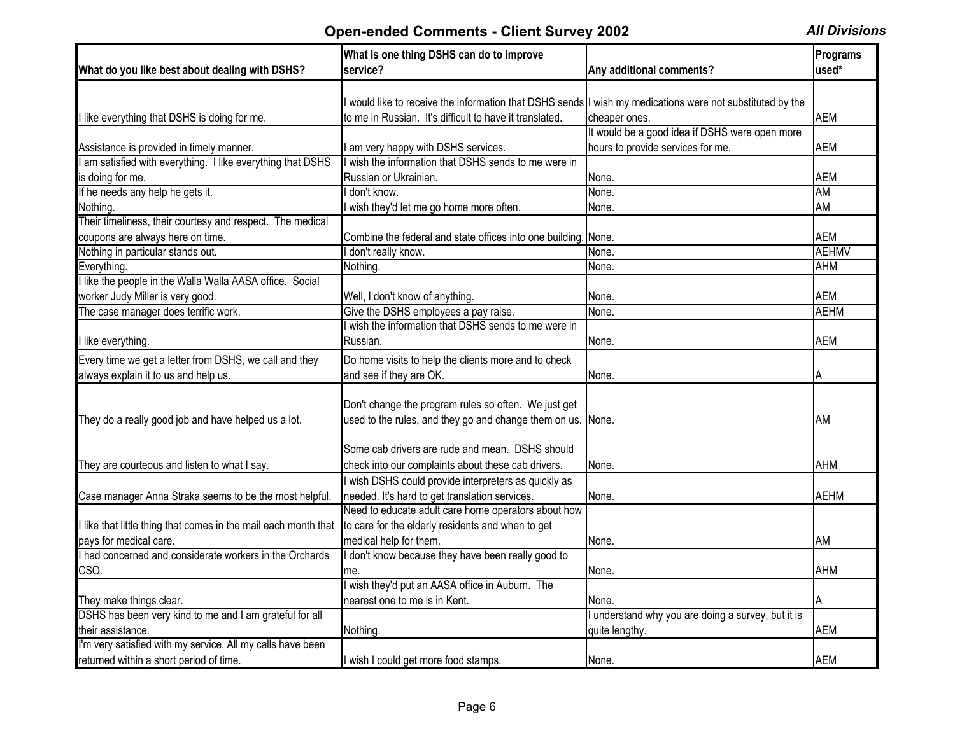| What do you like best about dealing with DSHS?                                    | What is one thing DSHS can do to improve<br>service?                                                    | Any additional comments?                           | Programs<br>used* |
|-----------------------------------------------------------------------------------|---------------------------------------------------------------------------------------------------------|----------------------------------------------------|-------------------|
|                                                                                   |                                                                                                         |                                                    |                   |
|                                                                                   | would like to receive the information that DSHS sends I wish my medications were not substituted by the |                                                    |                   |
| I like everything that DSHS is doing for me.                                      | to me in Russian. It's difficult to have it translated.                                                 | cheaper ones.                                      | <b>AEM</b>        |
|                                                                                   |                                                                                                         | It would be a good idea if DSHS were open more     |                   |
| Assistance is provided in timely manner.                                          | am very happy with DSHS services.                                                                       | hours to provide services for me.                  | <b>AEM</b>        |
| am satisfied with everything. I like everything that DSHS                         | wish the information that DSHS sends to me were in                                                      |                                                    |                   |
| is doing for me.                                                                  | Russian or Ukrainian.                                                                                   | None.                                              | <b>AEM</b>        |
| If he needs any help he gets it.                                                  | don't know.                                                                                             | None                                               | <b>AM</b>         |
| Nothing.                                                                          | wish they'd let me go home more often.                                                                  | None.                                              | <b>AM</b>         |
| Their timeliness, their courtesy and respect. The medical                         |                                                                                                         |                                                    |                   |
| coupons are always here on time.                                                  | Combine the federal and state offices into one building. None.                                          |                                                    | <b>AEM</b>        |
| Nothing in particular stands out.                                                 | don't really know.                                                                                      | None.                                              | <b>AEHMV</b>      |
| Everything.                                                                       | Nothing.                                                                                                | None.                                              | <b>AHM</b>        |
| like the people in the Walla Walla AASA office. Social                            |                                                                                                         |                                                    |                   |
| worker Judy Miller is very good.                                                  | Well, I don't know of anything.                                                                         | None.                                              | <b>AEM</b>        |
| The case manager does terrific work.                                              | Give the DSHS employees a pay raise.                                                                    | None.                                              | <b>AEHM</b>       |
|                                                                                   | wish the information that DSHS sends to me were in                                                      |                                                    |                   |
| I like everything.                                                                | Russian.                                                                                                | None.                                              | <b>AEM</b>        |
| Every time we get a letter from DSHS, we call and they                            | Do home visits to help the clients more and to check                                                    |                                                    |                   |
| always explain it to us and help us.                                              | and see if they are OK.                                                                                 | None.                                              | Α                 |
|                                                                                   |                                                                                                         |                                                    |                   |
|                                                                                   | Don't change the program rules so often. We just get                                                    |                                                    |                   |
| They do a really good job and have helped us a lot.                               | used to the rules, and they go and change them on us. None.                                             |                                                    | ΑM                |
|                                                                                   |                                                                                                         |                                                    |                   |
|                                                                                   | Some cab drivers are rude and mean. DSHS should                                                         |                                                    |                   |
| They are courteous and listen to what I say.                                      | check into our complaints about these cab drivers.                                                      | None.                                              | <b>AHM</b>        |
|                                                                                   | I wish DSHS could provide interpreters as quickly as                                                    |                                                    |                   |
|                                                                                   | needed. It's hard to get translation services.                                                          |                                                    | <b>AEHM</b>       |
| Case manager Anna Straka seems to be the most helpful.                            | Need to educate adult care home operators about how                                                     | None.                                              |                   |
|                                                                                   |                                                                                                         |                                                    |                   |
| I like that little thing that comes in the mail each month that                   | to care for the elderly residents and when to get                                                       |                                                    |                   |
| pays for medical care.<br>I had concerned and considerate workers in the Orchards | medical help for them.                                                                                  | None.                                              | AM                |
|                                                                                   | I don't know because they have been really good to                                                      |                                                    |                   |
| CSO.                                                                              | me.                                                                                                     | None.                                              | AHM               |
|                                                                                   | wish they'd put an AASA office in Auburn. The                                                           |                                                    |                   |
| They make things clear.                                                           | nearest one to me is in Kent.                                                                           | None.                                              | A                 |
| DSHS has been very kind to me and I am grateful for all                           |                                                                                                         | I understand why you are doing a survey, but it is |                   |
| their assistance.                                                                 | Nothing.                                                                                                | quite lengthy.                                     | <b>AEM</b>        |
| I'm very satisfied with my service. All my calls have been                        |                                                                                                         |                                                    |                   |
| returned within a short period of time.                                           | I wish I could get more food stamps.                                                                    | None.                                              | <b>AEM</b>        |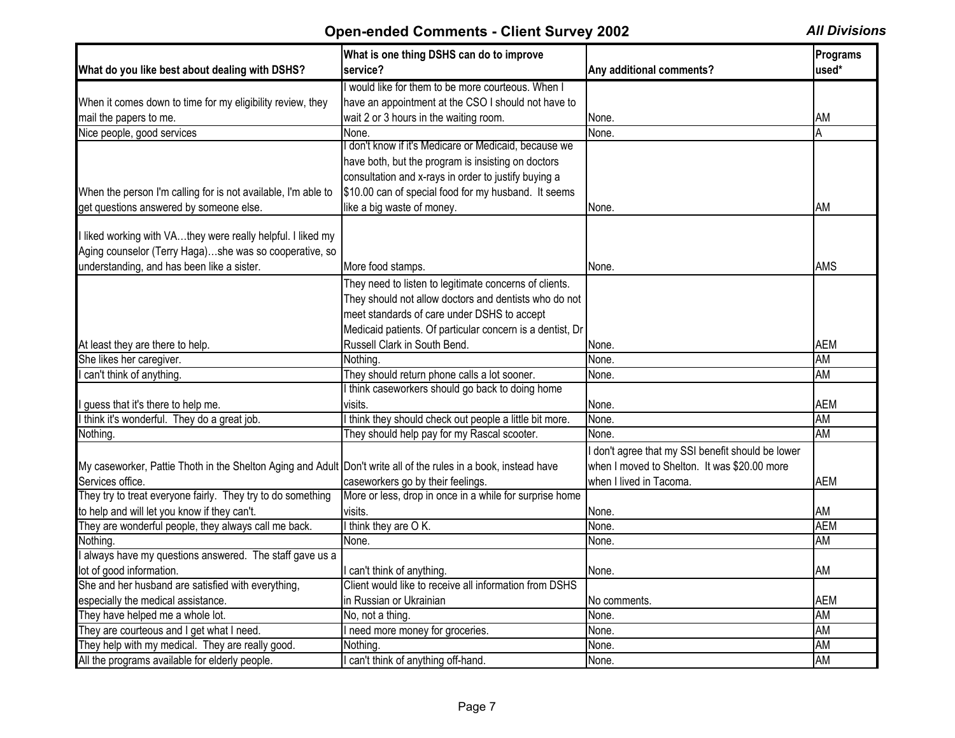|                                                                                                                 | What is one thing DSHS can do to improve                  |                                                   | Programs   |
|-----------------------------------------------------------------------------------------------------------------|-----------------------------------------------------------|---------------------------------------------------|------------|
| What do you like best about dealing with DSHS?                                                                  | service?                                                  | Any additional comments?                          | used*      |
|                                                                                                                 | I would like for them to be more courteous. When I        |                                                   |            |
| When it comes down to time for my eligibility review, they                                                      | have an appointment at the CSO I should not have to       |                                                   |            |
| mail the papers to me.                                                                                          | wait 2 or 3 hours in the waiting room.                    | None.                                             | <b>AM</b>  |
| Nice people, good services                                                                                      | None.                                                     | None.                                             | Α          |
|                                                                                                                 | don't know if it's Medicare or Medicaid, because we       |                                                   |            |
|                                                                                                                 | have both, but the program is insisting on doctors        |                                                   |            |
|                                                                                                                 | consultation and x-rays in order to justify buying a      |                                                   |            |
| When the person I'm calling for is not available, I'm able to                                                   | \$10.00 can of special food for my husband. It seems      |                                                   |            |
| get questions answered by someone else.                                                                         | like a big waste of money.                                | None.                                             | AM         |
|                                                                                                                 |                                                           |                                                   |            |
| I liked working with VAthey were really helpful. I liked my                                                     |                                                           |                                                   |            |
| Aging counselor (Terry Haga)she was so cooperative, so                                                          |                                                           |                                                   |            |
| understanding, and has been like a sister.                                                                      | More food stamps.                                         | None.                                             | <b>AMS</b> |
|                                                                                                                 | They need to listen to legitimate concerns of clients.    |                                                   |            |
|                                                                                                                 | They should not allow doctors and dentists who do not     |                                                   |            |
|                                                                                                                 | meet standards of care under DSHS to accept               |                                                   |            |
|                                                                                                                 | Medicaid patients. Of particular concern is a dentist, Dr |                                                   |            |
| At least they are there to help.                                                                                | Russell Clark in South Bend.                              | None.                                             | <b>AEM</b> |
| She likes her caregiver.                                                                                        | Nothing.                                                  | None.                                             | <b>AM</b>  |
| can't think of anything.                                                                                        | They should return phone calls a lot sooner.              | None.                                             | <b>AM</b>  |
|                                                                                                                 | I think caseworkers should go back to doing home          |                                                   |            |
| guess that it's there to help me.                                                                               | visits.                                                   | None.                                             | <b>AEM</b> |
| think it's wonderful. They do a great job.                                                                      | I think they should check out people a little bit more.   | None.                                             | <b>AM</b>  |
| Nothing.                                                                                                        | They should help pay for my Rascal scooter.               | None.                                             | <b>AM</b>  |
|                                                                                                                 |                                                           | I don't agree that my SSI benefit should be lower |            |
| My caseworker, Pattie Thoth in the Shelton Aging and Adult Don't write all of the rules in a book, instead have |                                                           | when I moved to Shelton. It was \$20.00 more      |            |
| Services office.                                                                                                | caseworkers go by their feelings.                         | when I lived in Tacoma.                           | <b>AEM</b> |
| They try to treat everyone fairly. They try to do something                                                     | More or less, drop in once in a while for surprise home   |                                                   |            |
| to help and will let you know if they can't.                                                                    | visits.                                                   | None.                                             | AM         |
| They are wonderful people, they always call me back.                                                            | I think they are OK.                                      | None.                                             | <b>AEM</b> |
| Nothing.                                                                                                        | None.                                                     | None.                                             | <b>AM</b>  |
| I always have my questions answered. The staff gave us a                                                        |                                                           |                                                   |            |
| lot of good information.                                                                                        | I can't think of anything.                                | None.                                             | AM         |
| She and her husband are satisfied with everything,                                                              | Client would like to receive all information from DSHS    |                                                   |            |
| especially the medical assistance.                                                                              | in Russian or Ukrainian                                   | No comments.                                      | <b>AEM</b> |
| They have helped me a whole lot.                                                                                | No. not a thing.                                          | None.                                             | <b>AM</b>  |
| They are courteous and I get what I need.                                                                       | I need more money for groceries.                          | None.                                             | <b>AM</b>  |
| They help with my medical. They are really good.                                                                | Nothing.                                                  | None.                                             | AM         |
| All the programs available for elderly people.                                                                  | I can't think of anything off-hand.                       | None.                                             | <b>AM</b>  |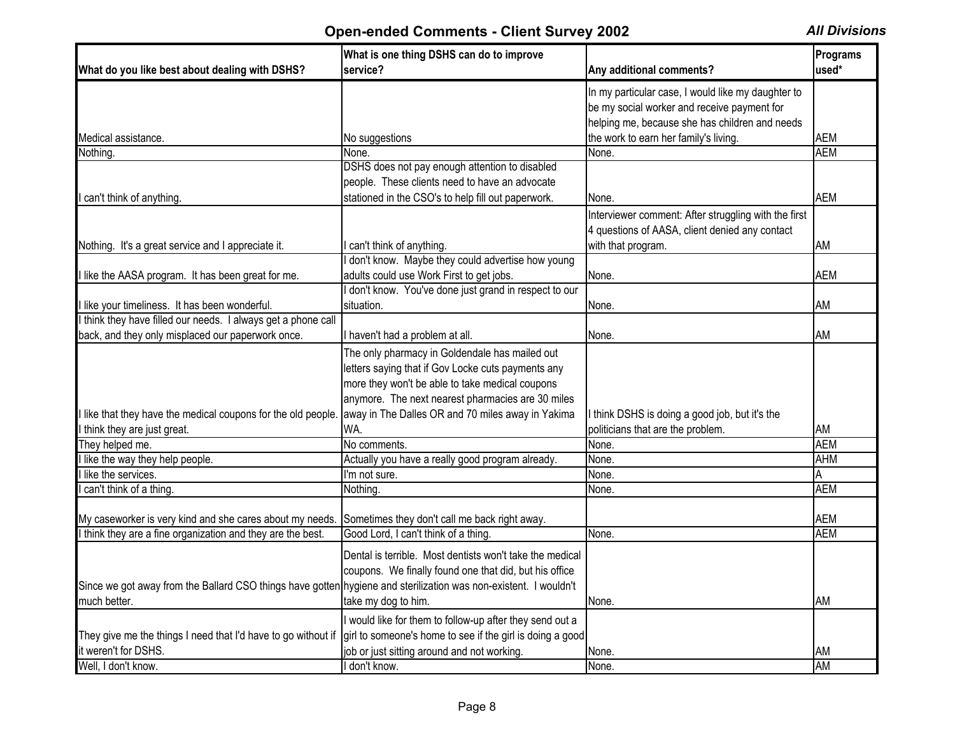|                                                                                                                         | What is one thing DSHS can do to improve                                              |                                                      | Programs        |
|-------------------------------------------------------------------------------------------------------------------------|---------------------------------------------------------------------------------------|------------------------------------------------------|-----------------|
| What do you like best about dealing with DSHS?                                                                          | service?                                                                              | Any additional comments?                             | used*           |
|                                                                                                                         |                                                                                       | In my particular case, I would like my daughter to   |                 |
|                                                                                                                         |                                                                                       | be my social worker and receive payment for          |                 |
|                                                                                                                         |                                                                                       | helping me, because she has children and needs       |                 |
| Medical assistance.                                                                                                     | No suggestions                                                                        | the work to earn her family's living.                | AEM             |
| Nothing.                                                                                                                | None.                                                                                 | None.                                                | <b>AEM</b>      |
|                                                                                                                         | DSHS does not pay enough attention to disabled                                        |                                                      |                 |
|                                                                                                                         | people. These clients need to have an advocate                                        |                                                      |                 |
| I can't think of anything.                                                                                              | stationed in the CSO's to help fill out paperwork.                                    | None.                                                | <b>AEM</b>      |
|                                                                                                                         |                                                                                       | Interviewer comment: After struggling with the first |                 |
|                                                                                                                         |                                                                                       | 4 questions of AASA, client denied any contact       |                 |
| Nothing. It's a great service and I appreciate it.                                                                      | can't think of anything.                                                              | with that program.                                   | AM              |
|                                                                                                                         | don't know. Maybe they could advertise how young                                      |                                                      |                 |
| I like the AASA program. It has been great for me.                                                                      | adults could use Work First to get jobs.                                              | None.                                                | <b>AEM</b>      |
|                                                                                                                         | don't know. You've done just grand in respect to our                                  |                                                      |                 |
| I like your timeliness. It has been wonderful.                                                                          | situation.                                                                            | None.                                                | AM              |
| I think they have filled our needs. I always get a phone call                                                           |                                                                                       |                                                      |                 |
| back, and they only misplaced our paperwork once.                                                                       | I haven't had a problem at all.                                                       | None.                                                | AM              |
|                                                                                                                         | The only pharmacy in Goldendale has mailed out                                        |                                                      |                 |
|                                                                                                                         | letters saying that if Gov Locke cuts payments any                                    |                                                      |                 |
|                                                                                                                         | more they won't be able to take medical coupons                                       |                                                      |                 |
|                                                                                                                         | anymore. The next nearest pharmacies are 30 miles                                     |                                                      |                 |
| I like that they have the medical coupons for the old people                                                            | away in The Dalles OR and 70 miles away in Yakima                                     | I think DSHS is doing a good job, but it's the       |                 |
| I think they are just great.                                                                                            | WA.                                                                                   | politicians that are the problem.                    | AM              |
| They helped me.                                                                                                         | No comments.                                                                          | None.                                                | <b>AEM</b>      |
|                                                                                                                         |                                                                                       |                                                      | <b>AHM</b>      |
| I like the way they help people.<br>I like the services.                                                                | Actually you have a really good program already.                                      | None.                                                |                 |
|                                                                                                                         | I'm not sure.                                                                         | None.                                                | Α<br><b>AEM</b> |
| can't think of a thing.                                                                                                 | Nothing.                                                                              | None.                                                |                 |
|                                                                                                                         |                                                                                       |                                                      | <b>AEM</b>      |
| My caseworker is very kind and she cares about my needs.<br>I think they are a fine organization and they are the best. | Sometimes they don't call me back right away.<br>Good Lord, I can't think of a thing. | None.                                                | <b>AEM</b>      |
|                                                                                                                         |                                                                                       |                                                      |                 |
|                                                                                                                         | Dental is terrible. Most dentists won't take the medical                              |                                                      |                 |
|                                                                                                                         | coupons. We finally found one that did, but his office                                |                                                      |                 |
| Since we got away from the Ballard CSO things have gotten hygiene and sterilization was non-existent. I wouldn't        |                                                                                       |                                                      |                 |
| much better.                                                                                                            | take my dog to him.                                                                   | None.                                                | AM              |
|                                                                                                                         | I would like for them to follow-up after they send out a                              |                                                      |                 |
| They give me the things I need that I'd have to go without if                                                           | girl to someone's home to see if the girl is doing a good                             |                                                      |                 |
| it weren't for DSHS.                                                                                                    | job or just sitting around and not working.                                           | None.                                                | <b>AM</b>       |
| Well, I don't know.                                                                                                     | I don't know.                                                                         | None.                                                | <b>AM</b>       |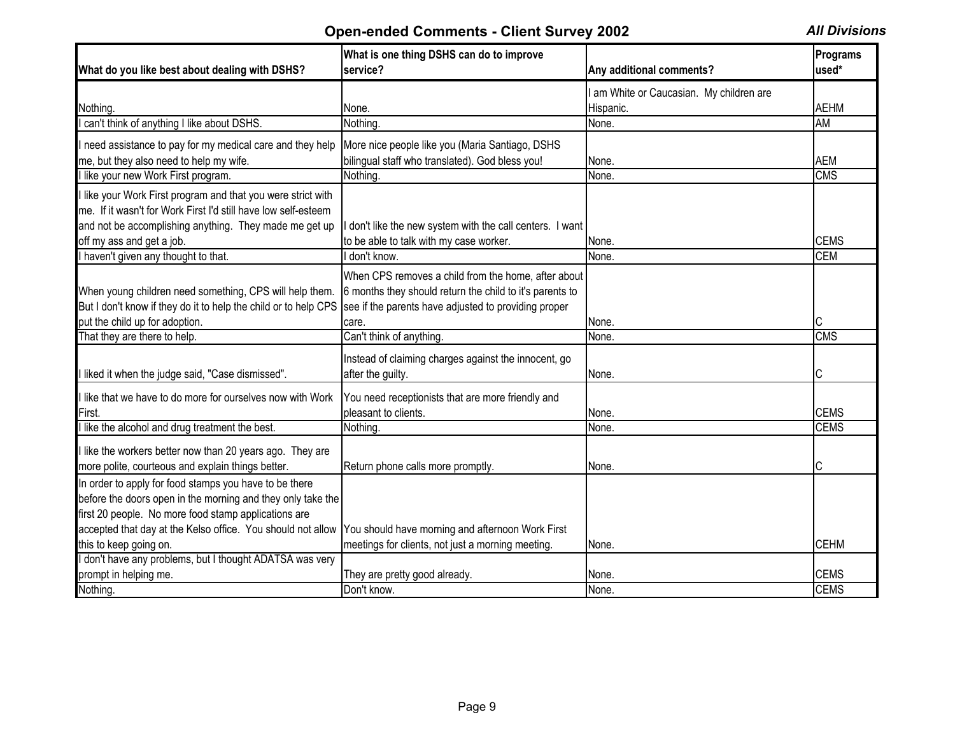| What do you like best about dealing with DSHS?                                                                                                                                | What is one thing DSHS can do to improve<br>service?                                                                                                                             | Any additional comments?               | Programs<br>used* |
|-------------------------------------------------------------------------------------------------------------------------------------------------------------------------------|----------------------------------------------------------------------------------------------------------------------------------------------------------------------------------|----------------------------------------|-------------------|
|                                                                                                                                                                               |                                                                                                                                                                                  | am White or Caucasian. My children are |                   |
| Nothing.                                                                                                                                                                      | None.                                                                                                                                                                            | Hispanic.                              | <b>AEHM</b>       |
| can't think of anything I like about DSHS.                                                                                                                                    | Nothing.                                                                                                                                                                         | None.                                  | <b>AM</b>         |
| I need assistance to pay for my medical care and they help                                                                                                                    | More nice people like you (Maria Santiago, DSHS                                                                                                                                  |                                        |                   |
| me, but they also need to help my wife.                                                                                                                                       | bilingual staff who translated). God bless you!                                                                                                                                  | None.                                  | <b>AEM</b>        |
| I like your new Work First program.                                                                                                                                           | Nothing.                                                                                                                                                                         | None.                                  | <b>CMS</b>        |
| I like your Work First program and that you were strict with                                                                                                                  |                                                                                                                                                                                  |                                        |                   |
| me. If it wasn't for Work First I'd still have low self-esteem                                                                                                                |                                                                                                                                                                                  |                                        |                   |
| and not be accomplishing anything. They made me get up                                                                                                                        | don't like the new system with the call centers. I want                                                                                                                          |                                        |                   |
| off my ass and get a job.                                                                                                                                                     | to be able to talk with my case worker.                                                                                                                                          | None.                                  | <b>CEMS</b>       |
| I haven't given any thought to that.                                                                                                                                          | don't know.                                                                                                                                                                      | None.                                  | <b>CEM</b>        |
| When young children need something, CPS will help them.<br>But I don't know if they do it to help the child or to help CPS<br>put the child up for adoption.                  | When CPS removes a child from the home, after about<br>6 months they should return the child to it's parents to<br>see if the parents have adjusted to providing proper<br>care. | None.                                  |                   |
| That they are there to help.                                                                                                                                                  | Can't think of anything.                                                                                                                                                         | None.                                  | <b>CMS</b>        |
|                                                                                                                                                                               |                                                                                                                                                                                  |                                        |                   |
| I liked it when the judge said, "Case dismissed".                                                                                                                             | Instead of claiming charges against the innocent, go<br>after the guilty.                                                                                                        | None.                                  | C                 |
| I like that we have to do more for ourselves now with Work                                                                                                                    | You need receptionists that are more friendly and                                                                                                                                |                                        |                   |
| First.                                                                                                                                                                        | pleasant to clients.                                                                                                                                                             | None.                                  | <b>CEMS</b>       |
| I like the alcohol and drug treatment the best.                                                                                                                               | Nothing.                                                                                                                                                                         | None.                                  | <b>CEMS</b>       |
| I like the workers better now than 20 years ago. They are<br>more polite, courteous and explain things better.                                                                | Return phone calls more promptly.                                                                                                                                                | None.                                  |                   |
| In order to apply for food stamps you have to be there<br>before the doors open in the morning and they only take the<br>first 20 people. No more food stamp applications are |                                                                                                                                                                                  |                                        |                   |
| accepted that day at the Kelso office. You should not allow                                                                                                                   | You should have morning and afternoon Work First                                                                                                                                 |                                        |                   |
| this to keep going on.                                                                                                                                                        | meetings for clients, not just a morning meeting.                                                                                                                                | None.                                  | <b>CEHM</b>       |
| I don't have any problems, but I thought ADATSA was very                                                                                                                      |                                                                                                                                                                                  |                                        |                   |
| prompt in helping me.                                                                                                                                                         | They are pretty good already.                                                                                                                                                    | None.                                  | <b>CEMS</b>       |
| Nothing.                                                                                                                                                                      | Don't know.                                                                                                                                                                      | None.                                  | <b>CEMS</b>       |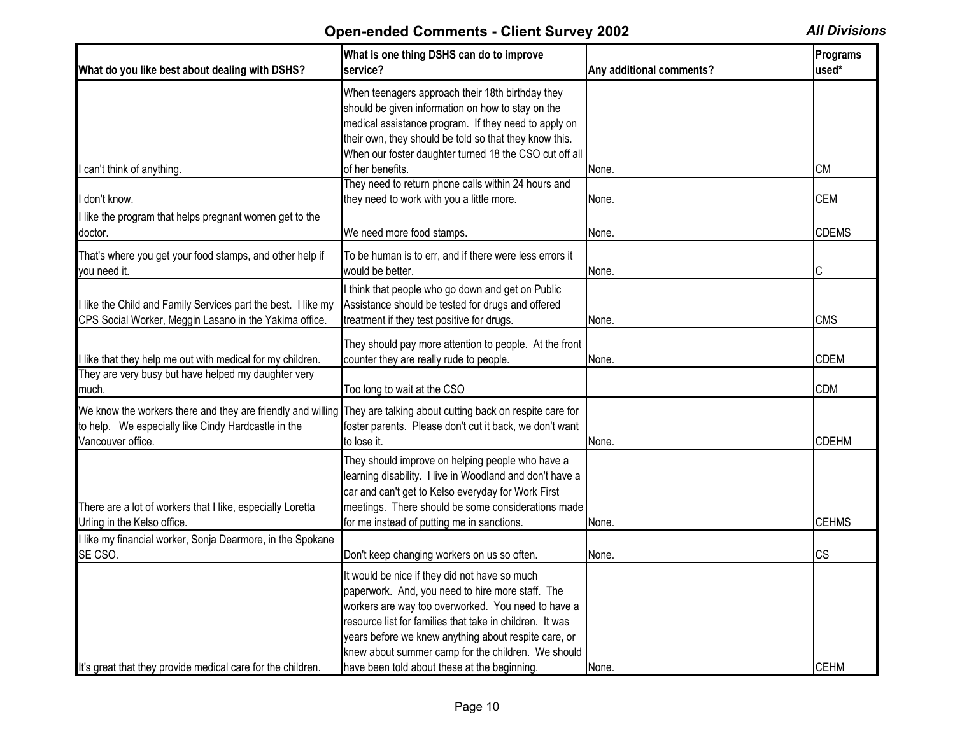| What do you like best about dealing with DSHS?                                                                                                                                                  | What is one thing DSHS can do to improve<br>service?                                                                                                                                                                                                                                                                                                                              | Any additional comments? | Programs<br>used* |
|-------------------------------------------------------------------------------------------------------------------------------------------------------------------------------------------------|-----------------------------------------------------------------------------------------------------------------------------------------------------------------------------------------------------------------------------------------------------------------------------------------------------------------------------------------------------------------------------------|--------------------------|-------------------|
|                                                                                                                                                                                                 | When teenagers approach their 18th birthday they<br>should be given information on how to stay on the<br>medical assistance program. If they need to apply on<br>their own, they should be told so that they know this.<br>When our foster daughter turned 18 the CSO cut off all                                                                                                 |                          |                   |
| I can't think of anything.                                                                                                                                                                      | of her benefits.                                                                                                                                                                                                                                                                                                                                                                  | None.                    | <b>CM</b>         |
| I don't know.                                                                                                                                                                                   | They need to return phone calls within 24 hours and<br>they need to work with you a little more.                                                                                                                                                                                                                                                                                  | None.                    | <b>CEM</b>        |
| I like the program that helps pregnant women get to the<br>doctor.                                                                                                                              | We need more food stamps.                                                                                                                                                                                                                                                                                                                                                         | None.                    | <b>CDEMS</b>      |
| That's where you get your food stamps, and other help if<br>you need it.                                                                                                                        | To be human is to err, and if there were less errors it<br>would be better.                                                                                                                                                                                                                                                                                                       | None.                    | С                 |
| I like the Child and Family Services part the best. I like my<br>CPS Social Worker, Meggin Lasano in the Yakima office                                                                          | I think that people who go down and get on Public<br>Assistance should be tested for drugs and offered<br>treatment if they test positive for drugs.                                                                                                                                                                                                                              | None.                    | <b>CMS</b>        |
| I like that they help me out with medical for my children.                                                                                                                                      | They should pay more attention to people. At the front<br>counter they are really rude to people.                                                                                                                                                                                                                                                                                 | None.                    | <b>CDEM</b>       |
| They are very busy but have helped my daughter very<br>much.                                                                                                                                    | Too long to wait at the CSO                                                                                                                                                                                                                                                                                                                                                       |                          | <b>CDM</b>        |
| We know the workers there and they are friendly and willing They are talking about cutting back on respite care for<br>to help. We especially like Cindy Hardcastle in the<br>Vancouver office. | foster parents. Please don't cut it back, we don't want<br>to lose it.                                                                                                                                                                                                                                                                                                            | None.                    | <b>CDEHM</b>      |
| There are a lot of workers that I like, especially Loretta<br>Urling in the Kelso office.                                                                                                       | They should improve on helping people who have a<br>learning disability. I live in Woodland and don't have a<br>car and can't get to Kelso everyday for Work First<br>meetings. There should be some considerations made<br>for me instead of putting me in sanctions.                                                                                                            | None.                    | <b>CEHMS</b>      |
| I like my financial worker, Sonja Dearmore, in the Spokane<br>SE CSO.                                                                                                                           | Don't keep changing workers on us so often.                                                                                                                                                                                                                                                                                                                                       | None.                    | <b>CS</b>         |
| It's great that they provide medical care for the children.                                                                                                                                     | It would be nice if they did not have so much<br>paperwork. And, you need to hire more staff. The<br>workers are way too overworked. You need to have a<br>resource list for families that take in children. It was<br>years before we knew anything about respite care, or<br>knew about summer camp for the children. We should<br>have been told about these at the beginning. | None.                    | <b>CEHM</b>       |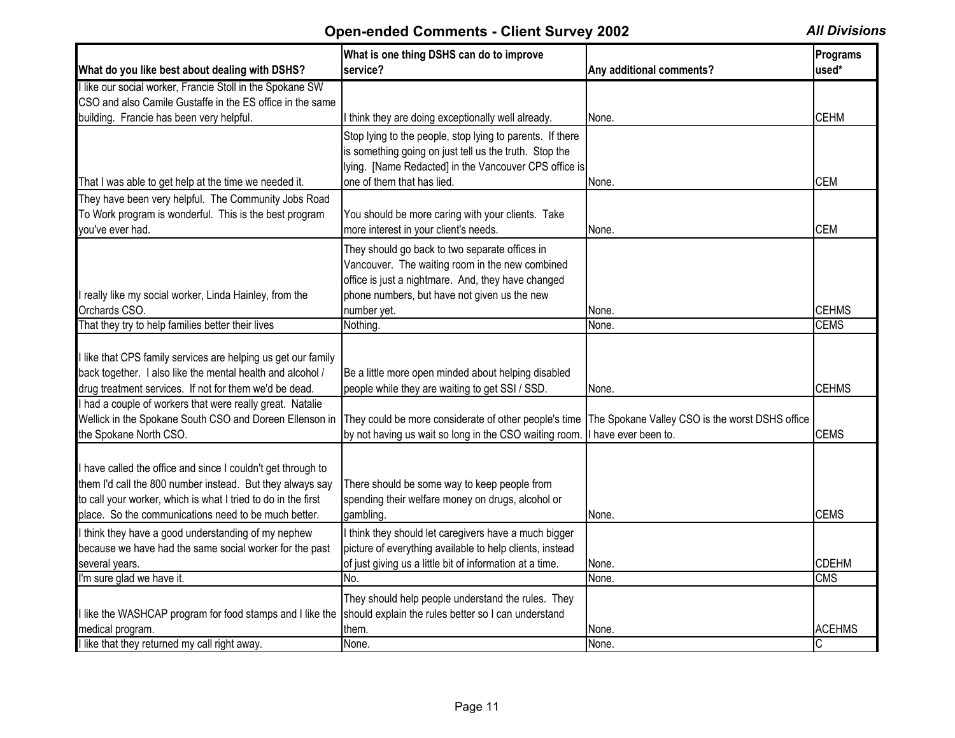| What do you like best about dealing with DSHS?                | What is one thing DSHS can do to improve<br>service?      | Any additional comments?                        | Programs<br>used* |
|---------------------------------------------------------------|-----------------------------------------------------------|-------------------------------------------------|-------------------|
| I like our social worker, Francie Stoll in the Spokane SW     |                                                           |                                                 |                   |
| CSO and also Camile Gustaffe in the ES office in the same     |                                                           |                                                 |                   |
| building. Francie has been very helpful.                      | I think they are doing exceptionally well already.        | None.                                           | <b>CEHM</b>       |
|                                                               | Stop lying to the people, stop lying to parents. If there |                                                 |                   |
|                                                               | is something going on just tell us the truth. Stop the    |                                                 |                   |
|                                                               | lying. [Name Redacted] in the Vancouver CPS office is     |                                                 |                   |
| That I was able to get help at the time we needed it.         | one of them that has lied.                                | None.                                           | <b>CEM</b>        |
| They have been very helpful. The Community Jobs Road          |                                                           |                                                 |                   |
| To Work program is wonderful. This is the best program        | You should be more caring with your clients. Take         |                                                 |                   |
| vou've ever had.                                              | more interest in your client's needs.                     | None.                                           | <b>CEM</b>        |
|                                                               | They should go back to two separate offices in            |                                                 |                   |
|                                                               | Vancouver. The waiting room in the new combined           |                                                 |                   |
|                                                               | office is just a nightmare. And, they have changed        |                                                 |                   |
| really like my social worker, Linda Hainley, from the         | phone numbers, but have not given us the new              |                                                 |                   |
| Orchards CSO.                                                 | number yet.                                               | None.                                           | <b>CEHMS</b>      |
| That they try to help families better their lives             | Nothing.                                                  | None.                                           | <b>CEMS</b>       |
|                                                               |                                                           |                                                 |                   |
| I like that CPS family services are helping us get our family |                                                           |                                                 |                   |
| back together. I also like the mental health and alcohol /    | Be a little more open minded about helping disabled       |                                                 |                   |
| drug treatment services. If not for them we'd be dead.        | people while they are waiting to get SSI / SSD.           | None.                                           | <b>CEHMS</b>      |
| I had a couple of workers that were really great. Natalie     |                                                           |                                                 |                   |
| Wellick in the Spokane South CSO and Doreen Ellenson in       | They could be more considerate of other people's time     | The Spokane Valley CSO is the worst DSHS office |                   |
| the Spokane North CSO.                                        | by not having us wait so long in the CSO waiting room.    | I have ever been to.                            | <b>CEMS</b>       |
|                                                               |                                                           |                                                 |                   |
| I have called the office and since I couldn't get through to  |                                                           |                                                 |                   |
| them I'd call the 800 number instead. But they always say     | There should be some way to keep people from              |                                                 |                   |
| to call your worker, which is what I tried to do in the first | spending their welfare money on drugs, alcohol or         |                                                 |                   |
| place. So the communications need to be much better.          | gambling.                                                 | None.                                           | <b>CEMS</b>       |
| I think they have a good understanding of my nephew           | I think they should let caregivers have a much bigger     |                                                 |                   |
| because we have had the same social worker for the past       | picture of everything available to help clients, instead  |                                                 |                   |
| several years.                                                | of just giving us a little bit of information at a time.  | None.                                           | <b>CDEHM</b>      |
| I'm sure glad we have it.                                     | No.                                                       | None.                                           | <b>CMS</b>        |
|                                                               | They should help people understand the rules. They        |                                                 |                   |
| I like the WASHCAP program for food stamps and I like the     | should explain the rules better so I can understand       |                                                 |                   |
| medical program.                                              | them.                                                     | None.                                           | <b>ACEHMS</b>     |
| I like that they returned my call right away.                 | None.                                                     | None.                                           |                   |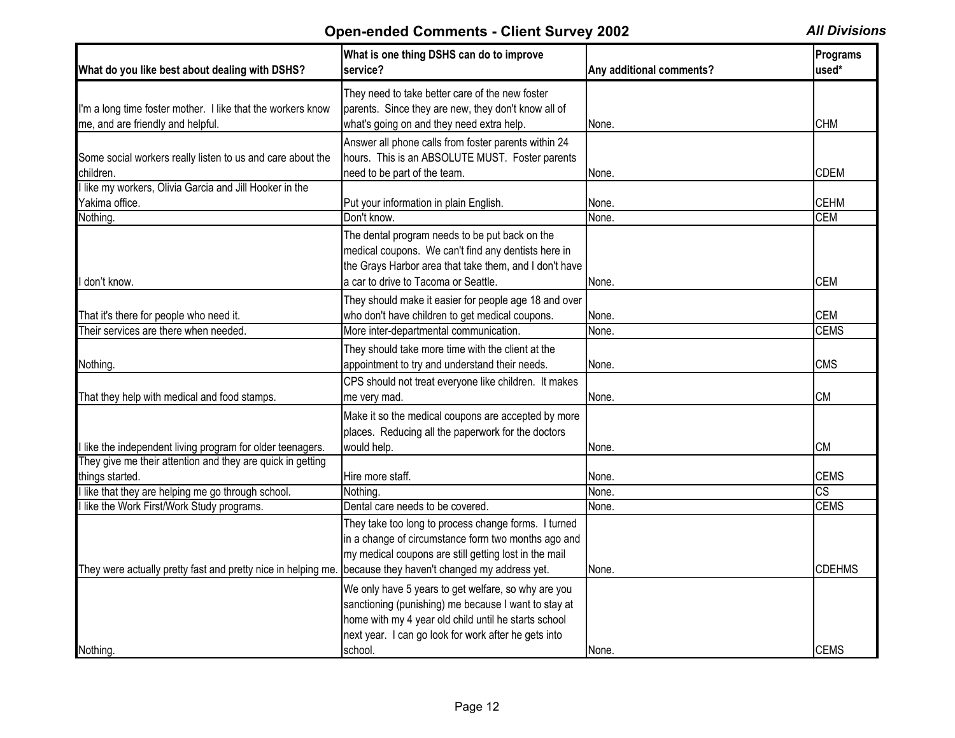| What do you like best about dealing with DSHS?                | What is one thing DSHS can do to improve<br>service?                                                                                                                                                                        | Any additional comments? | Programs<br>used* |
|---------------------------------------------------------------|-----------------------------------------------------------------------------------------------------------------------------------------------------------------------------------------------------------------------------|--------------------------|-------------------|
|                                                               | They need to take better care of the new foster                                                                                                                                                                             |                          |                   |
| I'm a long time foster mother. I like that the workers know   | parents. Since they are new, they don't know all of                                                                                                                                                                         |                          |                   |
| me, and are friendly and helpful.                             | what's going on and they need extra help.                                                                                                                                                                                   | None.                    | <b>CHM</b>        |
|                                                               | Answer all phone calls from foster parents within 24                                                                                                                                                                        |                          |                   |
| Some social workers really listen to us and care about the    | hours. This is an ABSOLUTE MUST. Foster parents                                                                                                                                                                             |                          |                   |
| children.                                                     | need to be part of the team.                                                                                                                                                                                                | None.                    | <b>CDEM</b>       |
| like my workers, Olivia Garcia and Jill Hooker in the         |                                                                                                                                                                                                                             |                          |                   |
| Yakima office.                                                | Put your information in plain English.                                                                                                                                                                                      | None.                    | <b>CEHM</b>       |
| Nothing.                                                      | Don't know.                                                                                                                                                                                                                 | None.                    | <b>CEM</b>        |
|                                                               | The dental program needs to be put back on the<br>medical coupons. We can't find any dentists here in<br>the Grays Harbor area that take them, and I don't have                                                             |                          |                   |
| don't know.                                                   | a car to drive to Tacoma or Seattle.                                                                                                                                                                                        | None.                    | <b>CEM</b>        |
|                                                               | They should make it easier for people age 18 and over                                                                                                                                                                       |                          |                   |
| That it's there for people who need it.                       | who don't have children to get medical coupons.                                                                                                                                                                             | None.                    | <b>CEM</b>        |
| Their services are there when needed.                         | More inter-departmental communication.                                                                                                                                                                                      | None.                    | <b>CEMS</b>       |
|                                                               | They should take more time with the client at the                                                                                                                                                                           |                          |                   |
| Nothing.                                                      | appointment to try and understand their needs.                                                                                                                                                                              | None.                    | <b>CMS</b>        |
|                                                               | CPS should not treat everyone like children. It makes                                                                                                                                                                       |                          |                   |
| That they help with medical and food stamps.                  | me very mad.                                                                                                                                                                                                                | None.                    | <b>CM</b>         |
|                                                               | Make it so the medical coupons are accepted by more<br>places. Reducing all the paperwork for the doctors                                                                                                                   |                          |                   |
| like the independent living program for older teenagers.      | would help.                                                                                                                                                                                                                 | None.                    | <b>CM</b>         |
| They give me their attention and they are quick in getting    |                                                                                                                                                                                                                             |                          |                   |
| things started.                                               | Hire more staff.                                                                                                                                                                                                            | None.                    | <b>CEMS</b>       |
| like that they are helping me go through school.              | Nothing.                                                                                                                                                                                                                    | None.                    | CS                |
| like the Work First/Work Study programs.                      | Dental care needs to be covered.                                                                                                                                                                                            | None.                    | <b>CEMS</b>       |
|                                                               | They take too long to process change forms. I turned                                                                                                                                                                        |                          |                   |
|                                                               | in a change of circumstance form two months ago and                                                                                                                                                                         |                          |                   |
|                                                               | my medical coupons are still getting lost in the mail                                                                                                                                                                       |                          |                   |
| They were actually pretty fast and pretty nice in helping me. | because they haven't changed my address yet.                                                                                                                                                                                | None.                    | <b>CDEHMS</b>     |
|                                                               | We only have 5 years to get welfare, so why are you<br>sanctioning (punishing) me because I want to stay at<br>home with my 4 year old child until he starts school<br>next year. I can go look for work after he gets into |                          |                   |
| Nothing.                                                      | school.                                                                                                                                                                                                                     | None.                    | <b>CEMS</b>       |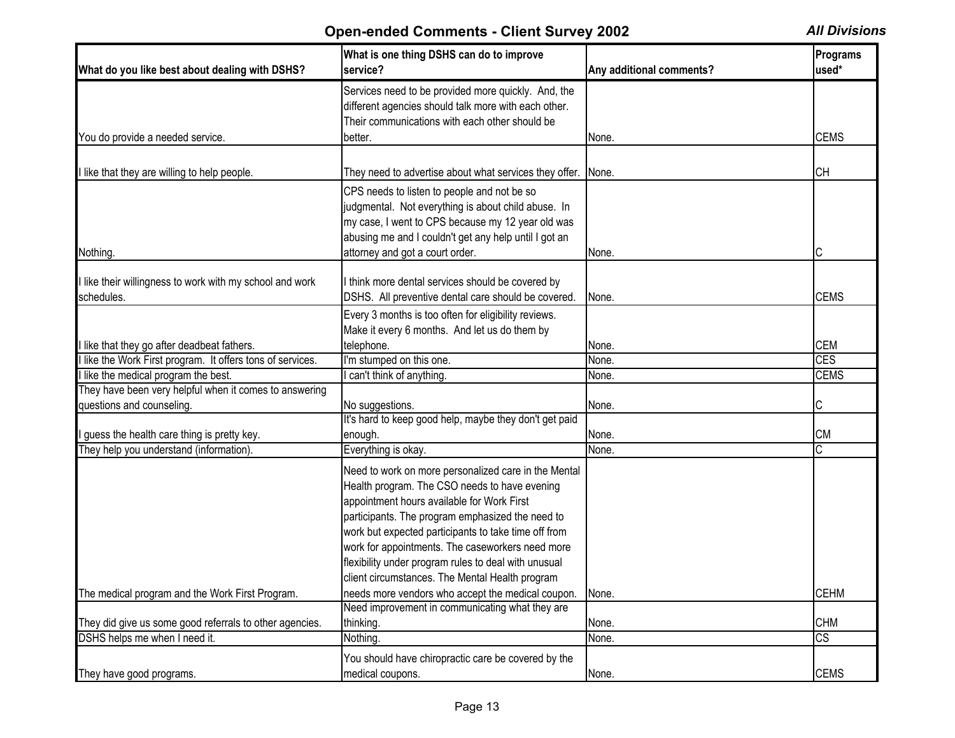| What do you like best about dealing with DSHS?                       | What is one thing DSHS can do to improve<br>service?                                                                                                                                                                                                                                                                                                                                                                           | Any additional comments? | Programs<br>used*      |
|----------------------------------------------------------------------|--------------------------------------------------------------------------------------------------------------------------------------------------------------------------------------------------------------------------------------------------------------------------------------------------------------------------------------------------------------------------------------------------------------------------------|--------------------------|------------------------|
|                                                                      | Services need to be provided more quickly. And, the<br>different agencies should talk more with each other.<br>Their communications with each other should be                                                                                                                                                                                                                                                                  |                          |                        |
| You do provide a needed service.                                     | better.                                                                                                                                                                                                                                                                                                                                                                                                                        | None.                    | <b>CEMS</b>            |
| I like that they are willing to help people.                         | They need to advertise about what services they offer.                                                                                                                                                                                                                                                                                                                                                                         | None.                    | <b>CH</b>              |
| Nothing.                                                             | CPS needs to listen to people and not be so<br>judgmental. Not everything is about child abuse. In<br>my case, I went to CPS because my 12 year old was<br>abusing me and I couldn't get any help until I got an<br>attorney and got a court order.                                                                                                                                                                            | None.                    | C                      |
|                                                                      |                                                                                                                                                                                                                                                                                                                                                                                                                                |                          |                        |
| like their willingness to work with my school and work<br>schedules. | think more dental services should be covered by<br>DSHS. All preventive dental care should be covered.                                                                                                                                                                                                                                                                                                                         | None.                    | <b>CEMS</b>            |
|                                                                      | Every 3 months is too often for eligibility reviews.<br>Make it every 6 months. And let us do them by                                                                                                                                                                                                                                                                                                                          |                          |                        |
| I like that they go after deadbeat fathers.                          | telephone.                                                                                                                                                                                                                                                                                                                                                                                                                     | None.                    | <b>CEM</b>             |
| like the Work First program. It offers tons of services.             | I'm stumped on this one.                                                                                                                                                                                                                                                                                                                                                                                                       | None.                    | <b>CES</b>             |
| I like the medical program the best.                                 | can't think of anything.                                                                                                                                                                                                                                                                                                                                                                                                       | None.                    | <b>CEMS</b>            |
| They have been very helpful when it comes to answering               |                                                                                                                                                                                                                                                                                                                                                                                                                                |                          |                        |
| questions and counseling.                                            | No suggestions.                                                                                                                                                                                                                                                                                                                                                                                                                | None.                    | С                      |
|                                                                      | It's hard to keep good help, maybe they don't get paid                                                                                                                                                                                                                                                                                                                                                                         |                          |                        |
| I guess the health care thing is pretty key.                         | enough.                                                                                                                                                                                                                                                                                                                                                                                                                        | None.                    | <b>CM</b>              |
| They help you understand (information).                              | Everything is okay.                                                                                                                                                                                                                                                                                                                                                                                                            | None.                    | C                      |
|                                                                      | Need to work on more personalized care in the Mental<br>Health program. The CSO needs to have evening<br>appointment hours available for Work First<br>participants. The program emphasized the need to<br>work but expected participants to take time off from<br>work for appointments. The caseworkers need more<br>flexibility under program rules to deal with unusual<br>client circumstances. The Mental Health program |                          |                        |
| The medical program and the Work First Program.                      | needs more vendors who accept the medical coupon.                                                                                                                                                                                                                                                                                                                                                                              | None.                    | <b>CEHM</b>            |
| They did give us some good referrals to other agencies.              | Need improvement in communicating what they are<br>thinking.                                                                                                                                                                                                                                                                                                                                                                   | None.                    | <b>CHM</b>             |
| DSHS helps me when I need it.                                        | Nothing.                                                                                                                                                                                                                                                                                                                                                                                                                       | None.                    | $\overline{\text{CS}}$ |
|                                                                      |                                                                                                                                                                                                                                                                                                                                                                                                                                |                          |                        |
| They have good programs.                                             | You should have chiropractic care be covered by the<br>medical coupons.                                                                                                                                                                                                                                                                                                                                                        | None.                    | <b>CEMS</b>            |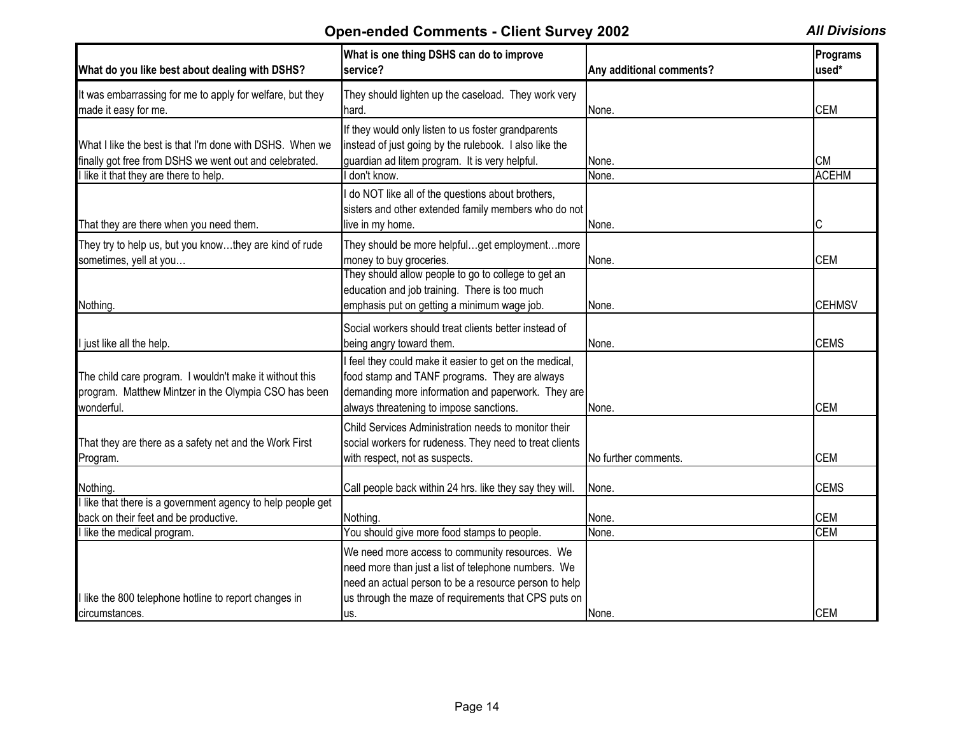| What do you like best about dealing with DSHS?                                                                                                             | What is one thing DSHS can do to improve<br>service?                                                                                                                                                                          | Any additional comments? | Programs<br>used*         |
|------------------------------------------------------------------------------------------------------------------------------------------------------------|-------------------------------------------------------------------------------------------------------------------------------------------------------------------------------------------------------------------------------|--------------------------|---------------------------|
| It was embarrassing for me to apply for welfare, but they<br>made it easy for me.                                                                          | They should lighten up the caseload. They work very<br>hard.                                                                                                                                                                  | None.                    | <b>CEM</b>                |
| What I like the best is that I'm done with DSHS. When we<br>finally got free from DSHS we went out and celebrated.<br>like it that they are there to help. | If they would only listen to us foster grandparents<br>instead of just going by the rulebook. I also like the<br>guardian ad litem program. It is very helpful.<br>don't know.                                                | None.<br>None.           | <b>CM</b><br><b>ACEHM</b> |
| That they are there when you need them.                                                                                                                    | do NOT like all of the questions about brothers,<br>sisters and other extended family members who do not<br>live in my home.                                                                                                  | None.                    | С                         |
| They try to help us, but you knowthey are kind of rude<br>sometimes, yell at you                                                                           | They should be more helpfulget employmentmore<br>money to buy groceries.                                                                                                                                                      | None.                    | <b>CEM</b>                |
| Nothing.                                                                                                                                                   | They should allow people to go to college to get an<br>education and job training. There is too much<br>emphasis put on getting a minimum wage job.                                                                           | None.                    | <b>CEHMSV</b>             |
| just like all the help.                                                                                                                                    | Social workers should treat clients better instead of<br>being angry toward them.                                                                                                                                             | None.                    | <b>CEMS</b>               |
| The child care program. I wouldn't make it without this<br>program. Matthew Mintzer in the Olympia CSO has been<br>wonderful.                              | feel they could make it easier to get on the medical,<br>food stamp and TANF programs. They are always<br>demanding more information and paperwork. They are<br>always threatening to impose sanctions.                       | None.                    | <b>CEM</b>                |
| That they are there as a safety net and the Work First<br>Program.                                                                                         | Child Services Administration needs to monitor their<br>social workers for rudeness. They need to treat clients<br>with respect, not as suspects.                                                                             | No further comments.     | <b>CEM</b>                |
| Nothing.                                                                                                                                                   | Call people back within 24 hrs. like they say they will.                                                                                                                                                                      | None.                    | <b>CEMS</b>               |
| like that there is a government agency to help people get<br>back on their feet and be productive.<br>like the medical program.                            | Nothing.<br>You should give more food stamps to people.                                                                                                                                                                       | None.<br>None.           | <b>CEM</b><br><b>CEM</b>  |
| like the 800 telephone hotline to report changes in<br>circumstances.                                                                                      | We need more access to community resources. We<br>need more than just a list of telephone numbers. We<br>need an actual person to be a resource person to help<br>us through the maze of requirements that CPS puts on<br>us. | None.                    | <b>CEM</b>                |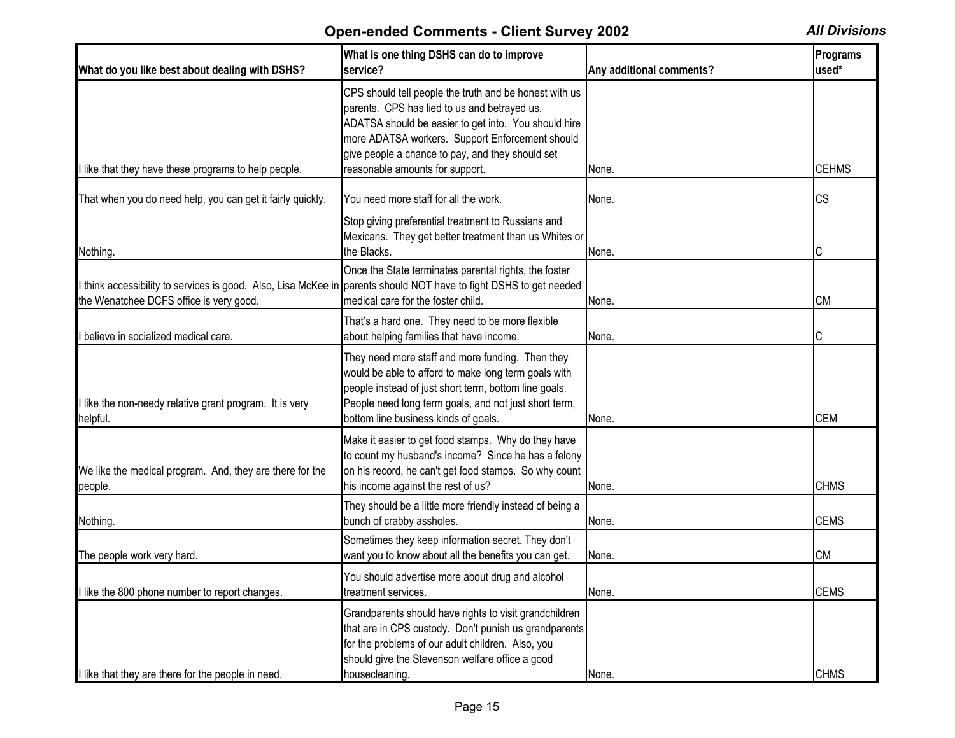| What do you like best about dealing with DSHS?                                                                                                                | What is one thing DSHS can do to improve<br>service?                                                                                                                                                                                                                                                     | Any additional comments? | <b>Programs</b><br>used* |
|---------------------------------------------------------------------------------------------------------------------------------------------------------------|----------------------------------------------------------------------------------------------------------------------------------------------------------------------------------------------------------------------------------------------------------------------------------------------------------|--------------------------|--------------------------|
| I like that they have these programs to help people.                                                                                                          | CPS should tell people the truth and be honest with us<br>parents. CPS has lied to us and betrayed us.<br>ADATSA should be easier to get into. You should hire<br>more ADATSA workers. Support Enforcement should<br>give people a chance to pay, and they should set<br>reasonable amounts for support. | None.                    | <b>CEHMS</b>             |
| That when you do need help, you can get it fairly quickly.                                                                                                    | You need more staff for all the work.                                                                                                                                                                                                                                                                    | None.                    | <b>CS</b>                |
| Nothing.                                                                                                                                                      | Stop giving preferential treatment to Russians and<br>Mexicans. They get better treatment than us Whites or<br>the Blacks.                                                                                                                                                                               | None.                    | IС                       |
| I think accessibility to services is good. Also, Lisa McKee in parents should NOT have to fight DSHS to get needed<br>the Wenatchee DCFS office is very good. | Once the State terminates parental rights, the foster<br>medical care for the foster child.                                                                                                                                                                                                              | None.                    | <b>CM</b>                |
| I believe in socialized medical care.                                                                                                                         | That's a hard one. They need to be more flexible<br>about helping families that have income.                                                                                                                                                                                                             | None.                    | IС                       |
| I like the non-needy relative grant program. It is very<br>helpful.                                                                                           | They need more staff and more funding. Then they<br>would be able to afford to make long term goals with<br>people instead of just short term, bottom line goals.<br>People need long term goals, and not just short term,<br>bottom line business kinds of goals.                                       | None.                    | <b>CEM</b>               |
| We like the medical program. And, they are there for the<br>people.                                                                                           | Make it easier to get food stamps. Why do they have<br>to count my husband's income? Since he has a felony<br>on his record, he can't get food stamps. So why count<br>his income against the rest of us?                                                                                                | None.                    | <b>CHMS</b>              |
| Nothing.                                                                                                                                                      | They should be a little more friendly instead of being a<br>bunch of crabby assholes.                                                                                                                                                                                                                    | None.                    | <b>CEMS</b>              |
| The people work very hard.                                                                                                                                    | Sometimes they keep information secret. They don't<br>want you to know about all the benefits you can get.                                                                                                                                                                                               | None.                    | <b>CM</b>                |
| I like the 800 phone number to report changes.                                                                                                                | You should advertise more about drug and alcohol<br>treatment services.                                                                                                                                                                                                                                  | None.                    | <b>CEMS</b>              |
| I like that they are there for the people in need.                                                                                                            | Grandparents should have rights to visit grandchildren<br>that are in CPS custody. Don't punish us grandparents<br>for the problems of our adult children. Also, you<br>should give the Stevenson welfare office a good<br>housecleaning.                                                                | None.                    | <b>CHMS</b>              |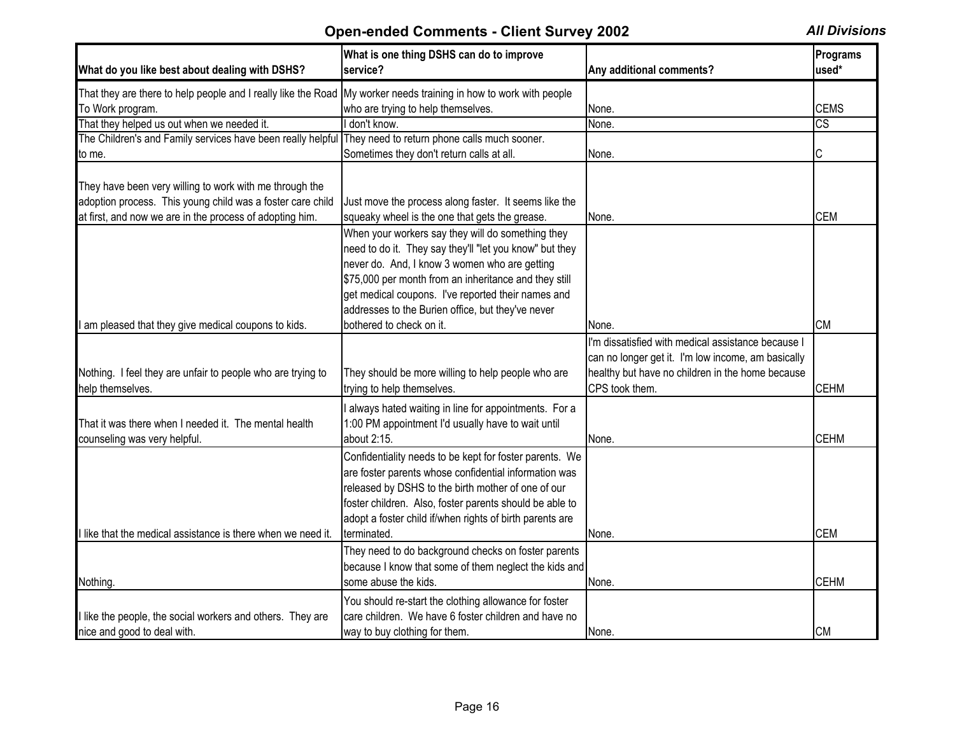| What do you like best about dealing with DSHS?                                                                    | What is one thing DSHS can do to improve<br>service?     | Any additional comments?                           | Programs<br>used*      |
|-------------------------------------------------------------------------------------------------------------------|----------------------------------------------------------|----------------------------------------------------|------------------------|
| That they are there to help people and I really like the Road My worker needs training in how to work with people |                                                          |                                                    |                        |
| To Work program.                                                                                                  | who are trying to help themselves.                       | None.                                              | <b>CEMS</b>            |
| That they helped us out when we needed it.                                                                        | I don't know.                                            | None.                                              | $\overline{\text{cs}}$ |
| The Children's and Family services have been really helpful                                                       | They need to return phone calls much sooner.             |                                                    |                        |
| to me.                                                                                                            | Sometimes they don't return calls at all.                | None.                                              |                        |
| They have been very willing to work with me through the                                                           |                                                          |                                                    |                        |
| adoption process. This young child was a foster care child                                                        | Just move the process along faster. It seems like the    |                                                    |                        |
| at first, and now we are in the process of adopting him.                                                          | squeaky wheel is the one that gets the grease.           | None.                                              | <b>CEM</b>             |
|                                                                                                                   | When your workers say they will do something they        |                                                    |                        |
|                                                                                                                   | need to do it. They say they'll "let you know" but they  |                                                    |                        |
|                                                                                                                   | never do. And, I know 3 women who are getting            |                                                    |                        |
|                                                                                                                   | \$75,000 per month from an inheritance and they still    |                                                    |                        |
|                                                                                                                   | get medical coupons. I've reported their names and       |                                                    |                        |
|                                                                                                                   | addresses to the Burien office, but they've never        |                                                    |                        |
| am pleased that they give medical coupons to kids.                                                                | bothered to check on it.                                 | None.                                              | <b>CM</b>              |
|                                                                                                                   |                                                          | I'm dissatisfied with medical assistance because I |                        |
|                                                                                                                   |                                                          | can no longer get it. I'm low income, am basically |                        |
| Nothing. I feel they are unfair to people who are trying to                                                       |                                                          | healthy but have no children in the home because   |                        |
|                                                                                                                   | They should be more willing to help people who are       | CPS took them.                                     | <b>CEHM</b>            |
| help themselves.                                                                                                  | trying to help themselves.                               |                                                    |                        |
|                                                                                                                   | I always hated waiting in line for appointments. For a   |                                                    |                        |
| That it was there when I needed it. The mental health                                                             | 1:00 PM appointment I'd usually have to wait until       |                                                    |                        |
| counseling was very helpful.                                                                                      | about 2:15.                                              | None.                                              | <b>CEHM</b>            |
|                                                                                                                   | Confidentiality needs to be kept for foster parents. We  |                                                    |                        |
|                                                                                                                   | are foster parents whose confidential information was    |                                                    |                        |
|                                                                                                                   | released by DSHS to the birth mother of one of our       |                                                    |                        |
|                                                                                                                   | foster children. Also, foster parents should be able to  |                                                    |                        |
|                                                                                                                   | adopt a foster child if/when rights of birth parents are |                                                    |                        |
| I like that the medical assistance is there when we need it.                                                      | terminated.                                              | None.                                              | <b>CEM</b>             |
|                                                                                                                   | They need to do background checks on foster parents      |                                                    |                        |
|                                                                                                                   | because I know that some of them neglect the kids and    |                                                    |                        |
| Nothing.                                                                                                          | some abuse the kids.                                     | None.                                              | <b>CEHM</b>            |
|                                                                                                                   |                                                          |                                                    |                        |
|                                                                                                                   | You should re-start the clothing allowance for foster    |                                                    |                        |
| I like the people, the social workers and others. They are                                                        | care children. We have 6 foster children and have no     |                                                    |                        |
| nice and good to deal with.                                                                                       | way to buy clothing for them.                            | None.                                              | <b>CM</b>              |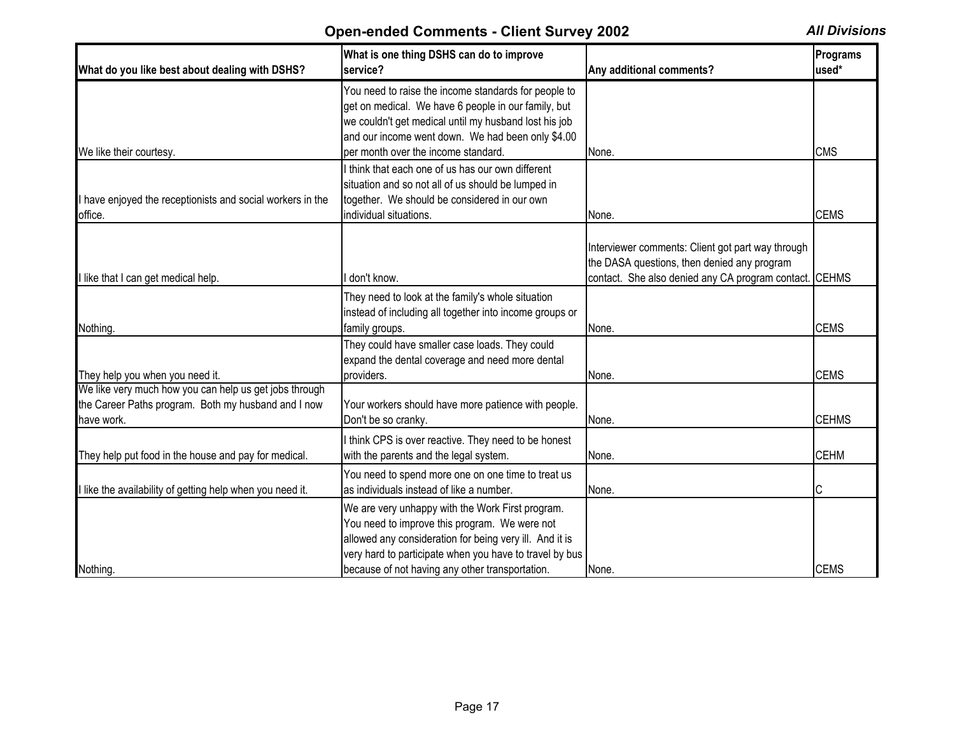| What do you like best about dealing with DSHS?                                                                              | What is one thing DSHS can do to improve<br>service?                                                                                                                                                                                                                       | Any additional comments?                                                                                                                                   | Programs<br>used* |
|-----------------------------------------------------------------------------------------------------------------------------|----------------------------------------------------------------------------------------------------------------------------------------------------------------------------------------------------------------------------------------------------------------------------|------------------------------------------------------------------------------------------------------------------------------------------------------------|-------------------|
|                                                                                                                             | You need to raise the income standards for people to<br>get on medical. We have 6 people in our family, but<br>we couldn't get medical until my husband lost his job<br>and our income went down. We had been only \$4.00<br>per month over the income standard.           | None.                                                                                                                                                      | <b>CMS</b>        |
| We like their courtesy.<br>I have enjoyed the receptionists and social workers in the<br>office.                            | I think that each one of us has our own different<br>situation and so not all of us should be lumped in<br>together. We should be considered in our own<br>individual situations.                                                                                          | None.                                                                                                                                                      | <b>CEMS</b>       |
| I like that I can get medical help.                                                                                         | don't know.                                                                                                                                                                                                                                                                | Interviewer comments: Client got part way through<br>the DASA questions, then denied any program<br>contact. She also denied any CA program contact. CEHMS |                   |
| Nothing.                                                                                                                    | They need to look at the family's whole situation<br>instead of including all together into income groups or<br>family groups.                                                                                                                                             | None.                                                                                                                                                      | <b>CEMS</b>       |
| They help you when you need it.                                                                                             | They could have smaller case loads. They could<br>expand the dental coverage and need more dental<br>providers.                                                                                                                                                            | None.                                                                                                                                                      | <b>CEMS</b>       |
| We like very much how you can help us get jobs through<br>the Career Paths program. Both my husband and I now<br>have work. | Your workers should have more patience with people.<br>Don't be so cranky.                                                                                                                                                                                                 | None.                                                                                                                                                      | <b>CEHMS</b>      |
| They help put food in the house and pay for medical.                                                                        | I think CPS is over reactive. They need to be honest<br>with the parents and the legal system.                                                                                                                                                                             | None.                                                                                                                                                      | <b>CEHM</b>       |
| I like the availability of getting help when you need it.                                                                   | You need to spend more one on one time to treat us<br>as individuals instead of like a number.                                                                                                                                                                             | None.                                                                                                                                                      | C                 |
| Nothing.                                                                                                                    | We are very unhappy with the Work First program.<br>You need to improve this program. We were not<br>allowed any consideration for being very ill. And it is<br>very hard to participate when you have to travel by bus<br>because of not having any other transportation. | None.                                                                                                                                                      | <b>CEMS</b>       |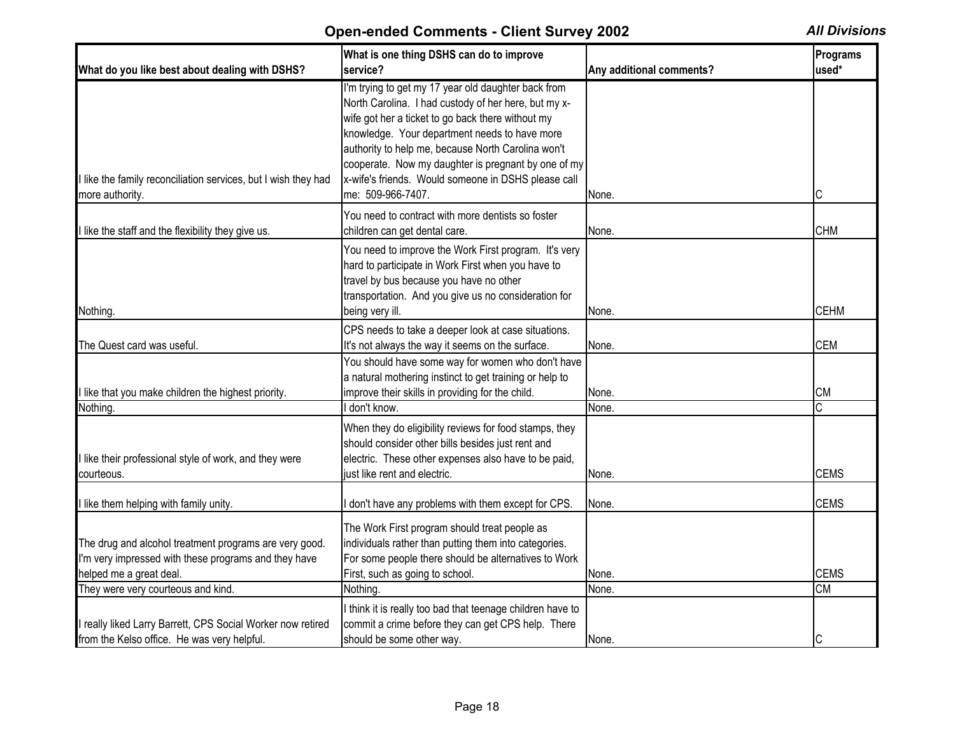| What do you like best about dealing with DSHS?                 | What is one thing DSHS can do to improve<br>service?       | Any additional comments? | Programs<br>used* |
|----------------------------------------------------------------|------------------------------------------------------------|--------------------------|-------------------|
|                                                                | I'm trying to get my 17 year old daughter back from        |                          |                   |
|                                                                | North Carolina. I had custody of her here, but my x-       |                          |                   |
|                                                                | wife got her a ticket to go back there without my          |                          |                   |
|                                                                | knowledge. Your department needs to have more              |                          |                   |
|                                                                | authority to help me, because North Carolina won't         |                          |                   |
|                                                                |                                                            |                          |                   |
|                                                                | cooperate. Now my daughter is pregnant by one of my        |                          |                   |
| I like the family reconciliation services, but I wish they had | x-wife's friends. Would someone in DSHS please call        |                          |                   |
| more authority.                                                | me: 509-966-7407.                                          | None.                    | C                 |
|                                                                | You need to contract with more dentists so foster          |                          |                   |
| I like the staff and the flexibility they give us.             | children can get dental care.                              | None.                    | <b>CHM</b>        |
|                                                                | You need to improve the Work First program. It's very      |                          |                   |
|                                                                | hard to participate in Work First when you have to         |                          |                   |
|                                                                | travel by bus because you have no other                    |                          |                   |
|                                                                | transportation. And you give us no consideration for       |                          |                   |
| Nothing.                                                       | being very ill.                                            | None.                    | <b>CEHM</b>       |
|                                                                | CPS needs to take a deeper look at case situations.        |                          |                   |
| The Quest card was useful.                                     | It's not always the way it seems on the surface.           | None.                    | <b>CEM</b>        |
|                                                                | You should have some way for women who don't have          |                          |                   |
|                                                                | a natural mothering instinct to get training or help to    |                          |                   |
| I like that you make children the highest priority.            | improve their skills in providing for the child.           | None.                    | <b>CM</b>         |
| Nothing.                                                       | don't know.                                                | None.                    | C                 |
|                                                                |                                                            |                          |                   |
|                                                                | When they do eligibility reviews for food stamps, they     |                          |                   |
|                                                                | should consider other bills besides just rent and          |                          |                   |
| I like their professional style of work, and they were         | electric. These other expenses also have to be paid,       |                          |                   |
| courteous.                                                     | just like rent and electric.                               | None.                    | <b>CEMS</b>       |
| I like them helping with family unity.                         | don't have any problems with them except for CPS.          | None.                    | <b>CEMS</b>       |
|                                                                |                                                            |                          |                   |
|                                                                | The Work First program should treat people as              |                          |                   |
| The drug and alcohol treatment programs are very good.         | individuals rather than putting them into categories.      |                          |                   |
| I'm very impressed with these programs and they have           | For some people there should be alternatives to Work       |                          |                   |
| helped me a great deal.                                        | First, such as going to school.                            | None.                    | <b>CEMS</b>       |
| They were very courteous and kind.                             | Nothing.                                                   | None.                    | <b>CM</b>         |
|                                                                | I think it is really too bad that teenage children have to |                          |                   |
| I really liked Larry Barrett, CPS Social Worker now retired    | commit a crime before they can get CPS help. There         |                          |                   |
| from the Kelso office. He was very helpful.                    | should be some other way.                                  | None.                    | IС                |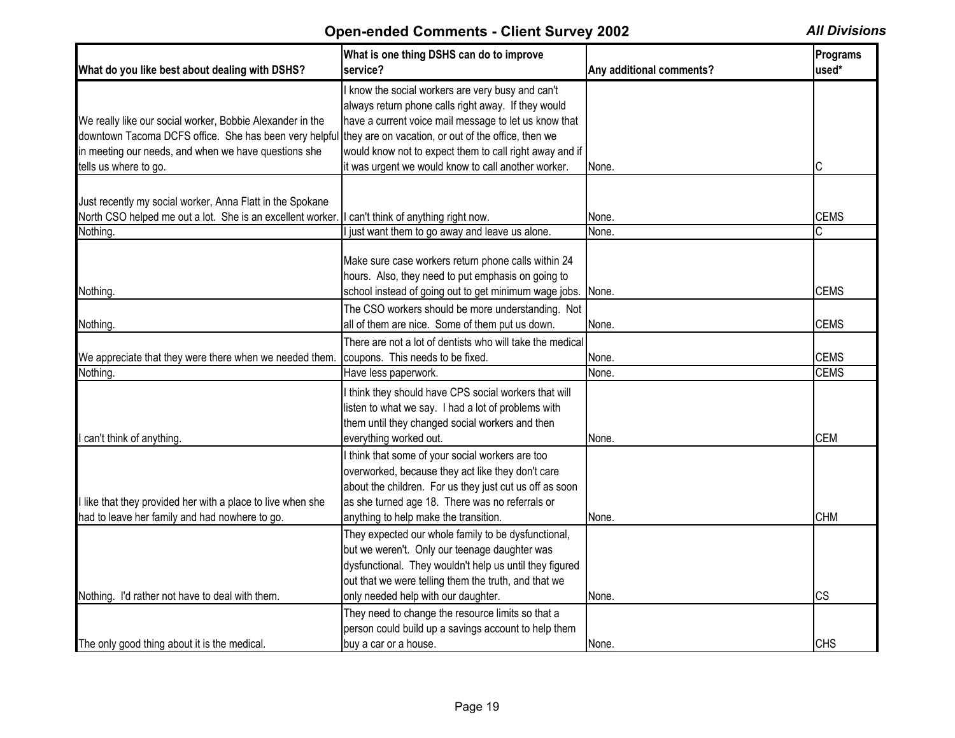| What do you like best about dealing with DSHS?              | What is one thing DSHS can do to improve<br>service?                                                   | Any additional comments? | Programs<br>used* |
|-------------------------------------------------------------|--------------------------------------------------------------------------------------------------------|--------------------------|-------------------|
|                                                             | know the social workers are very busy and can't<br>always return phone calls right away. If they would |                          |                   |
| We really like our social worker, Bobbie Alexander in the   | have a current voice mail message to let us know that                                                  |                          |                   |
| downtown Tacoma DCFS office. She has been very helpful      | they are on vacation, or out of the office, then we                                                    |                          |                   |
| in meeting our needs, and when we have questions she        | would know not to expect them to call right away and if                                                |                          |                   |
| tells us where to go.                                       | it was urgent we would know to call another worker.                                                    | None.                    | С                 |
|                                                             |                                                                                                        |                          |                   |
| Just recently my social worker, Anna Flatt in the Spokane   |                                                                                                        |                          |                   |
| North CSO helped me out a lot. She is an excellent worker   | I can't think of anything right now.                                                                   | None.                    | <b>CEMS</b>       |
| Nothing.                                                    | just want them to go away and leave us alone.                                                          | None.                    | С                 |
|                                                             |                                                                                                        |                          |                   |
|                                                             | Make sure case workers return phone calls within 24                                                    |                          |                   |
|                                                             | hours. Also, they need to put emphasis on going to                                                     |                          |                   |
| Nothing.                                                    | school instead of going out to get minimum wage jobs. None.                                            |                          | <b>CEMS</b>       |
|                                                             | The CSO workers should be more understanding. Not                                                      |                          |                   |
| Nothing.                                                    | all of them are nice. Some of them put us down.                                                        | None.                    | <b>CEMS</b>       |
|                                                             | There are not a lot of dentists who will take the medical                                              |                          |                   |
| We appreciate that they were there when we needed them.     | coupons. This needs to be fixed.                                                                       | None.                    | <b>CEMS</b>       |
| Nothing.                                                    | Have less paperwork.                                                                                   | None.                    | <b>CEMS</b>       |
|                                                             | I think they should have CPS social workers that will                                                  |                          |                   |
|                                                             | listen to what we say. I had a lot of problems with                                                    |                          |                   |
|                                                             | them until they changed social workers and then                                                        |                          |                   |
| I can't think of anything.                                  | everything worked out.                                                                                 | None.                    | <b>CEM</b>        |
|                                                             | think that some of your social workers are too                                                         |                          |                   |
|                                                             | overworked, because they act like they don't care                                                      |                          |                   |
|                                                             | about the children. For us they just cut us off as soon                                                |                          |                   |
| I like that they provided her with a place to live when she | as she turned age 18. There was no referrals or                                                        |                          |                   |
| had to leave her family and had nowhere to go.              | anything to help make the transition.                                                                  | None.                    | <b>CHM</b>        |
|                                                             | They expected our whole family to be dysfunctional,                                                    |                          |                   |
|                                                             | but we weren't. Only our teenage daughter was                                                          |                          |                   |
|                                                             | dysfunctional. They wouldn't help us until they figured                                                |                          |                   |
|                                                             | out that we were telling them the truth, and that we                                                   |                          |                   |
| Nothing. I'd rather not have to deal with them.             | only needed help with our daughter.                                                                    | None.                    | <b>CS</b>         |
|                                                             |                                                                                                        |                          |                   |
|                                                             | They need to change the resource limits so that a                                                      |                          |                   |
|                                                             | person could build up a savings account to help them                                                   |                          | <b>CHS</b>        |
| The only good thing about it is the medical.                | buy a car or a house.                                                                                  | None.                    |                   |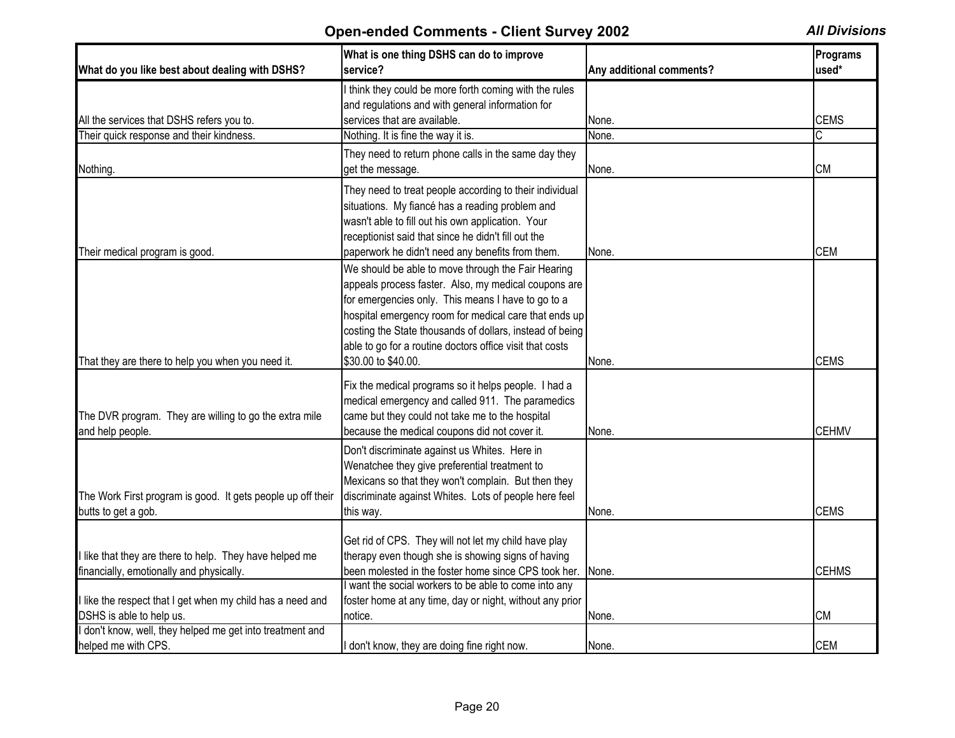| What do you like best about dealing with DSHS?                                        | What is one thing DSHS can do to improve<br>service?     | Any additional comments? | Programs<br>used* |
|---------------------------------------------------------------------------------------|----------------------------------------------------------|--------------------------|-------------------|
|                                                                                       | I think they could be more forth coming with the rules   |                          |                   |
|                                                                                       | and regulations and with general information for         |                          |                   |
| All the services that DSHS refers you to.                                             | services that are available.                             | None.                    | <b>CEMS</b>       |
| Their quick response and their kindness.                                              | Nothing. It is fine the way it is.                       | None.                    | C                 |
|                                                                                       | They need to return phone calls in the same day they     |                          |                   |
| Nothing.                                                                              | get the message.                                         | None.                    | <b>CM</b>         |
|                                                                                       | They need to treat people according to their individual  |                          |                   |
|                                                                                       | situations. My fiancé has a reading problem and          |                          |                   |
|                                                                                       | wasn't able to fill out his own application. Your        |                          |                   |
|                                                                                       | receptionist said that since he didn't fill out the      |                          |                   |
| Their medical program is good.                                                        | paperwork he didn't need any benefits from them.         | None.                    | <b>CEM</b>        |
|                                                                                       | We should be able to move through the Fair Hearing       |                          |                   |
|                                                                                       | appeals process faster. Also, my medical coupons are     |                          |                   |
|                                                                                       | for emergencies only. This means I have to go to a       |                          |                   |
|                                                                                       |                                                          |                          |                   |
|                                                                                       | hospital emergency room for medical care that ends up    |                          |                   |
|                                                                                       | costing the State thousands of dollars, instead of being |                          |                   |
|                                                                                       | able to go for a routine doctors office visit that costs |                          |                   |
| That they are there to help you when you need it.                                     | \$30.00 to \$40.00.                                      | None.                    | <b>CEMS</b>       |
|                                                                                       | Fix the medical programs so it helps people. I had a     |                          |                   |
|                                                                                       | medical emergency and called 911. The paramedics         |                          |                   |
| The DVR program. They are willing to go the extra mile                                | came but they could not take me to the hospital          |                          |                   |
| and help people.                                                                      | because the medical coupons did not cover it.            | None.                    | <b>CEHMV</b>      |
|                                                                                       | Don't discriminate against us Whites. Here in            |                          |                   |
|                                                                                       | Wenatchee they give preferential treatment to            |                          |                   |
|                                                                                       |                                                          |                          |                   |
|                                                                                       | Mexicans so that they won't complain. But then they      |                          |                   |
| The Work First program is good. It gets people up off their                           | discriminate against Whites. Lots of people here feel    |                          |                   |
| butts to get a gob.                                                                   | this way.                                                | None.                    | <b>CEMS</b>       |
|                                                                                       | Get rid of CPS. They will not let my child have play     |                          |                   |
| I like that they are there to help. They have helped me                               | therapy even though she is showing signs of having       |                          |                   |
|                                                                                       | been molested in the foster home since CPS took her.     |                          | <b>CEHMS</b>      |
| financially, emotionally and physically.                                              | I want the social workers to be able to come into any    | None.                    |                   |
|                                                                                       |                                                          |                          |                   |
| I like the respect that I get when my child has a need and                            | foster home at any time, day or night, without any prior |                          | <b>CM</b>         |
| DSHS is able to help us.<br>I don't know, well, they helped me get into treatment and | notice.                                                  | None.                    |                   |
|                                                                                       |                                                          |                          |                   |
| helped me with CPS.                                                                   | I don't know, they are doing fine right now.             | None.                    | <b>CEM</b>        |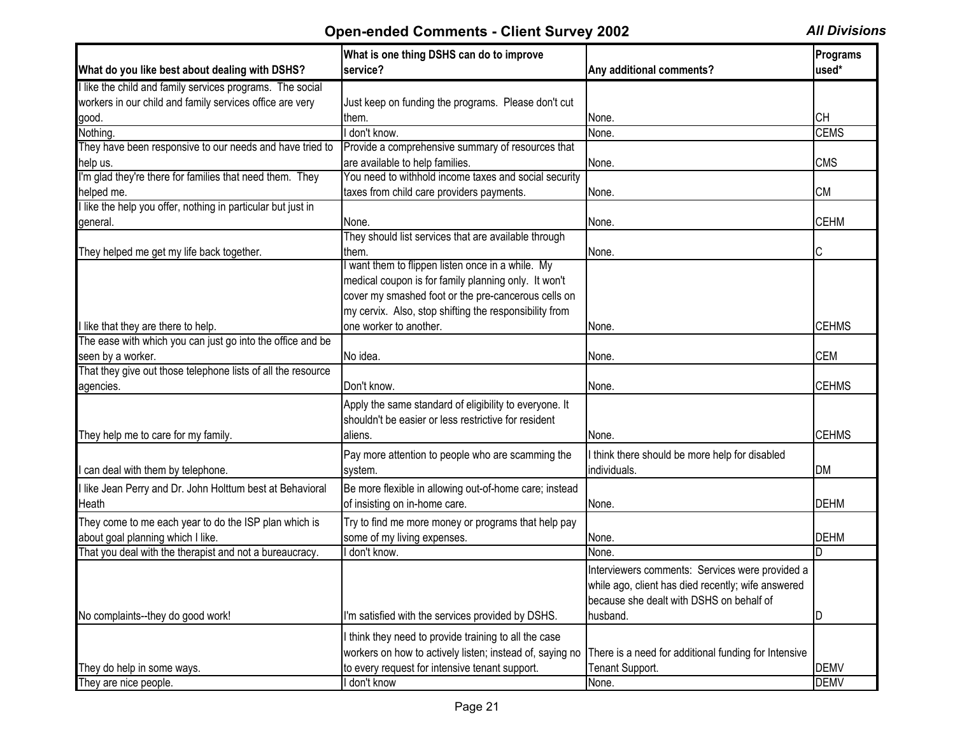|                                                              | What is one thing DSHS can do to improve                 |                                                                                                | Programs     |
|--------------------------------------------------------------|----------------------------------------------------------|------------------------------------------------------------------------------------------------|--------------|
| What do you like best about dealing with DSHS?               | service?                                                 | Any additional comments?                                                                       | used*        |
| I like the child and family services programs. The social    |                                                          |                                                                                                |              |
| workers in our child and family services office are very     | Just keep on funding the programs. Please don't cut      |                                                                                                |              |
| good.                                                        | them.                                                    | None.                                                                                          | <b>CH</b>    |
| Nothing.                                                     | I don't know.                                            | None.                                                                                          | <b>CEMS</b>  |
| They have been responsive to our needs and have tried to     | Provide a comprehensive summary of resources that        |                                                                                                |              |
| help us.                                                     | are available to help families.                          | None.                                                                                          | <b>CMS</b>   |
| I'm glad they're there for families that need them. They     | You need to withhold income taxes and social security    |                                                                                                |              |
| helped me.                                                   | taxes from child care providers payments.                | None.                                                                                          | <b>CM</b>    |
| I like the help you offer, nothing in particular but just in |                                                          |                                                                                                |              |
| general.                                                     | None.                                                    | None.                                                                                          | <b>CEHM</b>  |
|                                                              | They should list services that are available through     |                                                                                                |              |
| They helped me get my life back together.                    | them.                                                    | None.                                                                                          |              |
|                                                              | want them to flippen listen once in a while. My          |                                                                                                |              |
|                                                              | medical coupon is for family planning only. It won't     |                                                                                                |              |
|                                                              | cover my smashed foot or the pre-cancerous cells on      |                                                                                                |              |
|                                                              | my cervix. Also, stop shifting the responsibility from   |                                                                                                |              |
| I like that they are there to help.                          | one worker to another.                                   | None.                                                                                          | <b>CEHMS</b> |
| The ease with which you can just go into the office and be   |                                                          |                                                                                                |              |
| seen by a worker.                                            | No idea.                                                 | None.                                                                                          | <b>CEM</b>   |
| That they give out those telephone lists of all the resource |                                                          |                                                                                                |              |
| agencies.                                                    | Don't know.                                              | None.                                                                                          | <b>CEHMS</b> |
|                                                              | Apply the same standard of eligibility to everyone. It   |                                                                                                |              |
|                                                              | shouldn't be easier or less restrictive for resident     |                                                                                                |              |
| They help me to care for my family.                          | aliens.                                                  | None.                                                                                          | <b>CEHMS</b> |
|                                                              |                                                          |                                                                                                |              |
|                                                              | Pay more attention to people who are scamming the        | I think there should be more help for disabled                                                 |              |
| can deal with them by telephone.                             | system.                                                  | individuals.                                                                                   | DM           |
| I like Jean Perry and Dr. John Holttum best at Behavioral    | Be more flexible in allowing out-of-home care; instead   |                                                                                                |              |
| Heath                                                        | of insisting on in-home care.                            | None.                                                                                          | <b>DEHM</b>  |
| They come to me each year to do the ISP plan which is        | Try to find me more money or programs that help pay      |                                                                                                |              |
| about goal planning which I like.                            | some of my living expenses.                              | None.                                                                                          | <b>DEHM</b>  |
| That you deal with the therapist and not a bureaucracy.      | I don't know.                                            | None.                                                                                          | ID.          |
|                                                              |                                                          | Interviewers comments: Services were provided a                                                |              |
|                                                              |                                                          |                                                                                                |              |
|                                                              |                                                          | while ago, client has died recently; wife answered<br>because she dealt with DSHS on behalf of |              |
|                                                              |                                                          |                                                                                                |              |
| No complaints--they do good work!                            | I'm satisfied with the services provided by DSHS.        | husband.                                                                                       | ID           |
|                                                              | I think they need to provide training to all the case    |                                                                                                |              |
|                                                              | workers on how to actively listen; instead of, saying no | There is a need for additional funding for Intensive                                           |              |
| They do help in some ways.                                   | to every request for intensive tenant support.           | Tenant Support.                                                                                | <b>DEMV</b>  |
| They are nice people.                                        | I don't know                                             | None.                                                                                          | <b>DEMV</b>  |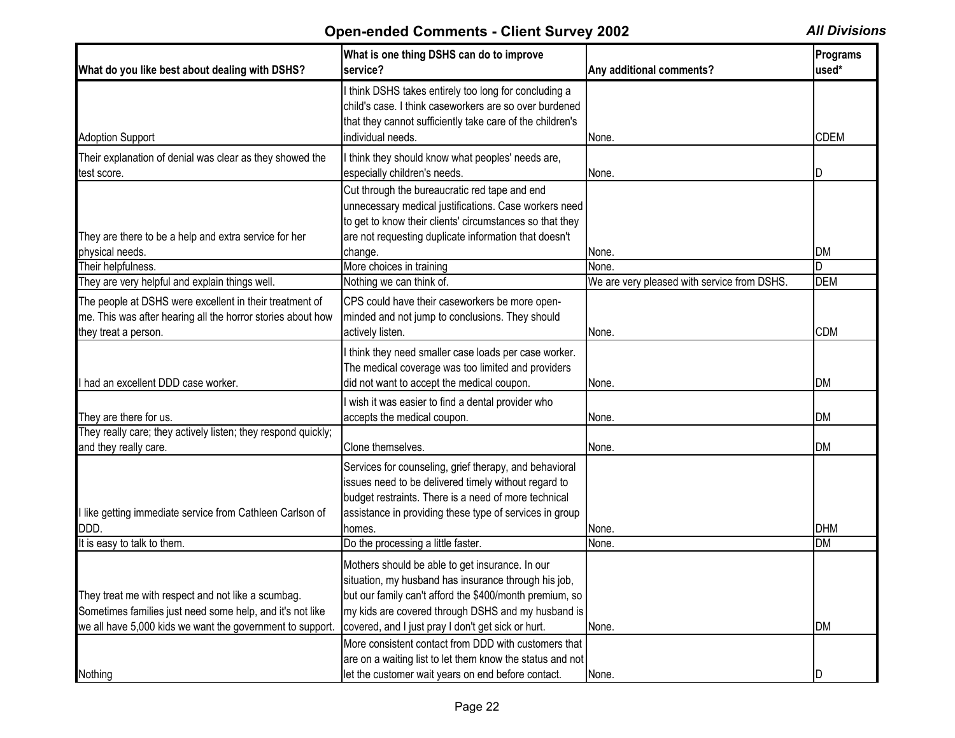| What do you like best about dealing with DSHS?                                                                                                                               | What is one thing DSHS can do to improve<br>service?                                                                                                                                                                                                                              | Any additional comments?                    | Programs<br>used*       |
|------------------------------------------------------------------------------------------------------------------------------------------------------------------------------|-----------------------------------------------------------------------------------------------------------------------------------------------------------------------------------------------------------------------------------------------------------------------------------|---------------------------------------------|-------------------------|
| <b>Adoption Support</b>                                                                                                                                                      | I think DSHS takes entirely too long for concluding a<br>child's case. I think caseworkers are so over burdened<br>that they cannot sufficiently take care of the children's<br>individual needs.                                                                                 | None.                                       | <b>CDEM</b>             |
| Their explanation of denial was clear as they showed the<br>test score.                                                                                                      | I think they should know what peoples' needs are,<br>especially children's needs.                                                                                                                                                                                                 | None.                                       |                         |
| They are there to be a help and extra service for her<br>physical needs.                                                                                                     | Cut through the bureaucratic red tape and end<br>unnecessary medical justifications. Case workers need<br>to get to know their clients' circumstances so that they<br>are not requesting duplicate information that doesn't<br>change.                                            | None.                                       | <b>DM</b>               |
| Their helpfulness.                                                                                                                                                           | More choices in training                                                                                                                                                                                                                                                          | None.                                       | ID                      |
| They are very helpful and explain things well.                                                                                                                               | Nothing we can think of.                                                                                                                                                                                                                                                          | We are very pleased with service from DSHS. | <b>DEM</b>              |
| The people at DSHS were excellent in their treatment of<br>me. This was after hearing all the horror stories about how<br>they treat a person.                               | CPS could have their caseworkers be more open-<br>minded and not jump to conclusions. They should<br>actively listen.                                                                                                                                                             | None.                                       | <b>CDM</b>              |
| I had an excellent DDD case worker.                                                                                                                                          | I think they need smaller case loads per case worker.<br>The medical coverage was too limited and providers<br>did not want to accept the medical coupon.                                                                                                                         | None.                                       | <b>DM</b>               |
| They are there for us.                                                                                                                                                       | I wish it was easier to find a dental provider who<br>accepts the medical coupon.                                                                                                                                                                                                 | None.                                       | <b>DM</b>               |
| They really care; they actively listen; they respond quickly;<br>and they really care.                                                                                       | Clone themselves.                                                                                                                                                                                                                                                                 | None.                                       | <b>DM</b>               |
| I like getting immediate service from Cathleen Carlson of<br>DDD.<br>It is easy to talk to them.                                                                             | Services for counseling, grief therapy, and behavioral<br>issues need to be delivered timely without regard to<br>budget restraints. There is a need of more technical<br>assistance in providing these type of services in group<br>homes.<br>Do the processing a little faster. | None.<br>None.                              | <b>DHM</b><br><b>DM</b> |
|                                                                                                                                                                              |                                                                                                                                                                                                                                                                                   |                                             |                         |
| They treat me with respect and not like a scumbag.<br>Sometimes families just need some help, and it's not like<br>we all have 5,000 kids we want the government to support. | Mothers should be able to get insurance. In our<br>situation, my husband has insurance through his job,<br>but our family can't afford the \$400/month premium, so<br>my kids are covered through DSHS and my husband is<br>covered, and I just pray I don't get sick or hurt.    | None.                                       | <b>DM</b>               |
| Nothing                                                                                                                                                                      | More consistent contact from DDD with customers that<br>are on a waiting list to let them know the status and not<br>let the customer wait years on end before contact.                                                                                                           | None.                                       | ID                      |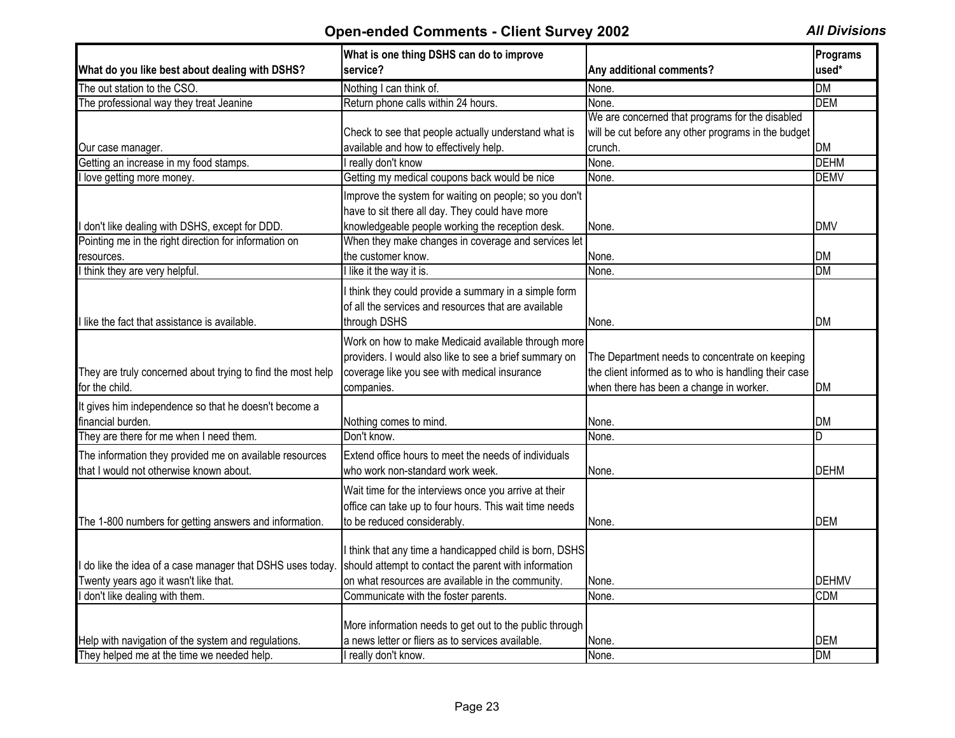|                                                             | What is one thing DSHS can do to improve                |                                                      | Programs     |
|-------------------------------------------------------------|---------------------------------------------------------|------------------------------------------------------|--------------|
| What do you like best about dealing with DSHS?              | service?                                                | Any additional comments?                             | used*        |
| The out station to the CSO.                                 | Nothing I can think of.                                 | None.                                                | <b>DM</b>    |
| The professional way they treat Jeanine                     | Return phone calls within 24 hours.                     | None.                                                | <b>DEM</b>   |
|                                                             |                                                         | We are concerned that programs for the disabled      |              |
|                                                             | Check to see that people actually understand what is    | will be cut before any other programs in the budget  |              |
| Our case manager.                                           | available and how to effectively help.                  | crunch.                                              | DM           |
| Getting an increase in my food stamps.                      | I really don't know                                     | None.                                                | <b>DEHM</b>  |
| love getting more money.                                    | Getting my medical coupons back would be nice           | None.                                                | <b>DEMV</b>  |
|                                                             | Improve the system for waiting on people; so you don't  |                                                      |              |
|                                                             | have to sit there all day. They could have more         |                                                      |              |
| don't like dealing with DSHS, except for DDD.               | knowledgeable people working the reception desk.        | None.                                                | <b>DMV</b>   |
| Pointing me in the right direction for information on       | When they make changes in coverage and services let     |                                                      |              |
| resources.                                                  | the customer know.                                      | None.                                                | <b>DM</b>    |
| think they are very helpful.                                | I like it the way it is.                                | None.                                                | <b>DM</b>    |
|                                                             | I think they could provide a summary in a simple form   |                                                      |              |
|                                                             | of all the services and resources that are available    |                                                      |              |
| I like the fact that assistance is available.               | through DSHS                                            | None.                                                | DM           |
|                                                             |                                                         |                                                      |              |
|                                                             | Work on how to make Medicaid available through more     |                                                      |              |
|                                                             | providers. I would also like to see a brief summary on  | The Department needs to concentrate on keeping       |              |
| They are truly concerned about trying to find the most help | coverage like you see with medical insurance            | the client informed as to who is handling their case |              |
| for the child.                                              | companies.                                              | when there has been a change in worker.              | <b>DM</b>    |
| It gives him independence so that he doesn't become a       |                                                         |                                                      |              |
| financial burden.                                           | Nothing comes to mind.                                  | None.                                                | DM           |
| They are there for me when I need them.                     | Don't know.                                             | None.                                                | D.           |
| The information they provided me on available resources     | Extend office hours to meet the needs of individuals    |                                                      |              |
| that I would not otherwise known about.                     | who work non-standard work week.                        | None.                                                | <b>DEHM</b>  |
|                                                             | Wait time for the interviews once you arrive at their   |                                                      |              |
|                                                             | office can take up to four hours. This wait time needs  |                                                      |              |
| The 1-800 numbers for getting answers and information.      | to be reduced considerably.                             | None.                                                | <b>DEM</b>   |
|                                                             |                                                         |                                                      |              |
|                                                             | I think that any time a handicapped child is born, DSHS |                                                      |              |
| do like the idea of a case manager that DSHS uses today     | should attempt to contact the parent with information   |                                                      |              |
| Twenty years ago it wasn't like that.                       | on what resources are available in the community.       | None.                                                | <b>DEHMV</b> |
| don't like dealing with them.                               | Communicate with the foster parents.                    | None.                                                | <b>CDM</b>   |
|                                                             |                                                         |                                                      |              |
|                                                             | More information needs to get out to the public through |                                                      |              |
| Help with navigation of the system and regulations.         | a news letter or fliers as to services available.       | None.                                                | <b>DEM</b>   |
| They helped me at the time we needed help.                  | I really don't know.                                    | None.                                                | <b>DM</b>    |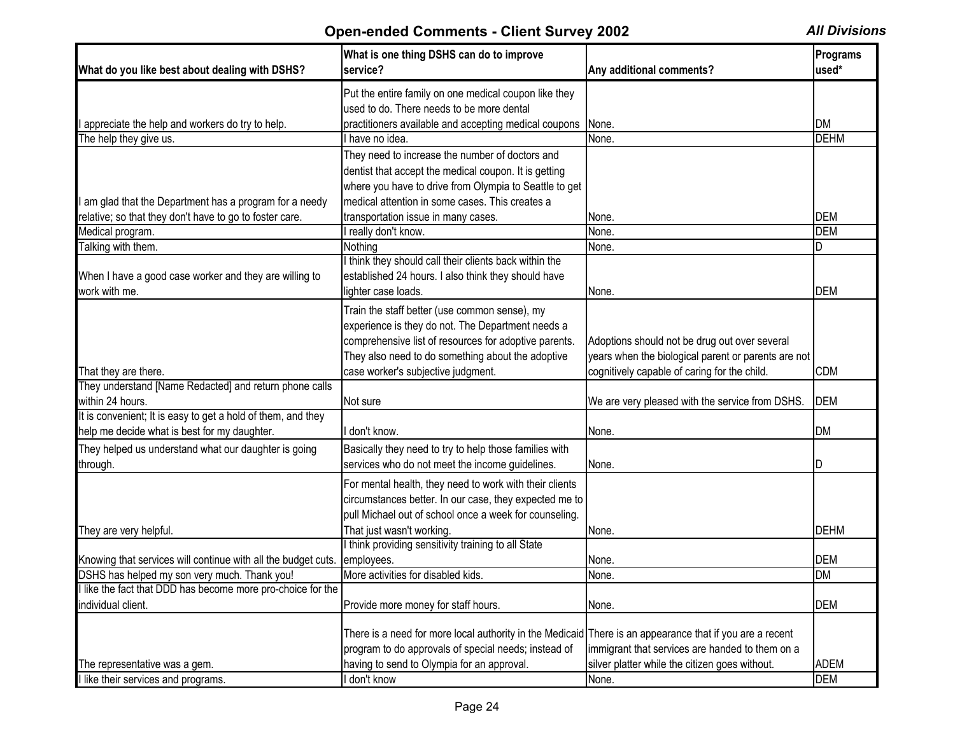| What do you like best about dealing with DSHS?                                 | What is one thing DSHS can do to improve<br>service?                                                     | Any additional comments?                            | Programs<br>used* |
|--------------------------------------------------------------------------------|----------------------------------------------------------------------------------------------------------|-----------------------------------------------------|-------------------|
|                                                                                | Put the entire family on one medical coupon like they                                                    |                                                     |                   |
|                                                                                | used to do. There needs to be more dental                                                                |                                                     |                   |
| I appreciate the help and workers do try to help.                              | practitioners available and accepting medical coupons                                                    | None.                                               | <b>DM</b>         |
| The help they give us.                                                         | I have no idea.                                                                                          | None.                                               | <b>DEHM</b>       |
|                                                                                | They need to increase the number of doctors and                                                          |                                                     |                   |
|                                                                                | dentist that accept the medical coupon. It is getting                                                    |                                                     |                   |
|                                                                                | where you have to drive from Olympia to Seattle to get                                                   |                                                     |                   |
| am glad that the Department has a program for a needy                          | medical attention in some cases. This creates a                                                          |                                                     |                   |
| relative; so that they don't have to go to foster care.                        | transportation issue in many cases.                                                                      | None.                                               | <b>DEM</b>        |
| Medical program.                                                               | really don't know.                                                                                       | None.                                               | <b>DEM</b>        |
| Talking with them.                                                             | Nothing                                                                                                  | None.                                               | D                 |
|                                                                                | I think they should call their clients back within the                                                   |                                                     |                   |
| When I have a good case worker and they are willing to                         | established 24 hours. I also think they should have                                                      |                                                     |                   |
| work with me.                                                                  | lighter case loads.                                                                                      | None.                                               | <b>DEM</b>        |
|                                                                                | Train the staff better (use common sense), my                                                            |                                                     |                   |
|                                                                                | experience is they do not. The Department needs a                                                        |                                                     |                   |
|                                                                                | comprehensive list of resources for adoptive parents.                                                    | Adoptions should not be drug out over several       |                   |
|                                                                                | They also need to do something about the adoptive                                                        | years when the biological parent or parents are not |                   |
|                                                                                | case worker's subjective judgment.                                                                       |                                                     | <b>CDM</b>        |
| That they are there.<br>They understand [Name Redacted] and return phone calls |                                                                                                          | cognitively capable of caring for the child.        |                   |
| within 24 hours.                                                               | Not sure                                                                                                 | We are very pleased with the service from DSHS.     | <b>DEM</b>        |
| It is convenient; It is easy to get a hold of them, and they                   |                                                                                                          |                                                     |                   |
| help me decide what is best for my daughter.                                   | don't know.                                                                                              | None.                                               | <b>DM</b>         |
|                                                                                |                                                                                                          |                                                     |                   |
| They helped us understand what our daughter is going                           | Basically they need to try to help those families with                                                   |                                                     |                   |
| through.                                                                       | services who do not meet the income guidelines.                                                          | None.                                               | ID                |
|                                                                                | For mental health, they need to work with their clients                                                  |                                                     |                   |
|                                                                                | circumstances better. In our case, they expected me to                                                   |                                                     |                   |
|                                                                                | pull Michael out of school once a week for counseling.                                                   |                                                     |                   |
| They are very helpful.                                                         | That just wasn't working.                                                                                | None.                                               | <b>DEHM</b>       |
|                                                                                | I think providing sensitivity training to all State                                                      |                                                     |                   |
| Knowing that services will continue with all the budget cuts.                  | employees.                                                                                               | None.                                               | <b>DEM</b>        |
| DSHS has helped my son very much. Thank you!                                   | More activities for disabled kids.                                                                       | None.                                               | <b>DM</b>         |
| I like the fact that DDD has become more pro-choice for the                    |                                                                                                          |                                                     |                   |
| individual client.                                                             | Provide more money for staff hours.                                                                      | None.                                               | <b>DEM</b>        |
|                                                                                |                                                                                                          |                                                     |                   |
|                                                                                | There is a need for more local authority in the Medicaid There is an appearance that if you are a recent |                                                     |                   |
|                                                                                | program to do approvals of special needs; instead of                                                     | immigrant that services are handed to them on a     |                   |
| The representative was a gem.                                                  | having to send to Olympia for an approval.                                                               | silver platter while the citizen goes without.      | <b>ADEM</b>       |
| I like their services and programs.                                            | don't know                                                                                               | None.                                               | <b>DEM</b>        |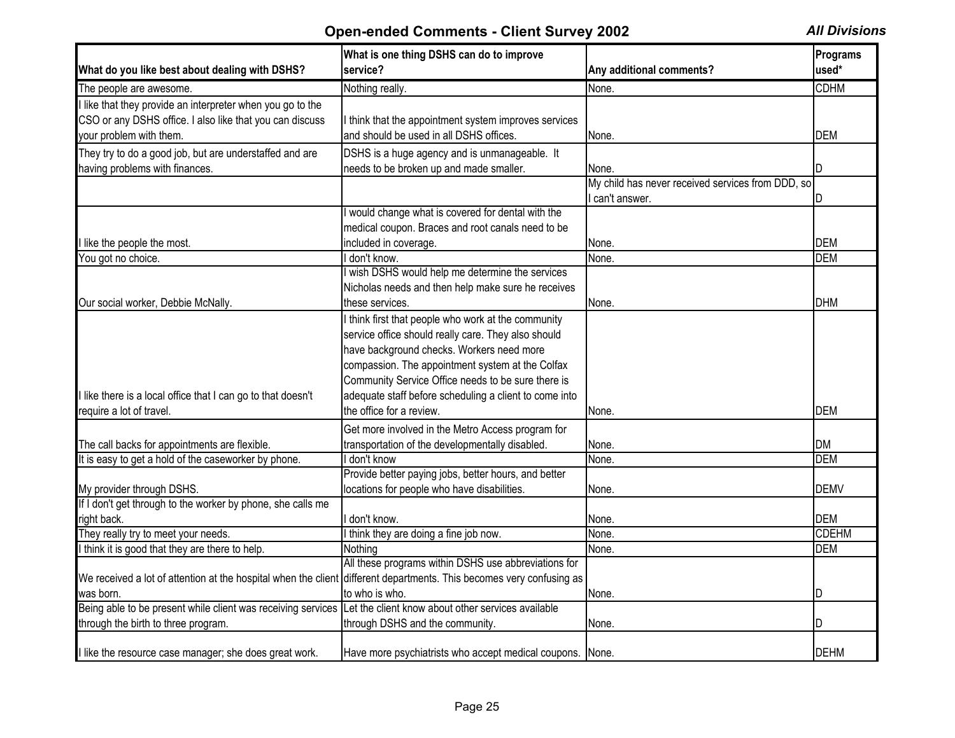| What do you like best about dealing with DSHS?                                                                                                    | What is one thing DSHS can do to improve<br>service?                                                                                                                                                                                                              | Any additional comments?                                             | Programs<br>used* |
|---------------------------------------------------------------------------------------------------------------------------------------------------|-------------------------------------------------------------------------------------------------------------------------------------------------------------------------------------------------------------------------------------------------------------------|----------------------------------------------------------------------|-------------------|
| The people are awesome.                                                                                                                           | Nothing really.                                                                                                                                                                                                                                                   | None.                                                                | <b>CDHM</b>       |
| I like that they provide an interpreter when you go to the<br>CSO or any DSHS office. I also like that you can discuss<br>your problem with them. | I think that the appointment system improves services<br>and should be used in all DSHS offices.                                                                                                                                                                  | None.                                                                | DEM               |
| They try to do a good job, but are understaffed and are                                                                                           | DSHS is a huge agency and is unmanageable. It                                                                                                                                                                                                                     |                                                                      |                   |
| having problems with finances.                                                                                                                    | needs to be broken up and made smaller.                                                                                                                                                                                                                           | None.                                                                | ID                |
|                                                                                                                                                   |                                                                                                                                                                                                                                                                   | My child has never received services from DDD, so<br>I can't answer. | ID                |
|                                                                                                                                                   | I would change what is covered for dental with the<br>medical coupon. Braces and root canals need to be                                                                                                                                                           |                                                                      |                   |
| llike the people the most.                                                                                                                        | included in coverage.                                                                                                                                                                                                                                             | None.                                                                | DEM               |
| You got no choice.                                                                                                                                | I don't know.                                                                                                                                                                                                                                                     | None.                                                                | <b>DEM</b>        |
| Our social worker, Debbie McNally.                                                                                                                | wish DSHS would help me determine the services<br>Nicholas needs and then help make sure he receives<br>these services.                                                                                                                                           | None.                                                                | <b>DHM</b>        |
|                                                                                                                                                   | I think first that people who work at the community<br>service office should really care. They also should<br>have background checks. Workers need more<br>compassion. The appointment system at the Colfax<br>Community Service Office needs to be sure there is |                                                                      |                   |
| I like there is a local office that I can go to that doesn't                                                                                      | adequate staff before scheduling a client to come into                                                                                                                                                                                                            |                                                                      |                   |
| require a lot of travel.                                                                                                                          | the office for a review.                                                                                                                                                                                                                                          | None.                                                                | <b>DEM</b>        |
| The call backs for appointments are flexible.                                                                                                     | Get more involved in the Metro Access program for<br>transportation of the developmentally disabled.                                                                                                                                                              | None.                                                                | <b>DM</b>         |
| It is easy to get a hold of the caseworker by phone.                                                                                              | I don't know                                                                                                                                                                                                                                                      | None.                                                                | <b>DEM</b>        |
| My provider through DSHS.                                                                                                                         | Provide better paying jobs, better hours, and better<br>locations for people who have disabilities.                                                                                                                                                               | None.                                                                | <b>DEMV</b>       |
| If I don't get through to the worker by phone, she calls me<br>right back.                                                                        | don't know.                                                                                                                                                                                                                                                       | None.                                                                | <b>DEM</b>        |
| They really try to meet your needs.                                                                                                               | I think they are doing a fine job now.                                                                                                                                                                                                                            | None.                                                                | <b>CDEHM</b>      |
| I think it is good that they are there to help.                                                                                                   | Nothing                                                                                                                                                                                                                                                           | None.                                                                | <b>DEM</b>        |
| We received a lot of attention at the hospital when the client different departments. This becomes very confusing as<br>was born.                 | All these programs within DSHS use abbreviations for<br>to who is who.                                                                                                                                                                                            | None.                                                                | ID                |
| Being able to be present while client was receiving services Let the client know about other services available                                   |                                                                                                                                                                                                                                                                   |                                                                      |                   |
| through the birth to three program.                                                                                                               | through DSHS and the community.                                                                                                                                                                                                                                   | None.                                                                | ID                |
| I like the resource case manager; she does great work.                                                                                            | Have more psychiatrists who accept medical coupons. None.                                                                                                                                                                                                         |                                                                      | <b>DEHM</b>       |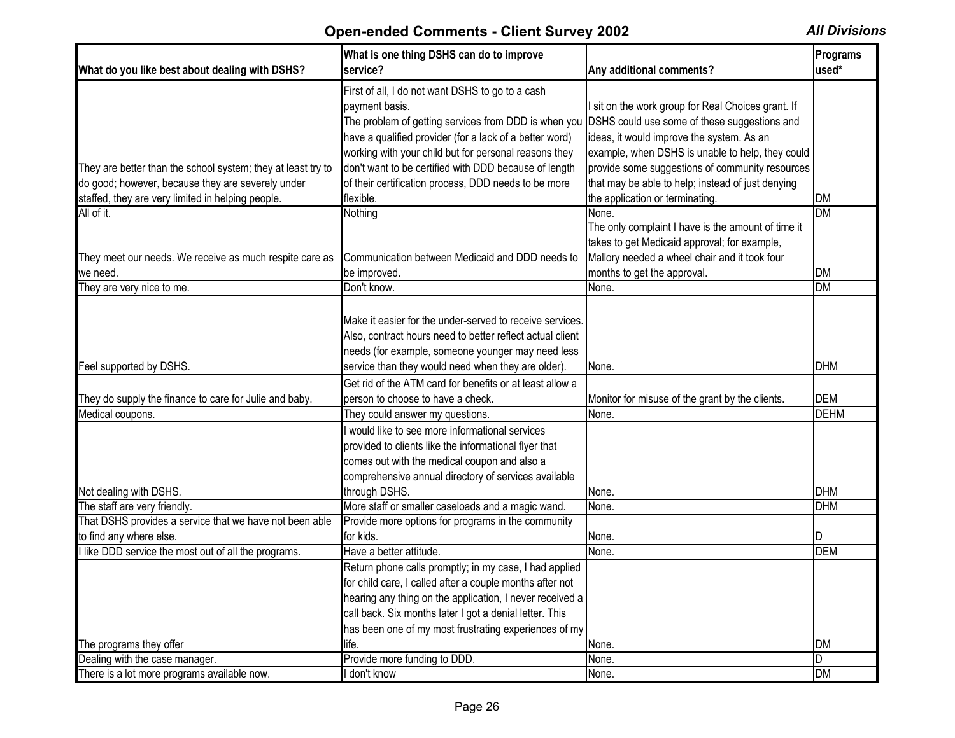| What do you like best about dealing with DSHS?               | What is one thing DSHS can do to improve<br>service?                                              | Any additional comments?                           | Programs<br>used* |
|--------------------------------------------------------------|---------------------------------------------------------------------------------------------------|----------------------------------------------------|-------------------|
|                                                              |                                                                                                   |                                                    |                   |
|                                                              | First of all, I do not want DSHS to go to a cash                                                  |                                                    |                   |
|                                                              | payment basis.                                                                                    | I sit on the work group for Real Choices grant. If |                   |
|                                                              | The problem of getting services from DDD is when you DSHS could use some of these suggestions and |                                                    |                   |
|                                                              | have a qualified provider (for a lack of a better word)                                           | ideas, it would improve the system. As an          |                   |
|                                                              | working with your child but for personal reasons they                                             | example, when DSHS is unable to help, they could   |                   |
| They are better than the school system; they at least try to | don't want to be certified with DDD because of length                                             | provide some suggestions of community resources    |                   |
| do good; however, because they are severely under            | of their certification process, DDD needs to be more                                              | that may be able to help; instead of just denying  |                   |
| staffed, they are very limited in helping people.            | flexible.                                                                                         | the application or terminating.                    | DM                |
| All of it.                                                   | Nothing                                                                                           | None.                                              | $\overline{DM}$   |
|                                                              |                                                                                                   | The only complaint I have is the amount of time it |                   |
|                                                              |                                                                                                   | takes to get Medicaid approval; for example,       |                   |
| They meet our needs. We receive as much respite care as      | Communication between Medicaid and DDD needs to                                                   | Mallory needed a wheel chair and it took four      |                   |
| we need.                                                     | be improved.                                                                                      | months to get the approval.                        | DM                |
| They are very nice to me.                                    | Don't know.                                                                                       | None.                                              | <b>DM</b>         |
|                                                              |                                                                                                   |                                                    |                   |
|                                                              | Make it easier for the under-served to receive services.                                          |                                                    |                   |
|                                                              | Also, contract hours need to better reflect actual client                                         |                                                    |                   |
|                                                              | needs (for example, someone younger may need less                                                 |                                                    |                   |
| Feel supported by DSHS.                                      | service than they would need when they are older).                                                | None.                                              | <b>DHM</b>        |
|                                                              | Get rid of the ATM card for benefits or at least allow a                                          |                                                    |                   |
| They do supply the finance to care for Julie and baby.       | person to choose to have a check.                                                                 | Monitor for misuse of the grant by the clients.    | <b>DEM</b>        |
| Medical coupons.                                             | They could answer my questions.                                                                   | None.                                              | <b>DEHM</b>       |
|                                                              | I would like to see more informational services                                                   |                                                    |                   |
|                                                              | provided to clients like the informational flyer that                                             |                                                    |                   |
|                                                              | comes out with the medical coupon and also a                                                      |                                                    |                   |
|                                                              | comprehensive annual directory of services available                                              |                                                    |                   |
| Not dealing with DSHS.                                       | through DSHS.                                                                                     | None.                                              | <b>DHM</b>        |
| The staff are very friendly.                                 | More staff or smaller caseloads and a magic wand.                                                 | None.                                              | <b>DHM</b>        |
| That DSHS provides a service that we have not been able      | Provide more options for programs in the community                                                |                                                    |                   |
| to find any where else.                                      | for kids.                                                                                         | None.                                              | D                 |
| I like DDD service the most out of all the programs.         | Have a better attitude.                                                                           | None.                                              | <b>DEM</b>        |
|                                                              | Return phone calls promptly; in my case, I had applied                                            |                                                    |                   |
|                                                              | for child care, I called after a couple months after not                                          |                                                    |                   |
|                                                              | hearing any thing on the application, I never received a                                          |                                                    |                   |
|                                                              | call back. Six months later I got a denial letter. This                                           |                                                    |                   |
|                                                              | has been one of my most frustrating experiences of my                                             |                                                    |                   |
| The programs they offer                                      | life.                                                                                             | None.                                              | <b>DM</b>         |
| Dealing with the case manager.                               | Provide more funding to DDD.                                                                      | None.                                              | D                 |
| There is a lot more programs available now.                  | don't know                                                                                        | None.                                              | <b>DM</b>         |
|                                                              |                                                                                                   |                                                    |                   |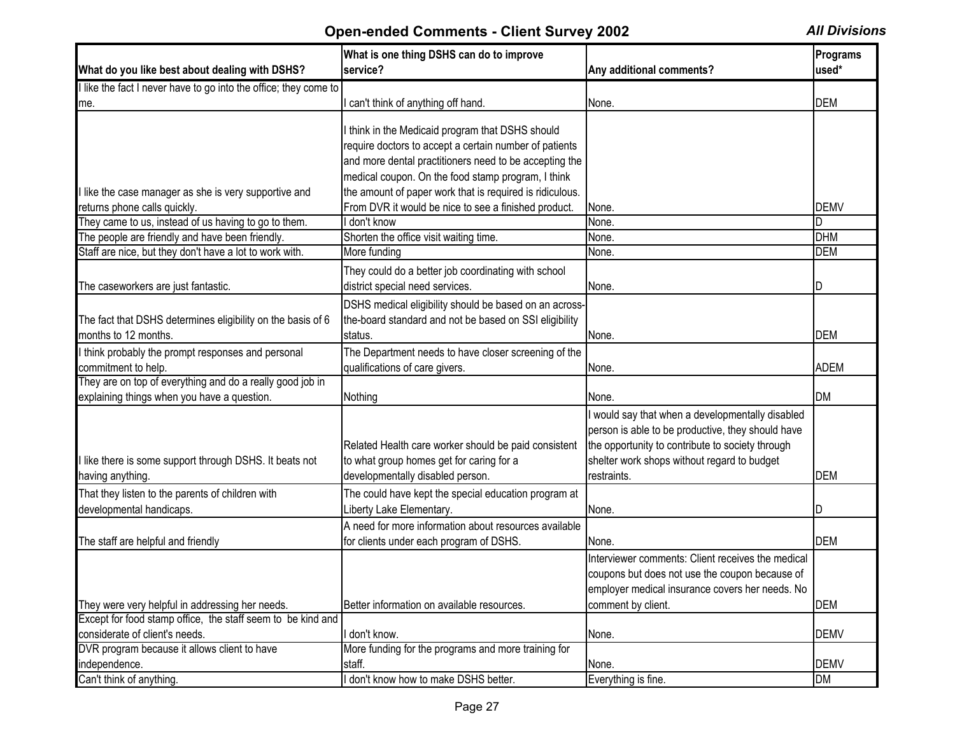|                                                                                     | What is one thing DSHS can do to improve                                                                                                                                                                                   |                                                                                                                                                                                                                       | <b>Programs</b> |
|-------------------------------------------------------------------------------------|----------------------------------------------------------------------------------------------------------------------------------------------------------------------------------------------------------------------------|-----------------------------------------------------------------------------------------------------------------------------------------------------------------------------------------------------------------------|-----------------|
| What do you like best about dealing with DSHS?                                      | service?                                                                                                                                                                                                                   | Any additional comments?                                                                                                                                                                                              | used*           |
| I like the fact I never have to go into the office; they come to                    |                                                                                                                                                                                                                            |                                                                                                                                                                                                                       |                 |
| me.                                                                                 | I can't think of anything off hand.                                                                                                                                                                                        | None.                                                                                                                                                                                                                 | <b>DEM</b>      |
|                                                                                     | I think in the Medicaid program that DSHS should<br>require doctors to accept a certain number of patients<br>and more dental practitioners need to be accepting the<br>medical coupon. On the food stamp program, I think |                                                                                                                                                                                                                       |                 |
| like the case manager as she is very supportive and                                 | the amount of paper work that is required is ridiculous.                                                                                                                                                                   |                                                                                                                                                                                                                       |                 |
| returns phone calls quickly.                                                        | From DVR it would be nice to see a finished product.                                                                                                                                                                       | None.                                                                                                                                                                                                                 | <b>DEMV</b>     |
| They came to us, instead of us having to go to them.                                | don't know                                                                                                                                                                                                                 | None.                                                                                                                                                                                                                 | D               |
| The people are friendly and have been friendly.                                     | Shorten the office visit waiting time.                                                                                                                                                                                     | None.                                                                                                                                                                                                                 | <b>DHM</b>      |
| Staff are nice, but they don't have a lot to work with.                             | More funding                                                                                                                                                                                                               | None.                                                                                                                                                                                                                 | <b>DEM</b>      |
| The caseworkers are just fantastic.                                                 | They could do a better job coordinating with school<br>district special need services.                                                                                                                                     | None.                                                                                                                                                                                                                 |                 |
| The fact that DSHS determines eligibility on the basis of 6<br>months to 12 months. | DSHS medical eligibility should be based on an across-<br>the-board standard and not be based on SSI eligibility<br>status.                                                                                                | None.                                                                                                                                                                                                                 | <b>DEM</b>      |
| I think probably the prompt responses and personal                                  | The Department needs to have closer screening of the                                                                                                                                                                       |                                                                                                                                                                                                                       |                 |
| commitment to help.                                                                 | qualifications of care givers.                                                                                                                                                                                             | None.                                                                                                                                                                                                                 | <b>ADEM</b>     |
| They are on top of everything and do a really good job in                           |                                                                                                                                                                                                                            |                                                                                                                                                                                                                       |                 |
| explaining things when you have a question.                                         | Nothing                                                                                                                                                                                                                    | None.                                                                                                                                                                                                                 | <b>DM</b>       |
| I like there is some support through DSHS. It beats not<br>having anything.         | Related Health care worker should be paid consistent<br>to what group homes get for caring for a<br>developmentally disabled person.                                                                                       | would say that when a developmentally disabled<br>person is able to be productive, they should have<br>the opportunity to contribute to society through<br>shelter work shops without regard to budget<br>restraints. | <b>DEM</b>      |
| That they listen to the parents of children with                                    | The could have kept the special education program at                                                                                                                                                                       |                                                                                                                                                                                                                       |                 |
| developmental handicaps.                                                            | Liberty Lake Elementary.                                                                                                                                                                                                   | None.                                                                                                                                                                                                                 | ID              |
| The staff are helpful and friendly                                                  | A need for more information about resources available<br>for clients under each program of DSHS.                                                                                                                           | None.                                                                                                                                                                                                                 | <b>DEM</b>      |
|                                                                                     |                                                                                                                                                                                                                            | Interviewer comments: Client receives the medical<br>coupons but does not use the coupon because of<br>employer medical insurance covers her needs. No                                                                |                 |
| They were very helpful in addressing her needs.                                     | Better information on available resources.                                                                                                                                                                                 | comment by client.                                                                                                                                                                                                    | <b>DEM</b>      |
| Except for food stamp office, the staff seem to be kind and                         |                                                                                                                                                                                                                            |                                                                                                                                                                                                                       |                 |
| considerate of client's needs.                                                      | I don't know.                                                                                                                                                                                                              | None.                                                                                                                                                                                                                 | <b>DEMV</b>     |
| DVR program because it allows client to have                                        | More funding for the programs and more training for                                                                                                                                                                        |                                                                                                                                                                                                                       |                 |
| independence.                                                                       | staff.                                                                                                                                                                                                                     | None.                                                                                                                                                                                                                 | <b>DEMV</b>     |
| Can't think of anything.                                                            | I don't know how to make DSHS better.                                                                                                                                                                                      | Everything is fine.                                                                                                                                                                                                   | <b>DM</b>       |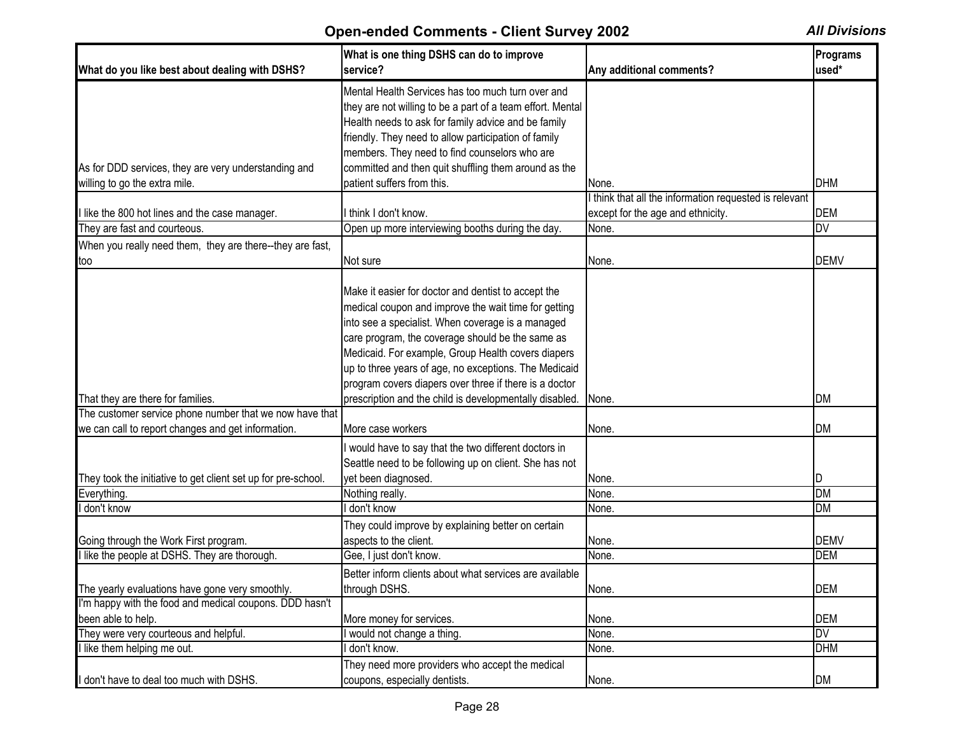| What do you like best about dealing with DSHS?                                                                | What is one thing DSHS can do to improve<br>service?                                                                                                                                                                                                                                                                                                                                          | Any additional comments?                                                                  | Programs<br>used*         |
|---------------------------------------------------------------------------------------------------------------|-----------------------------------------------------------------------------------------------------------------------------------------------------------------------------------------------------------------------------------------------------------------------------------------------------------------------------------------------------------------------------------------------|-------------------------------------------------------------------------------------------|---------------------------|
|                                                                                                               | Mental Health Services has too much turn over and<br>they are not willing to be a part of a team effort. Mental<br>Health needs to ask for family advice and be family<br>friendly. They need to allow participation of family<br>members. They need to find counselors who are                                                                                                               |                                                                                           |                           |
| As for DDD services, they are very understanding and                                                          | committed and then quit shuffling them around as the                                                                                                                                                                                                                                                                                                                                          |                                                                                           |                           |
| willing to go the extra mile.                                                                                 | patient suffers from this.                                                                                                                                                                                                                                                                                                                                                                    | None.                                                                                     | <b>DHM</b>                |
| I like the 800 hot lines and the case manager.                                                                | I think I don't know.                                                                                                                                                                                                                                                                                                                                                                         | think that all the information requested is relevant<br>except for the age and ethnicity. | <b>DEM</b>                |
| They are fast and courteous.                                                                                  | Open up more interviewing booths during the day.                                                                                                                                                                                                                                                                                                                                              | None.                                                                                     | DV                        |
| When you really need them, they are there--they are fast,                                                     |                                                                                                                                                                                                                                                                                                                                                                                               |                                                                                           |                           |
| too                                                                                                           | Not sure                                                                                                                                                                                                                                                                                                                                                                                      | None.                                                                                     | <b>DEMV</b>               |
|                                                                                                               | Make it easier for doctor and dentist to accept the<br>medical coupon and improve the wait time for getting<br>into see a specialist. When coverage is a managed<br>care program, the coverage should be the same as<br>Medicaid. For example, Group Health covers diapers<br>up to three years of age, no exceptions. The Medicaid<br>program covers diapers over three if there is a doctor |                                                                                           |                           |
| That they are there for families.                                                                             | prescription and the child is developmentally disabled.                                                                                                                                                                                                                                                                                                                                       | None.                                                                                     | <b>DM</b>                 |
| The customer service phone number that we now have that<br>we can call to report changes and get information. | More case workers                                                                                                                                                                                                                                                                                                                                                                             | None.                                                                                     | <b>DM</b>                 |
| They took the initiative to get client set up for pre-school.                                                 | I would have to say that the two different doctors in<br>Seattle need to be following up on client. She has not<br>yet been diagnosed.                                                                                                                                                                                                                                                        | None.                                                                                     | D                         |
| Everything.                                                                                                   | Nothing really.                                                                                                                                                                                                                                                                                                                                                                               | None.                                                                                     | <b>DM</b>                 |
| I don't know                                                                                                  | I don't know                                                                                                                                                                                                                                                                                                                                                                                  | None.                                                                                     | DM                        |
| Going through the Work First program.<br>I like the people at DSHS. They are thorough.                        | They could improve by explaining better on certain<br>aspects to the client.<br>Gee, I just don't know.                                                                                                                                                                                                                                                                                       | None.<br>None.                                                                            | <b>DEMV</b><br><b>DEM</b> |
|                                                                                                               | Better inform clients about what services are available                                                                                                                                                                                                                                                                                                                                       |                                                                                           |                           |
| The yearly evaluations have gone very smoothly.                                                               | through DSHS.                                                                                                                                                                                                                                                                                                                                                                                 | None.                                                                                     | <b>DEM</b>                |
| I'm happy with the food and medical coupons. DDD hasn't                                                       |                                                                                                                                                                                                                                                                                                                                                                                               |                                                                                           |                           |
| been able to help.                                                                                            | More money for services.                                                                                                                                                                                                                                                                                                                                                                      | None.                                                                                     | <b>DEM</b>                |
| They were very courteous and helpful.                                                                         | would not change a thing.                                                                                                                                                                                                                                                                                                                                                                     | None.                                                                                     | DV                        |
| I like them helping me out.                                                                                   | don't know.                                                                                                                                                                                                                                                                                                                                                                                   | None.                                                                                     | <b>DHM</b>                |
| I don't have to deal too much with DSHS.                                                                      | They need more providers who accept the medical<br>coupons, especially dentists.                                                                                                                                                                                                                                                                                                              | None.                                                                                     | <b>DM</b>                 |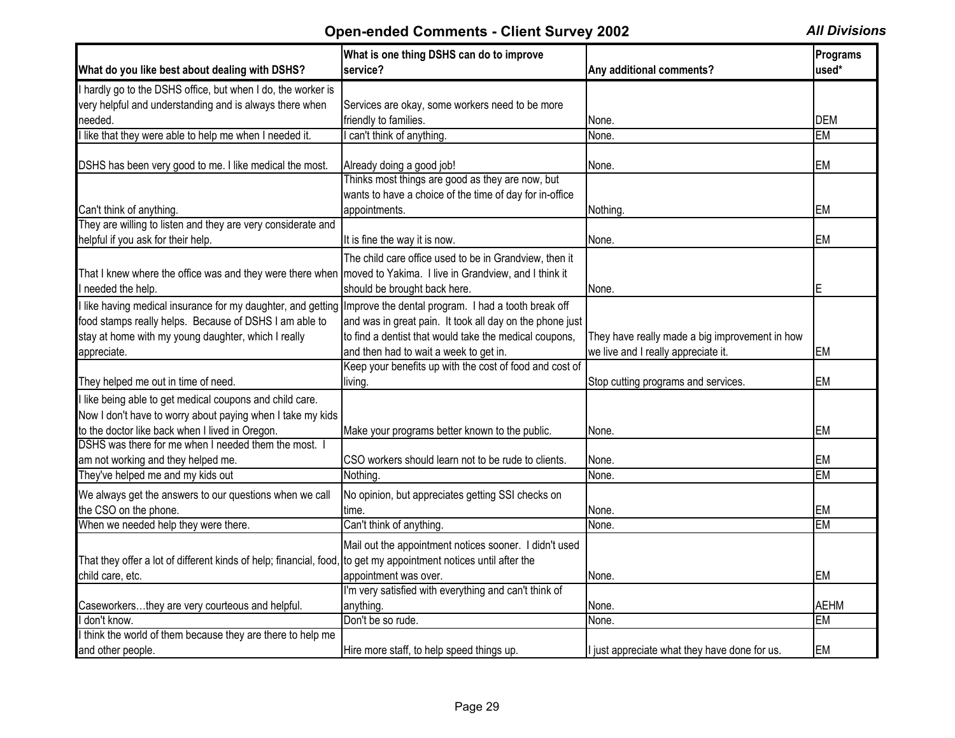|                                                                                                                  | What is one thing DSHS can do to improve                 |                                                | Programs    |
|------------------------------------------------------------------------------------------------------------------|----------------------------------------------------------|------------------------------------------------|-------------|
| What do you like best about dealing with DSHS?                                                                   | service?                                                 | Any additional comments?                       | used*       |
| I hardly go to the DSHS office, but when I do, the worker is                                                     |                                                          |                                                |             |
| very helpful and understanding and is always there when                                                          | Services are okay, some workers need to be more          |                                                |             |
| needed.                                                                                                          | friendly to families.                                    | None.                                          | <b>DEM</b>  |
| I like that they were able to help me when I needed it.                                                          | I can't think of anything.                               | None.                                          | <b>EM</b>   |
| DSHS has been very good to me. I like medical the most.                                                          | Already doing a good job!                                | None.                                          | EM          |
|                                                                                                                  | Thinks most things are good as they are now, but         |                                                |             |
|                                                                                                                  | wants to have a choice of the time of day for in-office  |                                                |             |
| Can't think of anything.                                                                                         | appointments.                                            | Nothing.                                       | <b>EM</b>   |
| They are willing to listen and they are very considerate and                                                     |                                                          |                                                |             |
| helpful if you ask for their help.                                                                               | It is fine the way it is now.                            | None.                                          | EM          |
|                                                                                                                  | The child care office used to be in Grandview, then it   |                                                |             |
| That I knew where the office was and they were there when   moved to Yakima. I live in Grandview, and I think it |                                                          |                                                |             |
| l needed the help.                                                                                               | should be brought back here.                             | None.                                          | Е           |
| I like having medical insurance for my daughter, and getting Improve the dental program. I had a tooth break off |                                                          |                                                |             |
| food stamps really helps. Because of DSHS I am able to                                                           | and was in great pain. It took all day on the phone just |                                                |             |
| stay at home with my young daughter, which I really                                                              | to find a dentist that would take the medical coupons,   | They have really made a big improvement in how |             |
| appreciate.                                                                                                      | and then had to wait a week to get in.                   | we live and I really appreciate it.            | EM          |
|                                                                                                                  | Keep your benefits up with the cost of food and cost of  |                                                |             |
| They helped me out in time of need.                                                                              | living.                                                  | Stop cutting programs and services.            | EM          |
| I like being able to get medical coupons and child care.                                                         |                                                          |                                                |             |
| Now I don't have to worry about paying when I take my kids                                                       |                                                          |                                                |             |
| to the doctor like back when I lived in Oregon.                                                                  | Make your programs better known to the public.           | None.                                          | EM          |
| DSHS was there for me when I needed them the most.                                                               |                                                          |                                                |             |
| am not working and they helped me.                                                                               | CSO workers should learn not to be rude to clients.      | None.                                          | EM          |
| They've helped me and my kids out                                                                                | Nothing.                                                 | None.                                          | <b>EM</b>   |
| We always get the answers to our questions when we call                                                          | No opinion, but appreciates getting SSI checks on        |                                                |             |
| the CSO on the phone.                                                                                            | time.                                                    | None.                                          | <b>EM</b>   |
| When we needed help they were there.                                                                             | Can't think of anything.                                 | None.                                          | <b>EM</b>   |
|                                                                                                                  | Mail out the appointment notices sooner. I didn't used   |                                                |             |
| That they offer a lot of different kinds of help; financial, food, to get my appointment notices until after the |                                                          |                                                |             |
| child care, etc.                                                                                                 | appointment was over.                                    | None.                                          | EM          |
|                                                                                                                  | I'm very satisfied with everything and can't think of    |                                                |             |
| Caseworkersthey are very courteous and helpful.                                                                  | anything.                                                | None.                                          | <b>AEHM</b> |
| I don't know.                                                                                                    | Don't be so rude.                                        | None.                                          | <b>EM</b>   |
| I think the world of them because they are there to help me                                                      |                                                          |                                                |             |
| and other people.                                                                                                | Hire more staff, to help speed things up.                | I just appreciate what they have done for us.  | <b>EM</b>   |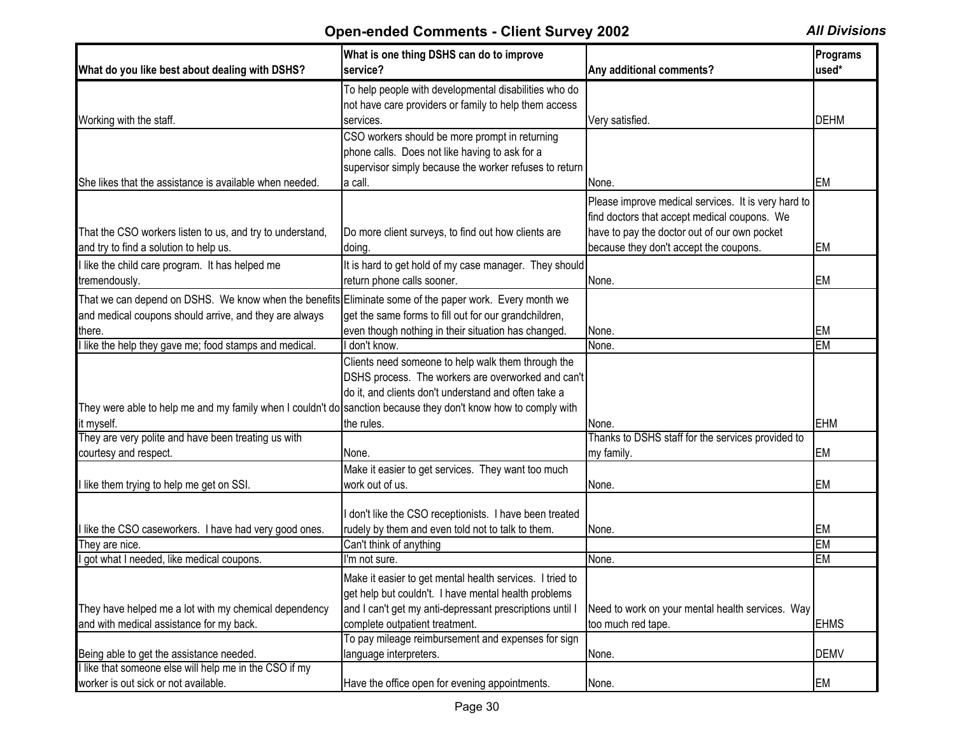| What do you like best about dealing with DSHS?                                                                 | What is one thing DSHS can do to improve<br>service?     | Any additional comments?                            | Programs<br>used* |
|----------------------------------------------------------------------------------------------------------------|----------------------------------------------------------|-----------------------------------------------------|-------------------|
|                                                                                                                | To help people with developmental disabilities who do    |                                                     |                   |
|                                                                                                                | not have care providers or family to help them access    |                                                     |                   |
| Working with the staff.                                                                                        | services.                                                | Very satisfied.                                     | <b>DEHM</b>       |
|                                                                                                                | CSO workers should be more prompt in returning           |                                                     |                   |
|                                                                                                                | phone calls. Does not like having to ask for a           |                                                     |                   |
|                                                                                                                | supervisor simply because the worker refuses to return   |                                                     |                   |
| She likes that the assistance is available when needed.                                                        | a call.                                                  | None.                                               | EM                |
|                                                                                                                |                                                          | Please improve medical services. It is very hard to |                   |
|                                                                                                                |                                                          | find doctors that accept medical coupons. We        |                   |
| That the CSO workers listen to us, and try to understand,                                                      | Do more client surveys, to find out how clients are      | have to pay the doctor out of our own pocket        |                   |
|                                                                                                                |                                                          |                                                     |                   |
| and try to find a solution to help us.                                                                         | doing.                                                   | because they don't accept the coupons.              | EM                |
| I like the child care program. It has helped me                                                                | It is hard to get hold of my case manager. They should   |                                                     |                   |
| tremendously.                                                                                                  | return phone calls sooner.                               | None.                                               | EM                |
| That we can depend on DSHS. We know when the benefits Eliminate some of the paper work. Every month we         |                                                          |                                                     |                   |
| and medical coupons should arrive, and they are always                                                         | get the same forms to fill out for our grandchildren,    |                                                     |                   |
| there.                                                                                                         | even though nothing in their situation has changed.      | None.                                               | EM                |
| I like the help they gave me; food stamps and medical.                                                         | don't know.                                              | None.                                               | <b>EM</b>         |
|                                                                                                                | Clients need someone to help walk them through the       |                                                     |                   |
|                                                                                                                | DSHS process. The workers are overworked and can't       |                                                     |                   |
|                                                                                                                | do it, and clients don't understand and often take a     |                                                     |                   |
| They were able to help me and my family when I couldn't do sanction because they don't know how to comply with |                                                          |                                                     |                   |
| it myself.                                                                                                     | the rules.                                               | None.                                               | <b>EHM</b>        |
| They are very polite and have been treating us with                                                            |                                                          | Thanks to DSHS staff for the services provided to   |                   |
| courtesy and respect.                                                                                          | None.                                                    | my family.                                          | <b>EM</b>         |
|                                                                                                                | Make it easier to get services. They want too much       |                                                     |                   |
|                                                                                                                | work out of us.                                          |                                                     |                   |
| I like them trying to help me get on SSI.                                                                      |                                                          | None.                                               | EM                |
|                                                                                                                |                                                          |                                                     |                   |
|                                                                                                                | don't like the CSO receptionists. I have been treated    |                                                     |                   |
| I like the CSO caseworkers. I have had very good ones.                                                         | rudely by them and even told not to talk to them.        | None.                                               | EM                |
| They are nice.                                                                                                 | Can't think of anything                                  |                                                     | <b>EM</b>         |
| I got what I needed, like medical coupons.                                                                     | I'm not sure.                                            | None.                                               | <b>EM</b>         |
|                                                                                                                | Make it easier to get mental health services. I tried to |                                                     |                   |
|                                                                                                                | get help but couldn't. I have mental health problems     |                                                     |                   |
| They have helped me a lot with my chemical dependency                                                          | and I can't get my anti-depressant prescriptions until I | Need to work on your mental health services. Way    |                   |
| and with medical assistance for my back.                                                                       | complete outpatient treatment.                           | too much red tape.                                  | <b>EHMS</b>       |
|                                                                                                                | To pay mileage reimbursement and expenses for sign       |                                                     |                   |
| Being able to get the assistance needed.                                                                       | language interpreters.                                   | None.                                               | <b>DEMV</b>       |
| I like that someone else will help me in the CSO if my                                                         |                                                          |                                                     |                   |
| worker is out sick or not available.                                                                           | Have the office open for evening appointments.           | None.                                               | <b>EM</b>         |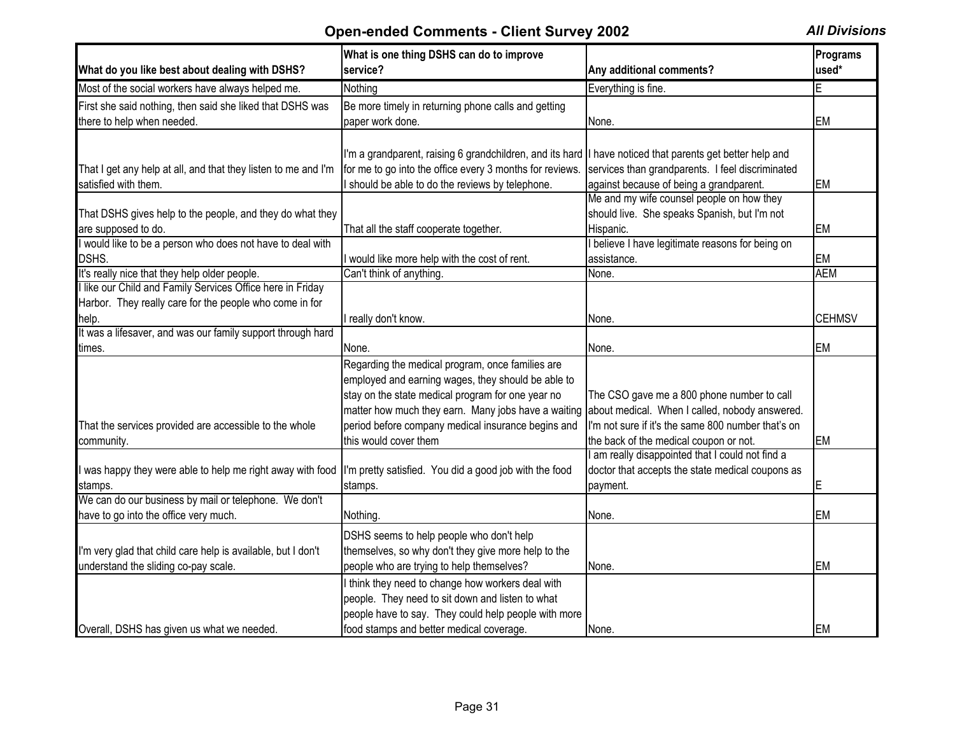| What do you like best about dealing with DSHS?                                                                        | What is one thing DSHS can do to improve<br>service?                                                                                                                                                                                                                                              | Any additional comments?                                                                                                                                                                     | Programs<br>used* |
|-----------------------------------------------------------------------------------------------------------------------|---------------------------------------------------------------------------------------------------------------------------------------------------------------------------------------------------------------------------------------------------------------------------------------------------|----------------------------------------------------------------------------------------------------------------------------------------------------------------------------------------------|-------------------|
| Most of the social workers have always helped me.                                                                     | Nothing                                                                                                                                                                                                                                                                                           | Everything is fine.                                                                                                                                                                          | E                 |
| First she said nothing, then said she liked that DSHS was<br>there to help when needed.                               | Be more timely in returning phone calls and getting<br>paper work done.                                                                                                                                                                                                                           | None.                                                                                                                                                                                        | <b>EM</b>         |
| That I get any help at all, and that they listen to me and I'm<br>satisfied with them.                                | I'm a grandparent, raising 6 grandchildren, and its hard II have noticed that parents get better help and<br>for me to go into the office every 3 months for reviews.<br>I should be able to do the reviews by telephone.                                                                         | services than grandparents. I feel discriminated<br>against because of being a grandparent.                                                                                                  | <b>EM</b>         |
| That DSHS gives help to the people, and they do what they<br>are supposed to do.                                      | That all the staff cooperate together.                                                                                                                                                                                                                                                            | Me and my wife counsel people on how they<br>should live. She speaks Spanish, but I'm not<br>Hispanic.                                                                                       | <b>EM</b>         |
| I would like to be a person who does not have to deal with<br>DSHS.                                                   | I would like more help with the cost of rent.                                                                                                                                                                                                                                                     | believe I have legitimate reasons for being on<br>assistance.                                                                                                                                | <b>EM</b>         |
| It's really nice that they help older people.                                                                         | Can't think of anything.                                                                                                                                                                                                                                                                          | None.                                                                                                                                                                                        | <b>AEM</b>        |
| I like our Child and Family Services Office here in Friday<br>Harbor. They really care for the people who come in for |                                                                                                                                                                                                                                                                                                   |                                                                                                                                                                                              |                   |
| help.                                                                                                                 | I really don't know.                                                                                                                                                                                                                                                                              | None.                                                                                                                                                                                        | <b>CEHMSV</b>     |
| It was a lifesaver, and was our family support through hard<br>times.                                                 | None.                                                                                                                                                                                                                                                                                             | None.                                                                                                                                                                                        | <b>EM</b>         |
| That the services provided are accessible to the whole<br>community.                                                  | Regarding the medical program, once families are<br>employed and earning wages, they should be able to<br>stay on the state medical program for one year no<br>matter how much they earn. Many jobs have a waiting<br>period before company medical insurance begins and<br>this would cover them | The CSO gave me a 800 phone number to call<br>about medical. When I called, nobody answered.<br>I'm not sure if it's the same 800 number that's on<br>the back of the medical coupon or not. | <b>EM</b>         |
| I was happy they were able to help me right away with food<br>stamps.                                                 | I'm pretty satisfied. You did a good job with the food<br>stamps.                                                                                                                                                                                                                                 | am really disappointed that I could not find a<br>doctor that accepts the state medical coupons as<br>payment.                                                                               | E                 |
| We can do our business by mail or telephone. We don't<br>have to go into the office very much.                        | Nothing.                                                                                                                                                                                                                                                                                          | None.                                                                                                                                                                                        | <b>EM</b>         |
| I'm very glad that child care help is available, but I don't<br>understand the sliding co-pay scale.                  | DSHS seems to help people who don't help<br>themselves, so why don't they give more help to the<br>people who are trying to help themselves?                                                                                                                                                      | None.                                                                                                                                                                                        | <b>EM</b>         |
| Overall, DSHS has given us what we needed.                                                                            | I think they need to change how workers deal with<br>people. They need to sit down and listen to what<br>people have to say. They could help people with more<br>food stamps and better medical coverage.                                                                                         | None.                                                                                                                                                                                        | <b>EM</b>         |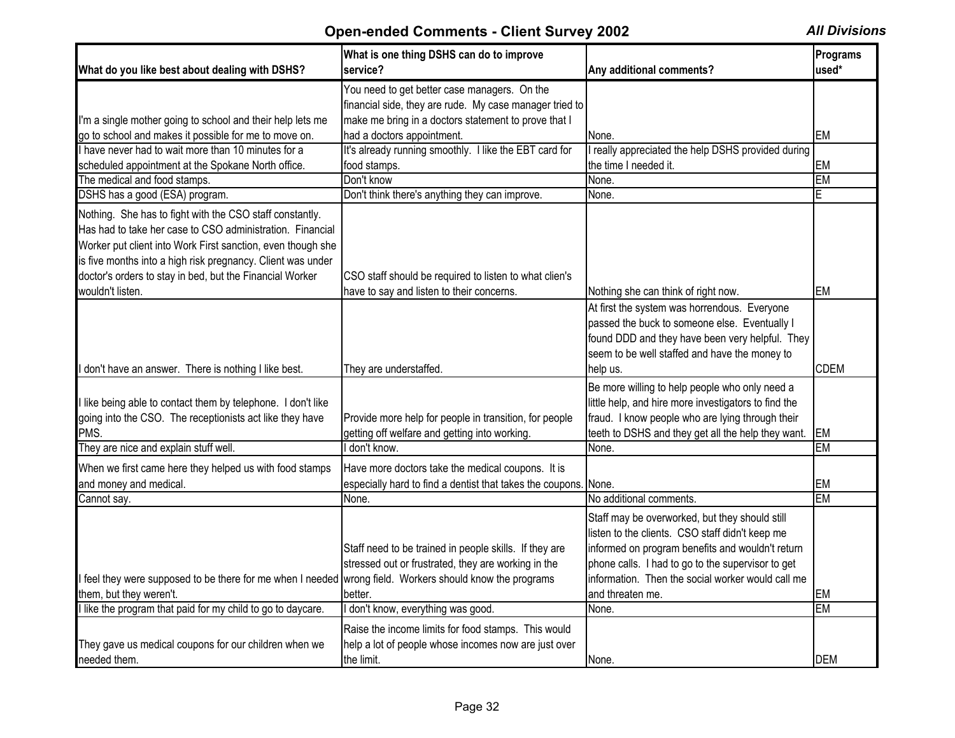| What do you like best about dealing with DSHS?                                                                                                                                                                                                                                                                  | What is one thing DSHS can do to improve<br>service?                                                                      | Any additional comments?                                                                                                                                                                                         | Programs<br>used* |
|-----------------------------------------------------------------------------------------------------------------------------------------------------------------------------------------------------------------------------------------------------------------------------------------------------------------|---------------------------------------------------------------------------------------------------------------------------|------------------------------------------------------------------------------------------------------------------------------------------------------------------------------------------------------------------|-------------------|
|                                                                                                                                                                                                                                                                                                                 | You need to get better case managers. On the                                                                              |                                                                                                                                                                                                                  |                   |
|                                                                                                                                                                                                                                                                                                                 | financial side, they are rude. My case manager tried to                                                                   |                                                                                                                                                                                                                  |                   |
| I'm a single mother going to school and their help lets me                                                                                                                                                                                                                                                      | make me bring in a doctors statement to prove that I                                                                      |                                                                                                                                                                                                                  |                   |
| go to school and makes it possible for me to move on.                                                                                                                                                                                                                                                           | had a doctors appointment.                                                                                                | None.                                                                                                                                                                                                            | EM                |
| have never had to wait more than 10 minutes for a                                                                                                                                                                                                                                                               | It's already running smoothly. I like the EBT card for                                                                    | really appreciated the help DSHS provided during                                                                                                                                                                 |                   |
| scheduled appointment at the Spokane North office.                                                                                                                                                                                                                                                              | food stamps.                                                                                                              | the time I needed it.                                                                                                                                                                                            | <b>EM</b>         |
| The medical and food stamps.                                                                                                                                                                                                                                                                                    | Don't know                                                                                                                | None.                                                                                                                                                                                                            | <b>EM</b>         |
| DSHS has a good (ESA) program.                                                                                                                                                                                                                                                                                  | Don't think there's anything they can improve.                                                                            | None.                                                                                                                                                                                                            | E                 |
| Nothing. She has to fight with the CSO staff constantly.<br>Has had to take her case to CSO administration. Financial<br>Worker put client into Work First sanction, even though she<br>is five months into a high risk pregnancy. Client was under<br>doctor's orders to stay in bed, but the Financial Worker | CSO staff should be required to listen to what clien's                                                                    |                                                                                                                                                                                                                  |                   |
| wouldn't listen.                                                                                                                                                                                                                                                                                                | have to say and listen to their concerns.                                                                                 | Nothing she can think of right now.                                                                                                                                                                              | <b>EM</b>         |
|                                                                                                                                                                                                                                                                                                                 |                                                                                                                           | At first the system was horrendous. Everyone<br>passed the buck to someone else. Eventually I<br>found DDD and they have been very helpful. They<br>seem to be well staffed and have the money to                |                   |
| don't have an answer. There is nothing I like best.                                                                                                                                                                                                                                                             | They are understaffed                                                                                                     | lhelp us.                                                                                                                                                                                                        | <b>CDEM</b>       |
| like being able to contact them by telephone. I don't like<br>going into the CSO. The receptionists act like they have<br>PMS.                                                                                                                                                                                  | Provide more help for people in transition, for people<br>getting off welfare and getting into working.                   | Be more willing to help people who only need a<br>little help, and hire more investigators to find the<br>fraud. I know people who are lying through their<br>teeth to DSHS and they get all the help they want. | EM                |
| They are nice and explain stuff well.                                                                                                                                                                                                                                                                           | I don't know.                                                                                                             | None.                                                                                                                                                                                                            | <b>EM</b>         |
| When we first came here they helped us with food stamps<br>and money and medical.                                                                                                                                                                                                                               | Have more doctors take the medical coupons. It is<br>especially hard to find a dentist that takes the coupons. None.      |                                                                                                                                                                                                                  | <b>EM</b>         |
| Cannot say.                                                                                                                                                                                                                                                                                                     | None.                                                                                                                     | No additional comments.                                                                                                                                                                                          | <b>EM</b>         |
|                                                                                                                                                                                                                                                                                                                 | Staff need to be trained in people skills. If they are<br>stressed out or frustrated, they are working in the             | Staff may be overworked, but they should still<br>listen to the clients. CSO staff didn't keep me<br>informed on program benefits and wouldn't return<br>phone calls. I had to go to the supervisor to get       |                   |
| feel they were supposed to be there for me when I needed wrong field. Workers should know the programs                                                                                                                                                                                                          |                                                                                                                           | information. Then the social worker would call me                                                                                                                                                                |                   |
| them, but they weren't.                                                                                                                                                                                                                                                                                         | better.                                                                                                                   | and threaten me.                                                                                                                                                                                                 | EM                |
| like the program that paid for my child to go to daycare.                                                                                                                                                                                                                                                       | don't know, everything was good.                                                                                          | None.                                                                                                                                                                                                            | <b>EM</b>         |
| They gave us medical coupons for our children when we<br>needed them.                                                                                                                                                                                                                                           | Raise the income limits for food stamps. This would<br>help a lot of people whose incomes now are just over<br>the limit. | None.                                                                                                                                                                                                            | <b>DEM</b>        |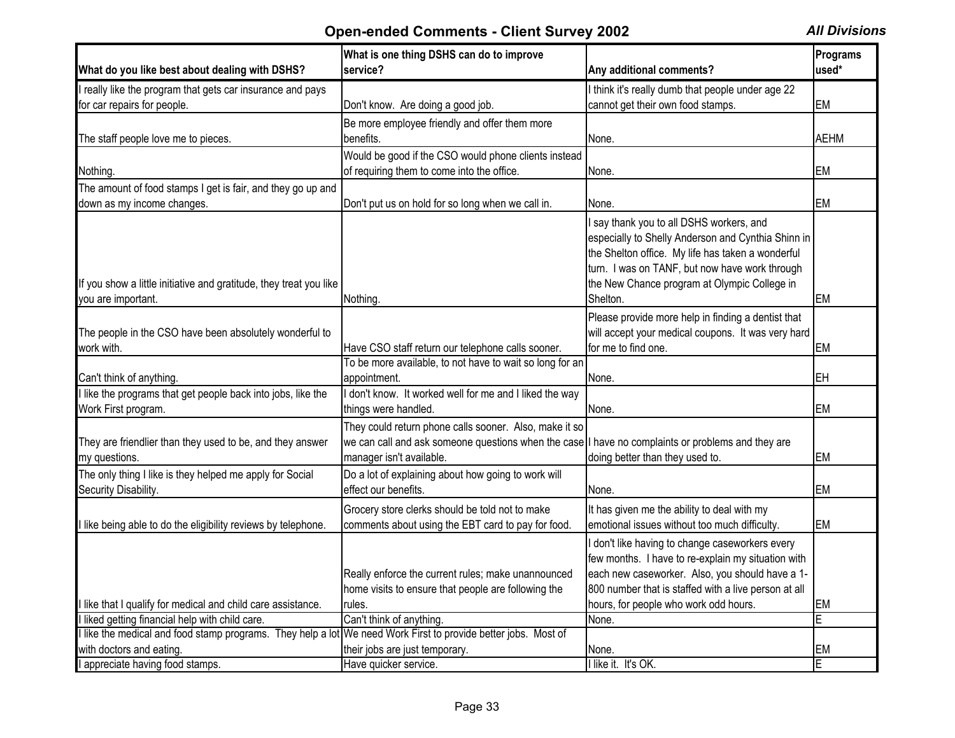| What do you like best about dealing with DSHS?                                                                 | What is one thing DSHS can do to improve<br>service?                                                                                                                                    | Any additional comments?                                                                                                                                                                                                                                          | Programs<br>used* |
|----------------------------------------------------------------------------------------------------------------|-----------------------------------------------------------------------------------------------------------------------------------------------------------------------------------------|-------------------------------------------------------------------------------------------------------------------------------------------------------------------------------------------------------------------------------------------------------------------|-------------------|
| I really like the program that gets car insurance and pays                                                     |                                                                                                                                                                                         | I think it's really dumb that people under age 22                                                                                                                                                                                                                 |                   |
| for car repairs for people.                                                                                    | Don't know. Are doing a good job.                                                                                                                                                       | cannot get their own food stamps.                                                                                                                                                                                                                                 | <b>EM</b>         |
| The staff people love me to pieces.                                                                            | Be more employee friendly and offer them more<br>benefits.                                                                                                                              | None.                                                                                                                                                                                                                                                             | <b>AEHM</b>       |
| Nothing.                                                                                                       | Would be good if the CSO would phone clients instead<br>of requiring them to come into the office.                                                                                      | None.                                                                                                                                                                                                                                                             | EM                |
| The amount of food stamps I get is fair, and they go up and                                                    |                                                                                                                                                                                         |                                                                                                                                                                                                                                                                   |                   |
| down as my income changes.                                                                                     | Don't put us on hold for so long when we call in.                                                                                                                                       | None.                                                                                                                                                                                                                                                             | <b>EM</b>         |
| If you show a little initiative and gratitude, they treat you like<br>you are important.                       | Nothing                                                                                                                                                                                 | I say thank you to all DSHS workers, and<br>especially to Shelly Anderson and Cynthia Shinn in<br>the Shelton office. My life has taken a wonderful<br>turn. I was on TANF, but now have work through<br>the New Chance program at Olympic College in<br>Shelton. | <b>EM</b>         |
| The people in the CSO have been absolutely wonderful to<br>work with.                                          | Have CSO staff return our telephone calls sooner.                                                                                                                                       | Please provide more help in finding a dentist that<br>will accept your medical coupons. It was very hard<br>for me to find one.                                                                                                                                   | <b>EM</b>         |
| Can't think of anything.                                                                                       | To be more available, to not have to wait so long for an<br>appointment.                                                                                                                | None.                                                                                                                                                                                                                                                             | EH                |
| I like the programs that get people back into jobs, like the                                                   | don't know. It worked well for me and I liked the way                                                                                                                                   |                                                                                                                                                                                                                                                                   |                   |
| Work First program.                                                                                            | things were handled.                                                                                                                                                                    | None.                                                                                                                                                                                                                                                             | EM                |
| They are friendlier than they used to be, and they answer<br>my questions.                                     | They could return phone calls sooner. Also, make it so<br>we can call and ask someone questions when the case I have no complaints or problems and they are<br>manager isn't available. | doing better than they used to.                                                                                                                                                                                                                                   | <b>EM</b>         |
| The only thing I like is they helped me apply for Social<br>Security Disability.                               | Do a lot of explaining about how going to work will<br>effect our benefits.                                                                                                             | None.                                                                                                                                                                                                                                                             | EM                |
| I like being able to do the eligibility reviews by telephone.                                                  | Grocery store clerks should be told not to make<br>comments about using the EBT card to pay for food.                                                                                   | It has given me the ability to deal with my<br>emotional issues without too much difficulty.                                                                                                                                                                      | <b>EM</b>         |
| I like that I qualify for medical and child care assistance.                                                   | Really enforce the current rules; make unannounced<br>home visits to ensure that people are following the<br>rules.                                                                     | don't like having to change caseworkers every<br>few months. I have to re-explain my situation with<br>each new caseworker. Also, you should have a 1-<br>800 number that is staffed with a live person at all<br>hours, for people who work odd hours.           | <b>EM</b>         |
| liked getting financial help with child care.                                                                  | Can't think of anything.                                                                                                                                                                | None.                                                                                                                                                                                                                                                             | Ē                 |
| I like the medical and food stamp programs. They help a lot We need Work First to provide better jobs. Most of |                                                                                                                                                                                         |                                                                                                                                                                                                                                                                   |                   |
| with doctors and eating.                                                                                       | their jobs are just temporary.                                                                                                                                                          | None.                                                                                                                                                                                                                                                             | EM                |
| appreciate having food stamps.                                                                                 | Have quicker service.                                                                                                                                                                   | I like it. It's OK.                                                                                                                                                                                                                                               | E                 |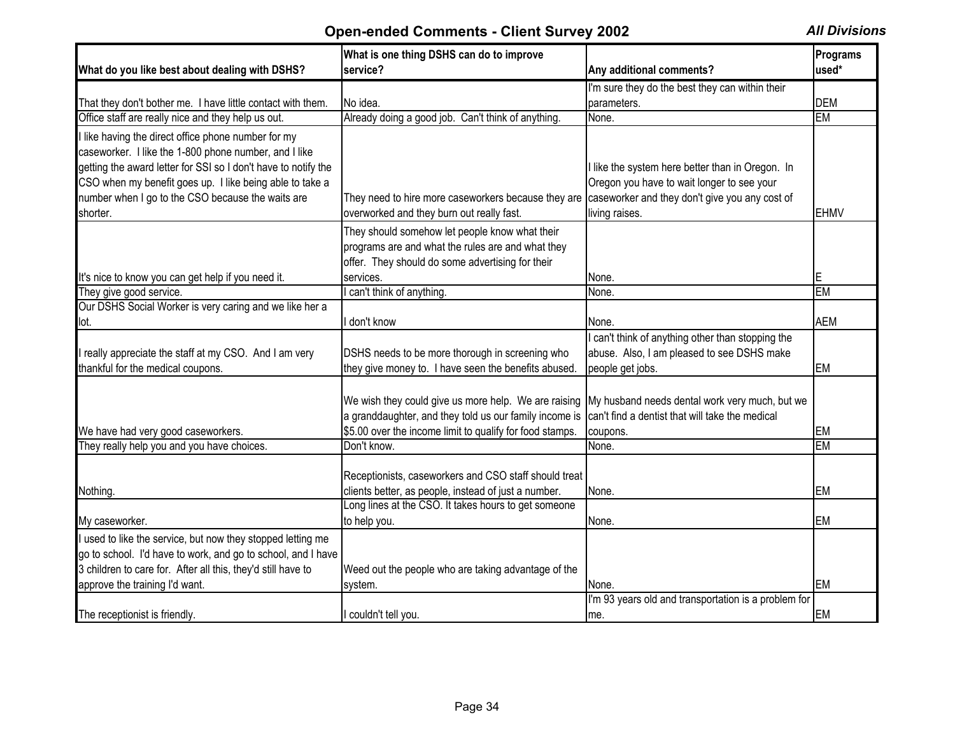| What do you like best about dealing with DSHS?                                                                                                                                                                                                                                                              | What is one thing DSHS can do to improve<br>service?                                                                                                                                                                      | Any additional comments?                                                                                                                                           | <b>Programs</b><br>used* |
|-------------------------------------------------------------------------------------------------------------------------------------------------------------------------------------------------------------------------------------------------------------------------------------------------------------|---------------------------------------------------------------------------------------------------------------------------------------------------------------------------------------------------------------------------|--------------------------------------------------------------------------------------------------------------------------------------------------------------------|--------------------------|
|                                                                                                                                                                                                                                                                                                             |                                                                                                                                                                                                                           | I'm sure they do the best they can within their                                                                                                                    |                          |
| That they don't bother me. I have little contact with them.                                                                                                                                                                                                                                                 | No idea.                                                                                                                                                                                                                  | parameters.                                                                                                                                                        | <b>DEM</b>               |
| Office staff are really nice and they help us out.                                                                                                                                                                                                                                                          | Already doing a good job. Can't think of anything.                                                                                                                                                                        | None.                                                                                                                                                              | <b>EM</b>                |
| I like having the direct office phone number for my<br>caseworker. I like the 1-800 phone number, and I like<br>getting the award letter for SSI so I don't have to notify the<br>CSO when my benefit goes up. I like being able to take a<br>number when I go to the CSO because the waits are<br>shorter. | They need to hire more caseworkers because they are<br>overworked and they burn out really fast.                                                                                                                          | I like the system here better than in Oregon. In<br>Oregon you have to wait longer to see your<br>caseworker and they don't give you any cost of<br>living raises. | <b>EHMV</b>              |
|                                                                                                                                                                                                                                                                                                             | They should somehow let people know what their<br>programs are and what the rules are and what they<br>offer. They should do some advertising for their                                                                   |                                                                                                                                                                    |                          |
| It's nice to know you can get help if you need it.                                                                                                                                                                                                                                                          | services.                                                                                                                                                                                                                 | None.                                                                                                                                                              | E                        |
| They give good service.                                                                                                                                                                                                                                                                                     | can't think of anything.                                                                                                                                                                                                  | None.                                                                                                                                                              | <b>EM</b>                |
| Our DSHS Social Worker is very caring and we like her a                                                                                                                                                                                                                                                     |                                                                                                                                                                                                                           |                                                                                                                                                                    |                          |
| lot.                                                                                                                                                                                                                                                                                                        | don't know                                                                                                                                                                                                                | None.                                                                                                                                                              | <b>AEM</b>               |
| really appreciate the staff at my CSO. And I am very<br>thankful for the medical coupons.                                                                                                                                                                                                                   | DSHS needs to be more thorough in screening who<br>they give money to. I have seen the benefits abused.                                                                                                                   | can't think of anything other than stopping the<br>abuse. Also, I am pleased to see DSHS make<br>people get jobs.                                                  | <b>EM</b>                |
| We have had very good caseworkers.                                                                                                                                                                                                                                                                          | We wish they could give us more help. We are raising My husband needs dental work very much, but we<br>a granddaughter, and they told us our family income is<br>\$5.00 over the income limit to qualify for food stamps. | can't find a dentist that will take the medical<br>coupons.                                                                                                        | <b>EM</b>                |
| They really help you and you have choices.                                                                                                                                                                                                                                                                  | Don't know.                                                                                                                                                                                                               | None.                                                                                                                                                              | <b>EM</b>                |
| Nothing.                                                                                                                                                                                                                                                                                                    | Receptionists, caseworkers and CSO staff should treat<br>clients better, as people, instead of just a number.<br>Long lines at the CSO. It takes hours to get someone                                                     | None.                                                                                                                                                              | <b>EM</b>                |
| My caseworker.                                                                                                                                                                                                                                                                                              | to help you.                                                                                                                                                                                                              | None.                                                                                                                                                              | <b>EM</b>                |
| I used to like the service, but now they stopped letting me<br>go to school. I'd have to work, and go to school, and I have<br>3 children to care for. After all this, they'd still have to<br>approve the training I'd want.                                                                               | Weed out the people who are taking advantage of the<br>system.                                                                                                                                                            | None.                                                                                                                                                              | <b>EM</b>                |
| The receptionist is friendly.                                                                                                                                                                                                                                                                               | I couldn't tell you.                                                                                                                                                                                                      | I'm 93 years old and transportation is a problem for<br>me.                                                                                                        | <b>EM</b>                |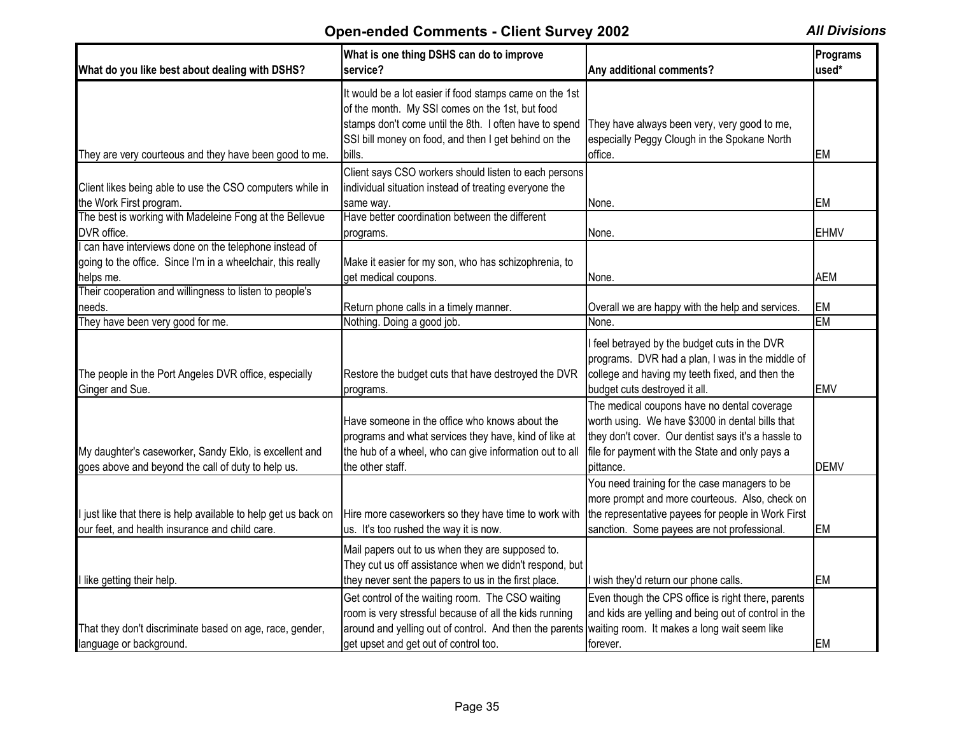| What do you like best about dealing with DSHS?                                                                    | What is one thing DSHS can do to improve<br>service?                                                                                                                                                                                                        | Any additional comments?                                                                                                                                                                                               | Programs<br>used* |
|-------------------------------------------------------------------------------------------------------------------|-------------------------------------------------------------------------------------------------------------------------------------------------------------------------------------------------------------------------------------------------------------|------------------------------------------------------------------------------------------------------------------------------------------------------------------------------------------------------------------------|-------------------|
| They are very courteous and they have been good to me.                                                            | It would be a lot easier if food stamps came on the 1st<br>of the month. My SSI comes on the 1st, but food<br>stamps don't come until the 8th. I often have to spend<br>SSI bill money on food, and then I get behind on the<br>bills.                      | They have always been very, very good to me,<br>especially Peggy Clough in the Spokane North<br>office.                                                                                                                | <b>EM</b>         |
|                                                                                                                   | Client says CSO workers should listen to each persons                                                                                                                                                                                                       |                                                                                                                                                                                                                        |                   |
| Client likes being able to use the CSO computers while in<br>the Work First program.                              | individual situation instead of treating everyone the<br>same way.                                                                                                                                                                                          | None.                                                                                                                                                                                                                  | <b>EM</b>         |
| The best is working with Madeleine Fong at the Bellevue<br>DVR office.                                            | Have better coordination between the different<br>programs.                                                                                                                                                                                                 | None.                                                                                                                                                                                                                  | <b>EHMV</b>       |
| can have interviews done on the telephone instead of                                                              |                                                                                                                                                                                                                                                             |                                                                                                                                                                                                                        |                   |
| going to the office. Since I'm in a wheelchair, this really                                                       | Make it easier for my son, who has schizophrenia, to                                                                                                                                                                                                        |                                                                                                                                                                                                                        |                   |
| helps me.                                                                                                         | get medical coupons.                                                                                                                                                                                                                                        | None.                                                                                                                                                                                                                  | <b>AEM</b>        |
| Their cooperation and willingness to listen to people's                                                           |                                                                                                                                                                                                                                                             |                                                                                                                                                                                                                        |                   |
| needs.<br>They have been very good for me.                                                                        | Return phone calls in a timely manner.<br>Nothing. Doing a good job.                                                                                                                                                                                        | Overall we are happy with the help and services.<br>None.                                                                                                                                                              | <b>EM</b><br>EM   |
| The people in the Port Angeles DVR office, especially<br>Ginger and Sue.                                          | Restore the budget cuts that have destroyed the DVR<br>programs.                                                                                                                                                                                            | I feel betrayed by the budget cuts in the DVR<br>programs. DVR had a plan, I was in the middle of<br>college and having my teeth fixed, and then the<br>budget cuts destroyed it all.                                  | <b>EMV</b>        |
| My daughter's caseworker, Sandy Eklo, is excellent and<br>goes above and beyond the call of duty to help us.      | Have someone in the office who knows about the<br>programs and what services they have, kind of like at<br>the hub of a wheel, who can give information out to all<br>the other staff.                                                                      | The medical coupons have no dental coverage<br>worth using. We have \$3000 in dental bills that<br>they don't cover. Our dentist says it's a hassle to<br>file for payment with the State and only pays a<br>pittance. | <b>DEMV</b>       |
| I just like that there is help available to help get us back on<br>our feet, and health insurance and child care. | Hire more caseworkers so they have time to work with<br>us. It's too rushed the way it is now.                                                                                                                                                              | You need training for the case managers to be<br>more prompt and more courteous. Also, check on<br>the representative payees for people in Work First<br>sanction. Some payees are not professional.                   | <b>EM</b>         |
| I like getting their help.                                                                                        | Mail papers out to us when they are supposed to.<br>They cut us off assistance when we didn't respond, but<br>they never sent the papers to us in the first place.                                                                                          | wish they'd return our phone calls.                                                                                                                                                                                    | <b>EM</b>         |
| That they don't discriminate based on age, race, gender,<br>language or background.                               | Get control of the waiting room. The CSO waiting<br>room is very stressful because of all the kids running<br>around and yelling out of control. And then the parents waiting room. It makes a long wait seem like<br>get upset and get out of control too. | Even though the CPS office is right there, parents<br>and kids are yelling and being out of control in the<br>forever.                                                                                                 | <b>EM</b>         |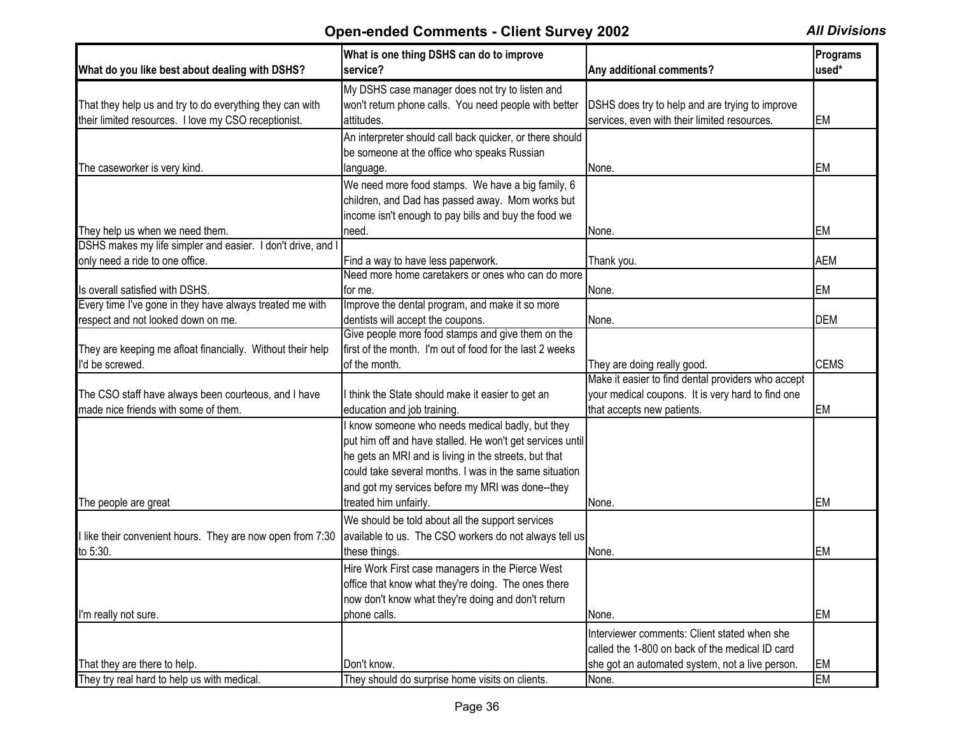| What do you like best about dealing with DSHS?              | What is one thing DSHS can do to improve<br>service?      | Any additional comments?                           | Programs<br>used* |
|-------------------------------------------------------------|-----------------------------------------------------------|----------------------------------------------------|-------------------|
|                                                             | My DSHS case manager does not try to listen and           |                                                    |                   |
| That they help us and try to do everything they can with    | won't return phone calls. You need people with better     | DSHS does try to help and are trying to improve    |                   |
| their limited resources. I love my CSO receptionist.        | attitudes.                                                | services, even with their limited resources.       | <b>EM</b>         |
|                                                             | An interpreter should call back quicker, or there should  |                                                    |                   |
|                                                             | be someone at the office who speaks Russian               |                                                    |                   |
| The caseworker is very kind.                                | language.                                                 | None.                                              | EM                |
|                                                             | We need more food stamps. We have a big family, 6         |                                                    |                   |
|                                                             | children, and Dad has passed away. Mom works but          |                                                    |                   |
|                                                             | income isn't enough to pay bills and buy the food we      |                                                    |                   |
| They help us when we need them.                             | need.                                                     | None.                                              | <b>EM</b>         |
| DSHS makes my life simpler and easier. I don't drive, and I |                                                           |                                                    |                   |
| only need a ride to one office.                             | Find a way to have less paperwork.                        | Thank you.                                         | <b>AEM</b>        |
|                                                             | Need more home caretakers or ones who can do more         |                                                    |                   |
| Is overall satisfied with DSHS.                             | for me.                                                   | None.                                              | <b>EM</b>         |
| Every time I've gone in they have always treated me with    | Improve the dental program, and make it so more           |                                                    |                   |
| respect and not looked down on me.                          | dentists will accept the coupons.                         | None.                                              | <b>DEM</b>        |
|                                                             | Give people more food stamps and give them on the         |                                                    |                   |
| They are keeping me afloat financially. Without their help  | first of the month. I'm out of food for the last 2 weeks  |                                                    |                   |
| I'd be screwed.                                             | of the month.                                             | They are doing really good.                        | <b>CEMS</b>       |
|                                                             |                                                           | Make it easier to find dental providers who accept |                   |
| The CSO staff have always been courteous, and I have        | I think the State should make it easier to get an         | your medical coupons. It is very hard to find one  |                   |
| made nice friends with some of them.                        | education and job training.                               | that accepts new patients.                         | <b>EM</b>         |
|                                                             | know someone who needs medical badly, but they            |                                                    |                   |
|                                                             | put him off and have stalled. He won't get services until |                                                    |                   |
|                                                             | he gets an MRI and is living in the streets, but that     |                                                    |                   |
|                                                             | could take several months. I was in the same situation    |                                                    |                   |
|                                                             | and got my services before my MRI was done--they          |                                                    |                   |
| The people are great                                        | treated him unfairly.                                     | None.                                              | <b>EM</b>         |
|                                                             | We should be told about all the support services          |                                                    |                   |
| I like their convenient hours. They are now open from 7:30  | available to us. The CSO workers do not always tell us    |                                                    |                   |
| to 5:30.                                                    | these things.                                             | None.                                              | <b>EM</b>         |
|                                                             | Hire Work First case managers in the Pierce West          |                                                    |                   |
|                                                             | office that know what they're doing. The ones there       |                                                    |                   |
|                                                             | now don't know what they're doing and don't return        |                                                    |                   |
| I'm really not sure.                                        | phone calls.                                              | None.                                              | <b>EM</b>         |
|                                                             |                                                           |                                                    |                   |
|                                                             |                                                           | Interviewer comments: Client stated when she       |                   |
|                                                             |                                                           | called the 1-800 on back of the medical ID card    |                   |
| That they are there to help.                                | Don't know.                                               | she got an automated system, not a live person.    | EM                |
| They try real hard to help us with medical.                 | They should do surprise home visits on clients.           | None.                                              | <b>EM</b>         |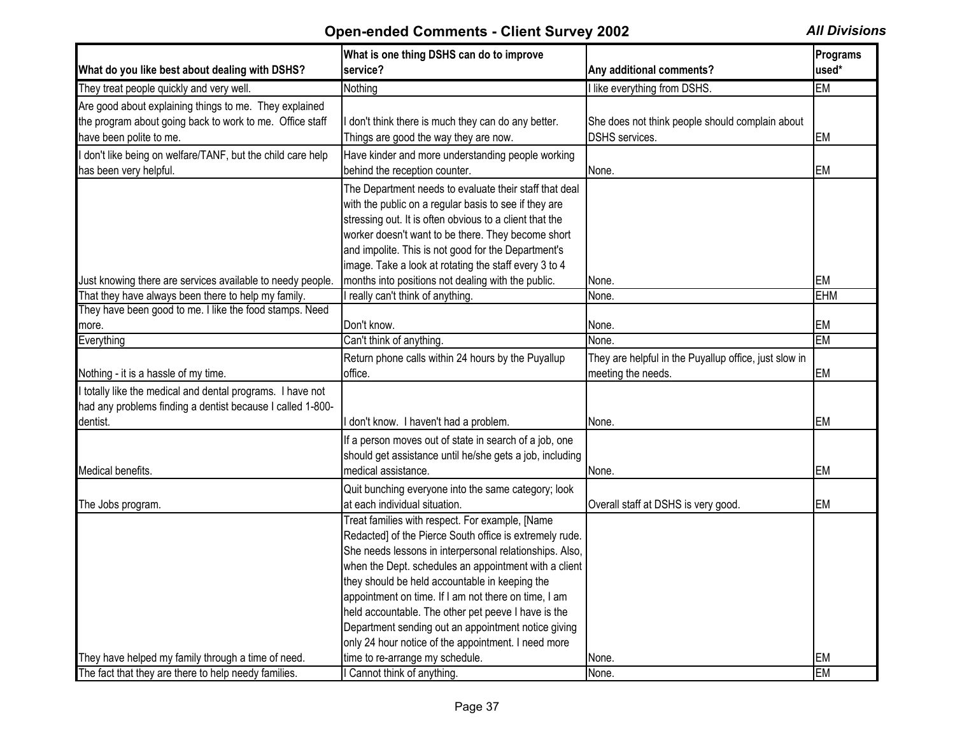| What do you like best about dealing with DSHS?             | What is one thing DSHS can do to improve<br>service?     | Any additional comments?                              | Programs<br>used* |
|------------------------------------------------------------|----------------------------------------------------------|-------------------------------------------------------|-------------------|
| They treat people quickly and very well.                   | Nothing                                                  | I like everything from DSHS.                          | <b>EM</b>         |
| Are good about explaining things to me. They explained     |                                                          |                                                       |                   |
| the program about going back to work to me. Office staff   | I don't think there is much they can do any better.      | She does not think people should complain about       |                   |
| have been polite to me.                                    | Things are good the way they are now.                    | DSHS services.                                        | <b>EM</b>         |
| don't like being on welfare/TANF, but the child care help  | Have kinder and more understanding people working        |                                                       |                   |
| has been very helpful.                                     | behind the reception counter.                            | None.                                                 | EM                |
|                                                            | The Department needs to evaluate their staff that deal   |                                                       |                   |
|                                                            | with the public on a regular basis to see if they are    |                                                       |                   |
|                                                            | stressing out. It is often obvious to a client that the  |                                                       |                   |
|                                                            | worker doesn't want to be there. They become short       |                                                       |                   |
|                                                            | and impolite. This is not good for the Department's      |                                                       |                   |
|                                                            | image. Take a look at rotating the staff every 3 to 4    |                                                       |                   |
| Just knowing there are services available to needy people. | months into positions not dealing with the public.       | None.                                                 | EM                |
| That they have always been there to help my family.        | I really can't think of anything.                        | None.                                                 | <b>EHM</b>        |
| They have been good to me. I like the food stamps. Need    |                                                          |                                                       |                   |
| more.                                                      | Don't know.                                              | None.                                                 | EM                |
| Everything                                                 | Can't think of anything.                                 | None.                                                 | <b>EM</b>         |
|                                                            | Return phone calls within 24 hours by the Puyallup       | They are helpful in the Puyallup office, just slow in |                   |
| Nothing - it is a hassle of my time.                       | office.                                                  | meeting the needs.                                    | <b>EM</b>         |
| I totally like the medical and dental programs. I have not |                                                          |                                                       |                   |
| had any problems finding a dentist because I called 1-800- |                                                          |                                                       |                   |
| dentist.                                                   | don't know. I haven't had a problem.                     | None.                                                 | <b>EM</b>         |
|                                                            | If a person moves out of state in search of a job, one   |                                                       |                   |
|                                                            | should get assistance until he/she gets a job, including |                                                       |                   |
| Medical benefits.                                          | medical assistance.                                      | None.                                                 | EM                |
|                                                            | Quit bunching everyone into the same category; look      |                                                       |                   |
| The Jobs program.                                          | at each individual situation.                            | Overall staff at DSHS is very good.                   | <b>EM</b>         |
|                                                            | Treat families with respect. For example, [Name          |                                                       |                   |
|                                                            | Redacted] of the Pierce South office is extremely rude.  |                                                       |                   |
|                                                            | She needs lessons in interpersonal relationships. Also,  |                                                       |                   |
|                                                            | when the Dept. schedules an appointment with a client    |                                                       |                   |
|                                                            | they should be held accountable in keeping the           |                                                       |                   |
|                                                            | appointment on time. If I am not there on time, I am     |                                                       |                   |
|                                                            | held accountable. The other pet peeve I have is the      |                                                       |                   |
|                                                            | Department sending out an appointment notice giving      |                                                       |                   |
|                                                            | only 24 hour notice of the appointment. I need more      |                                                       |                   |
| They have helped my family through a time of need.         | time to re-arrange my schedule.                          | None.                                                 | <b>EM</b>         |
| The fact that they are there to help needy families.       | I Cannot think of anything.                              | None.                                                 | <b>EM</b>         |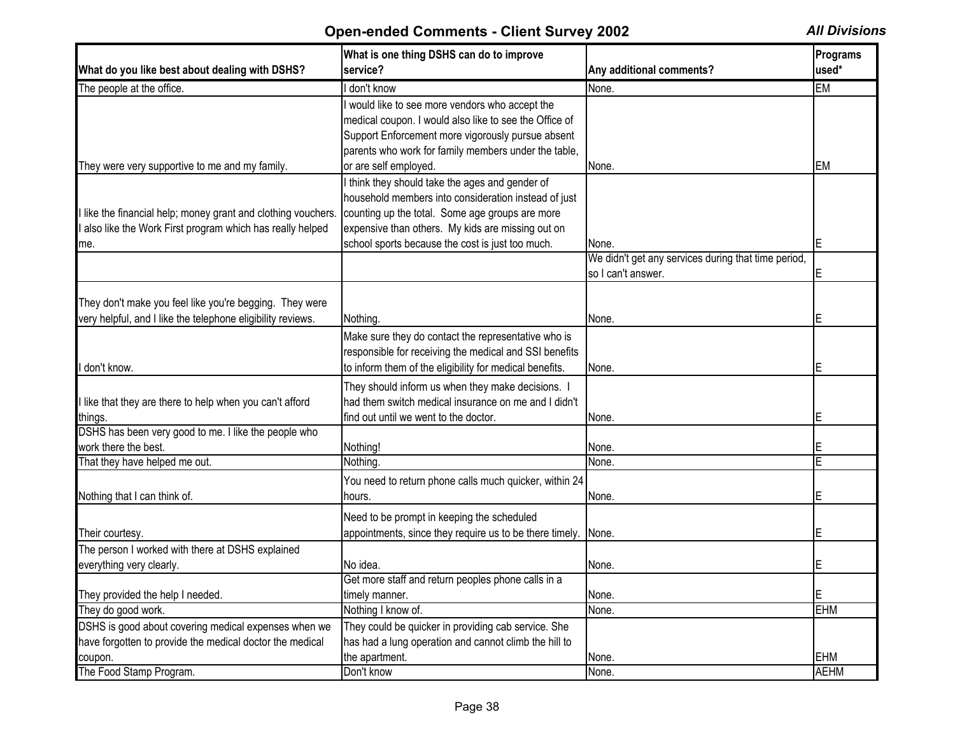| used*<br>What do you like best about dealing with DSHS?<br>service?<br>Any additional comments?<br>I don't know<br>None.<br>EM<br>The people at the office.<br>I would like to see more vendors who accept the<br>medical coupon. I would also like to see the Office of<br>Support Enforcement more vigorously pursue absent<br>parents who work for family members under the table,<br>or are self employed.<br>EM<br>They were very supportive to me and my family.<br>None.<br>I think they should take the ages and gender of<br>household members into consideration instead of just<br>counting up the total. Some age groups are more<br>like the financial help; money grant and clothing vouchers.<br>also like the Work First program which has really helped<br>expensive than others. My kids are missing out on<br>school sports because the cost is just too much.<br>None.<br>me.<br>We didn't get any services during that time period,<br>so I can't answer.<br>They don't make you feel like you're begging. They were<br>Nothing.<br>None.<br>Make sure they do contact the representative who is<br>responsible for receiving the medical and SSI benefits<br>don't know.<br>to inform them of the eligibility for medical benefits.<br>Е<br>None.<br>They should inform us when they make decisions. I<br>had them switch medical insurance on me and I didn't<br>like that they are there to help when you can't afford<br>find out until we went to the doctor.<br>None.<br>Nothing!<br>None.<br>Nothing.<br>That they have helped me out.<br>None.<br>You need to return phone calls much quicker, within 24<br>None.<br>Е<br>Nothing that I can think of.<br>hours.<br>Need to be prompt in keeping the scheduled<br>appointments, since they require us to be there timely.<br>E<br>None.<br>No idea.<br>None.<br>Get more staff and return peoples phone calls in a<br>E<br>None.<br>timely manner.<br><b>EHM</b><br>Nothing I know of.<br>None.<br>They could be quicker in providing cab service. She<br>have forgotten to provide the medical doctor the medical<br>has had a lung operation and cannot climb the hill to |         | What is one thing DSHS can do to improve |       | Programs |
|----------------------------------------------------------------------------------------------------------------------------------------------------------------------------------------------------------------------------------------------------------------------------------------------------------------------------------------------------------------------------------------------------------------------------------------------------------------------------------------------------------------------------------------------------------------------------------------------------------------------------------------------------------------------------------------------------------------------------------------------------------------------------------------------------------------------------------------------------------------------------------------------------------------------------------------------------------------------------------------------------------------------------------------------------------------------------------------------------------------------------------------------------------------------------------------------------------------------------------------------------------------------------------------------------------------------------------------------------------------------------------------------------------------------------------------------------------------------------------------------------------------------------------------------------------------------------------------------------------------------------------------------------------------------------------------------------------------------------------------------------------------------------------------------------------------------------------------------------------------------------------------------------------------------------------------------------------------------------------------------------------------------------------------------------------------------------------------------------------------------------------------------------------|---------|------------------------------------------|-------|----------|
|                                                                                                                                                                                                                                                                                                                                                                                                                                                                                                                                                                                                                                                                                                                                                                                                                                                                                                                                                                                                                                                                                                                                                                                                                                                                                                                                                                                                                                                                                                                                                                                                                                                                                                                                                                                                                                                                                                                                                                                                                                                                                                                                                          |         |                                          |       |          |
|                                                                                                                                                                                                                                                                                                                                                                                                                                                                                                                                                                                                                                                                                                                                                                                                                                                                                                                                                                                                                                                                                                                                                                                                                                                                                                                                                                                                                                                                                                                                                                                                                                                                                                                                                                                                                                                                                                                                                                                                                                                                                                                                                          |         |                                          |       |          |
|                                                                                                                                                                                                                                                                                                                                                                                                                                                                                                                                                                                                                                                                                                                                                                                                                                                                                                                                                                                                                                                                                                                                                                                                                                                                                                                                                                                                                                                                                                                                                                                                                                                                                                                                                                                                                                                                                                                                                                                                                                                                                                                                                          |         |                                          |       |          |
|                                                                                                                                                                                                                                                                                                                                                                                                                                                                                                                                                                                                                                                                                                                                                                                                                                                                                                                                                                                                                                                                                                                                                                                                                                                                                                                                                                                                                                                                                                                                                                                                                                                                                                                                                                                                                                                                                                                                                                                                                                                                                                                                                          |         |                                          |       |          |
|                                                                                                                                                                                                                                                                                                                                                                                                                                                                                                                                                                                                                                                                                                                                                                                                                                                                                                                                                                                                                                                                                                                                                                                                                                                                                                                                                                                                                                                                                                                                                                                                                                                                                                                                                                                                                                                                                                                                                                                                                                                                                                                                                          |         |                                          |       |          |
|                                                                                                                                                                                                                                                                                                                                                                                                                                                                                                                                                                                                                                                                                                                                                                                                                                                                                                                                                                                                                                                                                                                                                                                                                                                                                                                                                                                                                                                                                                                                                                                                                                                                                                                                                                                                                                                                                                                                                                                                                                                                                                                                                          |         |                                          |       |          |
|                                                                                                                                                                                                                                                                                                                                                                                                                                                                                                                                                                                                                                                                                                                                                                                                                                                                                                                                                                                                                                                                                                                                                                                                                                                                                                                                                                                                                                                                                                                                                                                                                                                                                                                                                                                                                                                                                                                                                                                                                                                                                                                                                          |         |                                          |       |          |
|                                                                                                                                                                                                                                                                                                                                                                                                                                                                                                                                                                                                                                                                                                                                                                                                                                                                                                                                                                                                                                                                                                                                                                                                                                                                                                                                                                                                                                                                                                                                                                                                                                                                                                                                                                                                                                                                                                                                                                                                                                                                                                                                                          |         |                                          |       |          |
|                                                                                                                                                                                                                                                                                                                                                                                                                                                                                                                                                                                                                                                                                                                                                                                                                                                                                                                                                                                                                                                                                                                                                                                                                                                                                                                                                                                                                                                                                                                                                                                                                                                                                                                                                                                                                                                                                                                                                                                                                                                                                                                                                          |         |                                          |       |          |
|                                                                                                                                                                                                                                                                                                                                                                                                                                                                                                                                                                                                                                                                                                                                                                                                                                                                                                                                                                                                                                                                                                                                                                                                                                                                                                                                                                                                                                                                                                                                                                                                                                                                                                                                                                                                                                                                                                                                                                                                                                                                                                                                                          |         |                                          |       |          |
|                                                                                                                                                                                                                                                                                                                                                                                                                                                                                                                                                                                                                                                                                                                                                                                                                                                                                                                                                                                                                                                                                                                                                                                                                                                                                                                                                                                                                                                                                                                                                                                                                                                                                                                                                                                                                                                                                                                                                                                                                                                                                                                                                          |         |                                          |       |          |
|                                                                                                                                                                                                                                                                                                                                                                                                                                                                                                                                                                                                                                                                                                                                                                                                                                                                                                                                                                                                                                                                                                                                                                                                                                                                                                                                                                                                                                                                                                                                                                                                                                                                                                                                                                                                                                                                                                                                                                                                                                                                                                                                                          |         |                                          |       |          |
|                                                                                                                                                                                                                                                                                                                                                                                                                                                                                                                                                                                                                                                                                                                                                                                                                                                                                                                                                                                                                                                                                                                                                                                                                                                                                                                                                                                                                                                                                                                                                                                                                                                                                                                                                                                                                                                                                                                                                                                                                                                                                                                                                          |         |                                          |       |          |
| very helpful, and I like the telephone eligibility reviews.<br>things.<br>DSHS has been very good to me. I like the people who<br>work there the best.<br>Their courtesy.<br>The person I worked with there at DSHS explained<br>everything very clearly.<br>They provided the help I needed.<br>They do good work.<br>DSHS is good about covering medical expenses when we                                                                                                                                                                                                                                                                                                                                                                                                                                                                                                                                                                                                                                                                                                                                                                                                                                                                                                                                                                                                                                                                                                                                                                                                                                                                                                                                                                                                                                                                                                                                                                                                                                                                                                                                                                              |         |                                          |       |          |
|                                                                                                                                                                                                                                                                                                                                                                                                                                                                                                                                                                                                                                                                                                                                                                                                                                                                                                                                                                                                                                                                                                                                                                                                                                                                                                                                                                                                                                                                                                                                                                                                                                                                                                                                                                                                                                                                                                                                                                                                                                                                                                                                                          |         |                                          |       |          |
|                                                                                                                                                                                                                                                                                                                                                                                                                                                                                                                                                                                                                                                                                                                                                                                                                                                                                                                                                                                                                                                                                                                                                                                                                                                                                                                                                                                                                                                                                                                                                                                                                                                                                                                                                                                                                                                                                                                                                                                                                                                                                                                                                          |         |                                          |       |          |
|                                                                                                                                                                                                                                                                                                                                                                                                                                                                                                                                                                                                                                                                                                                                                                                                                                                                                                                                                                                                                                                                                                                                                                                                                                                                                                                                                                                                                                                                                                                                                                                                                                                                                                                                                                                                                                                                                                                                                                                                                                                                                                                                                          |         |                                          |       |          |
|                                                                                                                                                                                                                                                                                                                                                                                                                                                                                                                                                                                                                                                                                                                                                                                                                                                                                                                                                                                                                                                                                                                                                                                                                                                                                                                                                                                                                                                                                                                                                                                                                                                                                                                                                                                                                                                                                                                                                                                                                                                                                                                                                          |         |                                          |       |          |
|                                                                                                                                                                                                                                                                                                                                                                                                                                                                                                                                                                                                                                                                                                                                                                                                                                                                                                                                                                                                                                                                                                                                                                                                                                                                                                                                                                                                                                                                                                                                                                                                                                                                                                                                                                                                                                                                                                                                                                                                                                                                                                                                                          |         |                                          |       |          |
|                                                                                                                                                                                                                                                                                                                                                                                                                                                                                                                                                                                                                                                                                                                                                                                                                                                                                                                                                                                                                                                                                                                                                                                                                                                                                                                                                                                                                                                                                                                                                                                                                                                                                                                                                                                                                                                                                                                                                                                                                                                                                                                                                          |         |                                          |       |          |
|                                                                                                                                                                                                                                                                                                                                                                                                                                                                                                                                                                                                                                                                                                                                                                                                                                                                                                                                                                                                                                                                                                                                                                                                                                                                                                                                                                                                                                                                                                                                                                                                                                                                                                                                                                                                                                                                                                                                                                                                                                                                                                                                                          |         |                                          |       |          |
|                                                                                                                                                                                                                                                                                                                                                                                                                                                                                                                                                                                                                                                                                                                                                                                                                                                                                                                                                                                                                                                                                                                                                                                                                                                                                                                                                                                                                                                                                                                                                                                                                                                                                                                                                                                                                                                                                                                                                                                                                                                                                                                                                          |         |                                          |       |          |
|                                                                                                                                                                                                                                                                                                                                                                                                                                                                                                                                                                                                                                                                                                                                                                                                                                                                                                                                                                                                                                                                                                                                                                                                                                                                                                                                                                                                                                                                                                                                                                                                                                                                                                                                                                                                                                                                                                                                                                                                                                                                                                                                                          |         |                                          |       |          |
|                                                                                                                                                                                                                                                                                                                                                                                                                                                                                                                                                                                                                                                                                                                                                                                                                                                                                                                                                                                                                                                                                                                                                                                                                                                                                                                                                                                                                                                                                                                                                                                                                                                                                                                                                                                                                                                                                                                                                                                                                                                                                                                                                          |         |                                          |       |          |
|                                                                                                                                                                                                                                                                                                                                                                                                                                                                                                                                                                                                                                                                                                                                                                                                                                                                                                                                                                                                                                                                                                                                                                                                                                                                                                                                                                                                                                                                                                                                                                                                                                                                                                                                                                                                                                                                                                                                                                                                                                                                                                                                                          |         |                                          |       |          |
|                                                                                                                                                                                                                                                                                                                                                                                                                                                                                                                                                                                                                                                                                                                                                                                                                                                                                                                                                                                                                                                                                                                                                                                                                                                                                                                                                                                                                                                                                                                                                                                                                                                                                                                                                                                                                                                                                                                                                                                                                                                                                                                                                          |         |                                          |       |          |
|                                                                                                                                                                                                                                                                                                                                                                                                                                                                                                                                                                                                                                                                                                                                                                                                                                                                                                                                                                                                                                                                                                                                                                                                                                                                                                                                                                                                                                                                                                                                                                                                                                                                                                                                                                                                                                                                                                                                                                                                                                                                                                                                                          |         |                                          |       |          |
|                                                                                                                                                                                                                                                                                                                                                                                                                                                                                                                                                                                                                                                                                                                                                                                                                                                                                                                                                                                                                                                                                                                                                                                                                                                                                                                                                                                                                                                                                                                                                                                                                                                                                                                                                                                                                                                                                                                                                                                                                                                                                                                                                          |         |                                          |       |          |
|                                                                                                                                                                                                                                                                                                                                                                                                                                                                                                                                                                                                                                                                                                                                                                                                                                                                                                                                                                                                                                                                                                                                                                                                                                                                                                                                                                                                                                                                                                                                                                                                                                                                                                                                                                                                                                                                                                                                                                                                                                                                                                                                                          |         |                                          |       |          |
|                                                                                                                                                                                                                                                                                                                                                                                                                                                                                                                                                                                                                                                                                                                                                                                                                                                                                                                                                                                                                                                                                                                                                                                                                                                                                                                                                                                                                                                                                                                                                                                                                                                                                                                                                                                                                                                                                                                                                                                                                                                                                                                                                          |         |                                          |       |          |
|                                                                                                                                                                                                                                                                                                                                                                                                                                                                                                                                                                                                                                                                                                                                                                                                                                                                                                                                                                                                                                                                                                                                                                                                                                                                                                                                                                                                                                                                                                                                                                                                                                                                                                                                                                                                                                                                                                                                                                                                                                                                                                                                                          |         |                                          |       |          |
|                                                                                                                                                                                                                                                                                                                                                                                                                                                                                                                                                                                                                                                                                                                                                                                                                                                                                                                                                                                                                                                                                                                                                                                                                                                                                                                                                                                                                                                                                                                                                                                                                                                                                                                                                                                                                                                                                                                                                                                                                                                                                                                                                          |         |                                          |       |          |
|                                                                                                                                                                                                                                                                                                                                                                                                                                                                                                                                                                                                                                                                                                                                                                                                                                                                                                                                                                                                                                                                                                                                                                                                                                                                                                                                                                                                                                                                                                                                                                                                                                                                                                                                                                                                                                                                                                                                                                                                                                                                                                                                                          |         |                                          |       |          |
|                                                                                                                                                                                                                                                                                                                                                                                                                                                                                                                                                                                                                                                                                                                                                                                                                                                                                                                                                                                                                                                                                                                                                                                                                                                                                                                                                                                                                                                                                                                                                                                                                                                                                                                                                                                                                                                                                                                                                                                                                                                                                                                                                          |         |                                          |       |          |
|                                                                                                                                                                                                                                                                                                                                                                                                                                                                                                                                                                                                                                                                                                                                                                                                                                                                                                                                                                                                                                                                                                                                                                                                                                                                                                                                                                                                                                                                                                                                                                                                                                                                                                                                                                                                                                                                                                                                                                                                                                                                                                                                                          |         |                                          |       |          |
|                                                                                                                                                                                                                                                                                                                                                                                                                                                                                                                                                                                                                                                                                                                                                                                                                                                                                                                                                                                                                                                                                                                                                                                                                                                                                                                                                                                                                                                                                                                                                                                                                                                                                                                                                                                                                                                                                                                                                                                                                                                                                                                                                          |         |                                          |       |          |
|                                                                                                                                                                                                                                                                                                                                                                                                                                                                                                                                                                                                                                                                                                                                                                                                                                                                                                                                                                                                                                                                                                                                                                                                                                                                                                                                                                                                                                                                                                                                                                                                                                                                                                                                                                                                                                                                                                                                                                                                                                                                                                                                                          |         |                                          |       |          |
|                                                                                                                                                                                                                                                                                                                                                                                                                                                                                                                                                                                                                                                                                                                                                                                                                                                                                                                                                                                                                                                                                                                                                                                                                                                                                                                                                                                                                                                                                                                                                                                                                                                                                                                                                                                                                                                                                                                                                                                                                                                                                                                                                          | coupon. | the apartment.                           | None. | EHM      |
| <b>AEHM</b><br>The Food Stamp Program.<br>Don't know<br>None.                                                                                                                                                                                                                                                                                                                                                                                                                                                                                                                                                                                                                                                                                                                                                                                                                                                                                                                                                                                                                                                                                                                                                                                                                                                                                                                                                                                                                                                                                                                                                                                                                                                                                                                                                                                                                                                                                                                                                                                                                                                                                            |         |                                          |       |          |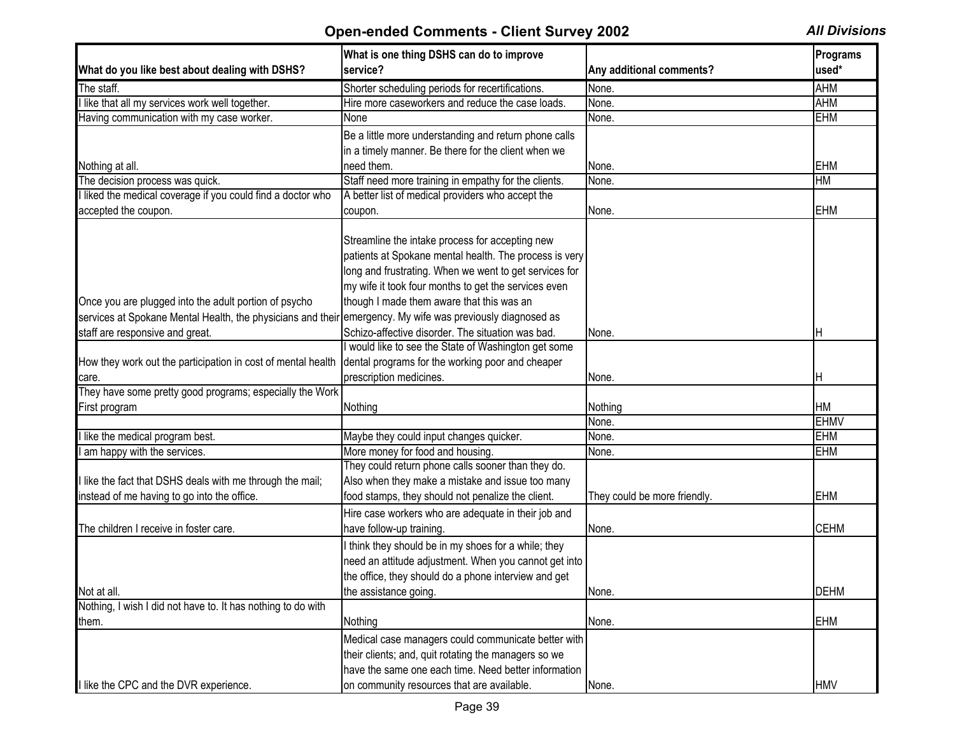|                                                              | What is one thing DSHS can do to improve                                                                                                                                                                                    |                              | Programs    |
|--------------------------------------------------------------|-----------------------------------------------------------------------------------------------------------------------------------------------------------------------------------------------------------------------------|------------------------------|-------------|
| What do you like best about dealing with DSHS?               | service?                                                                                                                                                                                                                    | Any additional comments?     | used*       |
| The staff.                                                   | Shorter scheduling periods for recertifications.                                                                                                                                                                            | None.                        | <b>AHM</b>  |
| I like that all my services work well together.              | Hire more caseworkers and reduce the case loads.                                                                                                                                                                            | None.                        | <b>AHM</b>  |
| Having communication with my case worker.                    | None                                                                                                                                                                                                                        | None.                        | <b>EHM</b>  |
|                                                              | Be a little more understanding and return phone calls                                                                                                                                                                       |                              |             |
|                                                              | in a timely manner. Be there for the client when we                                                                                                                                                                         |                              |             |
| Nothing at all.                                              | need them.                                                                                                                                                                                                                  | None.                        | <b>EHM</b>  |
| The decision process was quick.                              | Staff need more training in empathy for the clients.                                                                                                                                                                        | None.                        | HM          |
| I liked the medical coverage if you could find a doctor who  | A better list of medical providers who accept the                                                                                                                                                                           |                              |             |
| accepted the coupon.                                         | coupon.                                                                                                                                                                                                                     | None.                        | <b>EHM</b>  |
|                                                              | Streamline the intake process for accepting new<br>patients at Spokane mental health. The process is very<br>long and frustrating. When we went to get services for<br>my wife it took four months to get the services even |                              |             |
| Once you are plugged into the adult portion of psycho        | though I made them aware that this was an                                                                                                                                                                                   |                              |             |
| services at Spokane Mental Health, the physicians and their  | emergency. My wife was previously diagnosed as                                                                                                                                                                              |                              |             |
| staff are responsive and great.                              | Schizo-affective disorder. The situation was bad.                                                                                                                                                                           | None.                        |             |
|                                                              | I would like to see the State of Washington get some                                                                                                                                                                        |                              |             |
| How they work out the participation in cost of mental health | dental programs for the working poor and cheaper                                                                                                                                                                            |                              |             |
| care.                                                        | prescription medicines.                                                                                                                                                                                                     | None.                        | н           |
| They have some pretty good programs; especially the Work     |                                                                                                                                                                                                                             |                              |             |
| First program                                                | Nothing                                                                                                                                                                                                                     | Nothing                      | <b>HM</b>   |
|                                                              |                                                                                                                                                                                                                             | None.                        | <b>EHMV</b> |
| I like the medical program best.                             | Maybe they could input changes quicker.                                                                                                                                                                                     | None.                        | <b>EHM</b>  |
| I am happy with the services.                                | More money for food and housing.                                                                                                                                                                                            | None.                        | <b>EHM</b>  |
|                                                              | They could return phone calls sooner than they do.                                                                                                                                                                          |                              |             |
| I like the fact that DSHS deals with me through the mail;    | Also when they make a mistake and issue too many                                                                                                                                                                            |                              |             |
| instead of me having to go into the office.                  | food stamps, they should not penalize the client.                                                                                                                                                                           | They could be more friendly. | <b>EHM</b>  |
|                                                              | Hire case workers who are adequate in their job and                                                                                                                                                                         |                              |             |
| The children I receive in foster care.                       | have follow-up training.                                                                                                                                                                                                    | None.                        | <b>CEHM</b> |
| Not at all.                                                  | I think they should be in my shoes for a while; they<br>need an attitude adjustment. When you cannot get into<br>the office, they should do a phone interview and get<br>the assistance going.                              | None.                        | <b>DEHM</b> |
| Nothing, I wish I did not have to. It has nothing to do with |                                                                                                                                                                                                                             |                              |             |
| them.                                                        | Nothing                                                                                                                                                                                                                     | None.                        | <b>EHM</b>  |
| I like the CPC and the DVR experience.                       | Medical case managers could communicate better with<br>their clients; and, quit rotating the managers so we<br>have the same one each time. Need better information<br>on community resources that are available.           | None.                        | <b>HMV</b>  |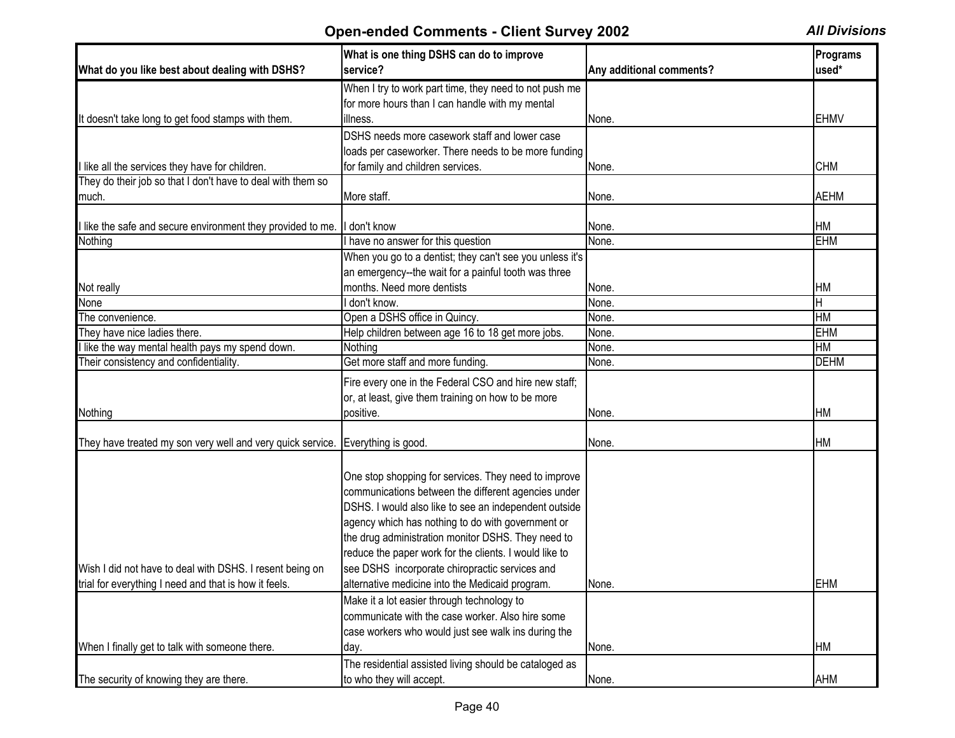|                                                             | What is one thing DSHS can do to improve<br>service?     |                          | <b>Programs</b><br>used* |
|-------------------------------------------------------------|----------------------------------------------------------|--------------------------|--------------------------|
| What do you like best about dealing with DSHS?              |                                                          | Any additional comments? |                          |
|                                                             | When I try to work part time, they need to not push me   |                          |                          |
|                                                             | for more hours than I can handle with my mental          |                          |                          |
| It doesn't take long to get food stamps with them.          | illness.                                                 | None.                    | <b>EHMV</b>              |
|                                                             | DSHS needs more casework staff and lower case            |                          |                          |
|                                                             | loads per caseworker. There needs to be more funding     |                          |                          |
| I like all the services they have for children.             | for family and children services.                        | None.                    | <b>CHM</b>               |
| They do their job so that I don't have to deal with them so |                                                          |                          |                          |
| much.                                                       | More staff.                                              | None.                    | <b>AEHM</b>              |
|                                                             |                                                          |                          |                          |
| I like the safe and secure environment they provided to me. | I don't know                                             | None.                    | HM                       |
| Nothing                                                     | I have no answer for this question                       | None.                    | <b>EHM</b>               |
|                                                             | When you go to a dentist; they can't see you unless it's |                          |                          |
|                                                             | an emergency--the wait for a painful tooth was three     |                          |                          |
| Not really                                                  | months. Need more dentists                               | None.                    | HM                       |
| None                                                        | don't know.                                              | None.                    | Η                        |
| The convenience.                                            | Open a DSHS office in Quincy.                            | None.                    | <b>HM</b>                |
| They have nice ladies there.                                | Help children between age 16 to 18 get more jobs.        | None.                    | <b>EHM</b>               |
| I like the way mental health pays my spend down.            | Nothing                                                  | None.                    | HM                       |
| Their consistency and confidentiality.                      | Get more staff and more funding.                         | None.                    | <b>DEHM</b>              |
|                                                             | Fire every one in the Federal CSO and hire new staff;    |                          |                          |
|                                                             | or, at least, give them training on how to be more       |                          |                          |
| Nothing                                                     | positive.                                                | None.                    | HM                       |
|                                                             |                                                          |                          |                          |
| They have treated my son very well and very quick service.  | Everything is good.                                      | None.                    | HM                       |
|                                                             |                                                          |                          |                          |
|                                                             |                                                          |                          |                          |
|                                                             | One stop shopping for services. They need to improve     |                          |                          |
|                                                             | communications between the different agencies under      |                          |                          |
|                                                             | DSHS. I would also like to see an independent outside    |                          |                          |
|                                                             | agency which has nothing to do with government or        |                          |                          |
|                                                             | the drug administration monitor DSHS. They need to       |                          |                          |
|                                                             | reduce the paper work for the clients. I would like to   |                          |                          |
| Wish I did not have to deal with DSHS. I resent being on    | see DSHS incorporate chiropractic services and           |                          |                          |
| trial for everything I need and that is how it feels.       | alternative medicine into the Medicaid program.          | None.                    | <b>EHM</b>               |
|                                                             | Make it a lot easier through technology to               |                          |                          |
|                                                             | communicate with the case worker. Also hire some         |                          |                          |
|                                                             | case workers who would just see walk ins during the      |                          |                          |
| When I finally get to talk with someone there.              | day.                                                     | None.                    | HM                       |
|                                                             | The residential assisted living should be cataloged as   |                          |                          |
| The security of knowing they are there.                     | to who they will accept.                                 | None.                    | AHM                      |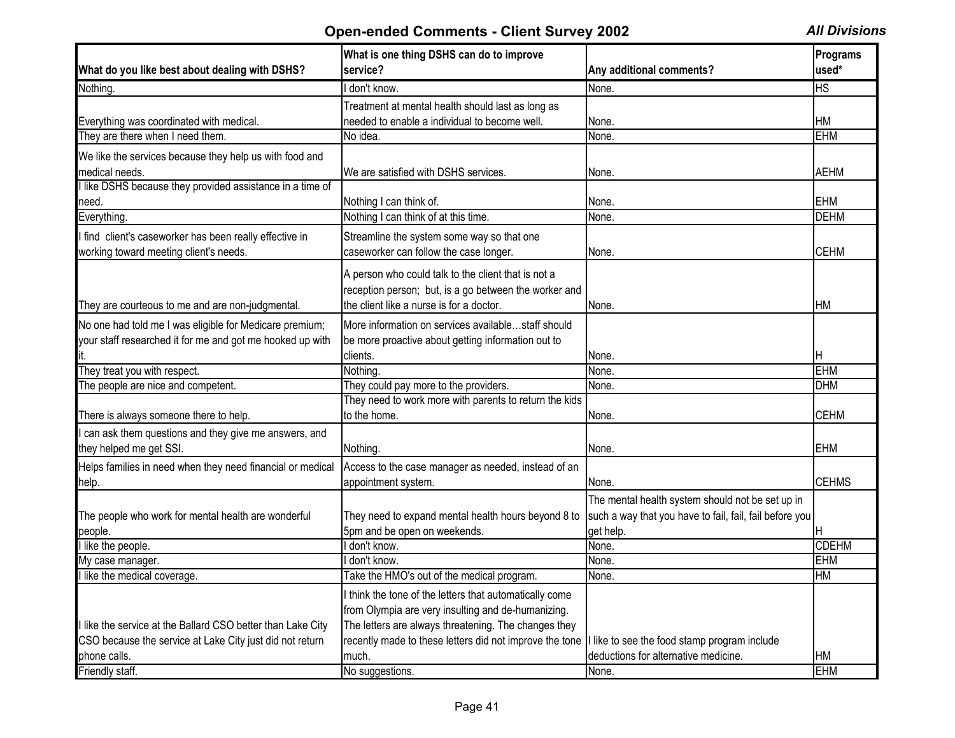|                                                             | What is one thing DSHS can do to improve                |                                                         | Programs     |
|-------------------------------------------------------------|---------------------------------------------------------|---------------------------------------------------------|--------------|
| What do you like best about dealing with DSHS?              | service?                                                | Any additional comments?                                | used*        |
| Nothing.                                                    | I don't know.                                           | None.                                                   | <b>HS</b>    |
|                                                             | Treatment at mental health should last as long as       |                                                         |              |
| Everything was coordinated with medical.                    | needed to enable a individual to become well.           | None.                                                   | <b>HM</b>    |
| They are there when I need them.                            | No idea.                                                | None.                                                   | <b>EHM</b>   |
| We like the services because they help us with food and     |                                                         |                                                         |              |
| medical needs.                                              | We are satisfied with DSHS services.                    | None.                                                   | <b>AEHM</b>  |
| I like DSHS because they provided assistance in a time of   |                                                         |                                                         |              |
| need.                                                       | Nothing I can think of.                                 | None.                                                   | <b>EHM</b>   |
| Everything.                                                 | Nothing I can think of at this time.                    | None.                                                   | <b>DEHM</b>  |
| I find client's caseworker has been really effective in     | Streamline the system some way so that one              |                                                         |              |
| working toward meeting client's needs.                      | caseworker can follow the case longer.                  | None.                                                   | <b>CEHM</b>  |
|                                                             |                                                         |                                                         |              |
|                                                             | A person who could talk to the client that is not a     |                                                         |              |
|                                                             | reception person; but, is a go between the worker and   |                                                         |              |
| They are courteous to me and are non-judgmental.            | the client like a nurse is for a doctor.                | None.                                                   | НM           |
| No one had told me I was eligible for Medicare premium;     | More information on services availablestaff should      |                                                         |              |
| your staff researched it for me and got me hooked up with   | be more proactive about getting information out to      |                                                         |              |
|                                                             | clients.                                                | None.                                                   | н            |
| They treat you with respect.                                | Nothing.                                                | None.                                                   | <b>EHM</b>   |
| The people are nice and competent.                          | They could pay more to the providers.                   | None.                                                   | <b>DHM</b>   |
|                                                             | They need to work more with parents to return the kids  |                                                         |              |
| There is always someone there to help.                      | to the home.                                            | None.                                                   | <b>CEHM</b>  |
| I can ask them questions and they give me answers, and      |                                                         |                                                         |              |
| they helped me get SSI.                                     | Nothing.                                                | None.                                                   | <b>EHM</b>   |
| Helps families in need when they need financial or medical  | Access to the case manager as needed, instead of an     |                                                         |              |
| help.                                                       | appointment system.                                     | None.                                                   | <b>CEHMS</b> |
|                                                             |                                                         | The mental health system should not be set up in        |              |
| The people who work for mental health are wonderful         | They need to expand mental health hours beyond 8 to     | such a way that you have to fail, fail, fail before you |              |
| people.                                                     | 5pm and be open on weekends.                            | get help.                                               |              |
| I like the people.                                          | I don't know.                                           | None.                                                   | <b>CDEHM</b> |
| My case manager.                                            | l don't know.                                           | None.                                                   | <b>EHM</b>   |
| I like the medical coverage.                                | Take the HMO's out of the medical program.              | None.                                                   | HM           |
|                                                             | I think the tone of the letters that automatically come |                                                         |              |
|                                                             | from Olympia are very insulting and de-humanizing.      |                                                         |              |
| I like the service at the Ballard CSO better than Lake City | The letters are always threatening. The changes they    |                                                         |              |
| CSO because the service at Lake City just did not return    | recently made to these letters did not improve the tone | I like to see the food stamp program include            |              |
| phone calls.                                                | much.                                                   | deductions for alternative medicine.                    | HM           |
| Friendly staff.                                             | No suggestions.                                         | None.                                                   | <b>EHM</b>   |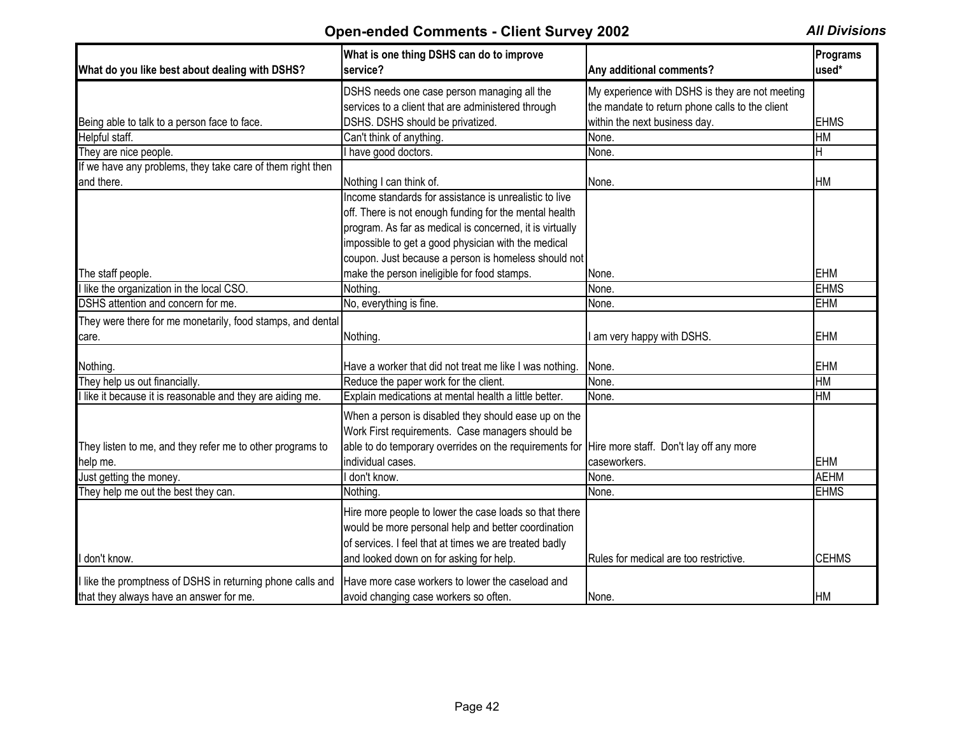| What do you like best about dealing with DSHS?             | What is one thing DSHS can do to improve<br>service?                                           | Any additional comments?                        | Programs<br>used* |
|------------------------------------------------------------|------------------------------------------------------------------------------------------------|-------------------------------------------------|-------------------|
|                                                            | DSHS needs one case person managing all the                                                    | My experience with DSHS is they are not meeting |                   |
|                                                            | services to a client that are administered through                                             | the mandate to return phone calls to the client |                   |
| Being able to talk to a person face to face.               | DSHS. DSHS should be privatized.                                                               | within the next business day.                   | <b>EHMS</b>       |
| Helpful staff.                                             | Can't think of anything.                                                                       | None.                                           | <b>HM</b>         |
| They are nice people.                                      | I have good doctors.                                                                           | None.                                           | H                 |
| If we have any problems, they take care of them right then |                                                                                                |                                                 |                   |
| and there.                                                 | Nothing I can think of.                                                                        | None.                                           | <b>HM</b>         |
|                                                            | Income standards for assistance is unrealistic to live                                         |                                                 |                   |
|                                                            | off. There is not enough funding for the mental health                                         |                                                 |                   |
|                                                            | program. As far as medical is concerned, it is virtually                                       |                                                 |                   |
|                                                            | impossible to get a good physician with the medical                                            |                                                 |                   |
|                                                            | coupon. Just because a person is homeless should not                                           |                                                 |                   |
| The staff people.                                          | make the person ineligible for food stamps.                                                    | None.                                           | <b>EHM</b>        |
| I like the organization in the local CSO.                  | Nothing.                                                                                       | None.                                           | <b>EHMS</b>       |
| DSHS attention and concern for me.                         | No, everything is fine.                                                                        | None.                                           | <b>EHM</b>        |
| They were there for me monetarily, food stamps, and dental |                                                                                                |                                                 |                   |
| care.                                                      | Nothing                                                                                        | am very happy with DSHS.                        | <b>EHM</b>        |
|                                                            |                                                                                                |                                                 |                   |
| Nothing.                                                   | Have a worker that did not treat me like I was nothing.                                        | None.                                           | <b>EHM</b>        |
| They help us out financially.                              | Reduce the paper work for the client.                                                          | None.                                           | <b>HM</b>         |
| I like it because it is reasonable and they are aiding me. | Explain medications at mental health a little better.                                          | None.                                           | <b>HM</b>         |
|                                                            | When a person is disabled they should ease up on the                                           |                                                 |                   |
|                                                            | Work First requirements. Case managers should be                                               |                                                 |                   |
| They listen to me, and they refer me to other programs to  | able to do temporary overrides on the requirements for Hire more staff. Don't lay off any more |                                                 |                   |
| help me.                                                   | individual cases.                                                                              | caseworkers.                                    | <b>EHM</b>        |
| Just getting the money.                                    | don't know.                                                                                    | None.                                           | <b>AEHM</b>       |
| They help me out the best they can.                        | Nothing.                                                                                       | None.                                           | <b>EHMS</b>       |
|                                                            |                                                                                                |                                                 |                   |
|                                                            | Hire more people to lower the case loads so that there                                         |                                                 |                   |
|                                                            | would be more personal help and better coordination                                            |                                                 |                   |
|                                                            | of services. I feel that at times we are treated badly                                         |                                                 |                   |
| I don't know.                                              | and looked down on for asking for help.                                                        | Rules for medical are too restrictive           | <b>CEHMS</b>      |
| I like the promptness of DSHS in returning phone calls and | Have more case workers to lower the caseload and                                               |                                                 |                   |
| that they always have an answer for me.                    | avoid changing case workers so often.                                                          | None.                                           | <b>HM</b>         |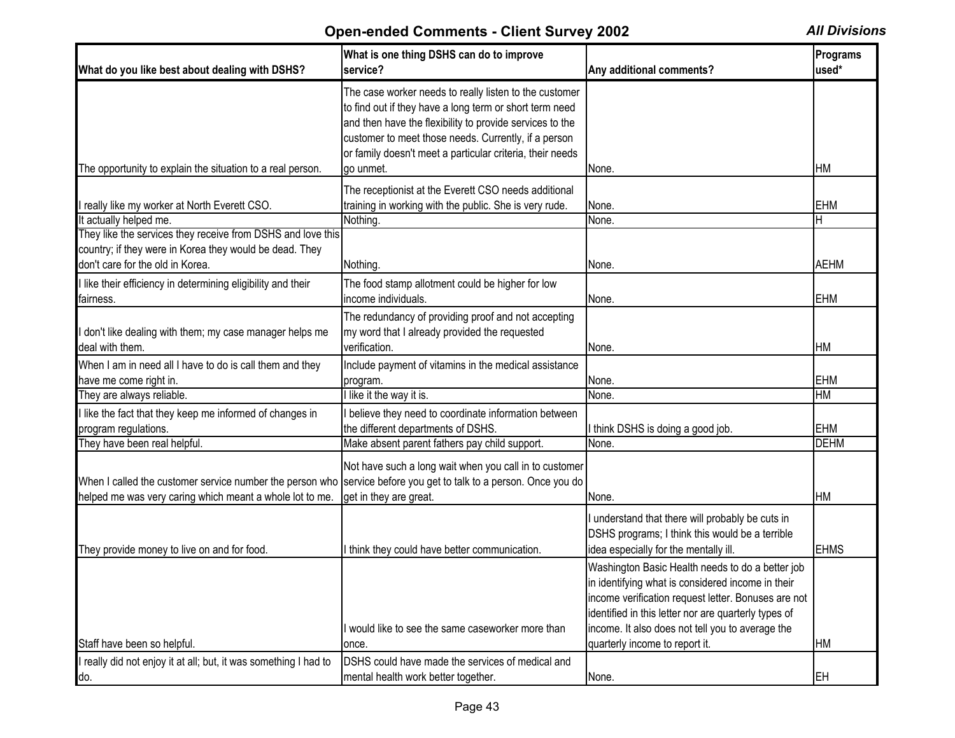| What do you like best about dealing with DSHS?                                                                                                                               | What is one thing DSHS can do to improve<br>service?                                                                                                                                                                                                                                                            | Any additional comments?                                                                                                                                                                                                                                                                                   | Programs<br>used* |
|------------------------------------------------------------------------------------------------------------------------------------------------------------------------------|-----------------------------------------------------------------------------------------------------------------------------------------------------------------------------------------------------------------------------------------------------------------------------------------------------------------|------------------------------------------------------------------------------------------------------------------------------------------------------------------------------------------------------------------------------------------------------------------------------------------------------------|-------------------|
| The opportunity to explain the situation to a real person.                                                                                                                   | The case worker needs to really listen to the customer<br>to find out if they have a long term or short term need<br>and then have the flexibility to provide services to the<br>customer to meet those needs. Currently, if a person<br>or family doesn't meet a particular criteria, their needs<br>ao unmet. | None.                                                                                                                                                                                                                                                                                                      | <b>HM</b>         |
|                                                                                                                                                                              | The receptionist at the Everett CSO needs additional                                                                                                                                                                                                                                                            |                                                                                                                                                                                                                                                                                                            |                   |
| really like my worker at North Everett CSO.                                                                                                                                  | training in working with the public. She is very rude.                                                                                                                                                                                                                                                          | None.                                                                                                                                                                                                                                                                                                      | <b>EHM</b>        |
| It actually helped me.                                                                                                                                                       | Nothing.                                                                                                                                                                                                                                                                                                        | None.                                                                                                                                                                                                                                                                                                      | H                 |
| They like the services they receive from DSHS and love this                                                                                                                  |                                                                                                                                                                                                                                                                                                                 |                                                                                                                                                                                                                                                                                                            |                   |
| country; if they were in Korea they would be dead. They                                                                                                                      |                                                                                                                                                                                                                                                                                                                 |                                                                                                                                                                                                                                                                                                            |                   |
| don't care for the old in Korea.                                                                                                                                             | Nothing.                                                                                                                                                                                                                                                                                                        | None.                                                                                                                                                                                                                                                                                                      | <b>AEHM</b>       |
| like their efficiency in determining eligibility and their                                                                                                                   | The food stamp allotment could be higher for low                                                                                                                                                                                                                                                                |                                                                                                                                                                                                                                                                                                            |                   |
| fairness.                                                                                                                                                                    | income individuals.                                                                                                                                                                                                                                                                                             | None.                                                                                                                                                                                                                                                                                                      | <b>EHM</b>        |
| don't like dealing with them; my case manager helps me<br>deal with them.                                                                                                    | The redundancy of providing proof and not accepting<br>my word that I already provided the requested<br>verification.                                                                                                                                                                                           | None.                                                                                                                                                                                                                                                                                                      | HM                |
| When I am in need all I have to do is call them and they                                                                                                                     | Include payment of vitamins in the medical assistance                                                                                                                                                                                                                                                           |                                                                                                                                                                                                                                                                                                            |                   |
| have me come right in.                                                                                                                                                       | program.                                                                                                                                                                                                                                                                                                        | None.                                                                                                                                                                                                                                                                                                      | <b>EHM</b>        |
| They are always reliable.                                                                                                                                                    | I like it the way it is.                                                                                                                                                                                                                                                                                        | None.                                                                                                                                                                                                                                                                                                      | HM                |
| like the fact that they keep me informed of changes in                                                                                                                       | I believe they need to coordinate information between                                                                                                                                                                                                                                                           |                                                                                                                                                                                                                                                                                                            |                   |
| program regulations.                                                                                                                                                         | the different departments of DSHS.                                                                                                                                                                                                                                                                              | I think DSHS is doing a good job.                                                                                                                                                                                                                                                                          | <b>EHM</b>        |
| They have been real helpful.                                                                                                                                                 | Make absent parent fathers pay child support.                                                                                                                                                                                                                                                                   | None.                                                                                                                                                                                                                                                                                                      | <b>DEHM</b>       |
| When I called the customer service number the person who service before you get to talk to a person. Once you do<br>helped me was very caring which meant a whole lot to me. | Not have such a long wait when you call in to customer<br>get in they are great.                                                                                                                                                                                                                                | None.                                                                                                                                                                                                                                                                                                      | <b>HM</b>         |
| They provide money to live on and for food.                                                                                                                                  | I think they could have better communication.                                                                                                                                                                                                                                                                   | I understand that there will probably be cuts in<br>DSHS programs; I think this would be a terrible<br>idea especially for the mentally ill.                                                                                                                                                               | <b>EHMS</b>       |
| Staff have been so helpful.                                                                                                                                                  | I would like to see the same caseworker more than<br>once.                                                                                                                                                                                                                                                      | Washington Basic Health needs to do a better job<br>in identifying what is considered income in their<br>income verification request letter. Bonuses are not<br>identified in this letter nor are quarterly types of<br>income. It also does not tell you to average the<br>quarterly income to report it. | <b>HM</b>         |
| really did not enjoy it at all; but, it was something I had to                                                                                                               | DSHS could have made the services of medical and                                                                                                                                                                                                                                                                |                                                                                                                                                                                                                                                                                                            |                   |
| do.                                                                                                                                                                          | mental health work better together.                                                                                                                                                                                                                                                                             | None.                                                                                                                                                                                                                                                                                                      | <b>EH</b>         |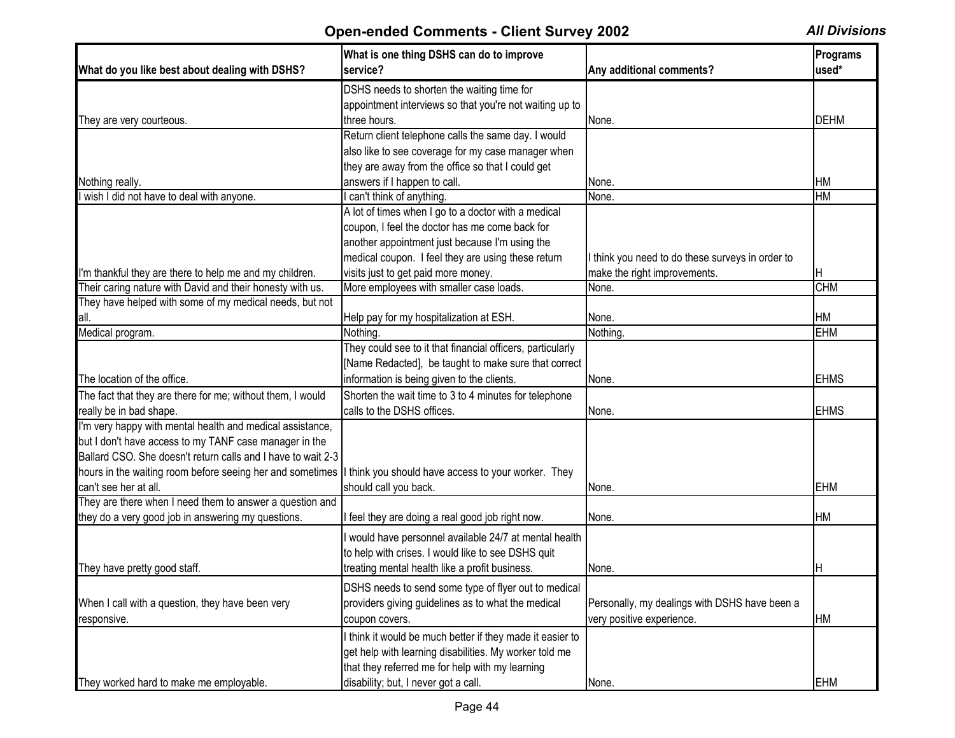| What do you like best about dealing with DSHS?               | What is one thing DSHS can do to improve<br>service?       | Any additional comments?                         | Programs<br>used* |
|--------------------------------------------------------------|------------------------------------------------------------|--------------------------------------------------|-------------------|
|                                                              | DSHS needs to shorten the waiting time for                 |                                                  |                   |
|                                                              | appointment interviews so that you're not waiting up to    |                                                  |                   |
| They are very courteous.                                     | three hours.                                               | None.                                            | <b>DEHM</b>       |
|                                                              | Return client telephone calls the same day. I would        |                                                  |                   |
|                                                              | also like to see coverage for my case manager when         |                                                  |                   |
|                                                              | they are away from the office so that I could get          |                                                  |                   |
| Nothing really.                                              | answers if I happen to call.                               | None.                                            | IНM               |
| wish I did not have to deal with anyone.                     | I can't think of anything.                                 | None.                                            | <b>HM</b>         |
|                                                              | A lot of times when I go to a doctor with a medical        |                                                  |                   |
|                                                              | coupon, I feel the doctor has me come back for             |                                                  |                   |
|                                                              | another appointment just because I'm using the             |                                                  |                   |
|                                                              | medical coupon. I feel they are using these return         | I think you need to do these surveys in order to |                   |
| I'm thankful they are there to help me and my children.      | visits just to get paid more money.                        | make the right improvements.                     | ΙH                |
| Their caring nature with David and their honesty with us.    | More employees with smaller case loads.                    | None.                                            | <b>CHM</b>        |
| They have helped with some of my medical needs, but not      |                                                            |                                                  |                   |
| all.                                                         | Help pay for my hospitalization at ESH.                    | None.                                            | <b>HM</b>         |
| Medical program.                                             | Nothing.                                                   | Nothing.                                         | <b>EHM</b>        |
|                                                              | They could see to it that financial officers, particularly |                                                  |                   |
|                                                              | [Name Redacted], be taught to make sure that correct       |                                                  |                   |
| The location of the office.                                  | information is being given to the clients.                 | None.                                            | <b>EHMS</b>       |
| The fact that they are there for me; without them, I would   | Shorten the wait time to 3 to 4 minutes for telephone      |                                                  |                   |
| really be in bad shape.                                      | calls to the DSHS offices.                                 | None.                                            | <b>EHMS</b>       |
| I'm very happy with mental health and medical assistance,    |                                                            |                                                  |                   |
| but I don't have access to my TANF case manager in the       |                                                            |                                                  |                   |
| Ballard CSO. She doesn't return calls and I have to wait 2-3 |                                                            |                                                  |                   |
| hours in the waiting room before seeing her and sometimes    | I think you should have access to your worker. They        |                                                  |                   |
| can't see her at all.                                        | should call you back.                                      | None.                                            | <b>EHM</b>        |
| They are there when I need them to answer a question and     |                                                            |                                                  |                   |
| they do a very good job in answering my questions.           | I feel they are doing a real good job right now.           | None.                                            | <b>HM</b>         |
|                                                              |                                                            |                                                  |                   |
|                                                              | I would have personnel available 24/7 at mental health     |                                                  |                   |
|                                                              | to help with crises. I would like to see DSHS quit         |                                                  |                   |
| They have pretty good staff.                                 | treating mental health like a profit business.             | None.                                            | IH.               |
|                                                              | DSHS needs to send some type of flyer out to medical       |                                                  |                   |
| When I call with a question, they have been very             | providers giving guidelines as to what the medical         | Personally, my dealings with DSHS have been a    |                   |
| responsive.                                                  | coupon covers.                                             | very positive experience.                        | <b>HM</b>         |
|                                                              | I think it would be much better if they made it easier to  |                                                  |                   |
|                                                              | get help with learning disabilities. My worker told me     |                                                  |                   |
|                                                              | that they referred me for help with my learning            |                                                  |                   |
| They worked hard to make me employable.                      | disability; but, I never got a call.                       | None.                                            | <b>EHM</b>        |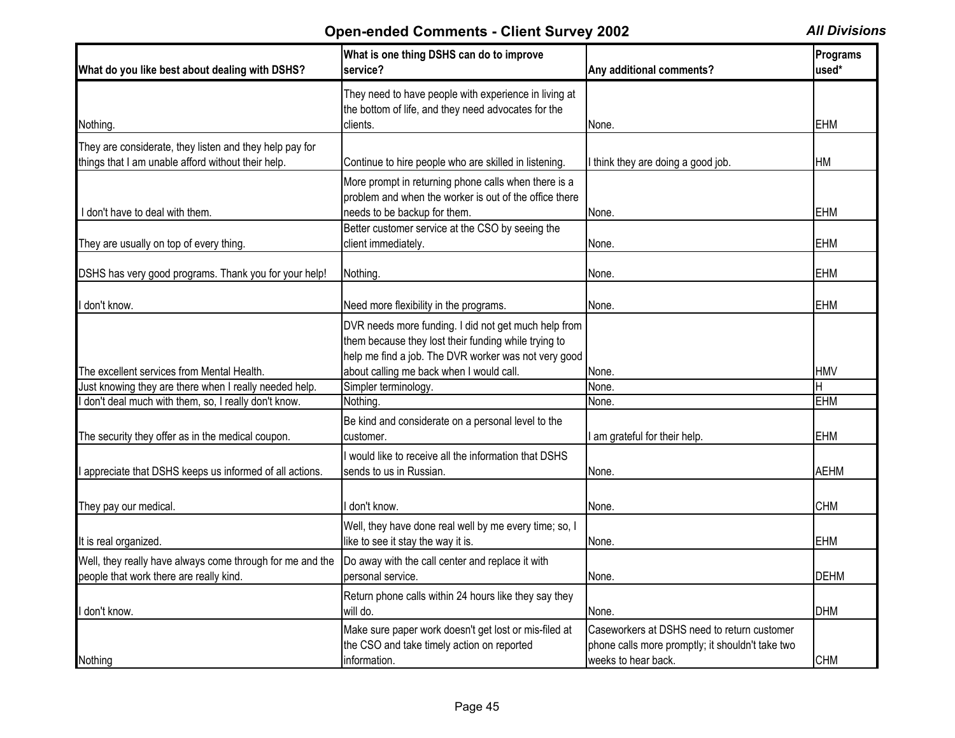| What do you like best about dealing with DSHS?                                                                | What is one thing DSHS can do to improve<br>service?                                                                                                                 | Any additional comments?                                                                                               | Programs<br>used* |
|---------------------------------------------------------------------------------------------------------------|----------------------------------------------------------------------------------------------------------------------------------------------------------------------|------------------------------------------------------------------------------------------------------------------------|-------------------|
| Nothing.                                                                                                      | They need to have people with experience in living at<br>the bottom of life, and they need advocates for the<br>clients.                                             | None.                                                                                                                  | <b>EHM</b>        |
| They are considerate, they listen and they help pay for<br>things that I am unable afford without their help. | Continue to hire people who are skilled in listening.                                                                                                                | think they are doing a good job.                                                                                       | <b>HM</b>         |
| I don't have to deal with them.                                                                               | More prompt in returning phone calls when there is a<br>problem and when the worker is out of the office there<br>needs to be backup for them.                       | None.                                                                                                                  | <b>EHM</b>        |
| They are usually on top of every thing.                                                                       | Better customer service at the CSO by seeing the<br>client immediately.                                                                                              | None.                                                                                                                  | <b>EHM</b>        |
| DSHS has very good programs. Thank you for your help!                                                         | Nothing.                                                                                                                                                             | None.                                                                                                                  | <b>EHM</b>        |
| I don't know.                                                                                                 | Need more flexibility in the programs.                                                                                                                               | None.                                                                                                                  | <b>EHM</b>        |
|                                                                                                               | DVR needs more funding. I did not get much help from<br>them because they lost their funding while trying to<br>help me find a job. The DVR worker was not very good |                                                                                                                        |                   |
| The excellent services from Mental Health.                                                                    | about calling me back when I would call.                                                                                                                             | None.                                                                                                                  | <b>HMV</b>        |
| Just knowing they are there when I really needed help.<br>don't deal much with them, so, I really don't know. | Simpler terminology.<br>Nothing.                                                                                                                                     | None.<br>None.                                                                                                         | <b>EHM</b>        |
| The security they offer as in the medical coupon.                                                             | Be kind and considerate on a personal level to the<br>customer.                                                                                                      | am grateful for their help.                                                                                            | EHM               |
| I appreciate that DSHS keeps us informed of all actions.                                                      | I would like to receive all the information that DSHS<br>sends to us in Russian.                                                                                     | None.                                                                                                                  | <b>AEHM</b>       |
| They pay our medical.                                                                                         | don't know.                                                                                                                                                          | None.                                                                                                                  | <b>CHM</b>        |
| It is real organized.                                                                                         | Well, they have done real well by me every time; so, I<br>like to see it stay the way it is.                                                                         | None.                                                                                                                  | <b>EHM</b>        |
| Well, they really have always come through for me and the<br>people that work there are really kind.          | Do away with the call center and replace it with<br>personal service.                                                                                                | None.                                                                                                                  | <b>DEHM</b>       |
| don't know.                                                                                                   | Return phone calls within 24 hours like they say they<br>will do.                                                                                                    | None.                                                                                                                  | <b>DHM</b>        |
| Nothing                                                                                                       | Make sure paper work doesn't get lost or mis-filed at<br>the CSO and take timely action on reported<br>information.                                                  | Caseworkers at DSHS need to return customer<br>phone calls more promptly; it shouldn't take two<br>weeks to hear back. | <b>CHM</b>        |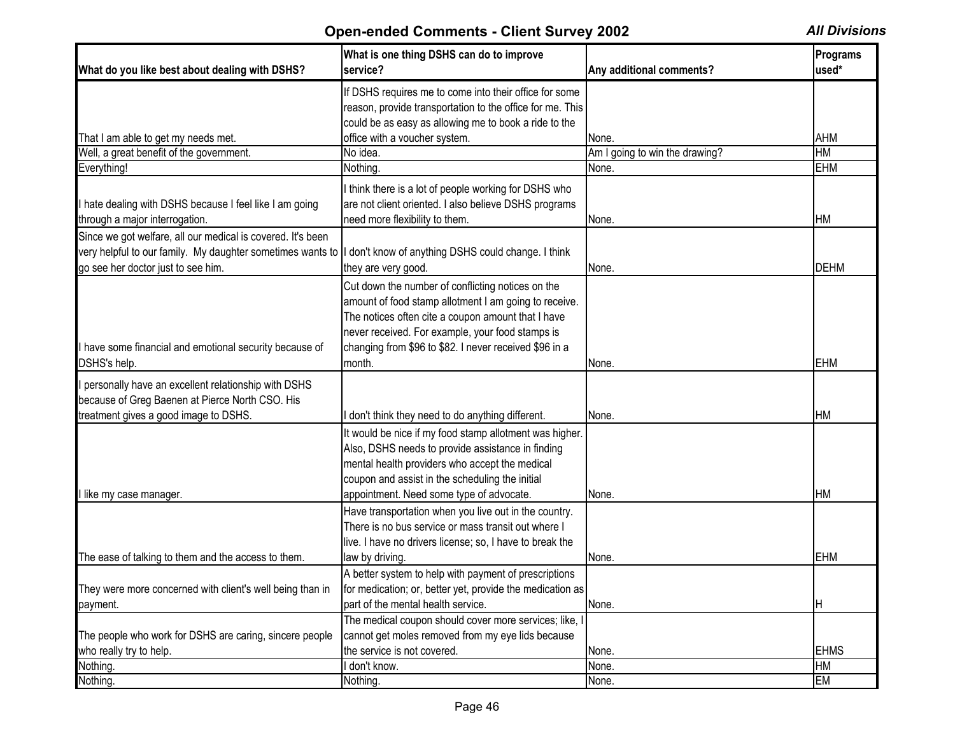| What do you like best about dealing with DSHS?                                                                                                                     | What is one thing DSHS can do to improve<br>service?                                                                                                                                                                                                                                     | Any additional comments?       | Programs<br>used* |
|--------------------------------------------------------------------------------------------------------------------------------------------------------------------|------------------------------------------------------------------------------------------------------------------------------------------------------------------------------------------------------------------------------------------------------------------------------------------|--------------------------------|-------------------|
|                                                                                                                                                                    | If DSHS requires me to come into their office for some<br>reason, provide transportation to the office for me. This<br>could be as easy as allowing me to book a ride to the                                                                                                             |                                |                   |
| That I am able to get my needs met.                                                                                                                                | office with a voucher system.                                                                                                                                                                                                                                                            | None.                          | <b>AHM</b>        |
| Well, a great benefit of the government.                                                                                                                           | No idea.                                                                                                                                                                                                                                                                                 | Am I going to win the drawing? | <b>HM</b>         |
| Everything!                                                                                                                                                        | Nothing.                                                                                                                                                                                                                                                                                 | None.                          | <b>EHM</b>        |
| I hate dealing with DSHS because I feel like I am going<br>through a major interrogation.                                                                          | I think there is a lot of people working for DSHS who<br>are not client oriented. I also believe DSHS programs<br>need more flexibility to them.                                                                                                                                         | None.                          | <b>HM</b>         |
| Since we got welfare, all our medical is covered. It's been<br>very helpful to our family. My daughter sometimes wants to   <br>go see her doctor just to see him. | I don't know of anything DSHS could change. I think<br>they are very good.                                                                                                                                                                                                               | None.                          | <b>DEHM</b>       |
| I have some financial and emotional security because of<br>DSHS's help.                                                                                            | Cut down the number of conflicting notices on the<br>amount of food stamp allotment I am going to receive.<br>The notices often cite a coupon amount that I have<br>never received. For example, your food stamps is<br>changing from \$96 to \$82. I never received \$96 in a<br>month. | None.                          | <b>EHM</b>        |
| I personally have an excellent relationship with DSHS<br>because of Greg Baenen at Pierce North CSO. His<br>treatment gives a good image to DSHS.                  | I don't think they need to do anything different.                                                                                                                                                                                                                                        | None.                          | <b>HM</b>         |
| I like my case manager.                                                                                                                                            | It would be nice if my food stamp allotment was higher.<br>Also, DSHS needs to provide assistance in finding<br>mental health providers who accept the medical<br>coupon and assist in the scheduling the initial<br>appointment. Need some type of advocate.                            | None.                          | <b>HM</b>         |
|                                                                                                                                                                    | Have transportation when you live out in the country.<br>There is no bus service or mass transit out where I<br>live. I have no drivers license; so, I have to break the                                                                                                                 |                                |                   |
| The ease of talking to them and the access to them.                                                                                                                | law by driving.                                                                                                                                                                                                                                                                          | None.                          | <b>EHM</b>        |
| They were more concerned with client's well being than in<br>payment.                                                                                              | A better system to help with payment of prescriptions<br>for medication; or, better yet, provide the medication as<br>part of the mental health service.                                                                                                                                 | None.                          | IH.               |
| The people who work for DSHS are caring, sincere people<br>who really try to help.                                                                                 | The medical coupon should cover more services; like, I<br>cannot get moles removed from my eye lids because<br>the service is not covered.                                                                                                                                               | None.                          | <b>EHMS</b>       |
| Nothing.                                                                                                                                                           | I don't know.                                                                                                                                                                                                                                                                            | None.                          | <b>HM</b>         |
| Nothing.                                                                                                                                                           | Nothing.                                                                                                                                                                                                                                                                                 | None.                          | EM                |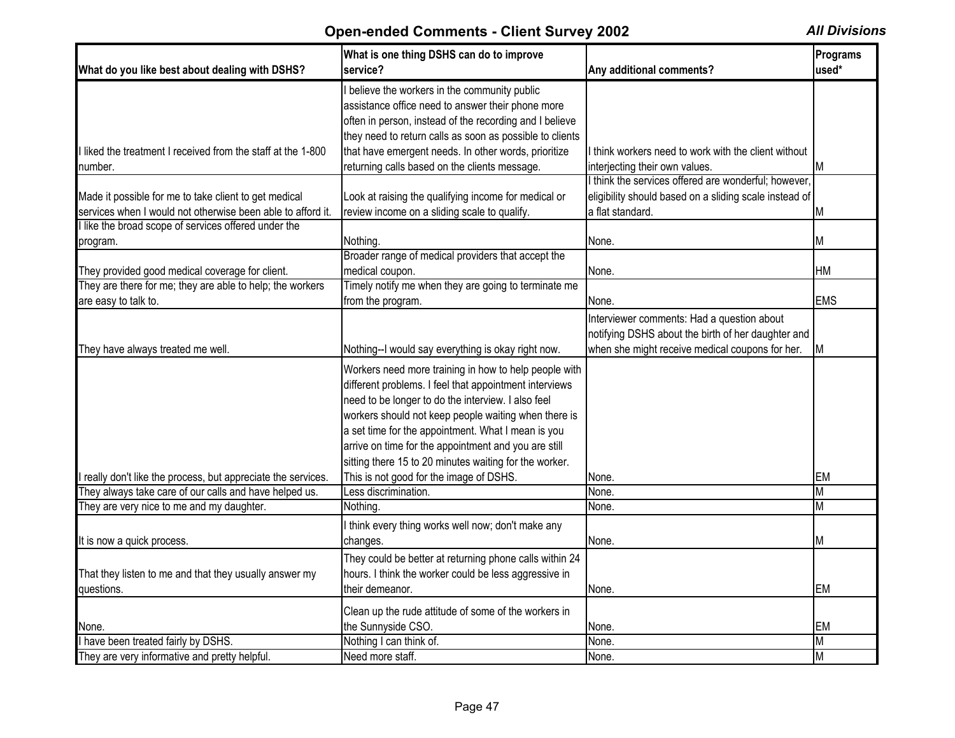| What do you like best about dealing with DSHS?                                                                       | What is one thing DSHS can do to improve<br>service?                                                                                                                                                                                                                                                                                                                                                  | Any additional comments?                                                                         | Programs<br>used* |
|----------------------------------------------------------------------------------------------------------------------|-------------------------------------------------------------------------------------------------------------------------------------------------------------------------------------------------------------------------------------------------------------------------------------------------------------------------------------------------------------------------------------------------------|--------------------------------------------------------------------------------------------------|-------------------|
|                                                                                                                      | believe the workers in the community public<br>assistance office need to answer their phone more<br>often in person, instead of the recording and I believe<br>they need to return calls as soon as possible to clients                                                                                                                                                                               |                                                                                                  |                   |
| I liked the treatment I received from the staff at the 1-800                                                         | that have emergent needs. In other words, prioritize                                                                                                                                                                                                                                                                                                                                                  | I think workers need to work with the client without                                             |                   |
| number.                                                                                                              | returning calls based on the clients message.                                                                                                                                                                                                                                                                                                                                                         | interjecting their own values.<br>I think the services offered are wonderful; however,           | M                 |
| Made it possible for me to take client to get medical<br>services when I would not otherwise been able to afford it. | Look at raising the qualifying income for medical or<br>review income on a sliding scale to qualify.                                                                                                                                                                                                                                                                                                  | eligibility should based on a sliding scale instead of<br>a flat standard.                       | М                 |
| llike the broad scope of services offered under the                                                                  |                                                                                                                                                                                                                                                                                                                                                                                                       |                                                                                                  |                   |
| program.                                                                                                             | Nothing.                                                                                                                                                                                                                                                                                                                                                                                              | None.                                                                                            | М                 |
| They provided good medical coverage for client.                                                                      | Broader range of medical providers that accept the<br>medical coupon.                                                                                                                                                                                                                                                                                                                                 | None.                                                                                            | НM                |
| They are there for me; they are able to help; the workers                                                            | Timely notify me when they are going to terminate me                                                                                                                                                                                                                                                                                                                                                  |                                                                                                  |                   |
| are easy to talk to.                                                                                                 | from the program.                                                                                                                                                                                                                                                                                                                                                                                     | None.                                                                                            | <b>EMS</b>        |
|                                                                                                                      |                                                                                                                                                                                                                                                                                                                                                                                                       | Interviewer comments: Had a question about<br>notifying DSHS about the birth of her daughter and |                   |
| They have always treated me well.                                                                                    | Nothing--I would say everything is okay right now.                                                                                                                                                                                                                                                                                                                                                    | when she might receive medical coupons for her.                                                  | М                 |
|                                                                                                                      | Workers need more training in how to help people with<br>different problems. I feel that appointment interviews<br>need to be longer to do the interview. I also feel<br>workers should not keep people waiting when there is<br>a set time for the appointment. What I mean is you<br>arrive on time for the appointment and you are still<br>sitting there 15 to 20 minutes waiting for the worker. |                                                                                                  |                   |
| really don't like the process, but appreciate the services.                                                          | This is not good for the image of DSHS.                                                                                                                                                                                                                                                                                                                                                               | None.                                                                                            | EM                |
| They always take care of our calls and have helped us.                                                               | Less discrimination.                                                                                                                                                                                                                                                                                                                                                                                  | None.                                                                                            | М                 |
| They are very nice to me and my daughter.                                                                            | <b>Nothing</b>                                                                                                                                                                                                                                                                                                                                                                                        | None.                                                                                            | М                 |
|                                                                                                                      | think every thing works well now; don't make any                                                                                                                                                                                                                                                                                                                                                      |                                                                                                  |                   |
| It is now a quick process.                                                                                           | changes.                                                                                                                                                                                                                                                                                                                                                                                              | None.                                                                                            | Μ                 |
| That they listen to me and that they usually answer my<br>questions.                                                 | They could be better at returning phone calls within 24<br>hours. I think the worker could be less aggressive in<br>their demeanor.                                                                                                                                                                                                                                                                   | None.                                                                                            | EM                |
|                                                                                                                      | Clean up the rude attitude of some of the workers in                                                                                                                                                                                                                                                                                                                                                  |                                                                                                  |                   |
| None.                                                                                                                | the Sunnyside CSO.                                                                                                                                                                                                                                                                                                                                                                                    | None.                                                                                            | <b>EM</b>         |
| I have been treated fairly by DSHS.                                                                                  | Nothing I can think of.                                                                                                                                                                                                                                                                                                                                                                               | None.                                                                                            | М                 |
| They are very informative and pretty helpful.                                                                        | Need more staff.                                                                                                                                                                                                                                                                                                                                                                                      | None.                                                                                            | M                 |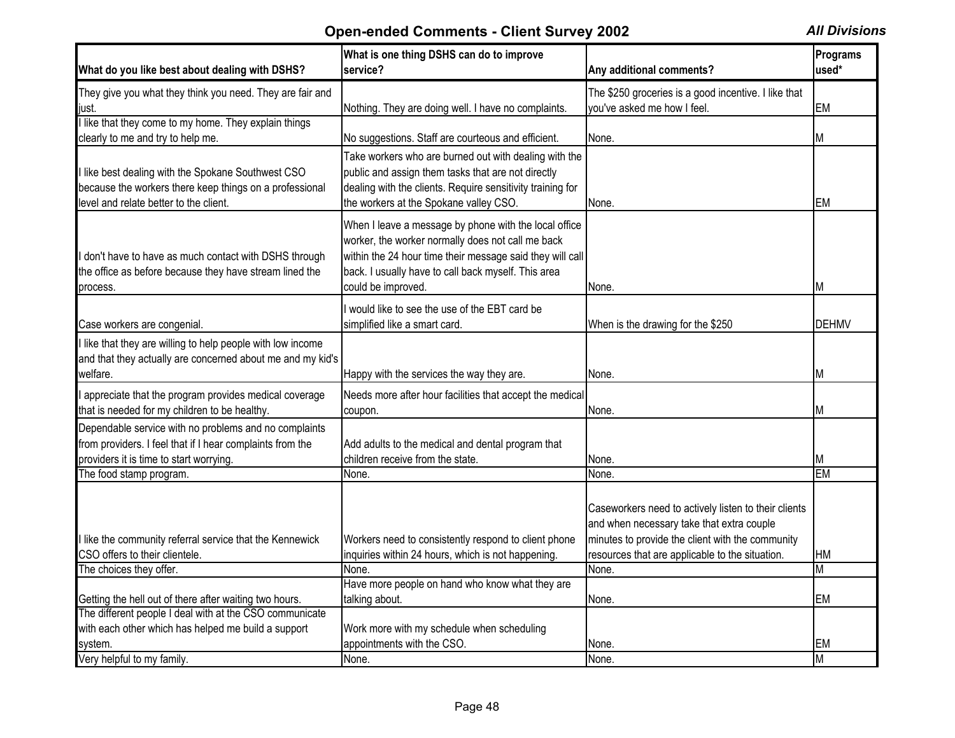| What do you like best about dealing with DSHS?                                                                                                                                           | What is one thing DSHS can do to improve<br>service?                                                                                                                                                                                                 | Any additional comments?                                                                                                                                                                                 | Programs<br>used* |
|------------------------------------------------------------------------------------------------------------------------------------------------------------------------------------------|------------------------------------------------------------------------------------------------------------------------------------------------------------------------------------------------------------------------------------------------------|----------------------------------------------------------------------------------------------------------------------------------------------------------------------------------------------------------|-------------------|
| They give you what they think you need. They are fair and                                                                                                                                |                                                                                                                                                                                                                                                      | The \$250 groceries is a good incentive. I like that                                                                                                                                                     |                   |
| just.                                                                                                                                                                                    | Nothing. They are doing well. I have no complaints.                                                                                                                                                                                                  | you've asked me how I feel.                                                                                                                                                                              | <b>EM</b>         |
| I like that they come to my home. They explain things                                                                                                                                    |                                                                                                                                                                                                                                                      |                                                                                                                                                                                                          |                   |
| clearly to me and try to help me.                                                                                                                                                        | No suggestions. Staff are courteous and efficient.                                                                                                                                                                                                   | None.                                                                                                                                                                                                    | M                 |
| I like best dealing with the Spokane Southwest CSO<br>because the workers there keep things on a professional<br>level and relate better to the client.                                  | Take workers who are burned out with dealing with the<br>public and assign them tasks that are not directly<br>dealing with the clients. Require sensitivity training for<br>the workers at the Spokane valley CSO.                                  | None.                                                                                                                                                                                                    | EM                |
| I don't have to have as much contact with DSHS through<br>the office as before because they have stream lined the<br>process.                                                            | When I leave a message by phone with the local office<br>worker, the worker normally does not call me back<br>within the 24 hour time their message said they will call<br>back. I usually have to call back myself. This area<br>could be improved. | INone.                                                                                                                                                                                                   |                   |
|                                                                                                                                                                                          | I would like to see the use of the EBT card be                                                                                                                                                                                                       |                                                                                                                                                                                                          |                   |
| Case workers are congenial.                                                                                                                                                              | simplified like a smart card.                                                                                                                                                                                                                        | When is the drawing for the \$250                                                                                                                                                                        | <b>DEHMV</b>      |
| I like that they are willing to help people with low income<br>and that they actually are concerned about me and my kid's<br>welfare.                                                    | Happy with the services the way they are.                                                                                                                                                                                                            | None.                                                                                                                                                                                                    | M                 |
| appreciate that the program provides medical coverage<br>that is needed for my children to be healthy.                                                                                   | Needs more after hour facilities that accept the medical<br>coupon.                                                                                                                                                                                  | None.                                                                                                                                                                                                    | M                 |
| Dependable service with no problems and no complaints<br>from providers. I feel that if I hear complaints from the<br>providers it is time to start worrying.<br>The food stamp program. | Add adults to the medical and dental program that<br>children receive from the state.<br>None.                                                                                                                                                       | None.<br>None.                                                                                                                                                                                           | M<br><b>EM</b>    |
| I like the community referral service that the Kennewick<br>CSO offers to their clientele.                                                                                               | Workers need to consistently respond to client phone<br>inquiries within 24 hours, which is not happening.                                                                                                                                           | Caseworkers need to actively listen to their clients<br>and when necessary take that extra couple<br>minutes to provide the client with the community<br>resources that are applicable to the situation. | НM                |
| The choices they offer.                                                                                                                                                                  | None.                                                                                                                                                                                                                                                | None.                                                                                                                                                                                                    | M                 |
|                                                                                                                                                                                          | Have more people on hand who know what they are                                                                                                                                                                                                      |                                                                                                                                                                                                          |                   |
| Getting the hell out of there after waiting two hours.                                                                                                                                   | talking about.                                                                                                                                                                                                                                       | None.                                                                                                                                                                                                    | <b>EM</b>         |
| The different people I deal with at the CSO communicate                                                                                                                                  |                                                                                                                                                                                                                                                      |                                                                                                                                                                                                          |                   |
| with each other which has helped me build a support                                                                                                                                      | Work more with my schedule when scheduling                                                                                                                                                                                                           |                                                                                                                                                                                                          |                   |
| system.                                                                                                                                                                                  | appointments with the CSO.                                                                                                                                                                                                                           | None.                                                                                                                                                                                                    | EМ                |
| Very helpful to my family.                                                                                                                                                               | None.                                                                                                                                                                                                                                                | None.                                                                                                                                                                                                    | M                 |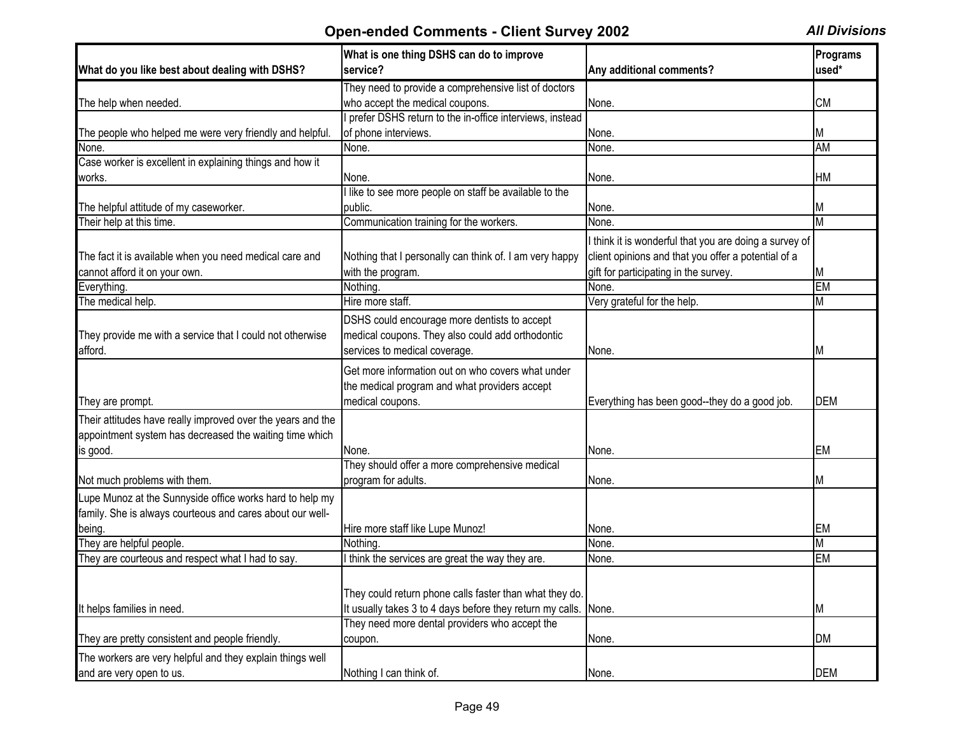|                                                             | What is one thing DSHS can do to improve                  |                                                        | Programs   |
|-------------------------------------------------------------|-----------------------------------------------------------|--------------------------------------------------------|------------|
| What do you like best about dealing with DSHS?              | service?                                                  | Any additional comments?                               | used*      |
|                                                             | They need to provide a comprehensive list of doctors      |                                                        |            |
| The help when needed.                                       | who accept the medical coupons.                           | None.                                                  | <b>CM</b>  |
|                                                             | prefer DSHS return to the in-office interviews, instead   |                                                        |            |
| The people who helped me were very friendly and helpful.    | of phone interviews.                                      | None.                                                  | M          |
| None.                                                       | None.                                                     | None.                                                  | <b>AM</b>  |
| Case worker is excellent in explaining things and how it    |                                                           |                                                        |            |
| works.                                                      | None.                                                     | None.                                                  | <b>HM</b>  |
|                                                             | I like to see more people on staff be available to the    |                                                        |            |
| The helpful attitude of my caseworker.                      | public.                                                   | None.                                                  | M          |
| Their help at this time.                                    | Communication training for the workers.                   | None.                                                  | M          |
|                                                             |                                                           | I think it is wonderful that you are doing a survey of |            |
| The fact it is available when you need medical care and     | Nothing that I personally can think of. I am very happy   | client opinions and that you offer a potential of a    |            |
| cannot afford it on your own.                               | with the program.                                         | gift for participating in the survey.                  | M          |
| Everything.                                                 | Nothing.                                                  | None.                                                  | <b>EM</b>  |
| The medical help.                                           | Hire more staff.                                          | Very grateful for the help.                            | M          |
|                                                             | DSHS could encourage more dentists to accept              |                                                        |            |
| They provide me with a service that I could not otherwise   | medical coupons. They also could add orthodontic          |                                                        |            |
| afford.                                                     | services to medical coverage.                             | None.                                                  | M          |
|                                                             |                                                           |                                                        |            |
|                                                             | Get more information out on who covers what under         |                                                        |            |
|                                                             | the medical program and what providers accept             |                                                        |            |
| They are prompt.                                            | medical coupons.                                          | Everything has been good--they do a good job.          | <b>DEM</b> |
| Their attitudes have really improved over the years and the |                                                           |                                                        |            |
| appointment system has decreased the waiting time which     |                                                           |                                                        |            |
| is good.                                                    | None.                                                     | None.                                                  | <b>EM</b>  |
|                                                             | They should offer a more comprehensive medical            |                                                        |            |
| Not much problems with them.                                | program for adults.                                       | None.                                                  | M          |
| Lupe Munoz at the Sunnyside office works hard to help my    |                                                           |                                                        |            |
| family. She is always courteous and cares about our well-   |                                                           |                                                        |            |
| being.                                                      | Hire more staff like Lupe Munoz!                          | None.                                                  | IEM        |
| They are helpful people.                                    | Nothing.                                                  | None.                                                  | M          |
| They are courteous and respect what I had to say.           | I think the services are great the way they are.          | None.                                                  | <b>EM</b>  |
|                                                             |                                                           |                                                        |            |
|                                                             |                                                           |                                                        |            |
|                                                             | They could return phone calls faster than what they do.   |                                                        |            |
| It helps families in need.                                  | It usually takes 3 to 4 days before they return my calls. | None.                                                  | M          |
|                                                             | They need more dental providers who accept the            |                                                        |            |
| They are pretty consistent and people friendly.             | coupon.                                                   | None.                                                  | <b>DM</b>  |
| The workers are very helpful and they explain things well   |                                                           |                                                        |            |
| and are very open to us.                                    | Nothing I can think of.                                   | None.                                                  | <b>DEM</b> |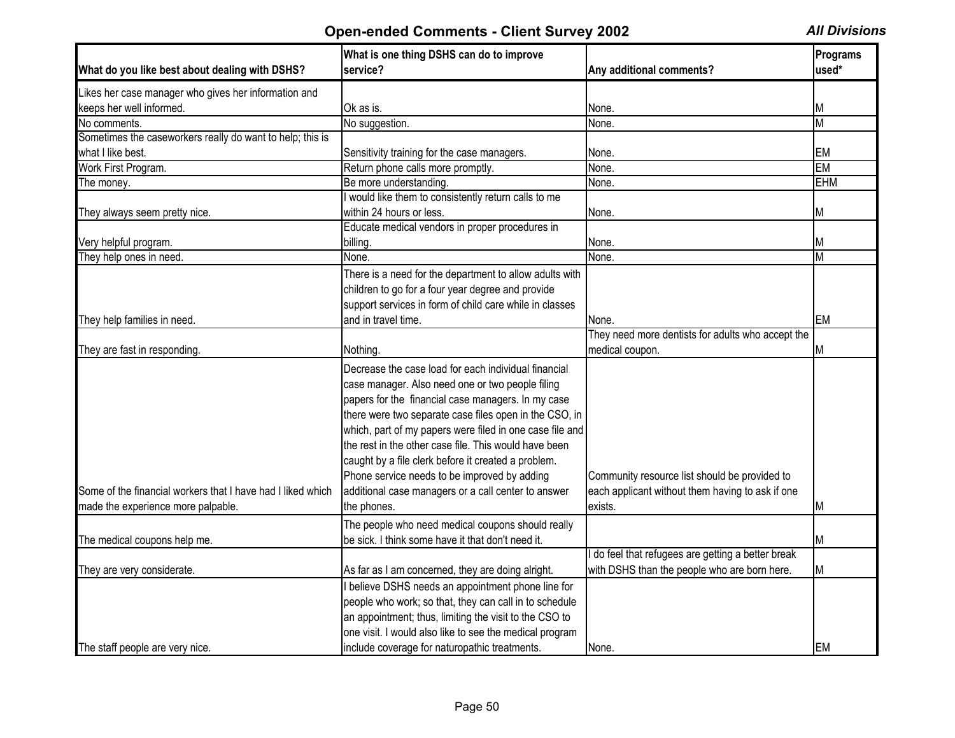|                                                             | What is one thing DSHS can do to improve<br>service?                                                         | Any additional comments?                                   | Programs<br>used*       |
|-------------------------------------------------------------|--------------------------------------------------------------------------------------------------------------|------------------------------------------------------------|-------------------------|
| What do you like best about dealing with DSHS?              |                                                                                                              |                                                            |                         |
| Likes her case manager who gives her information and        |                                                                                                              |                                                            |                         |
| keeps her well informed.                                    | Ok as is.                                                                                                    | None.                                                      | M                       |
| No comments.                                                | No suggestion.                                                                                               | None.                                                      | $\overline{\mathsf{M}}$ |
| Sometimes the caseworkers really do want to help; this is   |                                                                                                              |                                                            |                         |
| what I like best.                                           | Sensitivity training for the case managers.                                                                  | None.                                                      | EM                      |
| Work First Program.                                         | Return phone calls more promptly.                                                                            | None.                                                      | <b>EM</b>               |
| The money.                                                  | Be more understanding.                                                                                       | None.                                                      | <b>EHM</b>              |
|                                                             | would like them to consistently return calls to me                                                           |                                                            |                         |
| They always seem pretty nice.                               | within 24 hours or less.                                                                                     | None.                                                      | Μ                       |
|                                                             | Educate medical vendors in proper procedures in                                                              |                                                            |                         |
| Very helpful program.                                       | billing.                                                                                                     | None.                                                      | M                       |
| They help ones in need.                                     | None.                                                                                                        | None.                                                      | $\overline{\mathsf{M}}$ |
|                                                             | There is a need for the department to allow adults with<br>children to go for a four year degree and provide |                                                            |                         |
|                                                             | support services in form of child care while in classes                                                      |                                                            |                         |
|                                                             | and in travel time.                                                                                          |                                                            | EM                      |
| They help families in need.                                 |                                                                                                              | None.<br>They need more dentists for adults who accept the |                         |
|                                                             | Nothing                                                                                                      | medical coupon.                                            | M                       |
| They are fast in responding.                                |                                                                                                              |                                                            |                         |
|                                                             | Decrease the case load for each individual financial                                                         |                                                            |                         |
|                                                             | case manager. Also need one or two people filing                                                             |                                                            |                         |
|                                                             | papers for the financial case managers. In my case                                                           |                                                            |                         |
|                                                             | there were two separate case files open in the CSO, in                                                       |                                                            |                         |
|                                                             | which, part of my papers were filed in one case file and                                                     |                                                            |                         |
|                                                             | the rest in the other case file. This would have been                                                        |                                                            |                         |
|                                                             | caught by a file clerk before it created a problem.                                                          |                                                            |                         |
|                                                             | Phone service needs to be improved by adding                                                                 | Community resource list should be provided to              |                         |
| Some of the financial workers that I have had I liked which | additional case managers or a call center to answer                                                          | each applicant without them having to ask if one           |                         |
| made the experience more palpable.                          | the phones.                                                                                                  | exists.                                                    | M                       |
|                                                             | The people who need medical coupons should really                                                            |                                                            |                         |
| The medical coupons help me.                                | be sick. I think some have it that don't need it.                                                            |                                                            | M                       |
|                                                             |                                                                                                              | do feel that refugees are getting a better break           |                         |
| They are very considerate.                                  | As far as I am concerned, they are doing alright.                                                            | with DSHS than the people who are born here.               | M                       |
|                                                             | believe DSHS needs an appointment phone line for                                                             |                                                            |                         |
|                                                             | people who work; so that, they can call in to schedule                                                       |                                                            |                         |
|                                                             |                                                                                                              |                                                            |                         |
|                                                             | an appointment; thus, limiting the visit to the CSO to                                                       |                                                            |                         |
|                                                             | one visit. I would also like to see the medical program                                                      |                                                            |                         |
| The staff people are very nice.                             | include coverage for naturopathic treatments.                                                                | None.                                                      | ΙEΜ                     |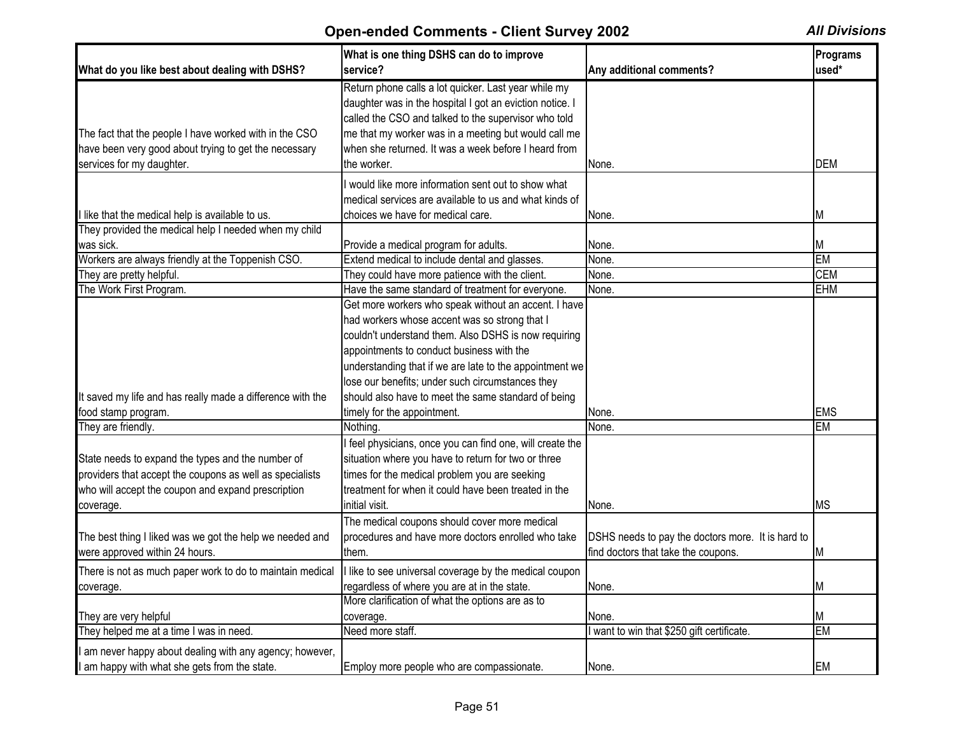| What do you like best about dealing with DSHS?                                                                                               | What is one thing DSHS can do to improve<br>service?                                                                                                                                                                                                                                                    | Any additional comments?                          | Programs<br>used* |
|----------------------------------------------------------------------------------------------------------------------------------------------|---------------------------------------------------------------------------------------------------------------------------------------------------------------------------------------------------------------------------------------------------------------------------------------------------------|---------------------------------------------------|-------------------|
| The fact that the people I have worked with in the CSO<br>have been very good about trying to get the necessary<br>services for my daughter. | Return phone calls a lot quicker. Last year while my<br>daughter was in the hospital I got an eviction notice. I<br>called the CSO and talked to the supervisor who told<br>me that my worker was in a meeting but would call me<br>when she returned. It was a week before I heard from<br>the worker. | None.                                             | <b>DEM</b>        |
|                                                                                                                                              | I would like more information sent out to show what                                                                                                                                                                                                                                                     |                                                   |                   |
|                                                                                                                                              | medical services are available to us and what kinds of                                                                                                                                                                                                                                                  |                                                   |                   |
| I like that the medical help is available to us.                                                                                             | choices we have for medical care.                                                                                                                                                                                                                                                                       | None.                                             | M                 |
| They provided the medical help I needed when my child                                                                                        |                                                                                                                                                                                                                                                                                                         |                                                   |                   |
| was sick.                                                                                                                                    | Provide a medical program for adults.                                                                                                                                                                                                                                                                   | None.                                             | M                 |
| Workers are always friendly at the Toppenish CSO.                                                                                            | Extend medical to include dental and glasses.                                                                                                                                                                                                                                                           | None.                                             | <b>EM</b>         |
| They are pretty helpful.                                                                                                                     | They could have more patience with the client.                                                                                                                                                                                                                                                          | None.                                             | <b>CEM</b>        |
| The Work First Program.                                                                                                                      | Have the same standard of treatment for everyone.                                                                                                                                                                                                                                                       | None.                                             | <b>EHM</b>        |
|                                                                                                                                              | Get more workers who speak without an accent. I have                                                                                                                                                                                                                                                    |                                                   |                   |
|                                                                                                                                              | had workers whose accent was so strong that I                                                                                                                                                                                                                                                           |                                                   |                   |
|                                                                                                                                              | couldn't understand them. Also DSHS is now requiring                                                                                                                                                                                                                                                    |                                                   |                   |
|                                                                                                                                              | appointments to conduct business with the                                                                                                                                                                                                                                                               |                                                   |                   |
|                                                                                                                                              | understanding that if we are late to the appointment we                                                                                                                                                                                                                                                 |                                                   |                   |
|                                                                                                                                              | lose our benefits; under such circumstances they                                                                                                                                                                                                                                                        |                                                   |                   |
| It saved my life and has really made a difference with the                                                                                   | should also have to meet the same standard of being                                                                                                                                                                                                                                                     |                                                   |                   |
| food stamp program.                                                                                                                          | timely for the appointment.                                                                                                                                                                                                                                                                             | None.                                             | <b>EMS</b>        |
| They are friendly.                                                                                                                           | Nothing.                                                                                                                                                                                                                                                                                                | None.                                             | <b>EM</b>         |
|                                                                                                                                              | I feel physicians, once you can find one, will create the                                                                                                                                                                                                                                               |                                                   |                   |
|                                                                                                                                              |                                                                                                                                                                                                                                                                                                         |                                                   |                   |
| State needs to expand the types and the number of                                                                                            | situation where you have to return for two or three                                                                                                                                                                                                                                                     |                                                   |                   |
| providers that accept the coupons as well as specialists                                                                                     | times for the medical problem you are seeking                                                                                                                                                                                                                                                           |                                                   |                   |
| who will accept the coupon and expand prescription                                                                                           | treatment for when it could have been treated in the                                                                                                                                                                                                                                                    |                                                   |                   |
| coverage.                                                                                                                                    | initial visit.                                                                                                                                                                                                                                                                                          | None.                                             | <b>MS</b>         |
|                                                                                                                                              | The medical coupons should cover more medical                                                                                                                                                                                                                                                           |                                                   |                   |
| The best thing I liked was we got the help we needed and                                                                                     | procedures and have more doctors enrolled who take                                                                                                                                                                                                                                                      | DSHS needs to pay the doctors more. It is hard to |                   |
| were approved within 24 hours.                                                                                                               | them.                                                                                                                                                                                                                                                                                                   | find doctors that take the coupons.               | ΙM                |
| There is not as much paper work to do to maintain medical                                                                                    | I like to see universal coverage by the medical coupon                                                                                                                                                                                                                                                  |                                                   |                   |
| coverage.                                                                                                                                    | regardless of where you are at in the state.                                                                                                                                                                                                                                                            | None.                                             | ΙM                |
|                                                                                                                                              | More clarification of what the options are as to                                                                                                                                                                                                                                                        |                                                   |                   |
| They are very helpful                                                                                                                        | coverage.                                                                                                                                                                                                                                                                                               | None.                                             | ΙM                |
| They helped me at a time I was in need.                                                                                                      | Need more staff.                                                                                                                                                                                                                                                                                        | I want to win that \$250 gift certificate.        | <b>EM</b>         |
| I am never happy about dealing with any agency; however,                                                                                     |                                                                                                                                                                                                                                                                                                         |                                                   |                   |
| I am happy with what she gets from the state.                                                                                                | Employ more people who are compassionate.                                                                                                                                                                                                                                                               | None.                                             | EM                |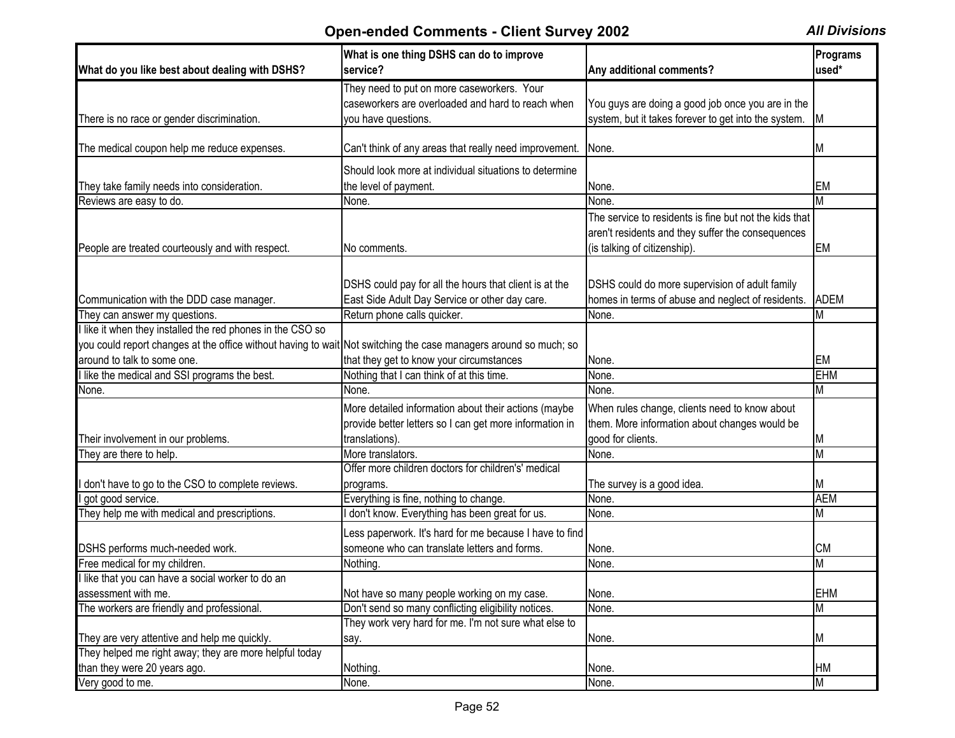| What do you like best about dealing with DSHS?                                                                   | What is one thing DSHS can do to improve<br>service?    | Any additional comments?                               | Programs<br>used* |
|------------------------------------------------------------------------------------------------------------------|---------------------------------------------------------|--------------------------------------------------------|-------------------|
|                                                                                                                  | They need to put on more caseworkers. Your              |                                                        |                   |
|                                                                                                                  | caseworkers are overloaded and hard to reach when       | You guys are doing a good job once you are in the      |                   |
| There is no race or gender discrimination.                                                                       | you have questions.                                     | system, but it takes forever to get into the system.   | <b>M</b>          |
|                                                                                                                  |                                                         |                                                        |                   |
| The medical coupon help me reduce expenses.                                                                      | Can't think of any areas that really need improvement.  | None.                                                  | M                 |
|                                                                                                                  | Should look more at individual situations to determine  |                                                        |                   |
| They take family needs into consideration.                                                                       | the level of payment.                                   | None.                                                  | <b>EM</b>         |
| Reviews are easy to do.                                                                                          | None.                                                   | None.                                                  | M                 |
|                                                                                                                  |                                                         | The service to residents is fine but not the kids that |                   |
|                                                                                                                  |                                                         | aren't residents and they suffer the consequences      |                   |
| People are treated courteously and with respect.                                                                 | No comments.                                            | (is talking of citizenship).                           | <b>EM</b>         |
|                                                                                                                  |                                                         |                                                        |                   |
|                                                                                                                  |                                                         |                                                        |                   |
|                                                                                                                  | DSHS could pay for all the hours that client is at the  | DSHS could do more supervision of adult family         |                   |
| Communication with the DDD case manager.                                                                         | East Side Adult Day Service or other day care.          | homes in terms of abuse and neglect of residents.      | <b>ADEM</b>       |
| They can answer my questions.                                                                                    | Return phone calls quicker.                             | None.                                                  | M                 |
| I like it when they installed the red phones in the CSO so                                                       |                                                         |                                                        |                   |
| you could report changes at the office without having to wait Not switching the case managers around so much; so |                                                         |                                                        |                   |
| around to talk to some one.                                                                                      | that they get to know your circumstances                | None.                                                  | <b>EM</b>         |
| llike the medical and SSI programs the best.                                                                     | Nothing that I can think of at this time                | None.                                                  | <b>EHM</b>        |
| None.                                                                                                            | None.                                                   | None.                                                  | M                 |
|                                                                                                                  | More detailed information about their actions (maybe    | When rules change, clients need to know about          |                   |
|                                                                                                                  | provide better letters so I can get more information in | them. More information about changes would be          |                   |
| Their involvement in our problems.                                                                               | translations).                                          | good for clients.                                      | M                 |
| They are there to help.                                                                                          | More translators.                                       | None.                                                  | M                 |
|                                                                                                                  | Offer more children doctors for children's' medical     |                                                        |                   |
| don't have to go to the CSO to complete reviews.                                                                 | programs.                                               | The survey is a good idea.                             | M                 |
| got good service.                                                                                                | Everything is fine, nothing to change.                  | None.                                                  | <b>AEM</b>        |
| They help me with medical and prescriptions.                                                                     | don't know. Everything has been great for us.           | None.                                                  | M                 |
|                                                                                                                  | Less paperwork. It's hard for me because I have to find |                                                        |                   |
| DSHS performs much-needed work.                                                                                  | someone who can translate letters and forms.            | None.                                                  | <b>CM</b>         |
| Free medical for my children.                                                                                    | Nothing.                                                | None.                                                  | M                 |
| I like that you can have a social worker to do an                                                                |                                                         |                                                        |                   |
| assessment with me.                                                                                              | Not have so many people working on my case.             | None.                                                  | <b>EHM</b>        |
| The workers are friendly and professional.                                                                       | Don't send so many conflicting eligibility notices.     | None.                                                  | M                 |
|                                                                                                                  | They work very hard for me. I'm not sure what else to   |                                                        |                   |
| They are very attentive and help me quickly.                                                                     | say.                                                    | None.                                                  | M                 |
| They helped me right away; they are more helpful today                                                           |                                                         |                                                        |                   |
| than they were 20 years ago.                                                                                     | Nothing.                                                | None.                                                  | <b>HM</b>         |
| Very good to me.                                                                                                 | None.                                                   | None.                                                  | M                 |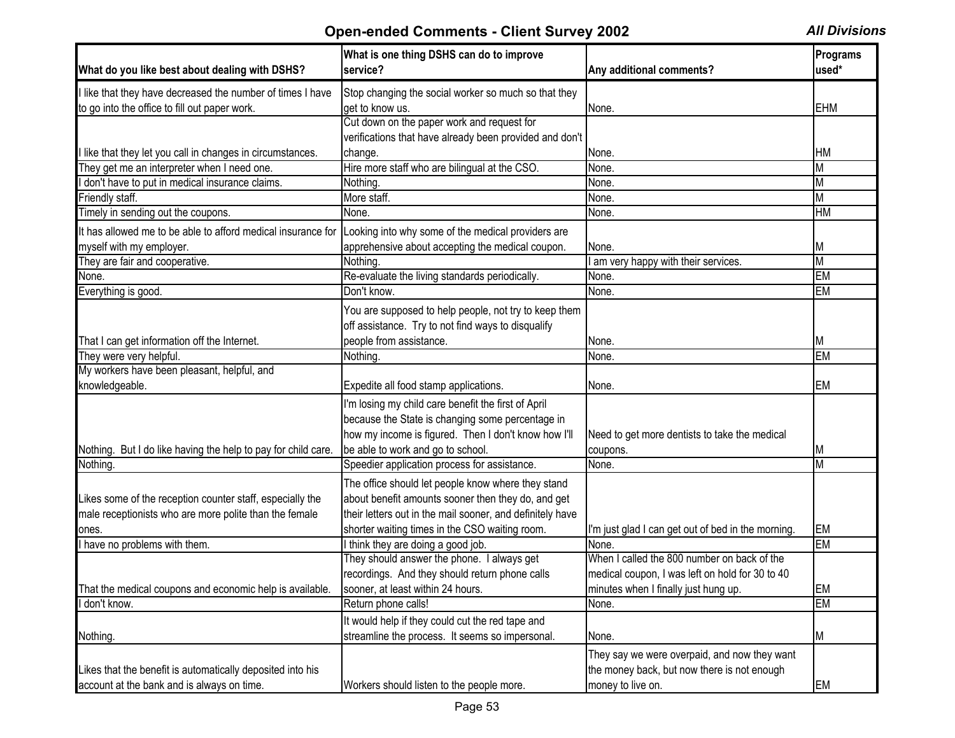| What do you like best about dealing with DSHS?                | What is one thing DSHS can do to improve<br>service?      | Any additional comments?                                    | Programs<br>used* |
|---------------------------------------------------------------|-----------------------------------------------------------|-------------------------------------------------------------|-------------------|
| I like that they have decreased the number of times I have    | Stop changing the social worker so much so that they      |                                                             |                   |
| to go into the office to fill out paper work.                 | get to know us.                                           | None.                                                       | <b>EHM</b>        |
|                                                               | Cut down on the paper work and request for                |                                                             |                   |
|                                                               | verifications that have already been provided and don't   |                                                             |                   |
| I like that they let you call in changes in circumstances.    | change.                                                   | None.                                                       | <b>HM</b>         |
| They get me an interpreter when I need one.                   | Hire more staff who are bilingual at the CSO.             | None.                                                       | M                 |
| I don't have to put in medical insurance claims.              | Nothing.                                                  | None.                                                       | M                 |
| Friendly staff.                                               | More staff.                                               | None.                                                       | M                 |
| Timely in sending out the coupons.                            | None.                                                     | None.                                                       | HM                |
| It has allowed me to be able to afford medical insurance for  | Looking into why some of the medical providers are        |                                                             |                   |
| myself with my employer.                                      | apprehensive about accepting the medical coupon.          | None.                                                       | M                 |
| They are fair and cooperative.                                | Nothing.                                                  | am very happy with their services.                          | M                 |
| None.                                                         | Re-evaluate the living standards periodically.            | None.                                                       | <b>EM</b>         |
| Everything is good.                                           | Don't know.                                               | None.                                                       | EM                |
|                                                               | You are supposed to help people, not try to keep them     |                                                             |                   |
|                                                               | off assistance. Try to not find ways to disqualify        |                                                             |                   |
| That I can get information off the Internet.                  | people from assistance.                                   | None.                                                       | M                 |
| They were very helpful.                                       | Nothing.                                                  | None.                                                       | EM                |
| My workers have been pleasant, helpful, and                   |                                                           |                                                             |                   |
| knowledgeable.                                                | Expedite all food stamp applications.                     | None.                                                       | <b>EM</b>         |
|                                                               | I'm losing my child care benefit the first of April       |                                                             |                   |
|                                                               | because the State is changing some percentage in          |                                                             |                   |
|                                                               | how my income is figured. Then I don't know how I'll      | Need to get more dentists to take the medical               |                   |
| Nothing. But I do like having the help to pay for child care. | be able to work and go to school.                         | coupons.                                                    | M                 |
| Nothing.                                                      | Speedier application process for assistance.              | None.                                                       | M                 |
|                                                               | The office should let people know where they stand        |                                                             |                   |
| Likes some of the reception counter staff, especially the     | about benefit amounts sooner then they do, and get        |                                                             |                   |
|                                                               | their letters out in the mail sooner, and definitely have |                                                             |                   |
| male receptionists who are more polite than the female        | shorter waiting times in the CSO waiting room.            |                                                             | EM                |
| ones.<br>I have no problems with them.                        | I think they are doing a good job.                        | I'm just glad I can get out of bed in the morning.<br>None. | <b>EM</b>         |
|                                                               | They should answer the phone. I always get                | When I called the 800 number on back of the                 |                   |
|                                                               | recordings. And they should return phone calls            | medical coupon, I was left on hold for 30 to 40             |                   |
| That the medical coupons and economic help is available.      | sooner, at least within 24 hours.                         | minutes when I finally just hung up.                        | EM                |
| I don't know.                                                 | Return phone calls!                                       | None.                                                       | <b>EM</b>         |
|                                                               |                                                           |                                                             |                   |
|                                                               | It would help if they could cut the red tape and          |                                                             |                   |
| Nothing.                                                      | streamline the process. It seems so impersonal.           | None.                                                       | M                 |
|                                                               |                                                           | They say we were overpaid, and now they want                |                   |
| Likes that the benefit is automatically deposited into his    |                                                           | the money back, but now there is not enough                 |                   |
| account at the bank and is always on time.                    | Workers should listen to the people more.                 | money to live on.                                           | EM                |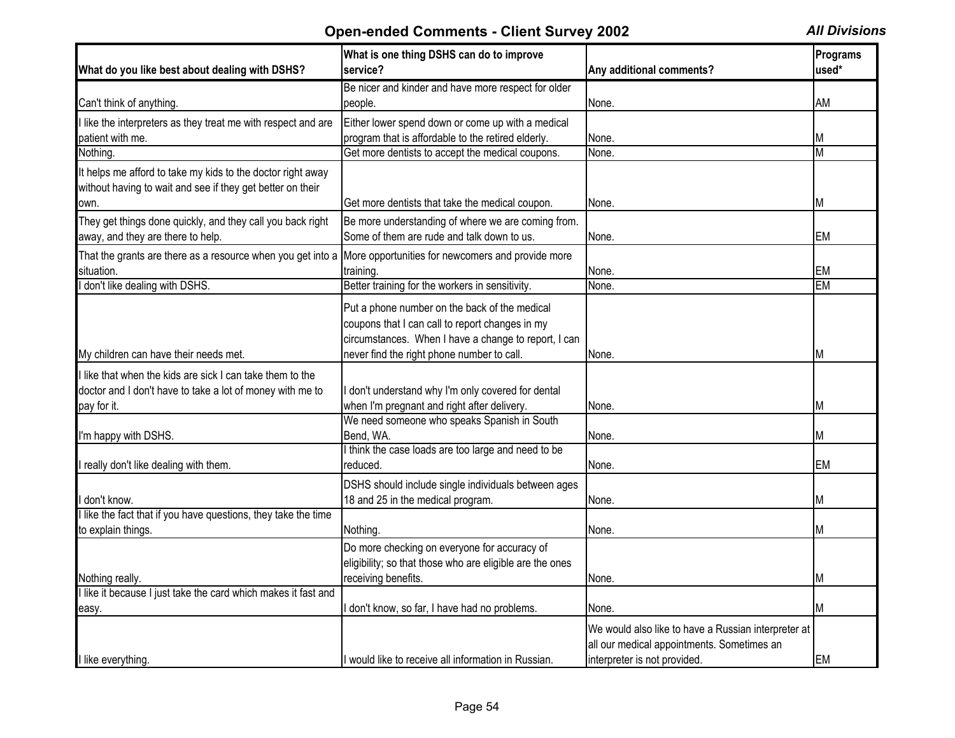| What do you like best about dealing with DSHS?                                                                            | What is one thing DSHS can do to improve<br>service?                                                                                                                                                   | Any additional comments?                                                                                                          | Programs<br>used* |
|---------------------------------------------------------------------------------------------------------------------------|--------------------------------------------------------------------------------------------------------------------------------------------------------------------------------------------------------|-----------------------------------------------------------------------------------------------------------------------------------|-------------------|
|                                                                                                                           | Be nicer and kinder and have more respect for older                                                                                                                                                    |                                                                                                                                   |                   |
| Can't think of anything.                                                                                                  | people.                                                                                                                                                                                                | None.                                                                                                                             | AM                |
| I like the interpreters as they treat me with respect and are                                                             | Either lower spend down or come up with a medical                                                                                                                                                      |                                                                                                                                   |                   |
| patient with me.                                                                                                          | program that is affordable to the retired elderly.                                                                                                                                                     | None.                                                                                                                             | M                 |
| Nothing.                                                                                                                  | Get more dentists to accept the medical coupons.                                                                                                                                                       | None.                                                                                                                             | M                 |
| It helps me afford to take my kids to the doctor right away<br>without having to wait and see if they get better on their |                                                                                                                                                                                                        |                                                                                                                                   |                   |
| own.                                                                                                                      | Get more dentists that take the medical coupon.                                                                                                                                                        | None.                                                                                                                             | M                 |
| They get things done quickly, and they call you back right<br>away, and they are there to help.                           | Be more understanding of where we are coming from.<br>Some of them are rude and talk down to us.                                                                                                       | None.                                                                                                                             | EM.               |
| That the grants are there as a resource when you get into a                                                               | More opportunities for newcomers and provide more                                                                                                                                                      |                                                                                                                                   |                   |
| situation.                                                                                                                | training.                                                                                                                                                                                              | None.                                                                                                                             | EM                |
| I don't like dealing with DSHS.                                                                                           | Better training for the workers in sensitivity.                                                                                                                                                        | None.                                                                                                                             | EM                |
| My children can have their needs met.                                                                                     | Put a phone number on the back of the medical<br>coupons that I can call to report changes in my<br>circumstances. When I have a change to report, I can<br>never find the right phone number to call. | None.                                                                                                                             | M                 |
| I like that when the kids are sick I can take them to the                                                                 |                                                                                                                                                                                                        |                                                                                                                                   |                   |
| doctor and I don't have to take a lot of money with me to                                                                 | don't understand why I'm only covered for dental                                                                                                                                                       |                                                                                                                                   |                   |
| pay for it.                                                                                                               | when I'm pregnant and right after delivery.                                                                                                                                                            | None.                                                                                                                             | М                 |
|                                                                                                                           | We need someone who speaks Spanish in South                                                                                                                                                            |                                                                                                                                   |                   |
| I'm happy with DSHS.                                                                                                      | Bend, WA.                                                                                                                                                                                              | None.                                                                                                                             | М                 |
|                                                                                                                           | think the case loads are too large and need to be                                                                                                                                                      |                                                                                                                                   |                   |
| I really don't like dealing with them.                                                                                    | reduced.                                                                                                                                                                                               | None.                                                                                                                             | <b>EM</b>         |
| I don't know.                                                                                                             | DSHS should include single individuals between ages<br>18 and 25 in the medical program.                                                                                                               | None.                                                                                                                             | М                 |
| like the fact that if you have questions, they take the time                                                              |                                                                                                                                                                                                        |                                                                                                                                   |                   |
| to explain things.                                                                                                        | Nothing.                                                                                                                                                                                               | None.                                                                                                                             | М                 |
|                                                                                                                           | Do more checking on everyone for accuracy of<br>eligibility; so that those who are eligible are the ones                                                                                               |                                                                                                                                   |                   |
| Nothing really.                                                                                                           | receiving benefits.                                                                                                                                                                                    | None.                                                                                                                             | Μ                 |
| I like it because I just take the card which makes it fast and                                                            |                                                                                                                                                                                                        |                                                                                                                                   |                   |
| easy.                                                                                                                     | don't know, so far, I have had no problems.                                                                                                                                                            | None.                                                                                                                             | M                 |
| I like everything.                                                                                                        | I would like to receive all information in Russian.                                                                                                                                                    | We would also like to have a Russian interpreter at<br>all our medical appointments. Sometimes an<br>interpreter is not provided. | EM                |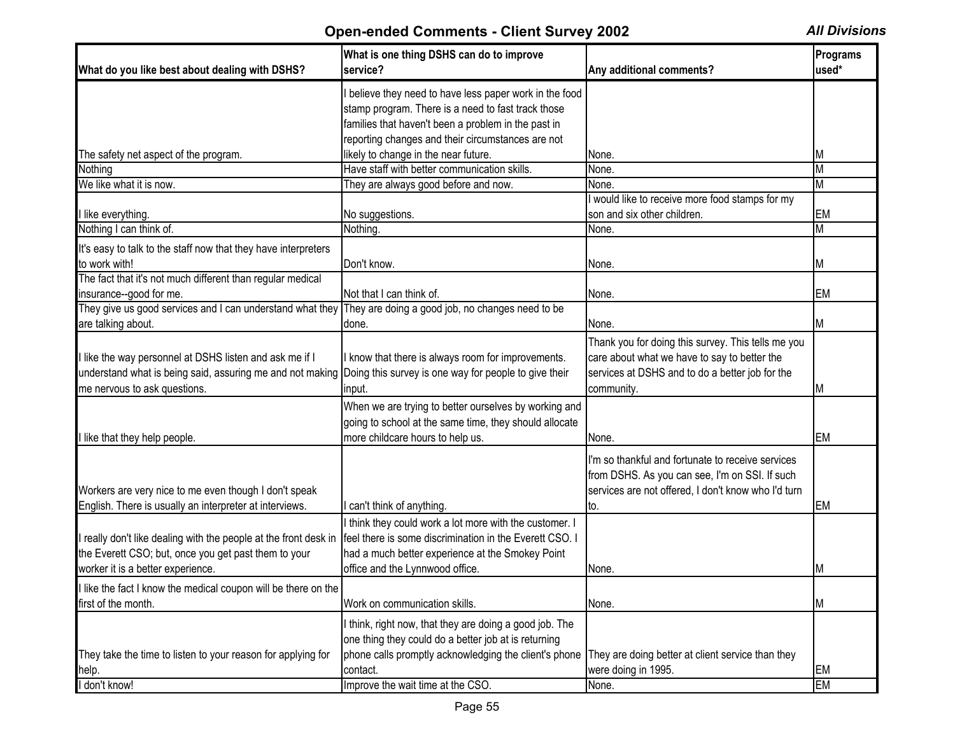| What do you like best about dealing with DSHS?                                                                                                                                                             | What is one thing DSHS can do to improve<br>service?                                                                                                                                                                                   | Any additional comments?                                                                                                                                            | Programs<br>used*            |
|------------------------------------------------------------------------------------------------------------------------------------------------------------------------------------------------------------|----------------------------------------------------------------------------------------------------------------------------------------------------------------------------------------------------------------------------------------|---------------------------------------------------------------------------------------------------------------------------------------------------------------------|------------------------------|
|                                                                                                                                                                                                            | believe they need to have less paper work in the food<br>stamp program. There is a need to fast track those<br>families that haven't been a problem in the past in                                                                     |                                                                                                                                                                     |                              |
|                                                                                                                                                                                                            | reporting changes and their circumstances are not                                                                                                                                                                                      |                                                                                                                                                                     |                              |
| The safety net aspect of the program.                                                                                                                                                                      | likely to change in the near future.<br>Have staff with better communication skills.                                                                                                                                                   | None.<br>None.                                                                                                                                                      | M<br>$\overline{\mathsf{M}}$ |
| Nothing<br>We like what it is now.                                                                                                                                                                         |                                                                                                                                                                                                                                        |                                                                                                                                                                     | $\overline{\mathsf{M}}$      |
|                                                                                                                                                                                                            | They are always good before and now.                                                                                                                                                                                                   | None.<br>I would like to receive more food stamps for my                                                                                                            |                              |
| I like everything.                                                                                                                                                                                         | No suggestions.                                                                                                                                                                                                                        | son and six other children.                                                                                                                                         | EM                           |
| Nothing I can think of.                                                                                                                                                                                    | Nothing.                                                                                                                                                                                                                               | None.                                                                                                                                                               | $\overline{\mathsf{M}}$      |
| It's easy to talk to the staff now that they have interpreters                                                                                                                                             |                                                                                                                                                                                                                                        |                                                                                                                                                                     |                              |
| to work with!                                                                                                                                                                                              | Don't know.                                                                                                                                                                                                                            | None.                                                                                                                                                               | Μ                            |
| The fact that it's not much different than regular medical                                                                                                                                                 |                                                                                                                                                                                                                                        |                                                                                                                                                                     |                              |
| insurance-good for me.                                                                                                                                                                                     | Not that I can think of.                                                                                                                                                                                                               | None.                                                                                                                                                               | EM                           |
| They give us good services and I can understand what they They are doing a good job, no changes need to be                                                                                                 |                                                                                                                                                                                                                                        |                                                                                                                                                                     |                              |
| are talking about.                                                                                                                                                                                         | done.                                                                                                                                                                                                                                  | None.                                                                                                                                                               | ΙM                           |
| I like the way personnel at DSHS listen and ask me if I<br>understand what is being said, assuring me and not making Doing this survey is one way for people to give their<br>me nervous to ask questions. | know that there is always room for improvements.<br>input.                                                                                                                                                                             | Thank you for doing this survey. This tells me you<br>care about what we have to say to better the<br>services at DSHS and to do a better job for the<br>community. | M                            |
| I like that they help people.                                                                                                                                                                              | When we are trying to better ourselves by working and<br>going to school at the same time, they should allocate<br>more childcare hours to help us.                                                                                    | None.                                                                                                                                                               | <b>EM</b>                    |
| Workers are very nice to me even though I don't speak<br>English. There is usually an interpreter at interviews.                                                                                           | can't think of anything.                                                                                                                                                                                                               | I'm so thankful and fortunate to receive services<br>from DSHS. As you can see, I'm on SSI. If such<br>services are not offered, I don't know who I'd turn<br>Ito.  | EM                           |
| I really don't like dealing with the people at the front desk in<br>the Everett CSO; but, once you get past them to your<br>worker it is a better experience.                                              | think they could work a lot more with the customer. I<br>feel there is some discrimination in the Everett CSO. I<br>had a much better experience at the Smokey Point<br>office and the Lynnwood office.                                | None.                                                                                                                                                               | M                            |
| I like the fact I know the medical coupon will be there on the                                                                                                                                             |                                                                                                                                                                                                                                        |                                                                                                                                                                     |                              |
| first of the month.                                                                                                                                                                                        | Work on communication skills.                                                                                                                                                                                                          | None.                                                                                                                                                               | M                            |
| They take the time to listen to your reason for applying for<br>help.                                                                                                                                      | I think, right now, that they are doing a good job. The<br>one thing they could do a better job at is returning<br>phone calls promptly acknowledging the client's phone They are doing better at client service than they<br>contact. | were doing in 1995.                                                                                                                                                 | <b>EM</b>                    |
| I don't know!                                                                                                                                                                                              | Improve the wait time at the CSO.                                                                                                                                                                                                      | None.                                                                                                                                                               | <b>EM</b>                    |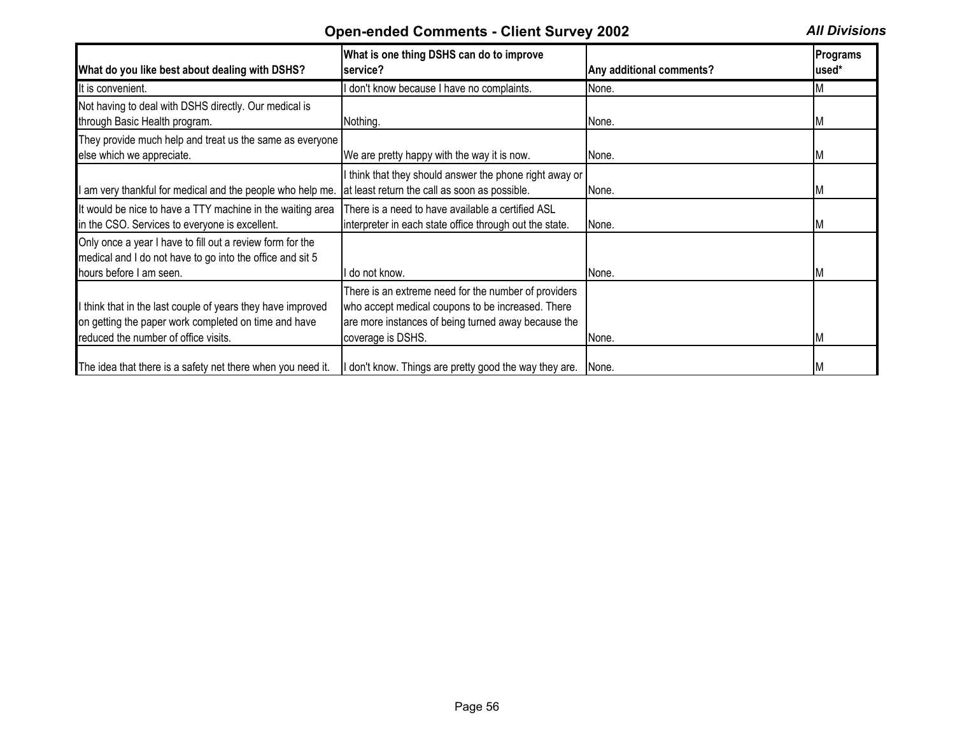| What do you like best about dealing with DSHS?                                                                                                              | What is one thing DSHS can do to improve<br>service?                                                                                                                                  | Any additional comments? | <b>Programs</b><br>used* |
|-------------------------------------------------------------------------------------------------------------------------------------------------------------|---------------------------------------------------------------------------------------------------------------------------------------------------------------------------------------|--------------------------|--------------------------|
| It is convenient.                                                                                                                                           | don't know because I have no complaints.                                                                                                                                              | None.                    |                          |
| Not having to deal with DSHS directly. Our medical is<br>through Basic Health program.                                                                      | Nothing.                                                                                                                                                                              | None.                    |                          |
| They provide much help and treat us the same as everyone<br>else which we appreciate.                                                                       | We are pretty happy with the way it is now.                                                                                                                                           | None.                    |                          |
| I am very thankful for medical and the people who help me.                                                                                                  | I think that they should answer the phone right away or<br>at least return the call as soon as possible.                                                                              | None.                    |                          |
| It would be nice to have a TTY machine in the waiting area<br>in the CSO. Services to everyone is excellent.                                                | There is a need to have available a certified ASL<br>interpreter in each state office through out the state.                                                                          | None.                    |                          |
| Only once a year I have to fill out a review form for the<br>medical and I do not have to go into the office and sit 5<br>hours before I am seen.           | do not know.                                                                                                                                                                          | None.                    |                          |
| I think that in the last couple of years they have improved<br>on getting the paper work completed on time and have<br>reduced the number of office visits. | There is an extreme need for the number of providers<br>who accept medical coupons to be increased. There<br>are more instances of being turned away because the<br>coverage is DSHS. | None.                    |                          |
| The idea that there is a safety net there when you need it.                                                                                                 | I don't know. Things are pretty good the way they are.                                                                                                                                | None.                    |                          |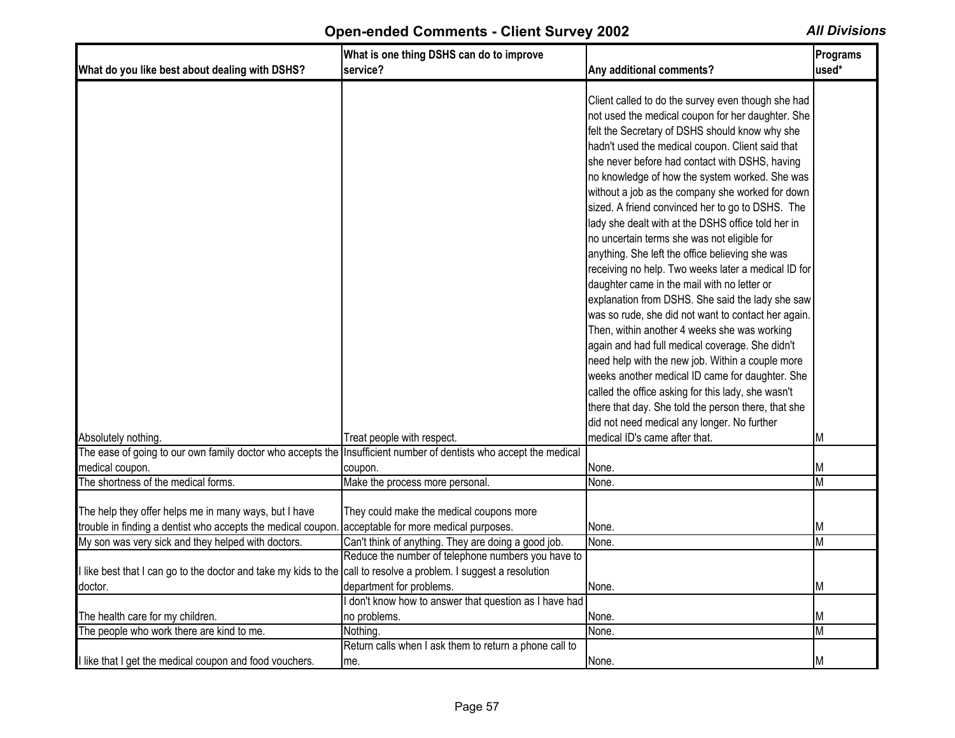| What do you like best about dealing with DSHS?                                                                    | What is one thing DSHS can do to improve<br>service?   | Any additional comments?                                                                                                                                                                                                                                                                                                                                                                                                                                                                                                                                                                                                                                                                                                                                                                                                                           | Programs<br>used* |
|-------------------------------------------------------------------------------------------------------------------|--------------------------------------------------------|----------------------------------------------------------------------------------------------------------------------------------------------------------------------------------------------------------------------------------------------------------------------------------------------------------------------------------------------------------------------------------------------------------------------------------------------------------------------------------------------------------------------------------------------------------------------------------------------------------------------------------------------------------------------------------------------------------------------------------------------------------------------------------------------------------------------------------------------------|-------------------|
|                                                                                                                   |                                                        |                                                                                                                                                                                                                                                                                                                                                                                                                                                                                                                                                                                                                                                                                                                                                                                                                                                    |                   |
|                                                                                                                   |                                                        | Client called to do the survey even though she had<br>not used the medical coupon for her daughter. She<br>felt the Secretary of DSHS should know why she<br>hadn't used the medical coupon. Client said that<br>she never before had contact with DSHS, having<br>no knowledge of how the system worked. She was<br>without a job as the company she worked for down<br>sized. A friend convinced her to go to DSHS. The<br>lady she dealt with at the DSHS office told her in<br>no uncertain terms she was not eligible for<br>anything. She left the office believing she was<br>receiving no help. Two weeks later a medical ID for<br>daughter came in the mail with no letter or<br>explanation from DSHS. She said the lady she saw<br>was so rude, she did not want to contact her again.<br>Then, within another 4 weeks she was working |                   |
|                                                                                                                   |                                                        | again and had full medical coverage. She didn't                                                                                                                                                                                                                                                                                                                                                                                                                                                                                                                                                                                                                                                                                                                                                                                                    |                   |
|                                                                                                                   |                                                        | need help with the new job. Within a couple more                                                                                                                                                                                                                                                                                                                                                                                                                                                                                                                                                                                                                                                                                                                                                                                                   |                   |
|                                                                                                                   |                                                        | weeks another medical ID came for daughter. She                                                                                                                                                                                                                                                                                                                                                                                                                                                                                                                                                                                                                                                                                                                                                                                                    |                   |
|                                                                                                                   |                                                        | called the office asking for this lady, she wasn't                                                                                                                                                                                                                                                                                                                                                                                                                                                                                                                                                                                                                                                                                                                                                                                                 |                   |
|                                                                                                                   |                                                        | there that day. She told the person there, that she                                                                                                                                                                                                                                                                                                                                                                                                                                                                                                                                                                                                                                                                                                                                                                                                |                   |
|                                                                                                                   |                                                        | did not need medical any longer. No further                                                                                                                                                                                                                                                                                                                                                                                                                                                                                                                                                                                                                                                                                                                                                                                                        |                   |
| Absolutely nothing.                                                                                               | Treat people with respect.                             | medical ID's came after that.                                                                                                                                                                                                                                                                                                                                                                                                                                                                                                                                                                                                                                                                                                                                                                                                                      | М                 |
| The ease of going to our own family doctor who accepts the Insufficient number of dentists who accept the medical |                                                        |                                                                                                                                                                                                                                                                                                                                                                                                                                                                                                                                                                                                                                                                                                                                                                                                                                                    |                   |
| medical coupon.                                                                                                   | coupon.                                                | None.                                                                                                                                                                                                                                                                                                                                                                                                                                                                                                                                                                                                                                                                                                                                                                                                                                              | M                 |
| The shortness of the medical forms.                                                                               | Make the process more personal.                        | None.                                                                                                                                                                                                                                                                                                                                                                                                                                                                                                                                                                                                                                                                                                                                                                                                                                              | M                 |
| The help they offer helps me in many ways, but I have                                                             | They could make the medical coupons more               |                                                                                                                                                                                                                                                                                                                                                                                                                                                                                                                                                                                                                                                                                                                                                                                                                                                    |                   |
| trouble in finding a dentist who accepts the medical coupon. acceptable for more medical purposes.                |                                                        | None.                                                                                                                                                                                                                                                                                                                                                                                                                                                                                                                                                                                                                                                                                                                                                                                                                                              | M                 |
| My son was very sick and they helped with doctors.                                                                | Can't think of anything. They are doing a good job.    | None.                                                                                                                                                                                                                                                                                                                                                                                                                                                                                                                                                                                                                                                                                                                                                                                                                                              | M                 |
|                                                                                                                   | Reduce the number of telephone numbers you have to     |                                                                                                                                                                                                                                                                                                                                                                                                                                                                                                                                                                                                                                                                                                                                                                                                                                                    |                   |
| I like best that I can go to the doctor and take my kids to the call to resolve a problem. I suggest a resolution |                                                        |                                                                                                                                                                                                                                                                                                                                                                                                                                                                                                                                                                                                                                                                                                                                                                                                                                                    |                   |
| doctor.                                                                                                           | department for problems.                               | None.                                                                                                                                                                                                                                                                                                                                                                                                                                                                                                                                                                                                                                                                                                                                                                                                                                              | M                 |
|                                                                                                                   | I don't know how to answer that question as I have had |                                                                                                                                                                                                                                                                                                                                                                                                                                                                                                                                                                                                                                                                                                                                                                                                                                                    |                   |
| The health care for my children.                                                                                  | no problems.                                           | None.                                                                                                                                                                                                                                                                                                                                                                                                                                                                                                                                                                                                                                                                                                                                                                                                                                              | М                 |
| The people who work there are kind to me.                                                                         | Nothing.                                               | None.                                                                                                                                                                                                                                                                                                                                                                                                                                                                                                                                                                                                                                                                                                                                                                                                                                              | M                 |
|                                                                                                                   | Return calls when I ask them to return a phone call to |                                                                                                                                                                                                                                                                                                                                                                                                                                                                                                                                                                                                                                                                                                                                                                                                                                                    |                   |
| I like that I get the medical coupon and food vouchers.                                                           | me.                                                    | None.                                                                                                                                                                                                                                                                                                                                                                                                                                                                                                                                                                                                                                                                                                                                                                                                                                              | M                 |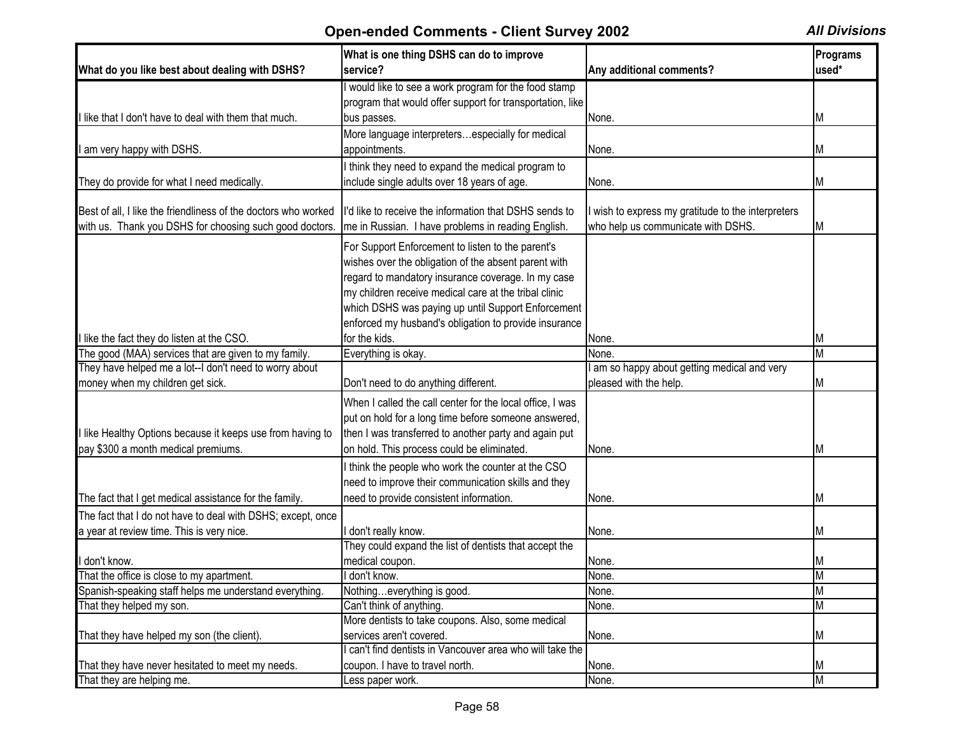| What do you like best about dealing with DSHS?                                                                 | What is one thing DSHS can do to improve<br>service?      | Any additional comments?                            | Programs<br>used* |
|----------------------------------------------------------------------------------------------------------------|-----------------------------------------------------------|-----------------------------------------------------|-------------------|
|                                                                                                                | would like to see a work program for the food stamp       |                                                     |                   |
|                                                                                                                | program that would offer support for transportation, like |                                                     |                   |
| I like that I don't have to deal with them that much.                                                          | bus passes.                                               | None.                                               | ΙM                |
|                                                                                                                | More language interpretersespecially for medical          |                                                     |                   |
| I am very happy with DSHS.                                                                                     | appointments.                                             | None.                                               | ΙM                |
|                                                                                                                | I think they need to expand the medical program to        |                                                     |                   |
|                                                                                                                | include single adults over 18 years of age.               |                                                     |                   |
| They do provide for what I need medically.                                                                     |                                                           | None.                                               | ΙM                |
| Best of all, I like the friendliness of the doctors who worked                                                 | I'd like to receive the information that DSHS sends to    | wish to express my gratitude to the interpreters    |                   |
| with us. Thank you DSHS for choosing such good doctors.                                                        | me in Russian. I have problems in reading English.        | who help us communicate with DSHS.                  | ΙM                |
|                                                                                                                |                                                           |                                                     |                   |
|                                                                                                                | For Support Enforcement to listen to the parent's         |                                                     |                   |
|                                                                                                                | wishes over the obligation of the absent parent with      |                                                     |                   |
|                                                                                                                | regard to mandatory insurance coverage. In my case        |                                                     |                   |
|                                                                                                                | my children receive medical care at the tribal clinic     |                                                     |                   |
|                                                                                                                | which DSHS was paying up until Support Enforcement        |                                                     |                   |
|                                                                                                                | enforced my husband's obligation to provide insurance     |                                                     |                   |
| llike the fact they do listen at the CSO.                                                                      | for the kids.                                             | None.                                               | ΙM<br>M           |
| The good (MAA) services that are given to my family.<br>They have helped me a lot--I don't need to worry about | Everything is okay.                                       | None.<br>am so happy about getting medical and very |                   |
| money when my children get sick.                                                                               | Don't need to do anything different.                      | pleased with the help.                              | M                 |
|                                                                                                                |                                                           |                                                     |                   |
|                                                                                                                | When I called the call center for the local office, I was |                                                     |                   |
|                                                                                                                | put on hold for a long time before someone answered,      |                                                     |                   |
| I like Healthy Options because it keeps use from having to                                                     | then I was transferred to another party and again put     |                                                     |                   |
| pay \$300 a month medical premiums.                                                                            | on hold. This process could be eliminated.                | None.                                               | ΙM                |
|                                                                                                                | I think the people who work the counter at the CSO        |                                                     |                   |
|                                                                                                                | need to improve their communication skills and they       |                                                     |                   |
| The fact that I get medical assistance for the family.                                                         | need to provide consistent information.                   | None.                                               | M                 |
| The fact that I do not have to deal with DSHS; except, once                                                    |                                                           |                                                     |                   |
| a year at review time. This is very nice.                                                                      | I don't really know.                                      | None.                                               | M                 |
|                                                                                                                | They could expand the list of dentists that accept the    |                                                     |                   |
| don't know.                                                                                                    | medical coupon.                                           | None.                                               | ΙM                |
| That the office is close to my apartment.                                                                      | I don't know.                                             | None.                                               | M                 |
| Spanish-speaking staff helps me understand everything.                                                         | Nothingeverything is good.                                | None.                                               | M                 |
| That they helped my son.                                                                                       | Can't think of anything.                                  | None.                                               | M                 |
|                                                                                                                | More dentists to take coupons. Also, some medical         |                                                     |                   |
| That they have helped my son (the client).                                                                     | services aren't covered.                                  | None.                                               | M                 |
|                                                                                                                | can't find dentists in Vancouver area who will take the   |                                                     |                   |
| That they have never hesitated to meet my needs.                                                               | coupon. I have to travel north.                           | None.                                               | ΙM                |
| That they are helping me.                                                                                      | Less paper work.                                          | None.                                               | M                 |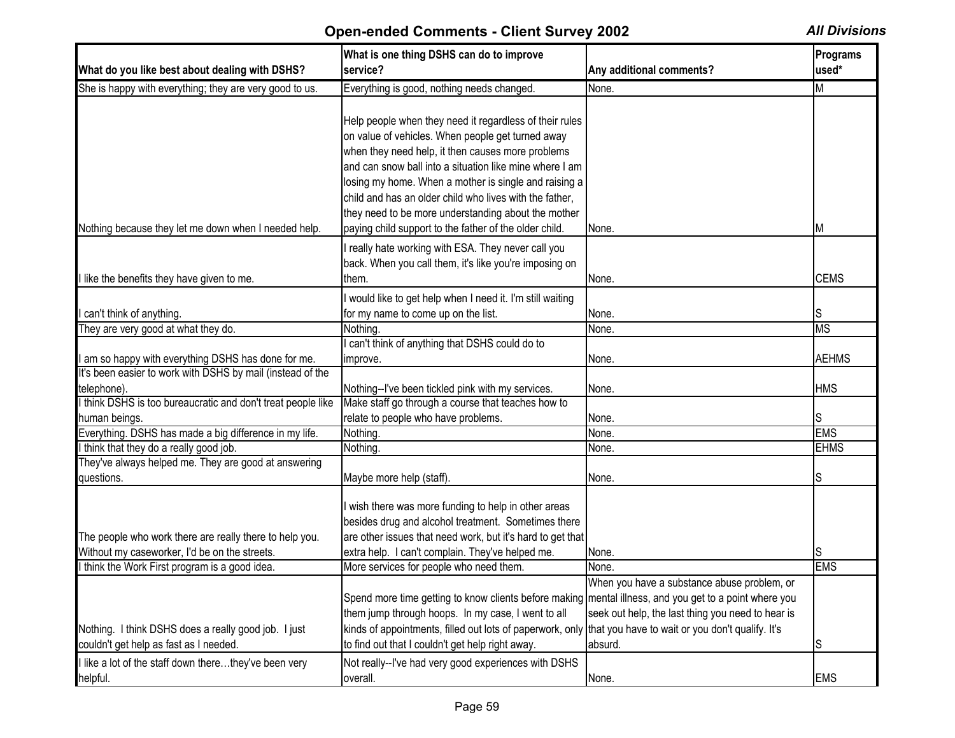|                                                              | What is one thing DSHS can do to improve<br>service?                                                       | Any additional comments?                          | Programs<br>used* |
|--------------------------------------------------------------|------------------------------------------------------------------------------------------------------------|---------------------------------------------------|-------------------|
| What do you like best about dealing with DSHS?               |                                                                                                            |                                                   |                   |
| She is happy with everything; they are very good to us.      | Everything is good, nothing needs changed.                                                                 | None.                                             | M                 |
|                                                              |                                                                                                            |                                                   |                   |
|                                                              | Help people when they need it regardless of their rules                                                    |                                                   |                   |
|                                                              | on value of vehicles. When people get turned away                                                          |                                                   |                   |
|                                                              | when they need help, it then causes more problems                                                          |                                                   |                   |
|                                                              | and can snow ball into a situation like mine where I am                                                    |                                                   |                   |
|                                                              | losing my home. When a mother is single and raising a                                                      |                                                   |                   |
|                                                              | child and has an older child who lives with the father,                                                    |                                                   |                   |
|                                                              | they need to be more understanding about the mother                                                        |                                                   |                   |
| Nothing because they let me down when I needed help.         | paying child support to the father of the older child.                                                     | None.                                             | M                 |
|                                                              | I really hate working with ESA. They never call you                                                        |                                                   |                   |
|                                                              | back. When you call them, it's like you're imposing on                                                     |                                                   |                   |
| I like the benefits they have given to me.                   | them.                                                                                                      | None.                                             | <b>CEMS</b>       |
|                                                              |                                                                                                            |                                                   |                   |
|                                                              | I would like to get help when I need it. I'm still waiting                                                 |                                                   |                   |
| can't think of anything.                                     | for my name to come up on the list.                                                                        | None.                                             | IS                |
| They are very good at what they do.                          | Nothing.                                                                                                   | None.                                             | <b>MS</b>         |
|                                                              | can't think of anything that DSHS could do to                                                              |                                                   |                   |
| I am so happy with everything DSHS has done for me.          | improve.                                                                                                   | None.                                             | <b>AEHMS</b>      |
| It's been easier to work with DSHS by mail (instead of the   |                                                                                                            |                                                   |                   |
| telephone).                                                  | Nothing--I've been tickled pink with my services.                                                          | None.                                             | <b>HMS</b>        |
| I think DSHS is too bureaucratic and don't treat people like | Make staff go through a course that teaches how to                                                         |                                                   |                   |
| human beings.                                                | relate to people who have problems.                                                                        | None.                                             | IS                |
| Everything. DSHS has made a big difference in my life.       | Nothing.                                                                                                   | None.                                             | <b>EMS</b>        |
| I think that they do a really good job.                      | Nothing.                                                                                                   | None.                                             | <b>EHMS</b>       |
| They've always helped me. They are good at answering         |                                                                                                            |                                                   |                   |
| questions.                                                   | Maybe more help (staff).                                                                                   | None.                                             | lS                |
|                                                              |                                                                                                            |                                                   |                   |
|                                                              | I wish there was more funding to help in other areas                                                       |                                                   |                   |
|                                                              | besides drug and alcohol treatment. Sometimes there                                                        |                                                   |                   |
| The people who work there are really there to help you.      | are other issues that need work, but it's hard to get that                                                 |                                                   |                   |
| Without my caseworker, I'd be on the streets.                | extra help. I can't complain. They've helped me.                                                           | None.                                             |                   |
| I think the Work First program is a good idea.               | More services for people who need them.                                                                    | None.                                             | <b>EMS</b>        |
|                                                              |                                                                                                            | When you have a substance abuse problem, or       |                   |
|                                                              | Spend more time getting to know clients before making mental illness, and you get to a point where you     |                                                   |                   |
|                                                              | them jump through hoops. In my case, I went to all                                                         | seek out help, the last thing you need to hear is |                   |
| Nothing. I think DSHS does a really good job. I just         | kinds of appointments, filled out lots of paperwork, only that you have to wait or you don't qualify. It's |                                                   |                   |
| couldn't get help as fast as I needed.                       | to find out that I couldn't get help right away.                                                           | absurd.                                           | ß                 |
| I like a lot of the staff down therethey've been very        | Not really--I've had very good experiences with DSHS                                                       |                                                   |                   |
| helpful.                                                     | overall.                                                                                                   |                                                   | <b>EMS</b>        |
|                                                              |                                                                                                            | None.                                             |                   |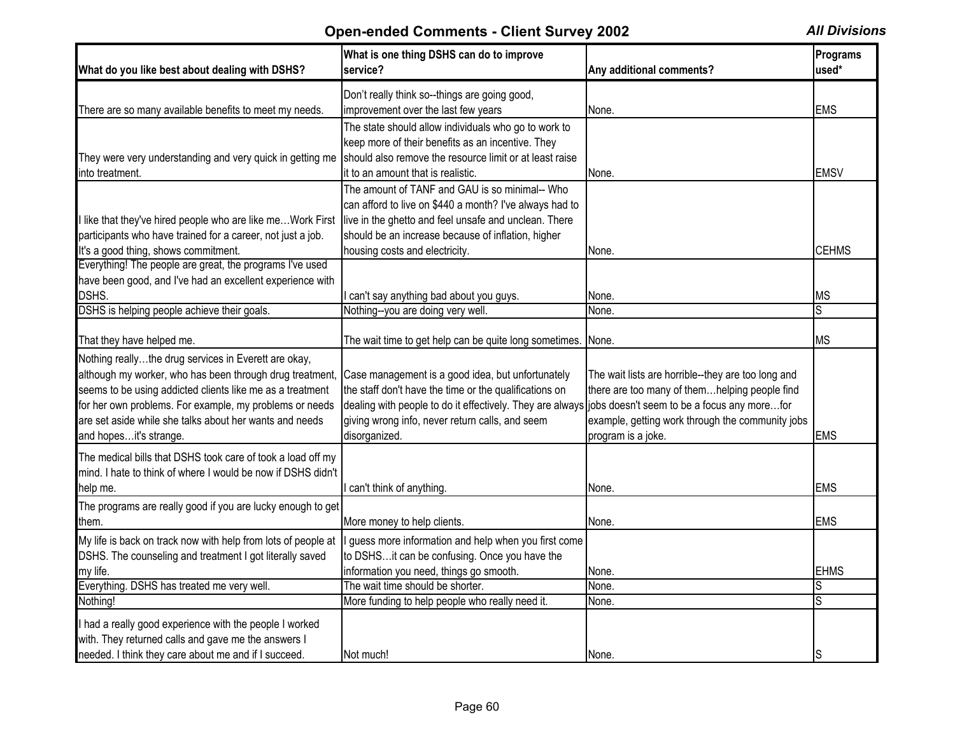| What do you like best about dealing with DSHS?                                                                              | What is one thing DSHS can do to improve<br>service?                                                  | Any additional comments?                           | <b>Programs</b><br>used* |
|-----------------------------------------------------------------------------------------------------------------------------|-------------------------------------------------------------------------------------------------------|----------------------------------------------------|--------------------------|
|                                                                                                                             | Don't really think so--things are going good,                                                         |                                                    |                          |
| There are so many available benefits to meet my needs.                                                                      | improvement over the last few years                                                                   | None.                                              | <b>EMS</b>               |
|                                                                                                                             | The state should allow individuals who go to work to                                                  |                                                    |                          |
|                                                                                                                             | keep more of their benefits as an incentive. They                                                     |                                                    |                          |
| They were very understanding and very quick in getting me                                                                   | should also remove the resource limit or at least raise                                               |                                                    |                          |
| into treatment.                                                                                                             | it to an amount that is realistic.                                                                    | None.                                              | <b>EMSV</b>              |
|                                                                                                                             | The amount of TANF and GAU is so minimal-- Who                                                        |                                                    |                          |
|                                                                                                                             | can afford to live on \$440 a month? I've always had to                                               |                                                    |                          |
| llike that they've hired people who are like meWork First                                                                   | live in the ghetto and feel unsafe and unclean. There                                                 |                                                    |                          |
| participants who have trained for a career, not just a job.                                                                 | should be an increase because of inflation, higher                                                    |                                                    |                          |
| It's a good thing, shows commitment.                                                                                        | housing costs and electricity.                                                                        | None.                                              | <b>CEHMS</b>             |
| Everything! The people are great, the programs I've used                                                                    |                                                                                                       |                                                    |                          |
| have been good, and I've had an excellent experience with                                                                   |                                                                                                       |                                                    |                          |
| DSHS.                                                                                                                       | I can't say anything bad about you guys.                                                              | None.                                              | <b>MS</b>                |
| DSHS is helping people achieve their goals.                                                                                 | Nothing--you are doing very well.                                                                     | None.                                              | S                        |
|                                                                                                                             |                                                                                                       |                                                    |                          |
| That they have helped me.                                                                                                   | The wait time to get help can be quite long sometimes.                                                | None.                                              | <b>MS</b>                |
| Nothing reallythe drug services in Everett are okay,                                                                        |                                                                                                       |                                                    |                          |
| although my worker, who has been through drug treatment,                                                                    | Case management is a good idea, but unfortunately                                                     | The wait lists are horrible--they are too long and |                          |
| seems to be using addicted clients like me as a treatment                                                                   | the staff don't have the time or the qualifications on                                                | there are too many of themhelping people find      |                          |
| for her own problems. For example, my problems or needs                                                                     | dealing with people to do it effectively. They are always jobs doesn't seem to be a focus any morefor |                                                    |                          |
| are set aside while she talks about her wants and needs                                                                     | giving wrong info, never return calls, and seem                                                       | example, getting work through the community jobs   |                          |
| and hopesit's strange.                                                                                                      | disorganized.                                                                                         | program is a joke.                                 | <b>EMS</b>               |
| The medical bills that DSHS took care of took a load off my<br>mind. I hate to think of where I would be now if DSHS didn't |                                                                                                       |                                                    |                          |
| help me.                                                                                                                    | I can't think of anything.                                                                            | None.                                              | <b>EMS</b>               |
| The programs are really good if you are lucky enough to get                                                                 |                                                                                                       |                                                    |                          |
| them.                                                                                                                       | More money to help clients.                                                                           | None.                                              | <b>EMS</b>               |
| My life is back on track now with help from lots of people at                                                               | guess more information and help when you first come                                                   |                                                    |                          |
| DSHS. The counseling and treatment I got literally saved                                                                    | to DSHSit can be confusing. Once you have the                                                         |                                                    |                          |
| my life.                                                                                                                    | information you need, things go smooth.                                                               | None.                                              | <b>EHMS</b>              |
| Everything. DSHS has treated me very well.                                                                                  | The wait time should be shorter.                                                                      | None.                                              |                          |
| Nothing!                                                                                                                    | More funding to help people who really need it.                                                       | None.                                              | S                        |
|                                                                                                                             |                                                                                                       |                                                    |                          |
| I had a really good experience with the people I worked                                                                     |                                                                                                       |                                                    |                          |
| with. They returned calls and gave me the answers I                                                                         |                                                                                                       |                                                    |                          |
| needed. I think they care about me and if I succeed.                                                                        | Not much!                                                                                             | None.                                              | S                        |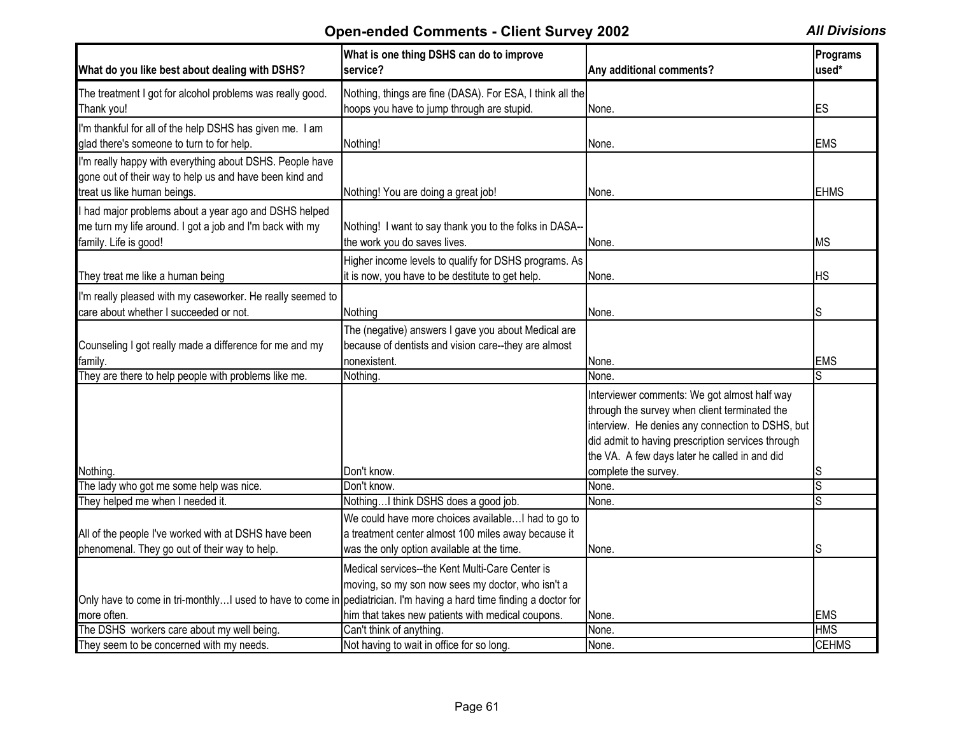| What do you like best about dealing with DSHS?                                                                                                     | What is one thing DSHS can do to improve<br>service?                                                                                                      | Any additional comments?                                                                                                                                                                                                                                                        | Programs<br>used* |
|----------------------------------------------------------------------------------------------------------------------------------------------------|-----------------------------------------------------------------------------------------------------------------------------------------------------------|---------------------------------------------------------------------------------------------------------------------------------------------------------------------------------------------------------------------------------------------------------------------------------|-------------------|
| The treatment I got for alcohol problems was really good.<br>Thank you!                                                                            | Nothing, things are fine (DASA). For ESA, I think all the<br>hoops you have to jump through are stupid.                                                   | None.                                                                                                                                                                                                                                                                           | ES                |
| I'm thankful for all of the help DSHS has given me. I am<br>glad there's someone to turn to for help.                                              | Nothing!                                                                                                                                                  | None.                                                                                                                                                                                                                                                                           | <b>EMS</b>        |
| I'm really happy with everything about DSHS. People have<br>gone out of their way to help us and have been kind and<br>treat us like human beings. | Nothing! You are doing a great job!                                                                                                                       | None.                                                                                                                                                                                                                                                                           | <b>EHMS</b>       |
| I had major problems about a year ago and DSHS helped<br>me turn my life around. I got a job and I'm back with my<br>family. Life is good!         | Nothing! I want to say thank you to the folks in DASA--<br>the work you do saves lives.                                                                   | None.                                                                                                                                                                                                                                                                           | <b>MS</b>         |
| They treat me like a human being                                                                                                                   | Higher income levels to qualify for DSHS programs. As<br>it is now, you have to be destitute to get help.                                                 | None.                                                                                                                                                                                                                                                                           | ΗS                |
| I'm really pleased with my caseworker. He really seemed to<br>care about whether I succeeded or not.                                               | Nothing                                                                                                                                                   | None.                                                                                                                                                                                                                                                                           |                   |
| Counseling I got really made a difference for me and my<br>family.                                                                                 | The (negative) answers I gave you about Medical are<br>because of dentists and vision care--they are almost<br>nonexistent.                               | None.                                                                                                                                                                                                                                                                           | <b>EMS</b>        |
| They are there to help people with problems like me.                                                                                               | Nothing.                                                                                                                                                  | None.                                                                                                                                                                                                                                                                           |                   |
| Nothing.                                                                                                                                           | Don't know.                                                                                                                                               | Interviewer comments: We got almost half way<br>through the survey when client terminated the<br>interview. He denies any connection to DSHS, but<br>did admit to having prescription services through<br>the VA. A few days later he called in and did<br>complete the survey. | S                 |
| The lady who got me some help was nice.                                                                                                            | Don't know.                                                                                                                                               | None.                                                                                                                                                                                                                                                                           | S                 |
| They helped me when I needed it.                                                                                                                   | NothingI think DSHS does a good job.                                                                                                                      | None.                                                                                                                                                                                                                                                                           |                   |
| All of the people I've worked with at DSHS have been<br>phenomenal. They go out of their way to help.                                              | We could have more choices available I had to go to<br>a treatment center almost 100 miles away because it<br>was the only option available at the time.  | None.                                                                                                                                                                                                                                                                           |                   |
| Only have to come in tri-monthlyI used to have to come in pediatrician. I'm having a hard time finding a doctor for<br>more often.                 | Medical services--the Kent Multi-Care Center is<br>moving, so my son now sees my doctor, who isn't a<br>him that takes new patients with medical coupons. | None.                                                                                                                                                                                                                                                                           | <b>EMS</b>        |
| The DSHS workers care about my well being.                                                                                                         | Can't think of anything.                                                                                                                                  | None.                                                                                                                                                                                                                                                                           | <b>HMS</b>        |
| They seem to be concerned with my needs.                                                                                                           | Not having to wait in office for so long.                                                                                                                 | None.                                                                                                                                                                                                                                                                           | <b>CEHMS</b>      |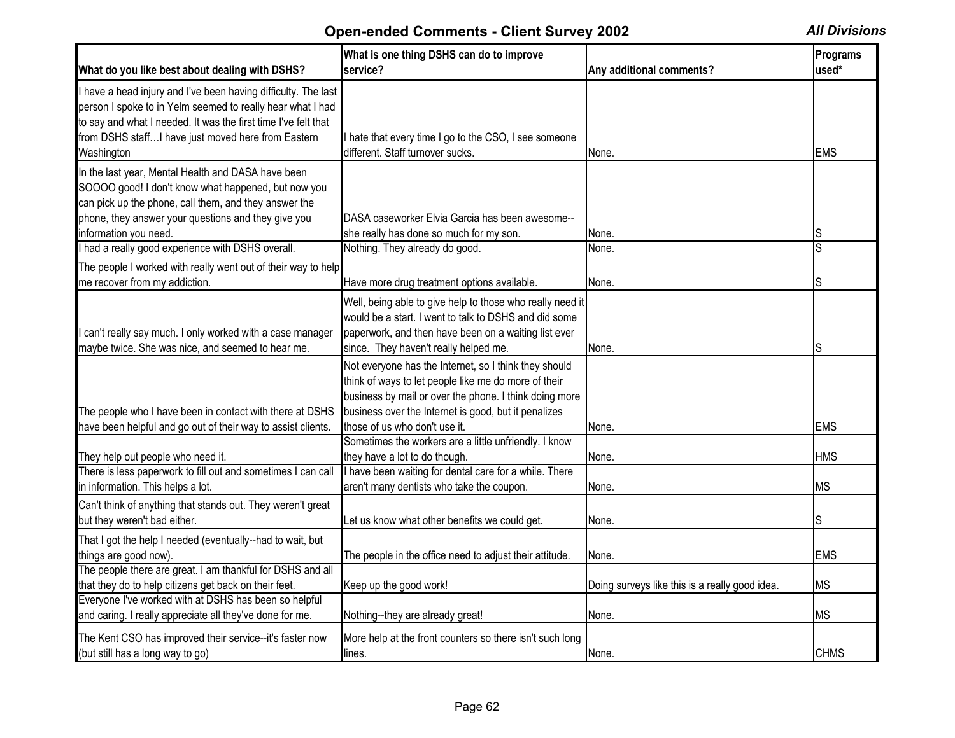| What do you like best about dealing with DSHS?                                                                                                                                                                                                       | What is one thing DSHS can do to improve<br>service?                                                                                                                                                                            | Any additional comments?                       | Programs<br>used*       |
|------------------------------------------------------------------------------------------------------------------------------------------------------------------------------------------------------------------------------------------------------|---------------------------------------------------------------------------------------------------------------------------------------------------------------------------------------------------------------------------------|------------------------------------------------|-------------------------|
| I have a head injury and I've been having difficulty. The last<br>person I spoke to in Yelm seemed to really hear what I had<br>to say and what I needed. It was the first time I've felt that<br>from DSHS staffI have just moved here from Eastern | I hate that every time I go to the CSO, I see someone                                                                                                                                                                           |                                                |                         |
| Washington                                                                                                                                                                                                                                           | different. Staff turnover sucks.                                                                                                                                                                                                | None.                                          | <b>EMS</b>              |
| In the last year, Mental Health and DASA have been<br>SOOOO good! I don't know what happened, but now you<br>can pick up the phone, call them, and they answer the                                                                                   |                                                                                                                                                                                                                                 |                                                |                         |
| phone, they answer your questions and they give you                                                                                                                                                                                                  | DASA caseworker Elvia Garcia has been awesome--                                                                                                                                                                                 |                                                |                         |
| information you need.                                                                                                                                                                                                                                | she really has done so much for my son.                                                                                                                                                                                         | None.                                          | S                       |
| had a really good experience with DSHS overall.                                                                                                                                                                                                      | Nothing. They already do good.                                                                                                                                                                                                  | None.                                          | S                       |
| The people I worked with really went out of their way to help                                                                                                                                                                                        |                                                                                                                                                                                                                                 |                                                |                         |
| me recover from my addiction.                                                                                                                                                                                                                        | Have more drug treatment options available.                                                                                                                                                                                     | None.                                          | S                       |
| I can't really say much. I only worked with a case manager<br>maybe twice. She was nice, and seemed to hear me.                                                                                                                                      | Well, being able to give help to those who really need it<br>would be a start. I went to talk to DSHS and did some<br>paperwork, and then have been on a waiting list ever<br>since. They haven't really helped me.             | None.                                          | S                       |
| The people who I have been in contact with there at DSHS                                                                                                                                                                                             | Not everyone has the Internet, so I think they should<br>think of ways to let people like me do more of their<br>business by mail or over the phone. I think doing more<br>business over the Internet is good, but it penalizes |                                                |                         |
| have been helpful and go out of their way to assist clients.                                                                                                                                                                                         | those of us who don't use it.                                                                                                                                                                                                   | None.                                          | <b>EMS</b>              |
| They help out people who need it.<br>There is less paperwork to fill out and sometimes I can call<br>in information. This helps a lot.                                                                                                               | Sometimes the workers are a little unfriendly. I know<br>they have a lot to do though.<br>I have been waiting for dental care for a while. There<br>aren't many dentists who take the coupon.                                   | None.<br>None.                                 | <b>HMS</b><br><b>MS</b> |
| Can't think of anything that stands out. They weren't great<br>but they weren't bad either.                                                                                                                                                          | Let us know what other benefits we could get.                                                                                                                                                                                   | None.                                          | S                       |
| That I got the help I needed (eventually--had to wait, but<br>things are good now).                                                                                                                                                                  | The people in the office need to adjust their attitude.                                                                                                                                                                         | None.                                          | <b>EMS</b>              |
| The people there are great. I am thankful for DSHS and all<br>that they do to help citizens get back on their feet.<br>Everyone I've worked with at DSHS has been so helpful                                                                         | Keep up the good work!                                                                                                                                                                                                          | Doing surveys like this is a really good idea. | МS                      |
| and caring. I really appreciate all they've done for me.                                                                                                                                                                                             | Nothing--they are already great!                                                                                                                                                                                                | None.                                          | <b>MS</b>               |
| The Kent CSO has improved their service--it's faster now<br>(but still has a long way to go)                                                                                                                                                         | More help at the front counters so there isn't such long<br>lines.                                                                                                                                                              | None.                                          | <b>CHMS</b>             |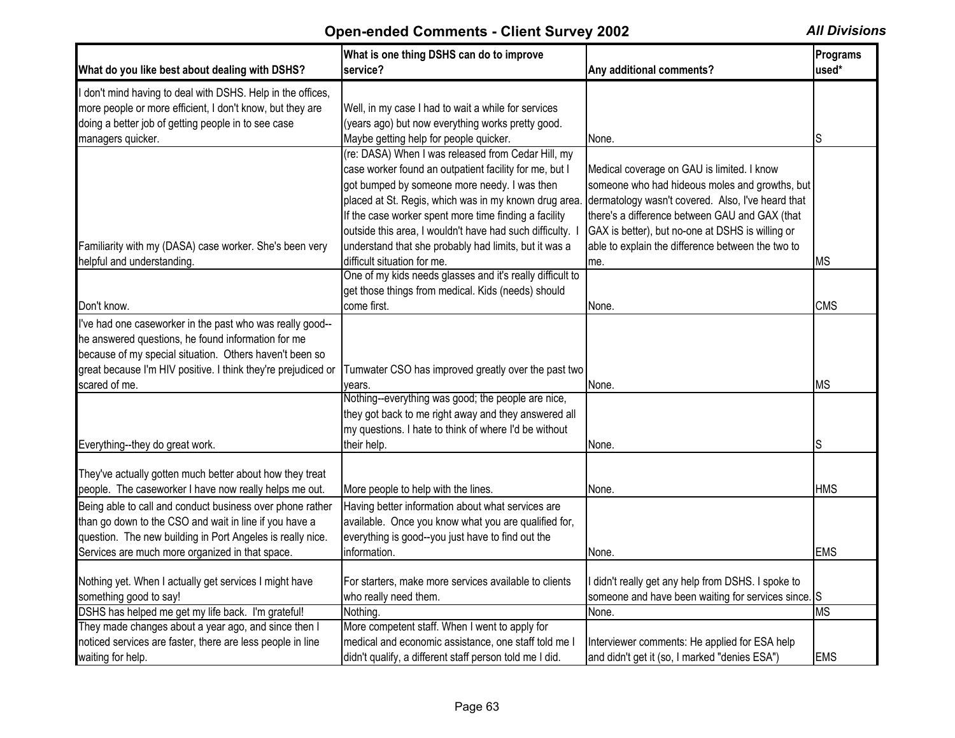| What do you like best about dealing with DSHS?                | What is one thing DSHS can do to improve<br>service?      | Any additional comments?                           | Programs<br>used*      |
|---------------------------------------------------------------|-----------------------------------------------------------|----------------------------------------------------|------------------------|
| I don't mind having to deal with DSHS. Help in the offices,   |                                                           |                                                    |                        |
| more people or more efficient, I don't know, but they are     | Well, in my case I had to wait a while for services       |                                                    |                        |
| doing a better job of getting people in to see case           | (years ago) but now everything works pretty good.         |                                                    |                        |
| managers quicker.                                             | Maybe getting help for people quicker.                    | None.                                              | S                      |
|                                                               | (re: DASA) When I was released from Cedar Hill, my        |                                                    |                        |
|                                                               | case worker found an outpatient facility for me, but I    | Medical coverage on GAU is limited. I know         |                        |
|                                                               | got bumped by someone more needy. I was then              | someone who had hideous moles and growths, but     |                        |
|                                                               | placed at St. Regis, which was in my known drug area.     | dermatology wasn't covered. Also, I've heard that  |                        |
|                                                               | If the case worker spent more time finding a facility     | there's a difference between GAU and GAX (that     |                        |
|                                                               | outside this area, I wouldn't have had such difficulty. I | GAX is better), but no-one at DSHS is willing or   |                        |
| Familiarity with my (DASA) case worker. She's been very       | understand that she probably had limits, but it was a     | able to explain the difference between the two to  |                        |
| helpful and understanding.                                    | difficult situation for me.                               | lme.                                               | ΜS                     |
|                                                               | One of my kids needs glasses and it's really difficult to |                                                    |                        |
|                                                               | get those things from medical. Kids (needs) should        |                                                    |                        |
| Don't know.                                                   | come first.                                               | None.                                              | <b>CMS</b>             |
| I've had one caseworker in the past who was really good--     |                                                           |                                                    |                        |
| he answered questions, he found information for me            |                                                           |                                                    |                        |
| because of my special situation. Others haven't been so       |                                                           |                                                    |                        |
| great because I'm HIV positive. I think they're prejudiced or | Tumwater CSO has improved greatly over the past two       |                                                    |                        |
| scared of me.                                                 | vears.                                                    | None.                                              | ΜS                     |
|                                                               | Nothing--everything was good; the people are nice,        |                                                    |                        |
|                                                               | they got back to me right away and they answered all      |                                                    |                        |
|                                                               | my questions. I hate to think of where I'd be without     |                                                    |                        |
| Everything--they do great work.                               | their help.                                               | None.                                              | S                      |
|                                                               |                                                           |                                                    |                        |
| They've actually gotten much better about how they treat      |                                                           |                                                    |                        |
| people. The caseworker I have now really helps me out.        | More people to help with the lines.                       | None.                                              | <b>HMS</b>             |
| Being able to call and conduct business over phone rather     | Having better information about what services are         |                                                    |                        |
| than go down to the CSO and wait in line if you have a        | available. Once you know what you are qualified for,      |                                                    |                        |
| question. The new building in Port Angeles is really nice.    | everything is good--you just have to find out the         |                                                    |                        |
| Services are much more organized in that space.               | information.                                              | None.                                              | <b>EMS</b>             |
|                                                               |                                                           |                                                    |                        |
| Nothing yet. When I actually get services I might have        | For starters, make more services available to clients     | I didn't really get any help from DSHS. I spoke to |                        |
| something good to say!                                        | who really need them.                                     | someone and have been waiting for services since.  | S                      |
| DSHS has helped me get my life back. I'm grateful!            | Nothing.                                                  | None.                                              | $\overline{\text{MS}}$ |
| They made changes about a year ago, and since then I          | More competent staff. When I went to apply for            |                                                    |                        |
| noticed services are faster, there are less people in line    | medical and economic assistance, one staff told me I      | Interviewer comments: He applied for ESA help      |                        |
| waiting for help.                                             | didn't qualify, a different staff person told me I did.   | and didn't get it (so, I marked "denies ESA")      | <b>EMS</b>             |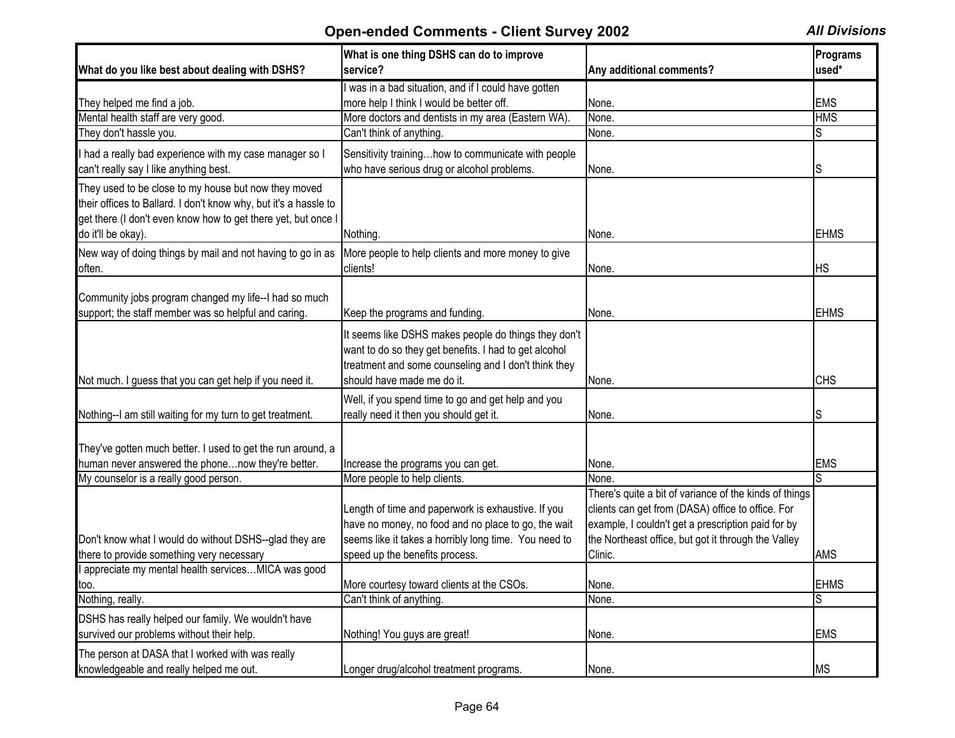| What do you like best about dealing with DSHS?                                                                                                                                                                  | What is one thing DSHS can do to improve<br>service?                                                                                                                                                 | Any additional comments?                                                                                                                                                  | Programs<br>used* |
|-----------------------------------------------------------------------------------------------------------------------------------------------------------------------------------------------------------------|------------------------------------------------------------------------------------------------------------------------------------------------------------------------------------------------------|---------------------------------------------------------------------------------------------------------------------------------------------------------------------------|-------------------|
|                                                                                                                                                                                                                 | was in a bad situation, and if I could have gotten                                                                                                                                                   |                                                                                                                                                                           |                   |
| They helped me find a job.                                                                                                                                                                                      | more help I think I would be better off.                                                                                                                                                             | None.                                                                                                                                                                     | <b>EMS</b>        |
| Mental health staff are very good.                                                                                                                                                                              | More doctors and dentists in my area (Eastern WA).                                                                                                                                                   | None.                                                                                                                                                                     | <b>HMS</b>        |
| They don't hassle you.                                                                                                                                                                                          | Can't think of anything.                                                                                                                                                                             | None.                                                                                                                                                                     | S                 |
| I had a really bad experience with my case manager so I<br>can't really say I like anything best.                                                                                                               | Sensitivity traininghow to communicate with people<br>who have serious drug or alcohol problems.                                                                                                     | None.                                                                                                                                                                     | S                 |
| They used to be close to my house but now they moved<br>their offices to Ballard. I don't know why, but it's a hassle to<br>get there (I don't even know how to get there yet, but once I<br>do it'll be okay). | Nothing                                                                                                                                                                                              | None.                                                                                                                                                                     | <b>EHMS</b>       |
| New way of doing things by mail and not having to go in as<br>often.                                                                                                                                            | More people to help clients and more money to give<br>clients!                                                                                                                                       | None.                                                                                                                                                                     | <b>HS</b>         |
| Community jobs program changed my life--I had so much                                                                                                                                                           |                                                                                                                                                                                                      |                                                                                                                                                                           |                   |
| support; the staff member was so helpful and caring.                                                                                                                                                            | Keep the programs and funding.                                                                                                                                                                       | None.                                                                                                                                                                     | <b>EHMS</b>       |
| Not much. I guess that you can get help if you need it.                                                                                                                                                         | It seems like DSHS makes people do things they don't<br>want to do so they get benefits. I had to get alcohol<br>treatment and some counseling and I don't think they<br>should have made me do it.  | None.                                                                                                                                                                     | <b>CHS</b>        |
|                                                                                                                                                                                                                 | Well, if you spend time to go and get help and you                                                                                                                                                   |                                                                                                                                                                           |                   |
| Nothing--I am still waiting for my turn to get treatment.                                                                                                                                                       | really need it then you should get it.                                                                                                                                                               | None.                                                                                                                                                                     | S                 |
| They've gotten much better. I used to get the run around, a<br>human never answered the phonenow they're better.<br>My counselor is a really good person.                                                       | Increase the programs you can get.<br>More people to help clients.                                                                                                                                   | None.<br>None.                                                                                                                                                            | <b>EMS</b><br>S.  |
|                                                                                                                                                                                                                 |                                                                                                                                                                                                      | There's quite a bit of variance of the kinds of things                                                                                                                    |                   |
| Don't know what I would do without DSHS--glad they are<br>there to provide something very necessary                                                                                                             | Length of time and paperwork is exhaustive. If you<br>have no money, no food and no place to go, the wait<br>seems like it takes a horribly long time. You need to<br>speed up the benefits process. | clients can get from (DASA) office to office. For<br>example, I couldn't get a prescription paid for by<br>the Northeast office, but got it through the Valley<br>Clinic. | AMS               |
| I appreciate my mental health servicesMICA was good                                                                                                                                                             |                                                                                                                                                                                                      |                                                                                                                                                                           |                   |
| too.                                                                                                                                                                                                            | More courtesy toward clients at the CSOs.                                                                                                                                                            | None.                                                                                                                                                                     | EHMS              |
| Nothing, really.                                                                                                                                                                                                | Can't think of anything.                                                                                                                                                                             | None.                                                                                                                                                                     | S                 |
| DSHS has really helped our family. We wouldn't have<br>survived our problems without their help.                                                                                                                | Nothing! You guys are great!                                                                                                                                                                         | None.                                                                                                                                                                     | <b>EMS</b>        |
| The person at DASA that I worked with was really<br>knowledgeable and really helped me out.                                                                                                                     | Longer drug/alcohol treatment programs.                                                                                                                                                              | None.                                                                                                                                                                     | <b>MS</b>         |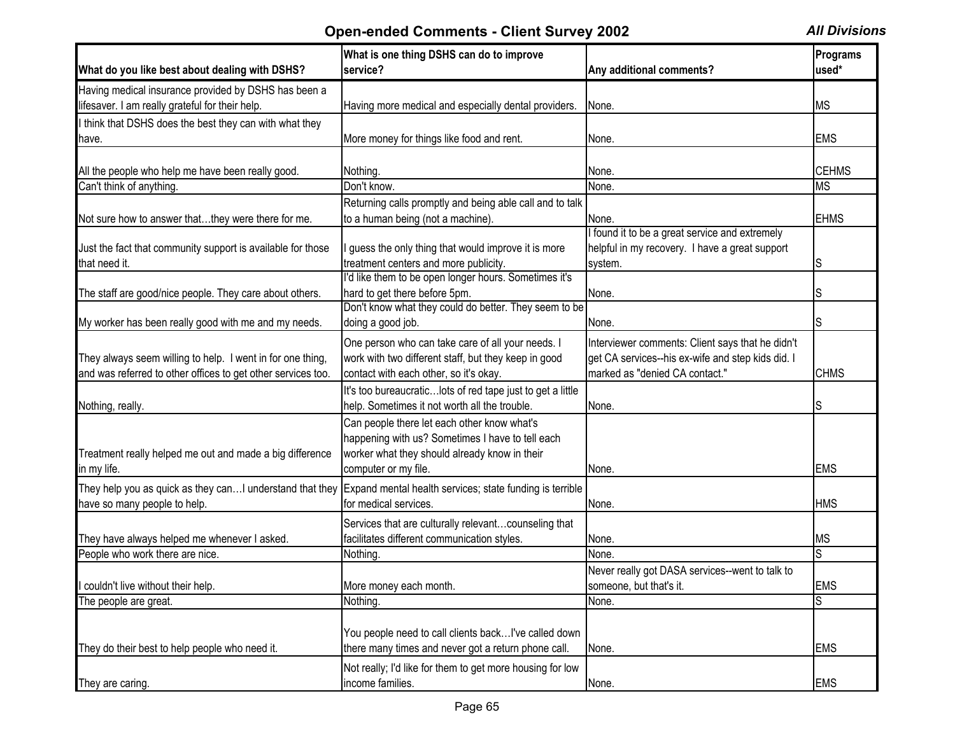| What do you like best about dealing with DSHS?               | What is one thing DSHS can do to improve<br>service?        | Any additional comments?                          | Programs<br>used* |
|--------------------------------------------------------------|-------------------------------------------------------------|---------------------------------------------------|-------------------|
| Having medical insurance provided by DSHS has been a         |                                                             |                                                   |                   |
| lifesaver. I am really grateful for their help.              | Having more medical and especially dental providers.        | None.                                             | <b>MS</b>         |
| I think that DSHS does the best they can with what they      |                                                             |                                                   |                   |
| have.                                                        | More money for things like food and rent.                   | None.                                             | <b>EMS</b>        |
|                                                              |                                                             |                                                   |                   |
| All the people who help me have been really good.            | Nothing.                                                    | None.                                             | <b>CEHMS</b>      |
| Can't think of anything.                                     | Don't know.                                                 | None.                                             | <b>MS</b>         |
|                                                              | Returning calls promptly and being able call and to talk    |                                                   |                   |
| Not sure how to answer thatthey were there for me.           | to a human being (not a machine).                           | None.                                             | <b>EHMS</b>       |
|                                                              |                                                             | I found it to be a great service and extremely    |                   |
| Just the fact that community support is available for those  | guess the only thing that would improve it is more          | helpful in my recovery. I have a great support    |                   |
| that need it.                                                | treatment centers and more publicity.                       | system.                                           | S                 |
|                                                              | I'd like them to be open longer hours. Sometimes it's       |                                                   |                   |
| The staff are good/nice people. They care about others.      | hard to get there before 5pm.                               | None.                                             |                   |
|                                                              | Don't know what they could do better. They seem to be       |                                                   |                   |
| My worker has been really good with me and my needs.         | doing a good job.                                           | None.                                             |                   |
|                                                              | One person who can take care of all your needs. I           | Interviewer comments: Client says that he didn't  |                   |
| They always seem willing to help. I went in for one thing,   | work with two different staff, but they keep in good        | get CA services--his ex-wife and step kids did. I |                   |
| and was referred to other offices to get other services too. | contact with each other, so it's okay.                      | marked as "denied CA contact."                    | <b>CHMS</b>       |
|                                                              | It's too bureaucratic lots of red tape just to get a little |                                                   |                   |
| Nothing, really.                                             | help. Sometimes it not worth all the trouble.               | None.                                             | S                 |
|                                                              | Can people there let each other know what's                 |                                                   |                   |
|                                                              | happening with us? Sometimes I have to tell each            |                                                   |                   |
| Treatment really helped me out and made a big difference     | worker what they should already know in their               |                                                   |                   |
| in my life.                                                  | computer or my file.                                        | None.                                             | <b>EMS</b>        |
|                                                              |                                                             |                                                   |                   |
| They help you as quick as they can I understand that they    | Expand mental health services; state funding is terrible    |                                                   |                   |
| have so many people to help.                                 | for medical services.                                       | None.                                             | <b>HMS</b>        |
|                                                              | Services that are culturally relevantcounseling that        |                                                   |                   |
| They have always helped me whenever I asked.                 | facilitates different communication styles.                 | None.                                             | <b>IMS</b>        |
| People who work there are nice.                              | Nothing                                                     | None.                                             | S                 |
|                                                              |                                                             | Never really got DASA services--went to talk to   |                   |
| I couldn't live without their help.                          | More money each month.                                      | someone, but that's it.                           | <b>EMS</b>        |
| The people are great.                                        | Nothing.                                                    | None.                                             | S                 |
|                                                              |                                                             |                                                   |                   |
|                                                              | You people need to call clients backI've called down        |                                                   |                   |
| They do their best to help people who need it.               | there many times and never got a return phone call.         | None.                                             | <b>EMS</b>        |
|                                                              | Not really; I'd like for them to get more housing for low   |                                                   |                   |
| They are caring.                                             | income families.                                            | None.                                             | <b>EMS</b>        |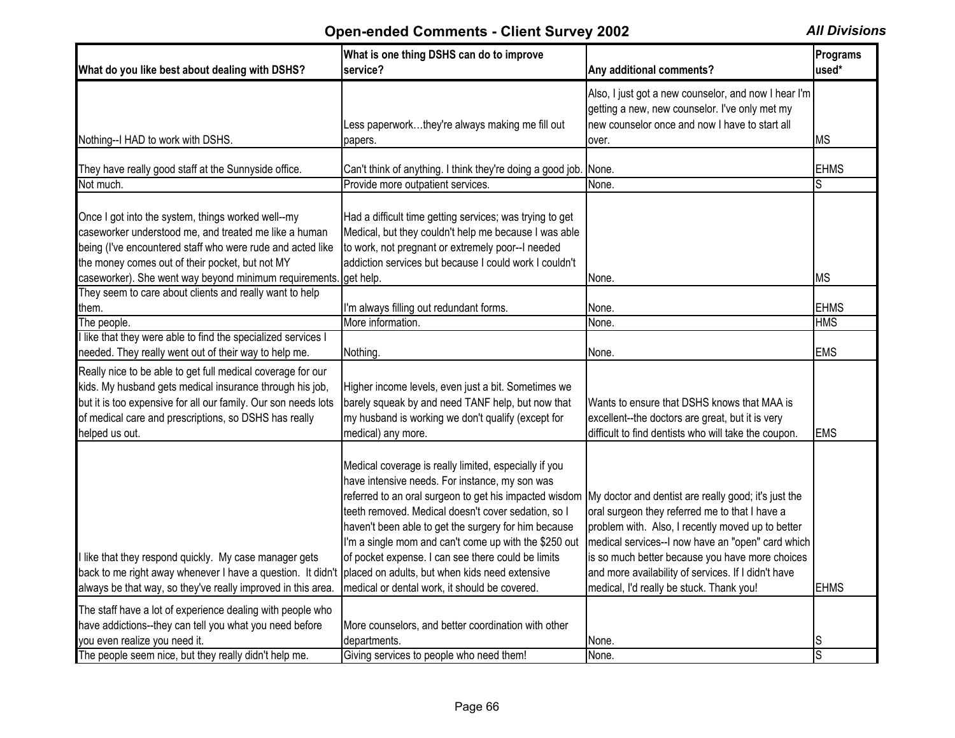| What do you like best about dealing with DSHS?                                                                                                                                                                                                                       | What is one thing DSHS can do to improve<br>service?                                                                                                                                                                                                                                                                                                                                            | Any additional comments?                                                                                                                                                                                                                                            | Programs<br>used* |
|----------------------------------------------------------------------------------------------------------------------------------------------------------------------------------------------------------------------------------------------------------------------|-------------------------------------------------------------------------------------------------------------------------------------------------------------------------------------------------------------------------------------------------------------------------------------------------------------------------------------------------------------------------------------------------|---------------------------------------------------------------------------------------------------------------------------------------------------------------------------------------------------------------------------------------------------------------------|-------------------|
|                                                                                                                                                                                                                                                                      | Less paperworkthey're always making me fill out                                                                                                                                                                                                                                                                                                                                                 | Also, I just got a new counselor, and now I hear I'm<br>getting a new, new counselor. I've only met my<br>new counselor once and now I have to start all                                                                                                            |                   |
| Nothing--I HAD to work with DSHS.                                                                                                                                                                                                                                    | papers.                                                                                                                                                                                                                                                                                                                                                                                         | over.                                                                                                                                                                                                                                                               | <b>MS</b>         |
| They have really good staff at the Sunnyside office.                                                                                                                                                                                                                 | Can't think of anything. I think they're doing a good job.                                                                                                                                                                                                                                                                                                                                      | None.                                                                                                                                                                                                                                                               | <b>EHMS</b>       |
| Not much.                                                                                                                                                                                                                                                            | Provide more outpatient services.                                                                                                                                                                                                                                                                                                                                                               | None.                                                                                                                                                                                                                                                               |                   |
| Once I got into the system, things worked well--my<br>caseworker understood me, and treated me like a human<br>being (I've encountered staff who were rude and acted like<br>the money comes out of their pocket, but not MY                                         | Had a difficult time getting services; was trying to get<br>Medical, but they couldn't help me because I was able<br>to work, not pregnant or extremely poor--I needed<br>addiction services but because I could work I couldn't                                                                                                                                                                |                                                                                                                                                                                                                                                                     |                   |
| caseworker). She went way beyond minimum requirements                                                                                                                                                                                                                | get help.                                                                                                                                                                                                                                                                                                                                                                                       | None.                                                                                                                                                                                                                                                               | МS                |
| They seem to care about clients and really want to help<br>them.                                                                                                                                                                                                     | I'm always filling out redundant forms.                                                                                                                                                                                                                                                                                                                                                         | None.                                                                                                                                                                                                                                                               | <b>EHMS</b>       |
| The people.                                                                                                                                                                                                                                                          | More information.                                                                                                                                                                                                                                                                                                                                                                               | None.                                                                                                                                                                                                                                                               | <b>HMS</b>        |
| like that they were able to find the specialized services I<br>needed. They really went out of their way to help me.                                                                                                                                                 | Nothing.                                                                                                                                                                                                                                                                                                                                                                                        | None.                                                                                                                                                                                                                                                               | <b>EMS</b>        |
| Really nice to be able to get full medical coverage for our<br>kids. My husband gets medical insurance through his job,<br>but it is too expensive for all our family. Our son needs lots<br>of medical care and prescriptions, so DSHS has really<br>helped us out. | Higher income levels, even just a bit. Sometimes we<br>barely squeak by and need TANF help, but now that<br>my husband is working we don't qualify (except for<br>medical) any more.                                                                                                                                                                                                            | Wants to ensure that DSHS knows that MAA is<br>excellent--the doctors are great, but it is very<br>difficult to find dentists who will take the coupon.                                                                                                             | <b>EMS</b>        |
| like that they respond quickly. My case manager gets                                                                                                                                                                                                                 | Medical coverage is really limited, especially if you<br>have intensive needs. For instance, my son was<br>referred to an oral surgeon to get his impacted wisdom<br>teeth removed. Medical doesn't cover sedation, so I<br>haven't been able to get the surgery for him because<br>I'm a single mom and can't come up with the \$250 out<br>of pocket expense. I can see there could be limits | My doctor and dentist are really good; it's just the<br>oral surgeon they referred me to that I have a<br>problem with. Also, I recently moved up to better<br>medical services--I now have an "open" card which<br>is so much better because you have more choices |                   |
| back to me right away whenever I have a question. It didn't                                                                                                                                                                                                          | placed on adults, but when kids need extensive                                                                                                                                                                                                                                                                                                                                                  | and more availability of services. If I didn't have                                                                                                                                                                                                                 |                   |
| always be that way, so they've really improved in this area.                                                                                                                                                                                                         | medical or dental work, it should be covered.                                                                                                                                                                                                                                                                                                                                                   | medical, I'd really be stuck. Thank you!                                                                                                                                                                                                                            | <b>EHMS</b>       |
| The staff have a lot of experience dealing with people who<br>have addictions--they can tell you what you need before                                                                                                                                                | More counselors, and better coordination with other                                                                                                                                                                                                                                                                                                                                             |                                                                                                                                                                                                                                                                     |                   |
| you even realize you need it.                                                                                                                                                                                                                                        | departments.                                                                                                                                                                                                                                                                                                                                                                                    | None.                                                                                                                                                                                                                                                               | S                 |
| The people seem nice, but they really didn't help me.                                                                                                                                                                                                                | Giving services to people who need them!                                                                                                                                                                                                                                                                                                                                                        | None.                                                                                                                                                                                                                                                               | S                 |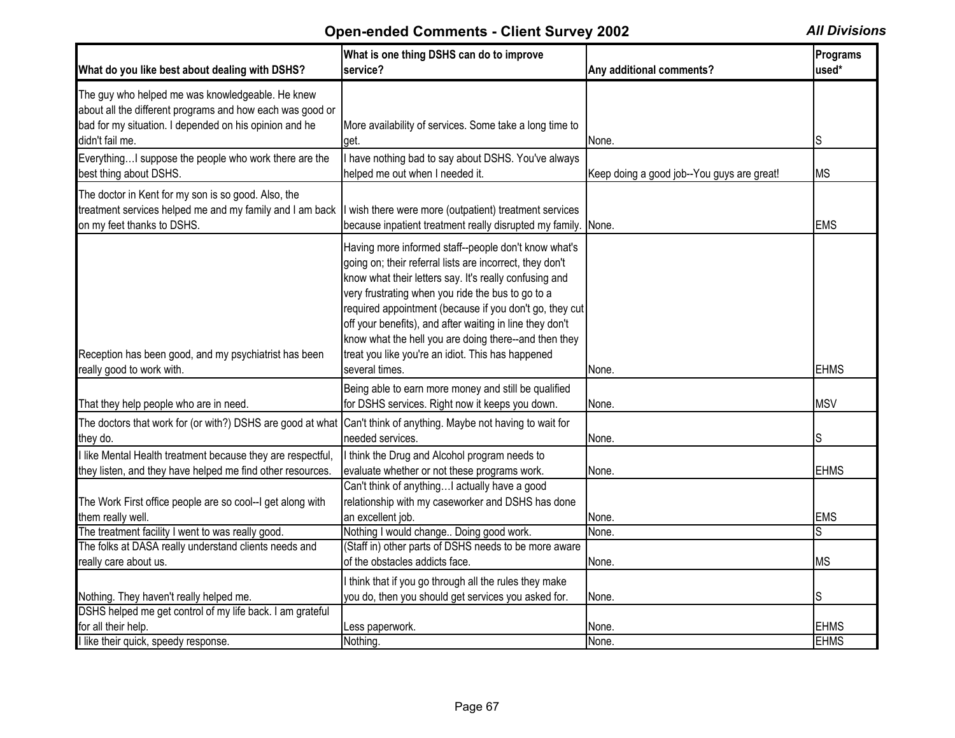| What do you like best about dealing with DSHS?                                                                                                                                                        | What is one thing DSHS can do to improve<br>service?                                                                                                                                                                                                                                                                                                                                                                                                                                   | Any additional comments?                   | Programs<br>used*          |
|-------------------------------------------------------------------------------------------------------------------------------------------------------------------------------------------------------|----------------------------------------------------------------------------------------------------------------------------------------------------------------------------------------------------------------------------------------------------------------------------------------------------------------------------------------------------------------------------------------------------------------------------------------------------------------------------------------|--------------------------------------------|----------------------------|
| The guy who helped me was knowledgeable. He knew<br>about all the different programs and how each was good or<br>bad for my situation. I depended on his opinion and he<br>didn't fail me.            | More availability of services. Some take a long time to<br>get.                                                                                                                                                                                                                                                                                                                                                                                                                        | None.                                      | lS.                        |
| EverythingI suppose the people who work there are the<br>best thing about DSHS.                                                                                                                       | I have nothing bad to say about DSHS. You've always<br>helped me out when I needed it.                                                                                                                                                                                                                                                                                                                                                                                                 | Keep doing a good job--You guys are great! | <b>MS</b>                  |
| The doctor in Kent for my son is so good. Also, the<br>treatment services helped me and my family and I am back  I wish there were more (outpatient) treatment services<br>on my feet thanks to DSHS. | because inpatient treatment really disrupted my family.                                                                                                                                                                                                                                                                                                                                                                                                                                | None.                                      | <b>EMS</b>                 |
| Reception has been good, and my psychiatrist has been<br>really good to work with.                                                                                                                    | Having more informed staff--people don't know what's<br>going on; their referral lists are incorrect, they don't<br>know what their letters say. It's really confusing and<br>very frustrating when you ride the bus to go to a<br>required appointment (because if you don't go, they cut<br>off your benefits), and after waiting in line they don't<br>know what the hell you are doing there--and then they<br>treat you like you're an idiot. This has happened<br>several times. | None.                                      | <b>EHMS</b>                |
| That they help people who are in need.                                                                                                                                                                | Being able to earn more money and still be qualified<br>for DSHS services. Right now it keeps you down.                                                                                                                                                                                                                                                                                                                                                                                | None.                                      | <b>MSV</b>                 |
| The doctors that work for (or with?) DSHS are good at what Can't think of anything. Maybe not having to wait for<br>they do.                                                                          | needed services.                                                                                                                                                                                                                                                                                                                                                                                                                                                                       | None.                                      | S                          |
| I like Mental Health treatment because they are respectful,<br>they listen, and they have helped me find other resources.                                                                             | I think the Drug and Alcohol program needs to<br>evaluate whether or not these programs work.<br>Can't think of anythingI actually have a good                                                                                                                                                                                                                                                                                                                                         | None.                                      | <b>EHMS</b>                |
| The Work First office people are so cool--I get along with<br>them really well.                                                                                                                       | relationship with my caseworker and DSHS has done<br>an excellent job.                                                                                                                                                                                                                                                                                                                                                                                                                 | None.                                      | <b>EMS</b>                 |
| The treatment facility I went to was really good.<br>The folks at DASA really understand clients needs and<br>really care about us.                                                                   | Nothing I would change Doing good work.<br>(Staff in) other parts of DSHS needs to be more aware<br>of the obstacles addicts face.                                                                                                                                                                                                                                                                                                                                                     | None.<br>None.                             | S<br><b>MS</b>             |
| Nothing. They haven't really helped me.<br>DSHS helped me get control of my life back. I am grateful                                                                                                  | I think that if you go through all the rules they make<br>you do, then you should get services you asked for.                                                                                                                                                                                                                                                                                                                                                                          | None.                                      | S                          |
| for all their help.<br>I like their quick, speedy response.                                                                                                                                           | Less paperwork.<br>Nothing.                                                                                                                                                                                                                                                                                                                                                                                                                                                            | None.<br>None.                             | <b>EHMS</b><br><b>EHMS</b> |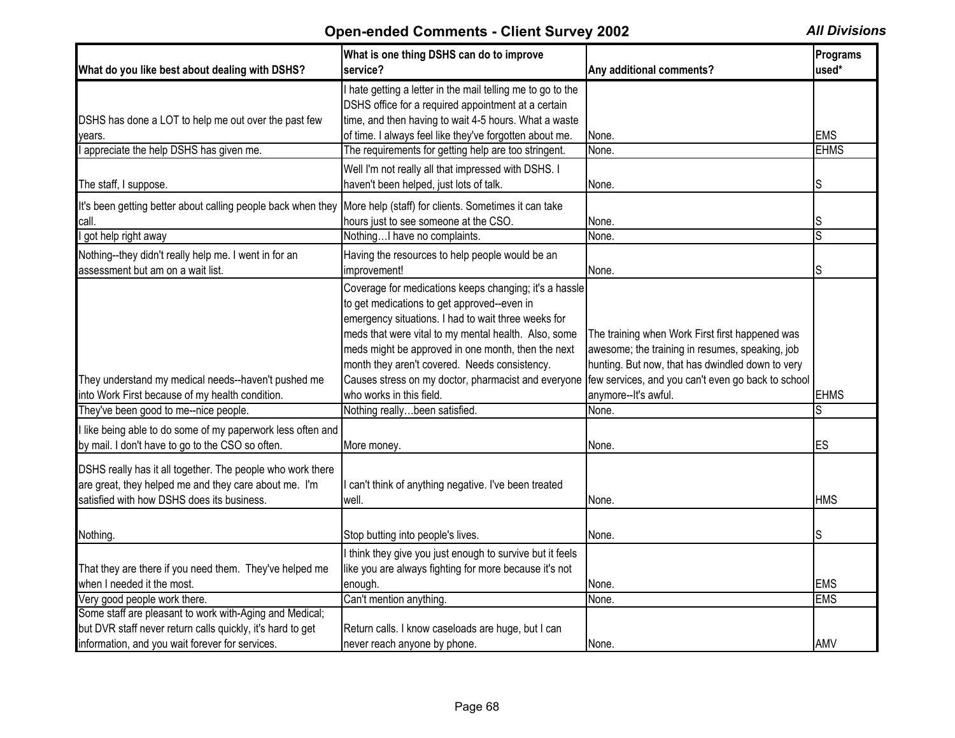|                                                              | What is one thing DSHS can do to improve                    |                                                    | Programs       |
|--------------------------------------------------------------|-------------------------------------------------------------|----------------------------------------------------|----------------|
| What do you like best about dealing with DSHS?               | service?                                                    | Any additional comments?                           | used*          |
|                                                              | I hate getting a letter in the mail telling me to go to the |                                                    |                |
|                                                              | DSHS office for a required appointment at a certain         |                                                    |                |
| DSHS has done a LOT to help me out over the past few         | time, and then having to wait 4-5 hours. What a waste       |                                                    |                |
| vears.                                                       | of time. I always feel like they've forgotten about me.     | None.                                              | <b>EMS</b>     |
| appreciate the help DSHS has given me.                       | The requirements for getting help are too stringent.        | None.                                              | <b>EHMS</b>    |
|                                                              | Well I'm not really all that impressed with DSHS. I         |                                                    |                |
| The staff, I suppose.                                        | haven't been helped, just lots of talk.                     | None.                                              | S              |
| It's been getting better about calling people back when they | More help (staff) for clients. Sometimes it can take        |                                                    |                |
| call.                                                        | hours just to see someone at the CSO.                       | None.                                              | S              |
| got help right away                                          | NothingI have no complaints.                                | None.                                              | $\overline{s}$ |
| Nothing--they didn't really help me. I went in for an        | Having the resources to help people would be an             |                                                    |                |
| assessment but am on a wait list.                            | improvement!                                                | None.                                              | S              |
|                                                              | Coverage for medications keeps changing; it's a hassle      |                                                    |                |
|                                                              | to get medications to get approved--even in                 |                                                    |                |
|                                                              | emergency situations. I had to wait three weeks for         |                                                    |                |
|                                                              | meds that were vital to my mental health. Also, some        | The training when Work First first happened was    |                |
|                                                              | meds might be approved in one month, then the next          | awesome; the training in resumes, speaking, job    |                |
|                                                              |                                                             |                                                    |                |
|                                                              | month they aren't covered. Needs consistency.               | hunting. But now, that has dwindled down to very   |                |
| They understand my medical needs--haven't pushed me          | Causes stress on my doctor, pharmacist and everyone         | few services, and you can't even go back to school |                |
| into Work First because of my health condition.              | who works in this field.                                    | anymore--It's awful.                               | <b>EHMS</b>    |
| They've been good to me--nice people.                        | Nothing reallybeen satisfied.                               | None.                                              |                |
| I like being able to do some of my paperwork less often and  |                                                             |                                                    |                |
| by mail. I don't have to go to the CSO so often.             | More money.                                                 | None.                                              | ES             |
| DSHS really has it all together. The people who work there   |                                                             |                                                    |                |
|                                                              |                                                             |                                                    |                |
| are great, they helped me and they care about me. I'm        | can't think of anything negative. I've been treated         |                                                    |                |
| satisfied with how DSHS does its business.                   | well.                                                       | None.                                              | <b>HMS</b>     |
|                                                              |                                                             |                                                    |                |
| Nothing.                                                     | Stop butting into people's lives.                           | None.                                              | S              |
|                                                              | I think they give you just enough to survive but it feels   |                                                    |                |
| That they are there if you need them. They've helped me      | like you are always fighting for more because it's not      |                                                    |                |
| when I needed it the most.                                   | enough.                                                     | None.                                              | <b>EMS</b>     |
| Very good people work there.                                 | Can't mention anything.                                     | None.                                              | <b>EMS</b>     |
| Some staff are pleasant to work with-Aging and Medical;      |                                                             |                                                    |                |
| but DVR staff never return calls quickly, it's hard to get   | Return calls. I know caseloads are huge, but I can          |                                                    |                |
| information, and you wait forever for services.              | never reach anyone by phone.                                | None.                                              | AMV            |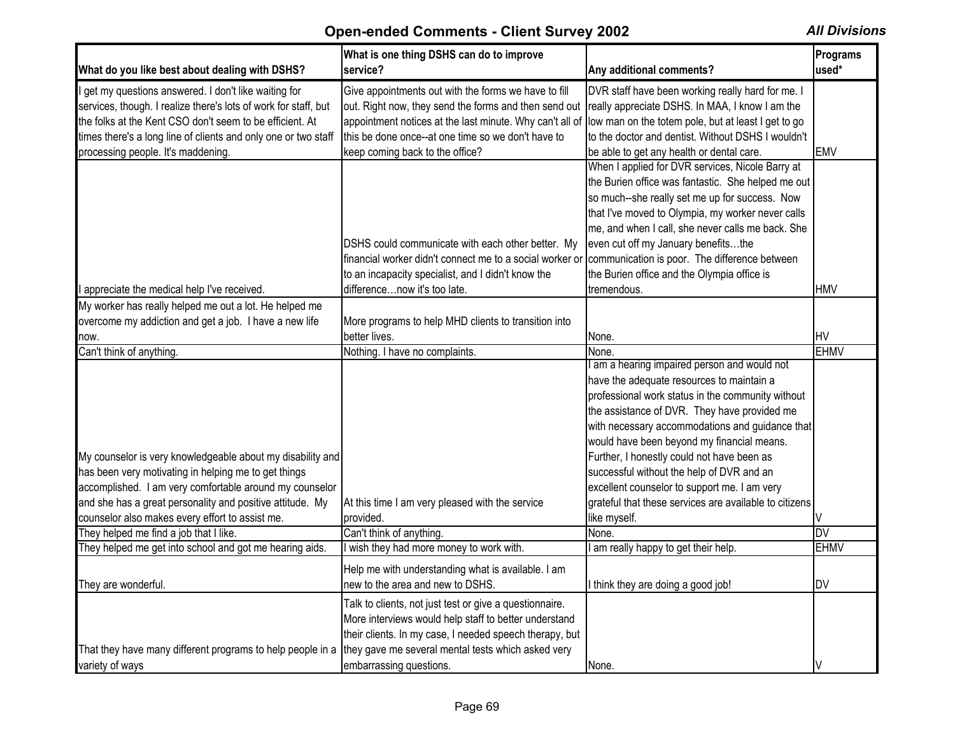| What do you like best about dealing with DSHS?                  | What is one thing DSHS can do to improve<br>service?                                                   | Any additional comments?                               | Programs<br>used* |
|-----------------------------------------------------------------|--------------------------------------------------------------------------------------------------------|--------------------------------------------------------|-------------------|
| I get my questions answered. I don't like waiting for           | Give appointments out with the forms we have to fill                                                   | DVR staff have been working really hard for me. I      |                   |
| services, though. I realize there's lots of work for staff, but | out. Right now, they send the forms and then send out                                                  | really appreciate DSHS. In MAA, I know I am the        |                   |
| the folks at the Kent CSO don't seem to be efficient. At        | appointment notices at the last minute. Why can't all of                                               | low man on the totem pole, but at least I get to go    |                   |
| times there's a long line of clients and only one or two staff  | this be done once--at one time so we don't have to                                                     | to the doctor and dentist. Without DSHS I wouldn't     |                   |
| processing people. It's maddening.                              | keep coming back to the office?                                                                        | be able to get any health or dental care.              | <b>EMV</b>        |
|                                                                 |                                                                                                        | When I applied for DVR services, Nicole Barry at       |                   |
|                                                                 |                                                                                                        | the Burien office was fantastic. She helped me out     |                   |
|                                                                 |                                                                                                        | so much--she really set me up for success. Now         |                   |
|                                                                 |                                                                                                        | that I've moved to Olympia, my worker never calls      |                   |
|                                                                 |                                                                                                        | me, and when I call, she never calls me back. She      |                   |
|                                                                 | DSHS could communicate with each other better. My                                                      | even cut off my January benefitsthe                    |                   |
|                                                                 | financial worker didn't connect me to a social worker or communication is poor. The difference between |                                                        |                   |
|                                                                 | to an incapacity specialist, and I didn't know the                                                     | the Burien office and the Olympia office is            |                   |
| appreciate the medical help I've received.                      | differencenow it's too late.                                                                           | tremendous.                                            | <b>HMV</b>        |
| My worker has really helped me out a lot. He helped me          |                                                                                                        |                                                        |                   |
| overcome my addiction and get a job. I have a new life          | More programs to help MHD clients to transition into                                                   |                                                        |                   |
| now.                                                            | better lives.                                                                                          | None.                                                  | <b>HV</b>         |
| Can't think of anything.                                        | Nothing. I have no complaints.                                                                         | None.                                                  | <b>EHMV</b>       |
|                                                                 |                                                                                                        | am a hearing impaired person and would not             |                   |
|                                                                 |                                                                                                        | have the adequate resources to maintain a              |                   |
|                                                                 |                                                                                                        | professional work status in the community without      |                   |
|                                                                 |                                                                                                        | the assistance of DVR. They have provided me           |                   |
|                                                                 |                                                                                                        | with necessary accommodations and guidance that        |                   |
|                                                                 |                                                                                                        | would have been beyond my financial means.             |                   |
| My counselor is very knowledgeable about my disability and      |                                                                                                        | Further, I honestly could not have been as             |                   |
| has been very motivating in helping me to get things            |                                                                                                        | successful without the help of DVR and an              |                   |
| accomplished. I am very comfortable around my counselor         |                                                                                                        | excellent counselor to support me. I am very           |                   |
| and she has a great personality and positive attitude. My       | At this time I am very pleased with the service                                                        | grateful that these services are available to citizens |                   |
| counselor also makes every effort to assist me.                 | provided.                                                                                              | like myself.                                           |                   |
| They helped me find a job that I like.                          | Can't think of anything.                                                                               | None.                                                  | DV                |
| They helped me get into school and got me hearing aids.         | I wish they had more money to work with.                                                               | am really happy to get their help.                     | <b>EHMV</b>       |
|                                                                 | Help me with understanding what is available. I am                                                     |                                                        |                   |
| They are wonderful.                                             | new to the area and new to DSHS.                                                                       | I think they are doing a good job!                     | <b>DV</b>         |
|                                                                 | Talk to clients, not just test or give a questionnaire.                                                |                                                        |                   |
|                                                                 | More interviews would help staff to better understand                                                  |                                                        |                   |
|                                                                 | their clients. In my case, I needed speech therapy, but                                                |                                                        |                   |
|                                                                 | they gave me several mental tests which asked very                                                     |                                                        |                   |
| That they have many different programs to help people in a      |                                                                                                        |                                                        |                   |
| variety of ways                                                 | embarrassing questions.                                                                                | None.                                                  |                   |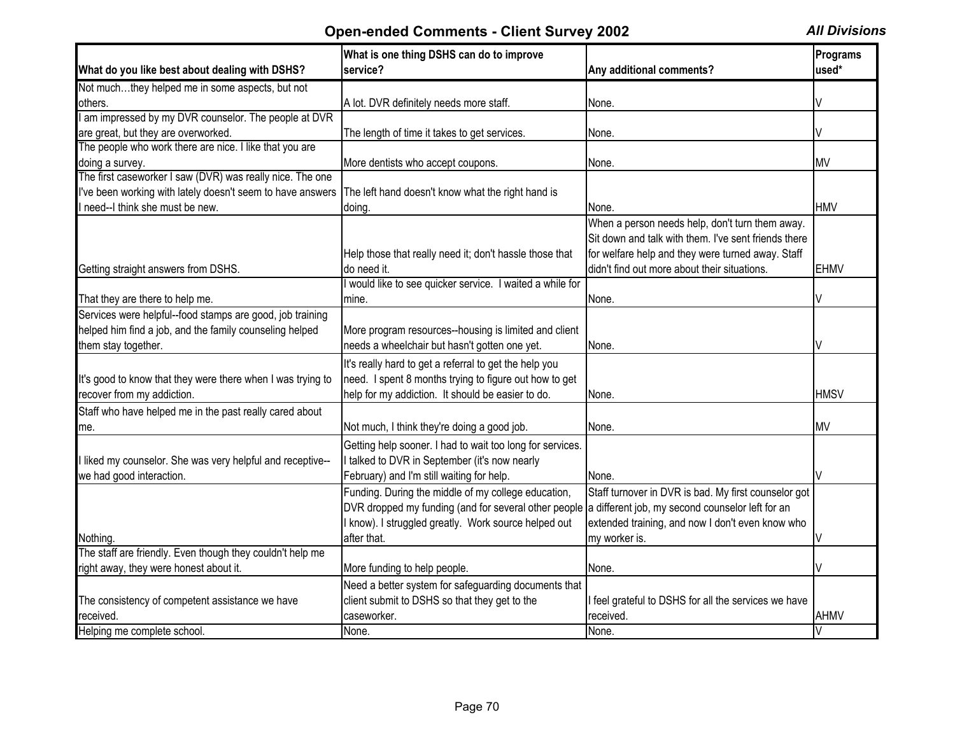|                                                                                                              | What is one thing DSHS can do to improve                                                              |                                                      | Programs     |
|--------------------------------------------------------------------------------------------------------------|-------------------------------------------------------------------------------------------------------|------------------------------------------------------|--------------|
| What do you like best about dealing with DSHS?                                                               | service?                                                                                              | Any additional comments?                             | used*        |
| Not muchthey helped me in some aspects, but not                                                              |                                                                                                       |                                                      |              |
| others.                                                                                                      | A lot. DVR definitely needs more staff.                                                               | None.                                                |              |
| I am impressed by my DVR counselor. The people at DVR                                                        |                                                                                                       |                                                      |              |
| are great, but they are overworked.                                                                          | The length of time it takes to get services.                                                          | None.                                                |              |
| The people who work there are nice. I like that you are                                                      |                                                                                                       |                                                      |              |
| doing a survey.                                                                                              | More dentists who accept coupons.                                                                     | None.                                                | <b>MV</b>    |
| The first caseworker I saw (DVR) was really nice. The one                                                    |                                                                                                       |                                                      |              |
| I've been working with lately doesn't seem to have answers The left hand doesn't know what the right hand is |                                                                                                       |                                                      |              |
| I need--I think she must be new.                                                                             | doing.                                                                                                | None.                                                | <b>HMV</b>   |
|                                                                                                              |                                                                                                       | When a person needs help, don't turn them away.      |              |
|                                                                                                              |                                                                                                       | Sit down and talk with them. I've sent friends there |              |
|                                                                                                              | Help those that really need it; don't hassle those that                                               | for welfare help and they were turned away. Staff    |              |
| Getting straight answers from DSHS.                                                                          | do need it.                                                                                           | didn't find out more about their situations.         | <b>EHMV</b>  |
|                                                                                                              | I would like to see quicker service. I waited a while for                                             |                                                      |              |
| That they are there to help me.                                                                              | mine.                                                                                                 | None.                                                |              |
| Services were helpful--food stamps are good, job training                                                    |                                                                                                       |                                                      |              |
| helped him find a job, and the family counseling helped                                                      | More program resources--housing is limited and client                                                 |                                                      |              |
| them stay together.                                                                                          | needs a wheelchair but hasn't gotten one yet.                                                         | None.                                                |              |
|                                                                                                              | It's really hard to get a referral to get the help you                                                |                                                      |              |
| It's good to know that they were there when I was trying to                                                  | need. I spent 8 months trying to figure out how to get                                                |                                                      |              |
| recover from my addiction.                                                                                   | help for my addiction. It should be easier to do.                                                     | None.                                                | <b>HMSV</b>  |
|                                                                                                              |                                                                                                       |                                                      |              |
| Staff who have helped me in the past really cared about                                                      |                                                                                                       |                                                      |              |
| me.                                                                                                          | Not much, I think they're doing a good job.                                                           | None.                                                | <b>MV</b>    |
|                                                                                                              | Getting help sooner. I had to wait too long for services.                                             |                                                      |              |
| I liked my counselor. She was very helpful and receptive--                                                   | I talked to DVR in September (it's now nearly                                                         |                                                      |              |
| we had good interaction.                                                                                     | February) and I'm still waiting for help.                                                             | None.                                                | V            |
|                                                                                                              | Funding. During the middle of my college education,                                                   | Staff turnover in DVR is bad. My first counselor got |              |
|                                                                                                              | DVR dropped my funding (and for several other people a different job, my second counselor left for an |                                                      |              |
|                                                                                                              | I know). I struggled greatly. Work source helped out                                                  | extended training, and now I don't even know who     |              |
| Nothing.                                                                                                     | after that.                                                                                           | my worker is.                                        |              |
| The staff are friendly. Even though they couldn't help me                                                    |                                                                                                       |                                                      |              |
| right away, they were honest about it.                                                                       | More funding to help people.                                                                          | None.                                                |              |
|                                                                                                              | Need a better system for safeguarding documents that                                                  |                                                      |              |
| The consistency of competent assistance we have                                                              | client submit to DSHS so that they get to the                                                         | I feel grateful to DSHS for all the services we have |              |
| received.                                                                                                    | caseworker.                                                                                           | received.                                            | <b>AHMV</b>  |
| Helping me complete school.                                                                                  | None.                                                                                                 | None.                                                | $\mathsf{V}$ |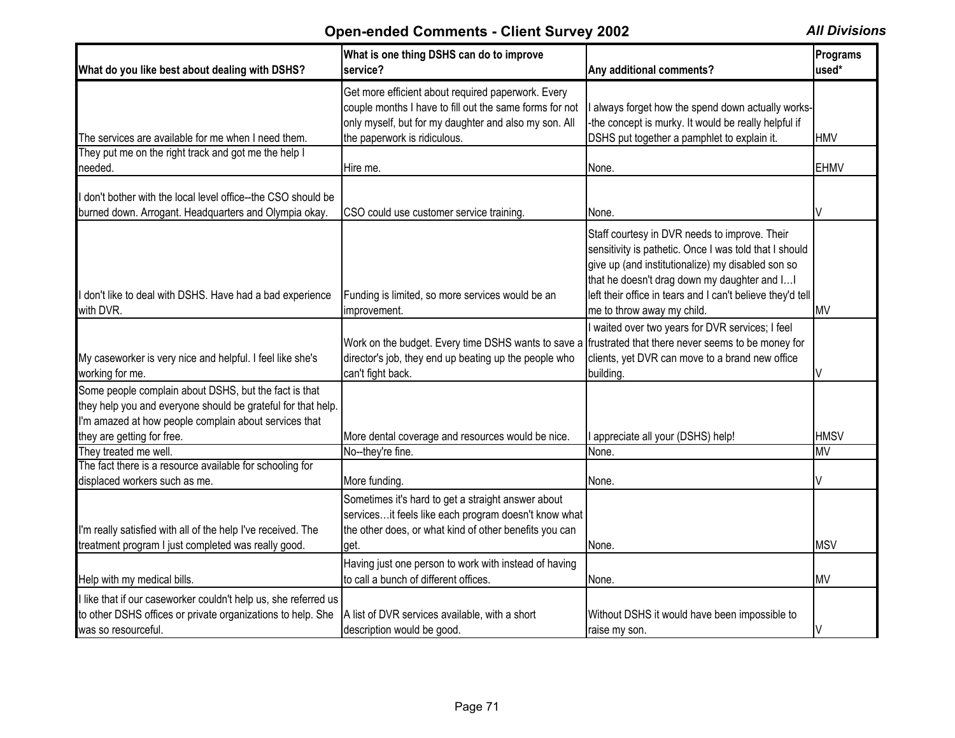| What do you like best about dealing with DSHS?                                                                                                                                                               | What is one thing DSHS can do to improve<br>service?                                                                                                                                                   | Any additional comments?                                                                                                                                                                                                                                                                                | Programs<br>used* |
|--------------------------------------------------------------------------------------------------------------------------------------------------------------------------------------------------------------|--------------------------------------------------------------------------------------------------------------------------------------------------------------------------------------------------------|---------------------------------------------------------------------------------------------------------------------------------------------------------------------------------------------------------------------------------------------------------------------------------------------------------|-------------------|
| The services are available for me when I need them.                                                                                                                                                          | Get more efficient about required paperwork. Every<br>couple months I have to fill out the same forms for not<br>only myself, but for my daughter and also my son. All<br>the paperwork is ridiculous. | always forget how the spend down actually works-<br>-the concept is murky. It would be really helpful if<br>DSHS put together a pamphlet to explain it.                                                                                                                                                 | <b>HMV</b>        |
| They put me on the right track and got me the help I<br>needed.                                                                                                                                              | Hire me.                                                                                                                                                                                               | None.                                                                                                                                                                                                                                                                                                   | <b>EHMV</b>       |
| don't bother with the local level office--the CSO should be<br>burned down. Arrogant. Headquarters and Olympia okay.                                                                                         | CSO could use customer service training.                                                                                                                                                               | None.                                                                                                                                                                                                                                                                                                   | V                 |
| don't like to deal with DSHS. Have had a bad experience<br>with DVR.                                                                                                                                         | Funding is limited, so more services would be an<br>improvement.                                                                                                                                       | Staff courtesy in DVR needs to improve. Their<br>sensitivity is pathetic. Once I was told that I should<br>give up (and institutionalize) my disabled son so<br>that he doesn't drag down my daughter and I<br>left their office in tears and I can't believe they'd tell<br>me to throw away my child. | <b>MV</b>         |
| My caseworker is very nice and helpful. I feel like she's<br>working for me.                                                                                                                                 | Work on the budget. Every time DSHS wants to save a<br>director's job, they end up beating up the people who<br>can't fight back.                                                                      | waited over two years for DVR services; I feel<br>frustrated that there never seems to be money for<br>clients, yet DVR can move to a brand new office<br>building.                                                                                                                                     | V                 |
| Some people complain about DSHS, but the fact is that<br>they help you and everyone should be grateful for that help.<br>I'm amazed at how people complain about services that<br>they are getting for free. | More dental coverage and resources would be nice.                                                                                                                                                      | appreciate all your (DSHS) help!                                                                                                                                                                                                                                                                        | <b>HMSV</b>       |
| They treated me well.                                                                                                                                                                                        | No--they're fine.                                                                                                                                                                                      | None.                                                                                                                                                                                                                                                                                                   | <b>MV</b>         |
| The fact there is a resource available for schooling for<br>displaced workers such as me.                                                                                                                    | More funding.                                                                                                                                                                                          | None.                                                                                                                                                                                                                                                                                                   |                   |
| I'm really satisfied with all of the help I've received. The<br>treatment program I just completed was really good.                                                                                          | Sometimes it's hard to get a straight answer about<br>servicesit feels like each program doesn't know what<br>the other does, or what kind of other benefits you can<br>get.                           | None.                                                                                                                                                                                                                                                                                                   | <b>MSV</b>        |
| Help with my medical bills.                                                                                                                                                                                  | Having just one person to work with instead of having<br>to call a bunch of different offices.                                                                                                         | None.                                                                                                                                                                                                                                                                                                   | <b>MV</b>         |
| I like that if our caseworker couldn't help us, she referred us<br>to other DSHS offices or private organizations to help. She<br>was so resourceful.                                                        | A list of DVR services available, with a short<br>description would be good.                                                                                                                           | Without DSHS it would have been impossible to<br>raise my son.                                                                                                                                                                                                                                          |                   |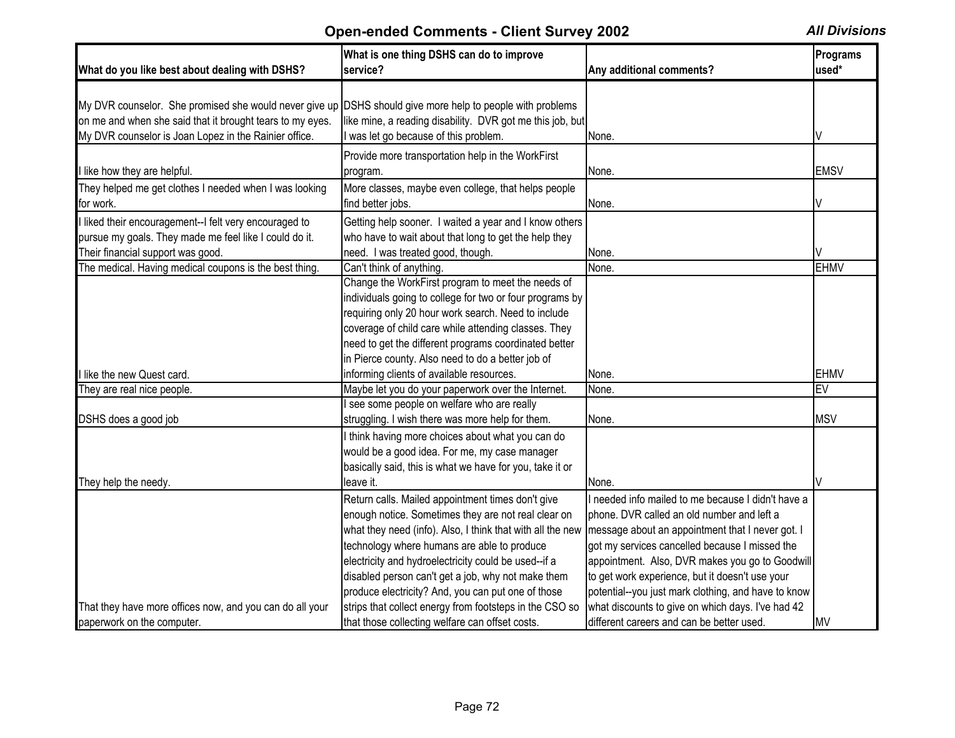| What do you like best about dealing with DSHS?                                                                                                                                                                                  | What is one thing DSHS can do to improve<br>service?                                                                                                                                                                                                                                                                                                                                      | Any additional comments?                                                                                                                                                                                                                                                                                                                                            | Programs<br>used* |
|---------------------------------------------------------------------------------------------------------------------------------------------------------------------------------------------------------------------------------|-------------------------------------------------------------------------------------------------------------------------------------------------------------------------------------------------------------------------------------------------------------------------------------------------------------------------------------------------------------------------------------------|---------------------------------------------------------------------------------------------------------------------------------------------------------------------------------------------------------------------------------------------------------------------------------------------------------------------------------------------------------------------|-------------------|
| My DVR counselor. She promised she would never give up DSHS should give more help to people with problems<br>on me and when she said that it brought tears to my eyes.<br>My DVR counselor is Joan Lopez in the Rainier office. | like mine, a reading disability. DVR got me this job, but<br>was let go because of this problem.                                                                                                                                                                                                                                                                                          | None.                                                                                                                                                                                                                                                                                                                                                               |                   |
| I like how they are helpful.                                                                                                                                                                                                    | Provide more transportation help in the WorkFirst<br>program.                                                                                                                                                                                                                                                                                                                             | None.                                                                                                                                                                                                                                                                                                                                                               | <b>EMSV</b>       |
| They helped me get clothes I needed when I was looking<br>for work.                                                                                                                                                             | More classes, maybe even college, that helps people<br>find better jobs.                                                                                                                                                                                                                                                                                                                  | None.                                                                                                                                                                                                                                                                                                                                                               |                   |
| I liked their encouragement--I felt very encouraged to<br>pursue my goals. They made me feel like I could do it.<br>Their financial support was good.                                                                           | Getting help sooner. I waited a year and I know others<br>who have to wait about that long to get the help they<br>need. I was treated good, though.                                                                                                                                                                                                                                      | None.                                                                                                                                                                                                                                                                                                                                                               |                   |
| The medical. Having medical coupons is the best thing.                                                                                                                                                                          | Can't think of anything.                                                                                                                                                                                                                                                                                                                                                                  | None.                                                                                                                                                                                                                                                                                                                                                               | <b>EHMV</b>       |
|                                                                                                                                                                                                                                 | Change the WorkFirst program to meet the needs of<br>individuals going to college for two or four programs by<br>requiring only 20 hour work search. Need to include<br>coverage of child care while attending classes. They<br>need to get the different programs coordinated better<br>in Pierce county. Also need to do a better job of                                                |                                                                                                                                                                                                                                                                                                                                                                     |                   |
| I like the new Quest card.                                                                                                                                                                                                      | informing clients of available resources.                                                                                                                                                                                                                                                                                                                                                 | None.                                                                                                                                                                                                                                                                                                                                                               | <b>EHMV</b>       |
| They are real nice people.                                                                                                                                                                                                      | Maybe let you do your paperwork over the Internet.                                                                                                                                                                                                                                                                                                                                        | None.                                                                                                                                                                                                                                                                                                                                                               | $E\overline{V}$   |
| DSHS does a good job                                                                                                                                                                                                            | see some people on welfare who are really<br>struggling. I wish there was more help for them.                                                                                                                                                                                                                                                                                             | None.                                                                                                                                                                                                                                                                                                                                                               | <b>MSV</b>        |
| They help the needy.                                                                                                                                                                                                            | think having more choices about what you can do<br>would be a good idea. For me, my case manager<br>basically said, this is what we have for you, take it or<br>leave it.                                                                                                                                                                                                                 | None.                                                                                                                                                                                                                                                                                                                                                               |                   |
|                                                                                                                                                                                                                                 | Return calls. Mailed appointment times don't give<br>enough notice. Sometimes they are not real clear on<br>what they need (info). Also, I think that with all the new<br>technology where humans are able to produce<br>electricity and hydroelectricity could be used--if a<br>disabled person can't get a job, why not make them<br>produce electricity? And, you can put one of those | I needed info mailed to me because I didn't have a<br>phone. DVR called an old number and left a<br>message about an appointment that I never got. I<br>got my services cancelled because I missed the<br>appointment. Also, DVR makes you go to Goodwill<br>to get work experience, but it doesn't use your<br>potential--you just mark clothing, and have to know |                   |
| That they have more offices now, and you can do all your<br>paperwork on the computer.                                                                                                                                          | strips that collect energy from footsteps in the CSO so<br>that those collecting welfare can offset costs.                                                                                                                                                                                                                                                                                | what discounts to give on which days. I've had 42<br>different careers and can be better used.                                                                                                                                                                                                                                                                      | <b>MV</b>         |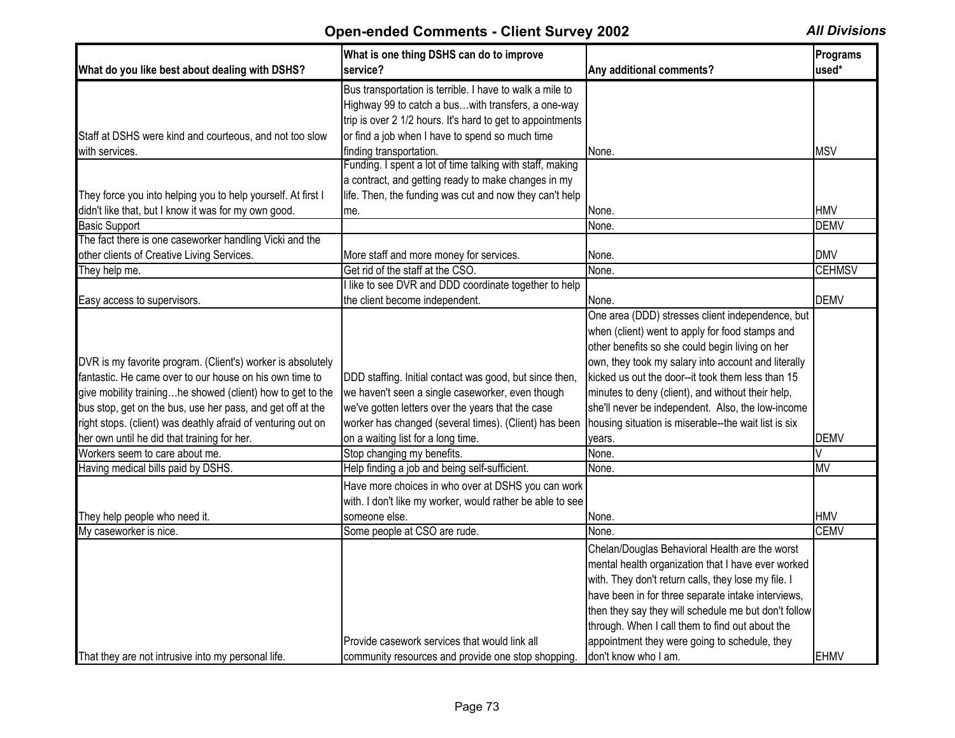|                                                              | What is one thing DSHS can do to improve                   |                                                      | Programs      |
|--------------------------------------------------------------|------------------------------------------------------------|------------------------------------------------------|---------------|
| What do you like best about dealing with DSHS?               | service?                                                   | Any additional comments?                             | used*         |
|                                                              | Bus transportation is terrible. I have to walk a mile to   |                                                      |               |
|                                                              | Highway 99 to catch a buswith transfers, a one-way         |                                                      |               |
|                                                              | trip is over 2 1/2 hours. It's hard to get to appointments |                                                      |               |
| Staff at DSHS were kind and courteous, and not too slow      | or find a job when I have to spend so much time            |                                                      |               |
| with services.                                               | finding transportation.                                    | None.                                                | <b>MSV</b>    |
|                                                              | Funding. I spent a lot of time talking with staff, making  |                                                      |               |
|                                                              | a contract, and getting ready to make changes in my        |                                                      |               |
| They force you into helping you to help yourself. At first I | life. Then, the funding was cut and now they can't help    |                                                      |               |
| didn't like that, but I know it was for my own good.         | me.                                                        | None.                                                | <b>HMV</b>    |
| <b>Basic Support</b>                                         |                                                            | None.                                                | <b>DEMV</b>   |
| The fact there is one caseworker handling Vicki and the      |                                                            |                                                      |               |
| other clients of Creative Living Services.                   | More staff and more money for services.                    | None.                                                | <b>DMV</b>    |
| They help me.                                                | Get rid of the staff at the CSO.                           | None.                                                | <b>CEHMSV</b> |
|                                                              | I like to see DVR and DDD coordinate together to help      |                                                      |               |
| Easy access to supervisors.                                  | the client become independent.                             | None.                                                | <b>DEMV</b>   |
|                                                              |                                                            | One area (DDD) stresses client independence, but     |               |
|                                                              |                                                            | when (client) went to apply for food stamps and      |               |
|                                                              |                                                            | other benefits so she could begin living on her      |               |
| DVR is my favorite program. (Client's) worker is absolutely  |                                                            | own, they took my salary into account and literally  |               |
| fantastic. He came over to our house on his own time to      | DDD staffing. Initial contact was good, but since then,    | kicked us out the door--it took them less than 15    |               |
| give mobility traininghe showed (client) how to get to the   | we haven't seen a single caseworker, even though           | minutes to deny (client), and without their help,    |               |
| bus stop, get on the bus, use her pass, and get off at the   | we've gotten letters over the years that the case          | she'll never be independent. Also, the low-income    |               |
| right stops. (client) was deathly afraid of venturing out on | worker has changed (several times). (Client) has been      | housing situation is miserable--the wait list is six |               |
| her own until he did that training for her.                  | on a waiting list for a long time.                         | years.                                               | <b>DEMV</b>   |
| Workers seem to care about me.                               | Stop changing my benefits.                                 | None.                                                |               |
| Having medical bills paid by DSHS.                           | Help finding a job and being self-sufficient.              | None.                                                | <b>MV</b>     |
|                                                              | Have more choices in who over at DSHS you can work         |                                                      |               |
|                                                              | with. I don't like my worker, would rather be able to see  |                                                      |               |
| They help people who need it.                                | someone else.                                              | None.                                                | <b>HMV</b>    |
| My caseworker is nice.                                       | Some people at CSO are rude.                               | None.                                                | <b>CEMV</b>   |
|                                                              |                                                            | Chelan/Douglas Behavioral Health are the worst       |               |
|                                                              |                                                            | mental health organization that I have ever worked   |               |
|                                                              |                                                            | with. They don't return calls, they lose my file. I  |               |
|                                                              |                                                            | have been in for three separate intake interviews,   |               |
|                                                              |                                                            | then they say they will schedule me but don't follow |               |
|                                                              |                                                            | through. When I call them to find out about the      |               |
|                                                              | Provide casework services that would link all              | appointment they were going to schedule, they        |               |
| That they are not intrusive into my personal life.           | community resources and provide one stop shopping.         | don't know who I am.                                 | <b>EHMV</b>   |
|                                                              |                                                            |                                                      |               |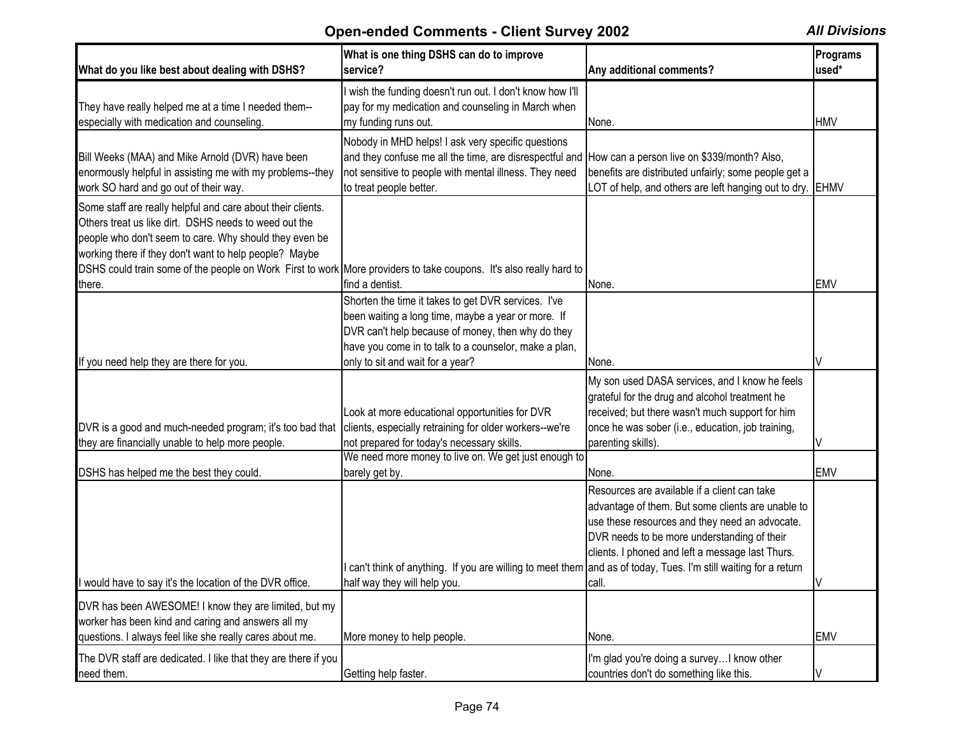| What do you like best about dealing with DSHS?                                                                                                                                                                                                                                                                                                                           | What is one thing DSHS can do to improve<br>service?                                                                                                                                                                                                        | Any additional comments?                                                                                                                                                                                                                                        | Programs<br>used* |
|--------------------------------------------------------------------------------------------------------------------------------------------------------------------------------------------------------------------------------------------------------------------------------------------------------------------------------------------------------------------------|-------------------------------------------------------------------------------------------------------------------------------------------------------------------------------------------------------------------------------------------------------------|-----------------------------------------------------------------------------------------------------------------------------------------------------------------------------------------------------------------------------------------------------------------|-------------------|
| They have really helped me at a time I needed them--<br>especially with medication and counseling.                                                                                                                                                                                                                                                                       | wish the funding doesn't run out. I don't know how I'll<br>pay for my medication and counseling in March when<br>my funding runs out.                                                                                                                       | None.                                                                                                                                                                                                                                                           | <b>HMV</b>        |
| Bill Weeks (MAA) and Mike Arnold (DVR) have been<br>enormously helpful in assisting me with my problems--they<br>work SO hard and go out of their way.                                                                                                                                                                                                                   | Nobody in MHD helps! I ask very specific questions<br>and they confuse me all the time, are disrespectful and How can a person live on \$339/month? Also,<br>not sensitive to people with mental illness. They need<br>to treat people better.              | benefits are distributed unfairly; some people get a<br>LOT of help, and others are left hanging out to dry.                                                                                                                                                    | <b>EHMV</b>       |
| Some staff are really helpful and care about their clients.<br>Others treat us like dirt. DSHS needs to weed out the<br>people who don't seem to care. Why should they even be<br>working there if they don't want to help people? Maybe<br>DSHS could train some of the people on Work First to work More providers to take coupons. It's also really hard to<br>there. | find a dentist.                                                                                                                                                                                                                                             | None.                                                                                                                                                                                                                                                           | <b>EMV</b>        |
| If you need help they are there for you.                                                                                                                                                                                                                                                                                                                                 | Shorten the time it takes to get DVR services. I've<br>been waiting a long time, maybe a year or more. If<br>DVR can't help because of money, then why do they<br>have you come in to talk to a counselor, make a plan,<br>only to sit and wait for a year? | None.                                                                                                                                                                                                                                                           |                   |
| DVR is a good and much-needed program; it's too bad that<br>they are financially unable to help more people.                                                                                                                                                                                                                                                             | Look at more educational opportunities for DVR<br>clients, especially retraining for older workers--we're<br>not prepared for today's necessary skills.                                                                                                     | My son used DASA services, and I know he feels<br>grateful for the drug and alcohol treatment he<br>received; but there wasn't much support for him<br>once he was sober (i.e., education, job training,<br>parenting skills).                                  |                   |
| DSHS has helped me the best they could.                                                                                                                                                                                                                                                                                                                                  | We need more money to live on. We get just enough to<br>barely get by.                                                                                                                                                                                      | None.                                                                                                                                                                                                                                                           | <b>EMV</b>        |
| If would have to say it's the location of the DVR office.                                                                                                                                                                                                                                                                                                                | can't think of anything. If you are willing to meet them and as of today, Tues. I'm still waiting for a return<br>half way they will help you.                                                                                                              | Resources are available if a client can take<br>advantage of them. But some clients are unable to<br>use these resources and they need an advocate.<br>DVR needs to be more understanding of their<br>clients. I phoned and left a message last Thurs.<br>call. |                   |
| DVR has been AWESOME! I know they are limited, but my                                                                                                                                                                                                                                                                                                                    |                                                                                                                                                                                                                                                             |                                                                                                                                                                                                                                                                 |                   |
| worker has been kind and caring and answers all my<br>questions. I always feel like she really cares about me.                                                                                                                                                                                                                                                           | More money to help people.                                                                                                                                                                                                                                  | None.                                                                                                                                                                                                                                                           | <b>EMV</b>        |
| The DVR staff are dedicated. I like that they are there if you<br>need them.                                                                                                                                                                                                                                                                                             | Getting help faster.                                                                                                                                                                                                                                        | I'm glad you're doing a survey I know other<br>countries don't do something like this.                                                                                                                                                                          | V                 |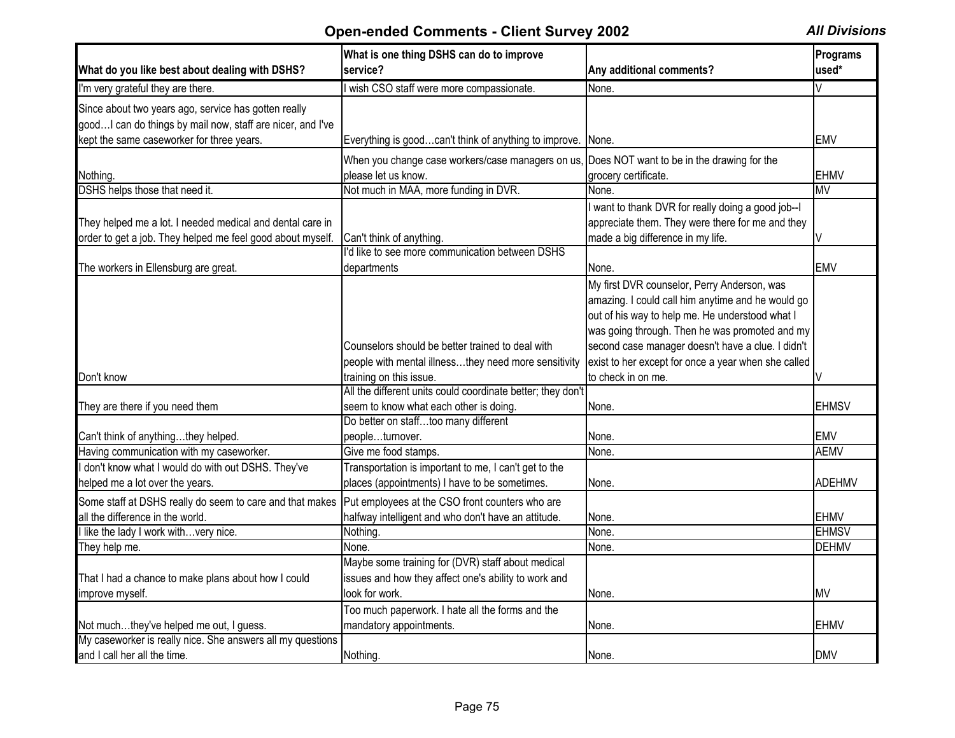|                                                             | What is one thing DSHS can do to improve                    |                                                     | Programs      |
|-------------------------------------------------------------|-------------------------------------------------------------|-----------------------------------------------------|---------------|
| What do you like best about dealing with DSHS?              | service?                                                    | Any additional comments?                            | used*         |
| I'm very grateful they are there.                           | I wish CSO staff were more compassionate.                   | None.                                               |               |
| Since about two years ago, service has gotten really        |                                                             |                                                     |               |
| good I can do things by mail now, staff are nicer, and I've |                                                             |                                                     |               |
| kept the same caseworker for three years.                   | Everything is goodcan't think of anything to improve.       | None.                                               | <b>EMV</b>    |
|                                                             | When you change case workers/case managers on us,           | Does NOT want to be in the drawing for the          |               |
| Nothing.                                                    | please let us know.                                         | grocery certificate.                                | <b>EHMV</b>   |
| DSHS helps those that need it.                              | Not much in MAA, more funding in DVR.                       | None.                                               | <b>MV</b>     |
|                                                             |                                                             | want to thank DVR for really doing a good job--I    |               |
| They helped me a lot. I needed medical and dental care in   |                                                             | appreciate them. They were there for me and they    |               |
| order to get a job. They helped me feel good about myself.  | Can't think of anything.                                    | made a big difference in my life.                   |               |
|                                                             | I'd like to see more communication between DSHS             |                                                     |               |
| The workers in Ellensburg are great.                        | departments                                                 | None.                                               | <b>EMV</b>    |
|                                                             |                                                             | My first DVR counselor, Perry Anderson, was         |               |
|                                                             |                                                             | amazing. I could call him anytime and he would go   |               |
|                                                             |                                                             | out of his way to help me. He understood what I     |               |
|                                                             |                                                             | was going through. Then he was promoted and my      |               |
|                                                             | Counselors should be better trained to deal with            | second case manager doesn't have a clue. I didn't   |               |
|                                                             | people with mental illnessthey need more sensitivity        | exist to her except for once a year when she called |               |
| Don't know                                                  | training on this issue.                                     | to check in on me.                                  | V             |
|                                                             | All the different units could coordinate better; they don't |                                                     |               |
| They are there if you need them                             | seem to know what each other is doing.                      | None.                                               | <b>EHMSV</b>  |
|                                                             | Do better on stafftoo many different                        |                                                     |               |
| Can't think of anythingthey helped.                         | peopleturnover.                                             | None.                                               | <b>EMV</b>    |
| Having communication with my caseworker.                    | Give me food stamps.                                        | None.                                               | <b>AEMV</b>   |
| I don't know what I would do with out DSHS. They've         | Transportation is important to me, I can't get to the       |                                                     |               |
| helped me a lot over the years.                             | places (appointments) I have to be sometimes.               | None.                                               | <b>ADEHMV</b> |
| Some staff at DSHS really do seem to care and that makes    | Put employees at the CSO front counters who are             |                                                     |               |
| all the difference in the world.                            | halfway intelligent and who don't have an attitude.         | None.                                               | <b>EHMV</b>   |
| I like the lady I work withvery nice.                       | Nothing.                                                    | None.                                               | <b>EHMSV</b>  |
| They help me.                                               | None.                                                       | None.                                               | <b>DEHMV</b>  |
|                                                             | Maybe some training for (DVR) staff about medical           |                                                     |               |
| That I had a chance to make plans about how I could         | issues and how they affect one's ability to work and        |                                                     |               |
| improve myself.                                             | look for work.                                              | None.                                               | <b>MV</b>     |
|                                                             | Too much paperwork. I hate all the forms and the            |                                                     |               |
| Not muchthey've helped me out, I guess.                     | mandatory appointments.                                     | None.                                               | <b>EHMV</b>   |
| My caseworker is really nice. She answers all my questions  |                                                             |                                                     |               |
| and I call her all the time.                                | Nothing.                                                    | None.                                               | <b>DMV</b>    |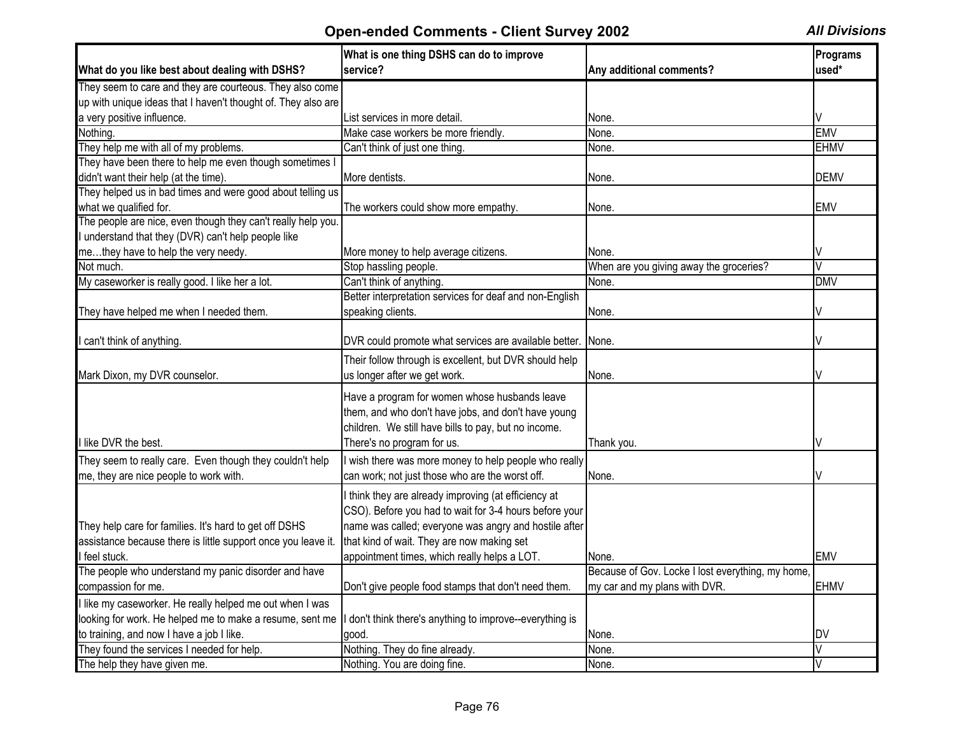|                                                               | What is one thing DSHS can do to improve                 |                                                            | Programs                |
|---------------------------------------------------------------|----------------------------------------------------------|------------------------------------------------------------|-------------------------|
| What do you like best about dealing with DSHS?                | service?                                                 | Any additional comments?                                   | used*                   |
| They seem to care and they are courteous. They also come      |                                                          |                                                            |                         |
| up with unique ideas that I haven't thought of. They also are |                                                          |                                                            |                         |
| a very positive influence.                                    | List services in more detail                             | None.                                                      |                         |
| Nothing.                                                      | Make case workers be more friendly.                      | None.                                                      | <b>EMV</b>              |
| They help me with all of my problems.                         | Can't think of just one thing.                           | None.                                                      | <b>EHMV</b>             |
| They have been there to help me even though sometimes         |                                                          |                                                            |                         |
| didn't want their help (at the time).                         | More dentists.                                           | None.                                                      | <b>DEMV</b>             |
| They helped us in bad times and were good about telling us    |                                                          |                                                            |                         |
| what we qualified for.                                        | The workers could show more empathy.                     | None.                                                      | <b>EMV</b>              |
| The people are nice, even though they can't really help you.  |                                                          |                                                            |                         |
| understand that they (DVR) can't help people like             |                                                          |                                                            |                         |
| methey have to help the very needy.                           | More money to help average citizens.                     | None.                                                      |                         |
| Not much.                                                     | Stop hassling people.                                    | When are you giving away the groceries?                    | $\overline{\mathsf{V}}$ |
| My caseworker is really good. I like her a lot.               | Can't think of anything.                                 | None.                                                      | <b>DMV</b>              |
|                                                               | Better interpretation services for deaf and non-English  |                                                            |                         |
| They have helped me when I needed them.                       | speaking clients.                                        | None.                                                      |                         |
|                                                               |                                                          |                                                            |                         |
| I can't think of anything.                                    | DVR could promote what services are available better.    | None.                                                      |                         |
|                                                               | Their follow through is excellent, but DVR should help   |                                                            |                         |
| Mark Dixon, my DVR counselor.                                 | us longer after we get work.                             | None.                                                      |                         |
|                                                               |                                                          |                                                            |                         |
|                                                               | Have a program for women whose husbands leave            |                                                            |                         |
|                                                               | them, and who don't have jobs, and don't have young      |                                                            |                         |
|                                                               | children. We still have bills to pay, but no income.     |                                                            |                         |
| I like DVR the best.                                          | There's no program for us.                               | Thank you.                                                 |                         |
| They seem to really care. Even though they couldn't help      | I wish there was more money to help people who really    |                                                            |                         |
| me, they are nice people to work with.                        | can work; not just those who are the worst off.          | None.                                                      |                         |
|                                                               | I think they are already improving (at efficiency at     |                                                            |                         |
|                                                               | CSO). Before you had to wait for 3-4 hours before your   |                                                            |                         |
| They help care for families. It's hard to get off DSHS        | name was called; everyone was angry and hostile after    |                                                            |                         |
| assistance because there is little support once you leave it. | that kind of wait. They are now making set               |                                                            |                         |
| feel stuck.                                                   | appointment times, which really helps a LOT.             |                                                            | <b>EMV</b>              |
| The people who understand my panic disorder and have          |                                                          | None.<br>Because of Gov. Locke I lost everything, my home, |                         |
|                                                               |                                                          |                                                            | <b>EHMV</b>             |
| compassion for me.                                            | Don't give people food stamps that don't need them.      | my car and my plans with DVR.                              |                         |
| I like my caseworker. He really helped me out when I was      |                                                          |                                                            |                         |
| looking for work. He helped me to make a resume, sent me      | I don't think there's anything to improve--everything is |                                                            |                         |
| to training, and now I have a job I like.                     | qood.                                                    | None.                                                      | IDV                     |
| They found the services I needed for help.                    | Nothing. They do fine already.                           | None.                                                      |                         |
| The help they have given me.                                  | Nothing. You are doing fine.                             | None.                                                      |                         |